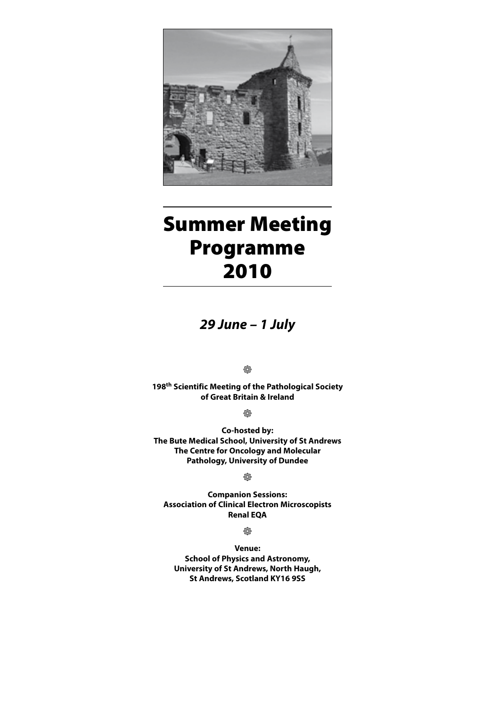

# Summer Meeting Programme 2010

*29 June – 1 July*

8

**198th Scientific Meeting of the Pathological Society of Great Britain & Ireland**

8%

**Co-hosted by: The Bute Medical School, University of St Andrews The Centre for Oncology and Molecular Pathology, University of Dundee**

**e%** 

**Companion Sessions: Association of Clinical Electron Microscopists Renal EQA**

22

**Venue: School of Physics and Astronomy, University of St Andrews, North Haugh, St Andrews, Scotland KY16 9SS**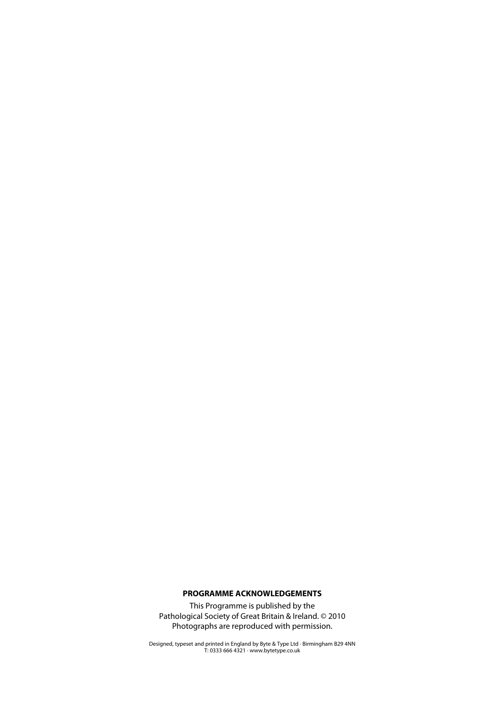#### **Programme acknowledgements**

This Programme is published by the Pathological Society of Great Britain & Ireland. © 2010 Photographs are reproduced with permission.

Designed, typeset and printed in England by Byte & Type Ltd · Birmingham B29 4NN T: 0333 666 4321 · www.bytetype.co.uk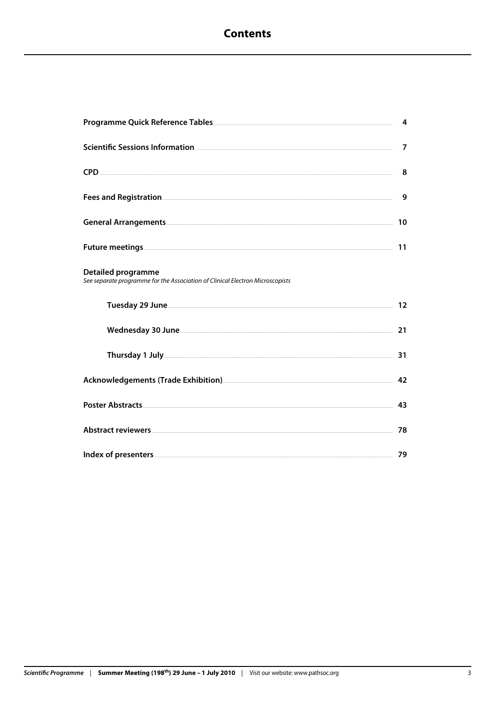| Programme Quick Reference Tables <b>Section Accord Programme Cuick</b>                                         | $\overline{4}$ |
|----------------------------------------------------------------------------------------------------------------|----------------|
|                                                                                                                |                |
|                                                                                                                | 8              |
| Fees and Registration <b>Executive Construction Figure 2</b> and <b>Registration</b>                           | 9              |
| General Arrangements and the contract of the contract of the contract of the contract of the contract of the c |                |
|                                                                                                                | 11             |
| <b>Detailed programme</b><br>See separate programme for the Association of Clinical Electron Microscopists     |                |
| Tuesday 29 June 2020 20 20 20 20 20 21 22                                                                      |                |
|                                                                                                                |                |
| Thursday 1 July 31                                                                                             |                |
| Acknowledgements (Trade Exhibition) 42                                                                         |                |
|                                                                                                                |                |
|                                                                                                                | 78             |
|                                                                                                                | 79             |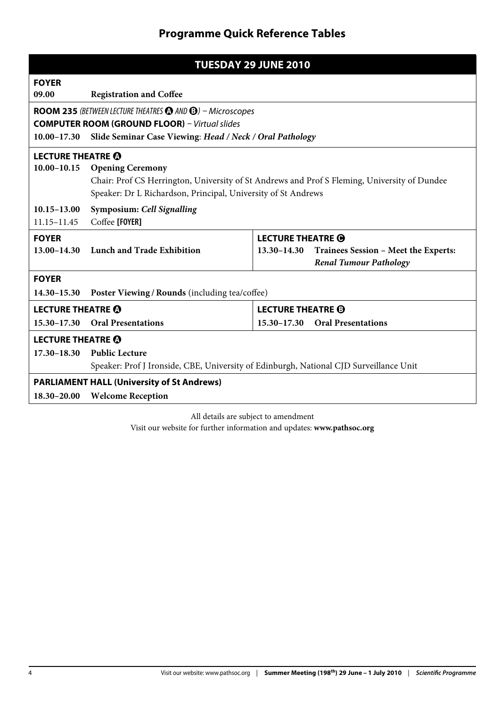| <b>TUESDAY 29 JUNE 2010</b> |  |  |  |  |
|-----------------------------|--|--|--|--|
|                             |  |  |  |  |

|                          | <u>I UESDAT ZY JUNE ZU IU</u>                                                                |                          |                                      |  |
|--------------------------|----------------------------------------------------------------------------------------------|--------------------------|--------------------------------------|--|
| <b>FOYER</b>             |                                                                                              |                          |                                      |  |
| 09.00                    | <b>Registration and Coffee</b>                                                               |                          |                                      |  |
|                          | <b>ROOM 235 (BETWEEN LECTURE THEATRES @ AND @) - Microscopes</b>                             |                          |                                      |  |
|                          | <b>COMPUTER ROOM (GROUND FLOOR)</b> - Virtual slides                                         |                          |                                      |  |
| $10.00 - 17.30$          | Slide Seminar Case Viewing: Head / Neck / Oral Pathology                                     |                          |                                      |  |
| <b>LECTURE THEATRE @</b> |                                                                                              |                          |                                      |  |
| $10.00 - 10.15$          | <b>Opening Ceremony</b>                                                                      |                          |                                      |  |
|                          | Chair: Prof CS Herrington, University of St Andrews and Prof S Fleming, University of Dundee |                          |                                      |  |
|                          | Speaker: Dr L Richardson, Principal, University of St Andrews                                |                          |                                      |  |
| $10.15 - 13.00$          | Symposium: Cell Signalling                                                                   |                          |                                      |  |
| 11.15-11.45              | Coffee [FOYER]                                                                               |                          |                                      |  |
| <b>FOYER</b>             | <b>LECTURE THEATRE @</b>                                                                     |                          |                                      |  |
| $13.00 - 14.30$          | Lunch and Trade Exhibition                                                                   | 13.30-14.30              | Trainees Session - Meet the Experts: |  |
|                          |                                                                                              |                          | <b>Renal Tumour Pathology</b>        |  |
| <b>FOYER</b>             |                                                                                              |                          |                                      |  |
| 14.30–15.30              | Poster Viewing / Rounds (including tea/coffee)                                               |                          |                                      |  |
| <b>LECTURE THEATRE @</b> |                                                                                              | <b>LECTURE THEATRE ®</b> |                                      |  |
| $15.30 - 17.30$          | <b>Oral Presentations</b>                                                                    | $15.30 - 17.30$          | <b>Oral Presentations</b>            |  |
| <b>LECTURE THEATRE @</b> |                                                                                              |                          |                                      |  |
| $17.30 - 18.30$          | <b>Public Lecture</b>                                                                        |                          |                                      |  |
|                          | Speaker: Prof J Ironside, CBE, University of Edinburgh, National CJD Surveillance Unit       |                          |                                      |  |
|                          | <b>PARLIAMENT HALL (University of St Andrews)</b>                                            |                          |                                      |  |
| 18.30-20.00              | <b>Welcome Reception</b>                                                                     |                          |                                      |  |

All details are subject to amendment Visit our website for further information and updates: **www.pathsoc.org**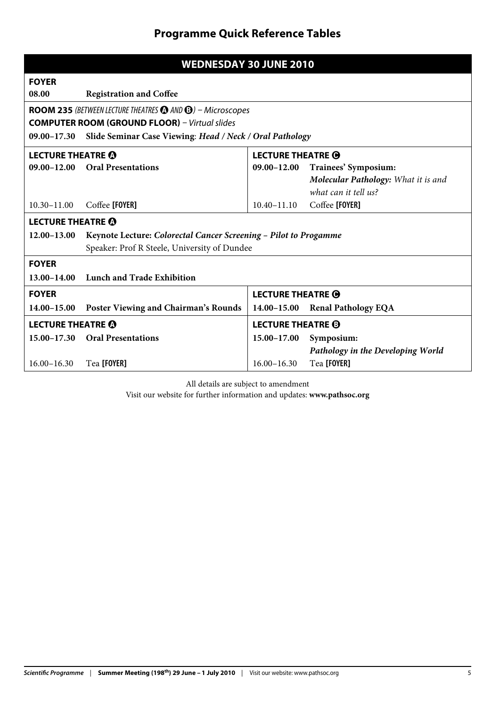## **Programme Quick Reference Tables**

|                          | <b>WEDNESDAY 30 JUNE 2010</b>                                                                                                             |                          |                                     |
|--------------------------|-------------------------------------------------------------------------------------------------------------------------------------------|--------------------------|-------------------------------------|
| <b>FOYER</b><br>08.00    | <b>Registration and Coffee</b>                                                                                                            |                          |                                     |
|                          | <b>ROOM 235</b> (BETWEEN LECTURE THEATRES $\bullet$ AND $\bullet$ ) - Microscopes<br><b>COMPUTER ROOM (GROUND FLOOR)</b> - Virtual slides |                          |                                     |
| $09.00 - 17.30$          | Slide Seminar Case Viewing: Head / Neck / Oral Pathology                                                                                  |                          |                                     |
| <b>LECTURE THEATRE @</b> |                                                                                                                                           | <b>LECTURE THEATRE @</b> |                                     |
| $09.00 - 12.00$          | <b>Oral Presentations</b>                                                                                                                 | $09.00 - 12.00$          | Trainees' Symposium:                |
|                          |                                                                                                                                           |                          | Molecular Pathology: What it is and |
|                          |                                                                                                                                           |                          | what can it tell us?                |
| $10.30 - 11.00$          | Coffee [FOYER]                                                                                                                            | $10.40 - 11.10$          | Coffee [FOYER]                      |
| <b>LECTURE THEATRE @</b> |                                                                                                                                           |                          |                                     |
| $12.00 - 13.00$          | Keynote Lecture: Colorectal Cancer Screening - Pilot to Progamme                                                                          |                          |                                     |
|                          | Speaker: Prof R Steele, University of Dundee                                                                                              |                          |                                     |
| <b>FOYER</b>             |                                                                                                                                           |                          |                                     |
| 13.00–14.00              | Lunch and Trade Exhibition                                                                                                                |                          |                                     |
| <b>FOYER</b>             |                                                                                                                                           | <b>LECTURE THEATRE @</b> |                                     |
| 14.00-15.00              | <b>Poster Viewing and Chairman's Rounds</b>                                                                                               | 14.00-15.00              | <b>Renal Pathology EQA</b>          |
| <b>LECTURE THEATRE @</b> |                                                                                                                                           | <b>LECTURE THEATRE ®</b> |                                     |
| $15.00 - 17.30$          | <b>Oral Presentations</b>                                                                                                                 | 15.00-17.00              | Symposium:                          |
|                          |                                                                                                                                           |                          | Pathology in the Developing World   |
|                          | Tea [FOYER]                                                                                                                               | $16.00 - 16.30$          | Tea [FOYER]                         |

All details are subject to amendment

Visit our website for further information and updates: **www.pathsoc.org**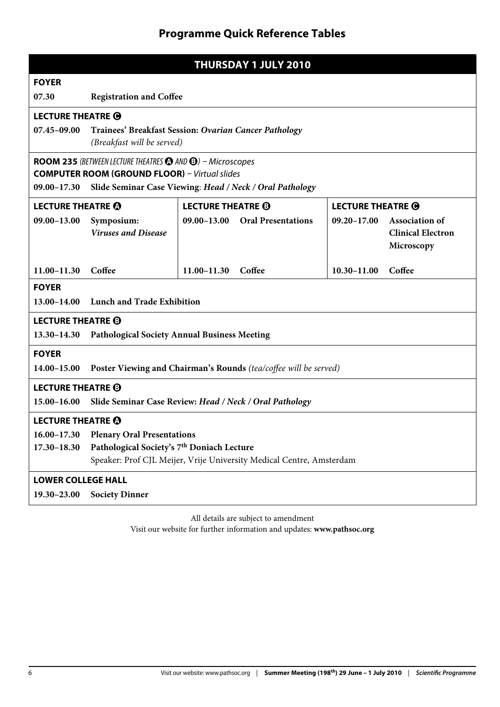|                                             |                                                                                                                                                                                      |                          | <b>THURSDAY 1 JULY 2010</b>                                          |                                             |                                                                 |
|---------------------------------------------|--------------------------------------------------------------------------------------------------------------------------------------------------------------------------------------|--------------------------|----------------------------------------------------------------------|---------------------------------------------|-----------------------------------------------------------------|
| <b>FOYER</b>                                |                                                                                                                                                                                      |                          |                                                                      |                                             |                                                                 |
| 07.30                                       | <b>Registration and Coffee</b>                                                                                                                                                       |                          |                                                                      |                                             |                                                                 |
| <b>LECTURE THEATRE @</b>                    |                                                                                                                                                                                      |                          |                                                                      |                                             |                                                                 |
| $07.45 - 09.00$                             | Trainees' Breakfast Session: Ovarian Cancer Pathology<br>(Breakfast will be served)                                                                                                  |                          |                                                                      |                                             |                                                                 |
| $09.00 - 17.30$                             | <b>ROOM 235 (BETWEEN LECTURE THEATRES @ AND @) - Microscopes</b><br><b>COMPUTER ROOM (GROUND FLOOR)</b> - Virtual slides<br>Slide Seminar Case Viewing: Head / Neck / Oral Pathology |                          |                                                                      |                                             |                                                                 |
|                                             |                                                                                                                                                                                      |                          |                                                                      |                                             |                                                                 |
| <b>LECTURE THEATRE @</b><br>$09.00 - 13.00$ | Symposium:<br><b>Viruses and Disease</b>                                                                                                                                             | <b>LECTURE THEATRE ®</b> | 09.00-13.00 Oral Presentations                                       | <b>LECTURE THEATRE @</b><br>$09.20 - 17.00$ | <b>Association of</b><br><b>Clinical Electron</b><br>Microscopy |
| $11.00 - 11.30$                             | Coffee                                                                                                                                                                               | 11.00-11.30 Coffee       |                                                                      | $10.30 - 11.00$                             | Coffee                                                          |
| <b>FOYER</b>                                |                                                                                                                                                                                      |                          |                                                                      |                                             |                                                                 |
| 13.00-14.00                                 | <b>Lunch and Trade Exhibition</b>                                                                                                                                                    |                          |                                                                      |                                             |                                                                 |
| <b>LECTURE THEATRE ®</b>                    |                                                                                                                                                                                      |                          |                                                                      |                                             |                                                                 |
| 13.30-14.30                                 | <b>Pathological Society Annual Business Meeting</b>                                                                                                                                  |                          |                                                                      |                                             |                                                                 |
| <b>FOYER</b>                                |                                                                                                                                                                                      |                          |                                                                      |                                             |                                                                 |
| 14.00-15.00                                 |                                                                                                                                                                                      |                          | Poster Viewing and Chairman's Rounds (tea/coffee will be served)     |                                             |                                                                 |
| <b>LECTURE THEATRE ®</b>                    |                                                                                                                                                                                      |                          |                                                                      |                                             |                                                                 |
| 15.00-16.00                                 | Slide Seminar Case Review: Head / Neck / Oral Pathology                                                                                                                              |                          |                                                                      |                                             |                                                                 |
| <b>LECTURE THEATRE @</b>                    |                                                                                                                                                                                      |                          |                                                                      |                                             |                                                                 |
| $16.00 - 17.30$                             | <b>Plenary Oral Presentations</b>                                                                                                                                                    |                          |                                                                      |                                             |                                                                 |
| $17.30 - 18.30$                             | Pathological Society's 7 <sup>th</sup> Doniach Lecture                                                                                                                               |                          |                                                                      |                                             |                                                                 |
|                                             |                                                                                                                                                                                      |                          | Speaker: Prof CJL Meijer, Vrije University Medical Centre, Amsterdam |                                             |                                                                 |
| <b>LOWER COLLEGE HALL</b>                   |                                                                                                                                                                                      |                          |                                                                      |                                             |                                                                 |
| 19.30-23.00                                 | <b>Society Dinner</b>                                                                                                                                                                |                          |                                                                      |                                             |                                                                 |

All details are subject to amendment Visit our website for further information and updates: **www.pathsoc.org**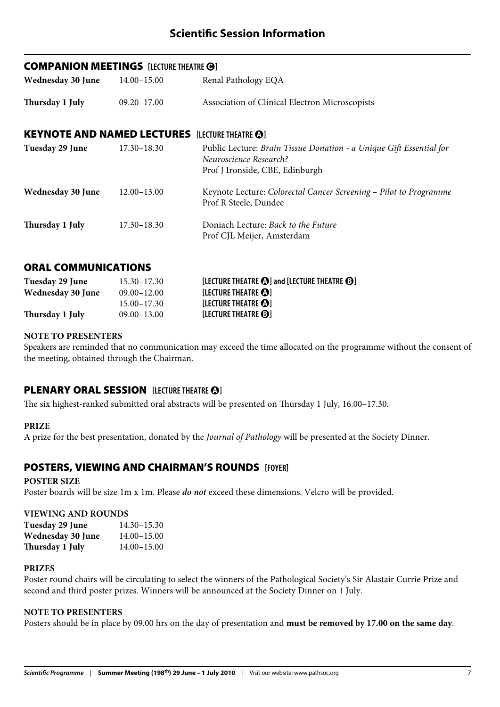## **COMPANION MEETINGS [LECTURE THEATRE @]**

- **Wednesday 30 June** 14.00–15.00 Renal Pathology EQA
- **Thursday 1 July** 09.20–17.00 Association of Clinical Electron Microscopists

## KEYNOTE AND NAMED LECTURES **[Lecture Theatre** A**]**

| Tuesday 29 June   | $17.30 - 18.30$ | Public Lecture: Brain Tissue Donation - a Unique Gift Essential for<br>Neuroscience Research?<br>Prof J Ironside, CBE, Edinburgh |
|-------------------|-----------------|----------------------------------------------------------------------------------------------------------------------------------|
| Wednesday 30 June | $12.00 - 13.00$ | Keynote Lecture: Colorectal Cancer Screening - Pilot to Programme<br>Prof R Steele, Dundee                                       |
| Thursday 1 July   | $17.30 - 18.30$ | Doniach Lecture: Back to the Future<br>Prof CJL Meijer, Amsterdam                                                                |

## ORAL COMMUNICATIONS

| Tuesday 29 June   | $15.30 - 17.30$ | [LECTURE THEATRE $\odot$ ] and [LECTURE THEATRE $\odot$ ] |
|-------------------|-----------------|-----------------------------------------------------------|
| Wednesday 30 June | $09.00 - 12.00$ | [LECTURE THEATRE $\odot$ ]                                |
|                   | $15.00 - 17.30$ | [LECTURE THEATRE $\odot$ ]                                |
| Thursday 1 July   | $09.00 - 13.00$ | [LECTURE THEATRE <sup>3</sup> ]                           |

#### **Note to presenters**

Speakers are reminded that no communication may exceed the time allocated on the programme without the consent of the meeting, obtained through the Chairman.

## **PLENARY ORAL SESSION** [LECTURE THEATRE  $\Omega$ ]

The six highest-ranked submitted oral abstracts will be presented on Thursday 1 July, 16.00–17.30.

### **Prize**

A prize for the best presentation, donated by the *Journal of Pathology* will be presented at the Society Dinner.

## POSTERS, VIEWING AND CHAIRMAN'S ROUNDS **[Foyer]**

#### **Poster Size**

Poster boards will be size 1m x 1m. Please *do not* exceed these dimensions. Velcro will be provided.

#### **Viewing and Rounds**

| Tuesday 29 June   | $14.30 - 15.30$ |
|-------------------|-----------------|
| Wednesday 30 June | $14.00 - 15.00$ |
| Thursday 1 July   | 14.00-15.00     |

#### **Prizes**

Poster round chairs will be circulating to select the winners of the Pathological Society's Sir Alastair Currie Prize and second and third poster prizes. Winners will be announced at the Society Dinner on 1 July.

#### **Note to presenters**

Posters should be in place by 09.00 hrs on the day of presentation and **must be removed by 17.00 on the same day**.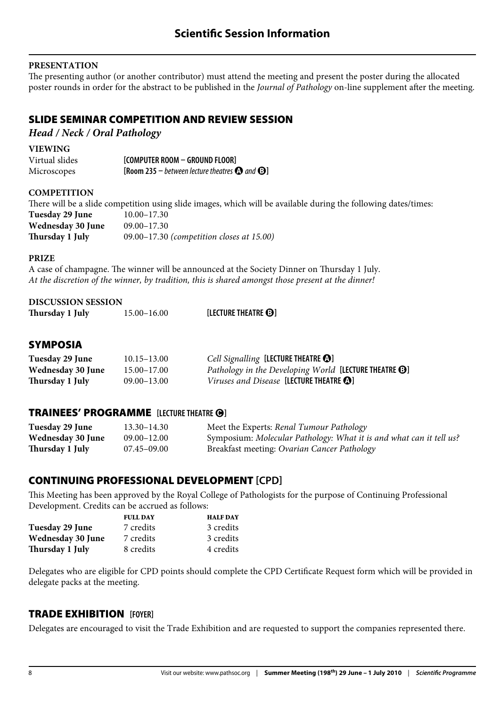### **Presentation**

The presenting author (or another contributor) must attend the meeting and present the poster during the allocated poster rounds in order for the abstract to be published in the *Journal of Pathology* on-line supplement after the meeting.

## SLIDE SEMINAR COMPETITION and REVIEW SESSION

*Head / Neck / Oral Pathology* 

| <b>VIEWING</b> |                                                                     |
|----------------|---------------------------------------------------------------------|
| Virtual slides | [COMPUTER ROOM - GROUND FLOOR]                                      |
| Microscopes    | <b>[Room 235</b> – between lecture theatres $\Omega$ and $\Theta$ ] |

## **Competition**

There will be a slide competition using slide images, which will be available during the following dates/times: **Tuesday 29 June** 10.00–17.30 **Wednesday 30 June** 09.00–17.30<br>**Thursday 1 July** 09.00–17.30 **Thursday 1 July** 09.00–17.30 *(competition closes at 15.00)*

### **Prize**

A case of champagne. The winner will be announced at the Society Dinner on Thursday 1 July. *At the discretion of the winner, by tradition, this is shared amongst those present at the dinner!*

| <b>DISCUSSION SESSION</b> |                 |                                |
|---------------------------|-----------------|--------------------------------|
| Thursday 1 July           | $15.00 - 16.00$ | [LECTURE THEATRE <sup>3]</sup> |

## SYMPOSIA

| Tuesday 29 June   | $10.15 - 13.00$ | Cell Signalling [LECTURE THEATRE <b>①</b> ]                        |
|-------------------|-----------------|--------------------------------------------------------------------|
| Wednesday 30 June | 15.00–17.00     | Pathology in the Developing World [LECTURE THEATRE <sup>1</sup> 9] |
| Thursday 1 July   | $09.00 - 13.00$ | Viruses and Disease [LECTURE THEATRE $\bigcirc$ ]                  |

## **TRAINEES' PROGRAMME** [LECTURE THEATRE  $\Theta$ ]

| Tuesday 29 June   | $13.30 - 14.30$ | Meet the Experts: Renal Tumour Pathology                            |
|-------------------|-----------------|---------------------------------------------------------------------|
| Wednesday 30 June | 09.00–12.00     | Symposium: Molecular Pathology: What it is and what can it tell us? |
| Thursday 1 July   | 07.45–09.00     | Breakfast meeting: Ovarian Cancer Pathology                         |

## CONTINUING PROFESSIONAL DEVELOPMENT **[CPD]**

This Meeting has been approved by the Royal College of Pathologists for the purpose of Continuing Professional Development. Credits can be accrued as follows:

|                   | <b>FULL DAY</b> | <b>HALF DAY</b> |
|-------------------|-----------------|-----------------|
| Tuesday 29 June   | 7 credits       | 3 credits       |
| Wednesday 30 June | 7 credits       | 3 credits       |
| Thursday 1 July   | 8 credits       | 4 credits       |

Delegates who are eligible for CPD points should complete the CPD Certificate Request form which will be provided in delegate packs at the meeting.

## TRADE EXHIBITION **[Foyer]**

Delegates are encouraged to visit the Trade Exhibition and are requested to support the companies represented there.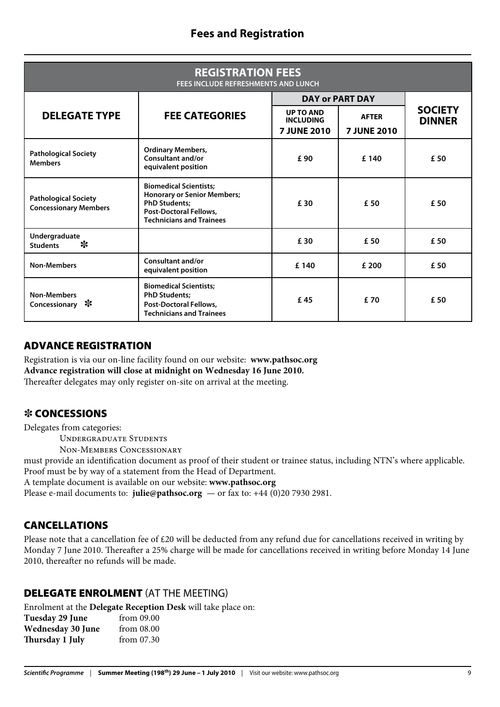## **Fees and Registration**

| <b>REGISTRATION FEES</b><br><b>FEES INCLUDE REFRESHMENTS AND LUNCH</b> |                                                                                                                                                                 |                                                            |                                    |                                 |  |
|------------------------------------------------------------------------|-----------------------------------------------------------------------------------------------------------------------------------------------------------------|------------------------------------------------------------|------------------------------------|---------------------------------|--|
|                                                                        |                                                                                                                                                                 | <b>DAY or PART DAY</b>                                     |                                    |                                 |  |
| <b>DELEGATE TYPE</b>                                                   | <b>FEE CATEGORIES</b>                                                                                                                                           | <b>UP TO AND</b><br><b>INCLUDING</b><br><b>7 JUNE 2010</b> | <b>AFTER</b><br><b>7 JUNE 2010</b> | <b>SOCIETY</b><br><b>DINNER</b> |  |
| <b>Pathological Society</b><br><b>Members</b>                          | <b>Ordinary Members,</b><br>Consultant and/or<br>equivalent position                                                                                            | £ 90                                                       | £140                               | £ 50                            |  |
| <b>Pathological Society</b><br><b>Concessionary Members</b>            | <b>Biomedical Scientists;</b><br><b>Honorary or Senior Members;</b><br><b>PhD Students;</b><br><b>Post-Doctoral Fellows,</b><br><b>Technicians and Trainees</b> | £ 30                                                       | £ 50                               | £ 50                            |  |
| Undergraduate<br>∗<br><b>Students</b>                                  |                                                                                                                                                                 | £ 30                                                       | £ 50                               | £ 50                            |  |
| <b>Non-Members</b>                                                     | Consultant and/or<br>equivalent position                                                                                                                        | £140                                                       | £ 200                              | £ 50                            |  |
| <b>Non-Members</b><br>∗<br>Concessionary                               | <b>Biomedical Scientists;</b><br><b>PhD Students;</b><br><b>Post-Doctoral Fellows,</b><br><b>Technicians and Trainees</b>                                       | £45                                                        | £ 70                               | £ 50                            |  |

## Advance Registration

Registration is via our on-line facility found on our website: **[www.pathsoc.org](http://www.pathsoc.org)  Advance registration will close at midnight on Wednesday 16 June 2010.**  Thereafter delegates may only register on-site on arrival at the meeting.

## **\* CONCESSIONS**

Delegates from categories:

Undergraduate Students

Non-Members Concessionary

must provide an identification document as proof of their student or trainee status, including NTN's where applicable. Proof must be by way of a statement from the Head of Department.

A template document is available on our website: **www.pathsoc.org**

Please e-mail documents to: **[julie@pathsoc.org](mailto:julie%40pathsoc.org?subject=Path%20Soc%20Summer%20Meeting%3A%20Fee%20Concession)** — or fax to: +44 (0)20 7930 2981.

## **CANCELLATIONS**

Please note that a cancellation fee of  $\text{\pounds}20$  will be deducted from any refund due for cancellations received in writing by Monday 7 June 2010. Thereafter a 25% charge will be made for cancellations received in writing before Monday 14 June 2010, thereafter no refunds will be made.

## **DELEGATE ENROLMENT** (AT THE MEETING)

Enrolment at the **Delegate Reception Desk** will take place on:

| Tuesday 29 June          | from 09.00   |
|--------------------------|--------------|
| <b>Wednesday 30 June</b> | from 08.00   |
| Thursday 1 July          | from $07.30$ |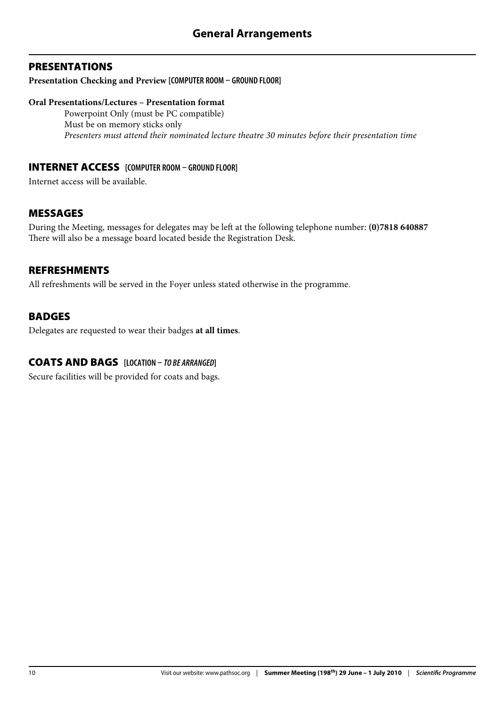## **PRESENTATIONS**

#### **Presentation Checking and Preview [Computer Room – Ground Floor]**

### **Oral Presentations/Lectures – Presentation format**

Powerpoint Only (must be PC compatible) Must be on memory sticks only *Presenters must attend their nominated lecture theatre 30 minutes before their presentation time*

## Internet Access **[Computer Room – Ground Floor]**

Internet access will be available.

## Messages

During the Meeting, messages for delegates may be left at the following telephone number: **(0)7818 640887** There will also be a message board located beside the Registration Desk.

### **REFRESHMENTS**

All refreshments will be served in the Foyer unless stated otherwise in the programme.

## **BADGES**

Delegates are requested to wear their badges **at all times**.

## Coats and Bags **[Location –** *to be arranged***]**

Secure facilities will be provided for coats and bags.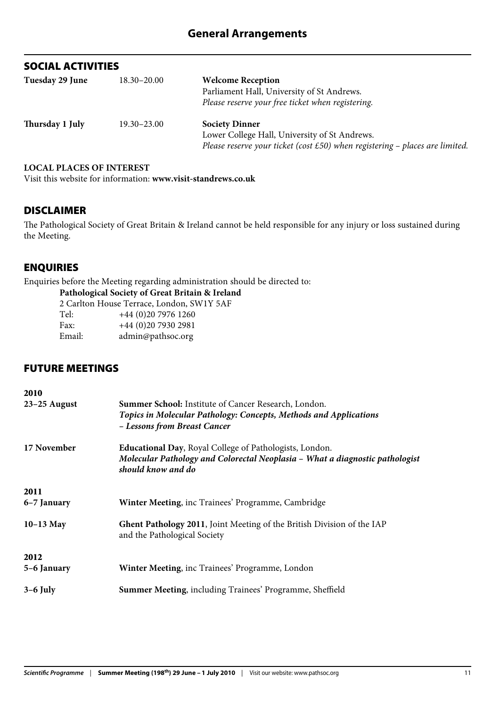## SOCIAL ACTIVITIES

| Tuesday 29 June | $18.30 - 20.00$ | <b>Welcome Reception</b><br>Parliament Hall, University of St Andrews.<br>Please reserve your free ticket when registering.                               |
|-----------------|-----------------|-----------------------------------------------------------------------------------------------------------------------------------------------------------|
| Thursday 1 July | $19.30 - 23.00$ | <b>Society Dinner</b><br>Lower College Hall, University of St Andrews.<br>Please reserve your ticket (cost $£50$ ) when registering - places are limited. |

### **Local Places of Interest**

Visit this website for information: **www.visit-standrews.co.uk**

## **DISCLAIMER**

The Pathological Society of Great Britain & Ireland cannot be held responsible for any injury or loss sustained during the Meeting.

## **ENQUIRIES**

Enquiries before the Meeting regarding administration should be directed to:

**Pathological Society of Great Britain & Ireland** 2 Carlton House Terrace, London, SW1Y 5AF Tel: +44 (0)20 7976 1260 Fax: +44 (0)20 7930 2981<br>Email: admin@pathsoc.org admin@pathsoc.org

## FUTURE MEETINGS

| 2010<br>$23-25$ August | Summer School: Institute of Cancer Research, London.<br>Topics in Molecular Pathology: Concepts, Methods and Applications<br>- Lessons from Breast Cancer     |
|------------------------|---------------------------------------------------------------------------------------------------------------------------------------------------------------|
| 17 November            | Educational Day, Royal College of Pathologists, London.<br>Molecular Pathology and Colorectal Neoplasia - What a diagnostic pathologist<br>should know and do |
| 2011                   |                                                                                                                                                               |
| 6-7 January            | <b>Winter Meeting, inc Trainees' Programme, Cambridge</b>                                                                                                     |
| $10-13$ May            | Ghent Pathology 2011, Joint Meeting of the British Division of the IAP<br>and the Pathological Society                                                        |
| 2012                   |                                                                                                                                                               |
| 5–6 January            | Winter Meeting, inc Trainees' Programme, London                                                                                                               |
| $3-6$ July             | Summer Meeting, including Trainees' Programme, Sheffield                                                                                                      |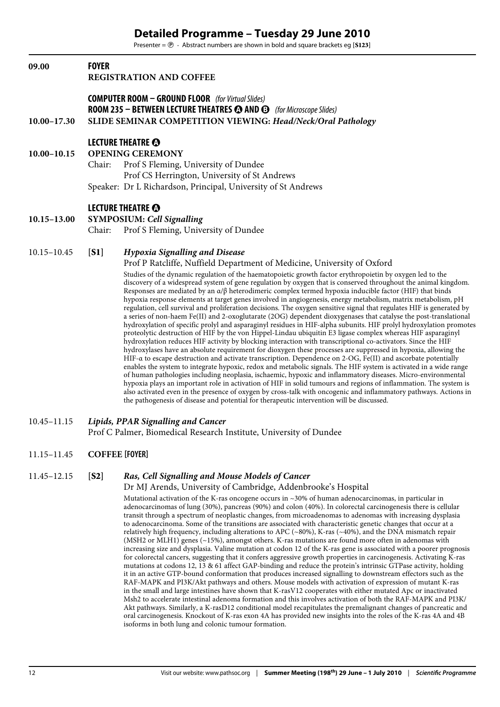Presenter =  $(P)$  · Abstract numbers are shown in bold and square brackets eg [S123]

#### **09.00 Foyer Registration and Coffee**

**COMPUTER ROOM – Ground Floor** *(for Virtual Slides)*  **ROOM 235 – BETWEEN LECTURE THEATRES @ AND <sup>G</sup> (for Microscope Slides)** 

**10.00–17.30 Slide seminar competition viewing:** *Head/Neck/Oral Pathology*

#### **LECTURE THEATRE @**

#### **10.00–10.15 Opening Ceremony**

Chair: Prof S Fleming, University of Dundee Prof CS Herrington, University of St Andrews Speaker: Dr L Richardson, Principal, University of St Andrews

#### **LECTURE THEATRE @**

#### **10.15–13.00 Symposium:** *Cell Signalling* Chair: Prof S Fleming, University of Dundee

10.15–10.45 [S1] *Hypoxia Signalling and Disease*

#### Prof P Ratcliffe, Nuffield Department of Medicine, University of Oxford

Studies of the dynamic regulation of the haematopoietic growth factor erythropoietin by oxygen led to the discovery of a widespread system of gene regulation by oxygen that is conserved throughout the animal kingdom. Responses are mediated by an α/β heterodimeric complex termed hypoxia inducible factor (HIF) that binds hypoxia response elements at target genes involved in angiogenesis, energy metabolism, matrix metabolism, pH regulation, cell survival and proliferation decisions. The oxygen sensitive signal that regulates HIF is generated by a series of non-haem Fe(II) and 2-oxoglutarate (2OG) dependent dioxygenases that catalyse the post-translational hydroxylation of specific prolyl and asparaginyl residues in HIF-alpha subunits. HIF prolyl hydroxylation promotes proteolytic destruction of HIF by the von Hippel-Lindau ubiquitin E3 ligase complex whereas HIF asparaginyl hydroxylation reduces HIF activity by blocking interaction with transcriptional co-activators. Since the HIF hydroxylases have an absolute requirement for dioxygen these processes are suppressed in hypoxia, allowing the HIF-α to escape destruction and activate transcription. Dependence on 2-OG, Fe(II) and ascorbate potentially enables the system to integrate hypoxic, redox and metabolic signals. The HIF system is activated in a wide range of human pathologies including neoplasia, ischaemic, hypoxic and inflammatory diseases. Micro-environmental hypoxia plays an important role in activation of HIF in solid tumours and regions of inflammation. The system is also activated even in the presence of oxygen by cross-talk with oncogenic and inflammatory pathways. Actions in the pathogenesis of disease and potential for therapeutic intervention will be discussed.

10.45–11.15 *Lipids, PPAR Signalling and Cancer*

Prof C Palmer, Biomedical Research Institute, University of Dundee

11.15–11.45 **Coffee [Foyer]**

#### 11.45–12.15 [S2] *Ras, Cell Signalling and Mouse Models of Cancer*

#### Dr MJ Arends, University of Cambridge, Addenbrooke's Hospital

Mutational activation of the K-ras oncogene occurs in ~30% of human adenocarcinomas, in particular in adenocarcinomas of lung (30%), pancreas (90%) and colon (40%). In colorectal carcinogenesis there is cellular transit through a spectrum of neoplastic changes, from microadenomas to adenomas with increasing dysplasia to adenocarcinoma. Some of the transitions are associated with characteristic genetic changes that occur at a relatively high frequency, including alterations to APC (~80%), K-ras (~40%), and the DNA mismatch repair (MSH2 or MLH1) genes (~15%), amongst others. K-ras mutations are found more often in adenomas with increasing size and dysplasia. Valine mutation at codon 12 of the K-ras gene is associated with a poorer prognosis for colorectal cancers, suggesting that it confers aggressive growth properties in carcinogenesis. Activating K-ras mutations at codons 12, 13 & 61 affect GAP-binding and reduce the protein's intrinsic GTPase activity, holding it in an active GTP-bound conformation that produces increased signalling to downstream effectors such as the RAF-MAPK and PI3K/Akt pathways and others. Mouse models with activation of expression of mutant K-ras in the small and large intestines have shown that K-rasV12 cooperates with either mutated Apc or inactivated Msh2 to accelerate intestinal adenoma formation and this involves activation of both the RAF-MAPK and PI3K/ Akt pathways. Similarly, a K-rasD12 conditional model recapitulates the premalignant changes of pancreatic and oral carcinogenesis. Knockout of K-ras exon 4A has provided new insights into the roles of the K-ras 4A and 4B isoforms in both lung and colonic tumour formation.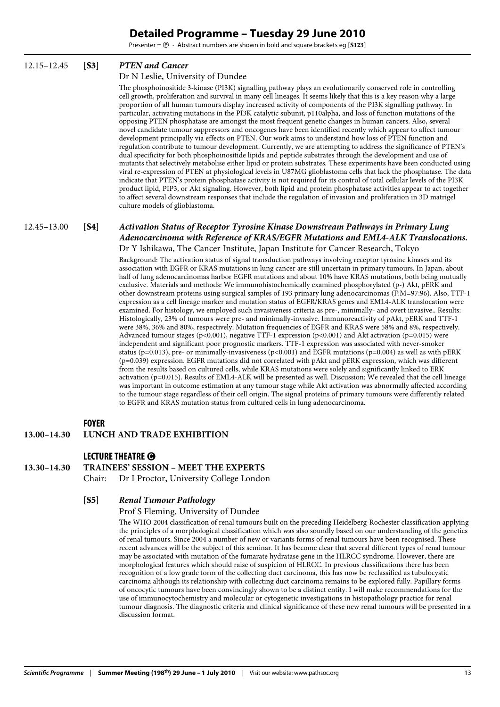Presenter =  $\circled{P}$  · Abstract numbers are shown in bold and square brackets eg [S123]

#### 12.15–12.45 [S3] *PTEN and Cancer*

#### Dr N Leslie, University of Dundee

The phosphoinositide 3-kinase (PI3K) signalling pathway plays an evolutionarily conserved role in controlling cell growth, proliferation and survival in many cell lineages. It seems likely that this is a key reason why a large proportion of all human tumours display increased activity of components of the PI3K signalling pathway. In particular, activating mutations in the PI3K catalytic subunit, p110alpha, and loss of function mutations of the opposing PTEN phosphatase are amongst the most frequent genetic changes in human cancers. Also, several novel candidate tumour suppressors and oncogenes have been identified recently which appear to affect tumour development principally via effects on PTEN. Our work aims to understand how loss of PTEN function and regulation contribute to tumour development. Currently, we are attempting to address the significance of PTEN's dual specificity for both phosphoinositide lipids and peptide substrates through the development and use of mutants that selectively metabolise either lipid or protein substrates. These experiments have been conducted using viral re-expression of PTEN at physiological levels in U87MG glioblastoma cells that lack the phosphatase. The data indicate that PTEN's protein phosphatase activity is not required for its control of total cellular levels of the PI3K product lipid, PIP3, or Akt signaling. However, both lipid and protein phosphatase activities appear to act together to affect several downstream responses that include the regulation of invasion and proliferation in 3D matrigel culture models of glioblastoma.

### 12.45–13.00 [S4] *Activation Status of Receptor Tyrosine Kinase Downstream Pathways in Primary Lung Adenocarcinoma with Reference of KRAS/EGFR Mutations and EML4-ALK Translocations.*

Dr Y Ishikawa, The Cancer Institute, Japan Institute for Cancer Research, Tokyo

Background: The activation status of signal transduction pathways involving receptor tyrosine kinases and its association with EGFR or KRAS mutations in lung cancer are still uncertain in primary tumours. In Japan, about half of lung adenocarcinomas harbor EGFR mutations and about 10% have KRAS mutations, both being mutually exclusive. Materials and methods: We immunohistochemically examined phosphorylated (p-) Akt, pERK and other downstream proteins using surgical samples of 193 primary lung adenocarcinomas (F:M=97:96). Also, TTF-1 expression as a cell lineage marker and mutation status of EGFR/KRAS genes and EML4-ALK translocation were examined. For histology, we employed such invasiveness criteria as pre-, minimally- and overt invasive.. Results: Histologically, 23% of tumours were pre- and minimally-invasive. Immunoreactivity of pAkt, pERK and TTF-1 were 38%, 36% and 80%, respectively. Mutation frequencies of EGFR and KRAS were 58% and 8%, respectively. Advanced tumour stages ( $p<0.001$ ), negative TTF-1 expression ( $p<0.001$ ) and Akt activation ( $p=0.015$ ) were independent and significant poor prognostic markers. TTF-1 expression was associated with never-smoker status (p=0.013), pre- or minimally-invasiveness (p<0.001) and EGFR mutations (p=0.004) as well as with pERK (p=0.039) expression. EGFR mutations did not correlated with pAkt and pERK expression, which was different from the results based on cultured cells, while KRAS mutations were solely and significantly linked to ERK activation (p=0.015). Results of EML4-ALK will be presented as well. Discussion: We revealed that the cell lineage was important in outcome estimation at any tumour stage while Akt activation was abnormally affected according to the tumour stage regardless of their cell origin. The signal proteins of primary tumours were differently related to EGFR and KRAS mutation status from cultured cells in lung adenocarcinoma.

#### **FOYER**

#### **13.00–14.30 Lunch and Trade Exhibition**

#### **LECTURE THEATRE**  $\Theta$

#### **13.30–14.30 Trainees' Session – Meet the Experts**

Chair: Dr I Proctor, University College London

#### [S5] *Renal Tumour Pathology*

#### Prof S Fleming, University of Dundee

The WHO 2004 classification of renal tumours built on the preceding Heidelberg-Rochester classification applying the principles of a morphological classification which was also soundly based on our understanding of the genetics of renal tumours. Since 2004 a number of new or variants forms of renal tumours have been recognised. These recent advances will be the subject of this seminar. It has become clear that several different types of renal tumour may be associated with mutation of the fumarate hydratase gene in the HLRCC syndrome. However, there are morphological features which should raise of suspicion of HLRCC. In previous classifications there has been recognition of a low grade form of the collecting duct carcinoma, this has now be reclassified as tubulocystic carcinoma although its relationship with collecting duct carcinoma remains to be explored fully. Papillary forms of oncocytic tumours have been convincingly shown to be a distinct entity. I will make recommendations for the use of immunocytochemistry and molecular or cytogenetic investigations in histopathology practice for renal tumour diagnosis. The diagnostic criteria and clinical significance of these new renal tumours will be presented in a discussion format.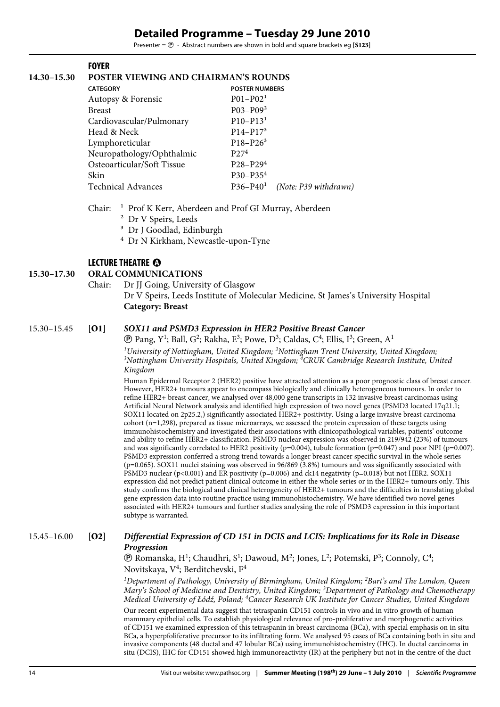Presenter =  $(P)$  · Abstract numbers are shown in bold and square brackets eg [S123]

#### **FOYER**

#### **14.30–15.30 Poster viewing and Chairman's Rounds**

| <b>CATEGORY</b>            | <b>POSTER NUMBERS</b>                        |
|----------------------------|----------------------------------------------|
| Autopsy & Forensic         | $P01 - P021$                                 |
| <b>Breast</b>              | $P03 - P09^2$                                |
| Cardiovascular/Pulmonary   | $P10-P131$                                   |
| Head & Neck                | $P14 - P173$                                 |
| Lymphoreticular            | $P18 - P26^3$                                |
| Neuropathology/Ophthalmic  | P27 <sup>4</sup>                             |
| Osteoarticular/Soft Tissue | P <sub>28</sub> -P <sub>29<sup>4</sup></sub> |
| Skin                       | P30-P354                                     |
| <b>Technical Advances</b>  | $P36 - P401$<br>(Note: P39 withdrawn)        |

#### Chair: <sup>1</sup> Prof K Kerr, Aberdeen and Prof GI Murray, Aberdeen

- ² Dr V Speirs, Leeds
- <sup>3</sup> Dr J Goodlad, Edinburgh
- <sup>4</sup> Dr N Kirkham, Newcastle-upon-Tyne

## **LECTURE THEATRE**  $\Omega$

#### **15.30–17.30 Oral Communications**

Chair: Dr JJ Going, University of Glasgow Dr V Speirs, Leeds Institute of Molecular Medicine, St James's University Hospital **Category: Breast**

#### 15.30–15.45 [O1] *SOX11 and PSMD3 Expression in HER2 Positive Breast Cancer*

 $\textcircled{P}$  Pang, Y<sup>1</sup>; Ball, G<sup>2</sup>; Rakha, E<sup>3</sup>; Powe, D<sup>3</sup>; Caldas, C<sup>4</sup>; Ellis, I<sup>3</sup>; Green, A<sup>1</sup> *1University of Nottingham, United Kingdom; 2Nottingham Trent University, United Kingdom; 3Nottingham University Hospitals, United Kingdom; 4CRUK Cambridge Research Institute, United Kingdom*

Human Epidermal Receptor 2 (HER2) positive have attracted attention as a poor prognostic class of breast cancer. However, HER2+ tumours appear to encompass biologically and clinically heterogeneous tumours. In order to refine HER2+ breast cancer, we analysed over 48,000 gene transcripts in 132 invasive breast carcinomas using Artificial Neural Network analysis and identified high expression of two novel genes (PSMD3 located 17q21.1; SOX11 located on 2p25.2,) significantly associated HER2+ positivity. Using a large invasive breast carcinoma cohort (n=1,298), prepared as tissue microarrays, we assessed the protein expression of these targets using immunohistochemistry and investigated their associations with clinicopathological variables, patients' outcome and ability to refine HER2+ classification. PSMD3 nuclear expression was observed in 219/942 (23%) of tumours and was significantly correlated to HER2 positivity  $(p=0.004)$ , tubule formation  $(p=0.047)$  and poor NPI ( $p=0.007$ ). PSMD3 expression conferred a strong trend towards a longer breast cancer specific survival in the whole series  $(p=0.065)$ . SOX11 nuclei staining was observed in 96/869 (3.8%) tumours and was significantly associated with PSMD3 nuclear (p<0.001) and ER positivity (p=0.006) and ck14 negativity (p=0.018) but not HER2. SOX11 expression did not predict patient clinical outcome in either the whole series or in the HER2+ tumours only. This study confirms the biological and clinical heterogeneity of HER2+ tumours and the difficulties in translating global gene expression data into routine practice using immunohistochemistry. We have identified two novel genes associated with HER2+ tumours and further studies analysing the role of PSMD3 expression in this important subtype is warranted.

#### 15.45–16.00 [O2] *Differential Expression of CD 151 in DCIS and LCIS: Implications for its Role in Disease Progression*

 $\textcircled{P}$  Romanska, H<sup>1</sup>; Chaudhri, S<sup>1</sup>; Dawoud, M<sup>2</sup>; Jones, L<sup>2</sup>; Potemski, P<sup>3</sup>; Connoly, C<sup>4</sup>; Novitskaya, V<sup>4</sup>; Berditchevski, F<sup>4</sup>

*1Department of Pathology, University of Birmingham, United Kingdom; 2Bart's and The London, Queen Mary's School of Medicine and Dentistry, United Kingdom; 3Department of Pathology and Chemotherapy Medical University of Łódź, Poland; 4Cancer Research UK Institute for Cancer Studies, United Kingdom*

Our recent experimental data suggest that tetraspanin CD151 controls in vivo and in vitro growth of human mammary epithelial cells. To establish physiological relevance of pro-proliferative and morphogenetic activities of CD151 we examined expression of this tetraspanin in breast carcinoma (BCa), with special emphasis on in situ BCa, a hyperpfoliferative precursor to its infiltrating form. We analysed 95 cases of BCa containing both in situ and invasive components (48 ductal and 47 lobular BCa) using immunohistochemistry (IHC). In ductal carcinoma in situ (DCIS), IHC for CD151 showed high immunoreactivity (IR) at the periphery but not in the centre of the duct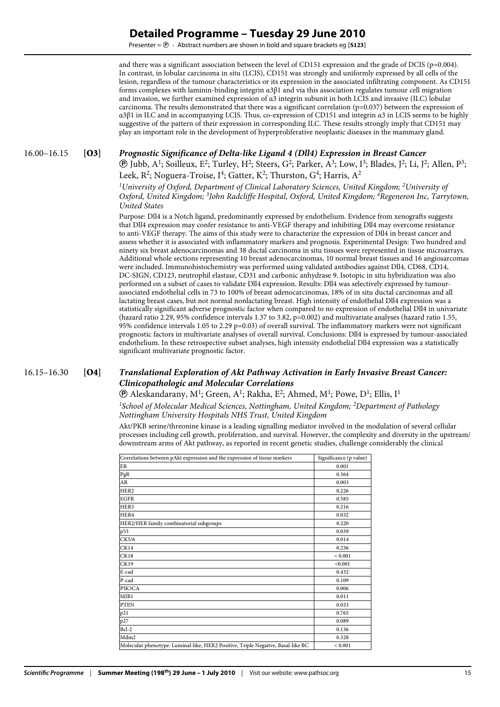Presenter =  $\circled{P}$  · Abstract numbers are shown in bold and square brackets eg [S123]

and there was a significant association between the level of CD151 expression and the grade of DCIS (p=0.004). In contrast, in lobular carcinoma in situ (LCIS), CD151 was strongly and uniformly expressed by all cells of the lesion, regardless of the tumour characteristics or its expression in the associated infiltrating component. As CD151 forms complexes with laminin-binding integrin α3β1 and via this association regulates tumour cell migration and invasion, we further examined expression of α3 integrin subunit in both LCIS and invasive (ILC) lobular carcinoma. The results demonstrated that there was a significant correlation (p=0.037) between the expression of α3β1 in ILC and in accompanying LCIS. Thus, co-expression of CD151 and integrin α3 in LCIS seems to be highly suggestive of the pattern of their expression in corresponding ILC. These results strongly imply that CD151 may play an important role in the development of hyperproliferative neoplastic diseases in the mammary gland.

#### 16.00–16.15 [O3] *Prognostic Significance of Delta-like Ligand 4 (Dll4) Expression in Breast Cancer*

 $\circled{P}$  Jubb, A<sup>1</sup>; Soilleux, E<sup>2</sup>; Turley, H<sup>2</sup>; Steers, G<sup>2</sup>; Parker, A<sup>3</sup>; Low, I<sup>3</sup>; Blades, J<sup>2</sup>; Li, J<sup>2</sup>; Allen, P<sup>3</sup>; Leek,  $R^2$ ; Noguera-Troise, I<sup>4</sup>; Gatter, K<sup>2</sup>; Thurston, G<sup>4</sup>; Harris, A<sup>2</sup>

*1University of Oxford, Department of Clinical Laboratory Sciences, United Kingdom; 2University of Oxford, United Kingdom; 3John Radcliffe Hospital, Oxford, United Kingdom; 4Regeneron Inc, Tarrytown, United States*

Purpose: Dll4 is a Notch ligand, predominantly expressed by endothelium. Evidence from xenografts suggests that Dll4 expression may confer resistance to anti-VEGF therapy and inhibiting Dll4 may overcome resistance to anti-VEGF therapy. The aims of this study were to characterize the expression of Dll4 in breast cancer and assess whether it is associated with inflammatory markers and prognosis. Experimental Design: Two hundred and ninety six breast adenocarcinomas and 38 ductal carcinoma in situ tissues were represented in tissue microarrays. Additional whole sections representing 10 breast adenocarcinomas, 10 normal breast tissues and 16 angiosarcomas were included. Immunohistochemistry was performed using validated antibodies against Dll4, CD68, CD14, DC-SIGN, CD123, neutrophil elastase, CD31 and carbonic anhydrase 9. Isotopic in situ hybridization was also performed on a subset of cases to validate Dll4 expression. Results: Dll4 was selectively expressed by tumourassociated endothelial cells in 73 to 100% of breast adenocarcinomas, 18% of in situ ductal carcinomas and all lactating breast cases, but not normal nonlactating breast. High intensity of endothelial Dll4 expression was a statistically significant adverse prognostic factor when compared to no expression of endothelial Dll4 in univariate (hazard ratio 2.29, 95% confidence intervals 1.37 to 3.82, p=0.002) and multivariate analyses (hazard ratio 1.55, 95% confidence intervals 1.05 to 2.29 p=0.03) of overall survival. The inflammatory markers were not significant prognostic factors in multivariate analyses of overall survival. Conclusions: Dll4 is expressed by tumour-associated endothelium. In these retrospective subset analyses, high intensity endothelial Dll4 expression was a statistically significant multivariate prognostic factor.

#### 16.15–16.30 [O4] *Translational Exploration of Akt Pathway Activation in Early Invasive Breast Cancer: Clinicopathologic and Molecular Correlations*

 $\textcircled{P}$  Aleskandarany, M<sup>1</sup>; Green, A<sup>1</sup>; Rakha, E<sup>2</sup>; Ahmed, M<sup>1</sup>; Powe, D<sup>1</sup>; Ellis, I<sup>1</sup> *1School of Molecular Medical Sciences, Nottingham, United Kingdom; 2Department of Pathology Nottingham University Hospitals NHS Trust, United Kingdom*

Akt/PKB serine/threonine kinase is a leading signalling mediator involved in the modulation of several cellular 1586649 / O4 processes including cell growth, proliferation, and survival. However, the complexity and diversity in the upstream/ downstream arms of Akt pathway, as reported in recent genetic studies, challenge considerably the clinical

| Correlations between pAkt expression and the expression of tissue markers        | Significance (p value) |
|----------------------------------------------------------------------------------|------------------------|
| ER                                                                               | 0.001                  |
| PgR                                                                              | 0.364                  |
| AR                                                                               | 0.003                  |
| HER <sub>2</sub>                                                                 | 0.226                  |
| <b>EGFR</b>                                                                      | 0.585                  |
| HER3                                                                             | 0.216                  |
| HER4                                                                             | 0.032                  |
| HER2/HER family combinatorial subgroups                                          | 0.220                  |
| p53                                                                              | 0.039                  |
| CK5/6                                                                            | 0.014                  |
| CK14                                                                             | 0.236                  |
| CK18                                                                             | < 0.001                |
| CK19                                                                             | < 0.001                |
| E-cad                                                                            | 0.432                  |
| P-cad                                                                            | 0.109                  |
| PIK3CA                                                                           | 0.006                  |
| MIB1                                                                             | 0.011                  |
| <b>PTEN</b>                                                                      | 0.033                  |
| p21                                                                              | 0.765                  |
| p27                                                                              | 0.089                  |
| $Bcl-2$                                                                          | 0.136                  |
| Mdm2                                                                             | 0.328                  |
| Molecular phenotype: Luminal-like, HER2 Positive, Triple Negaitve, Basal-like BC | < 0.001                |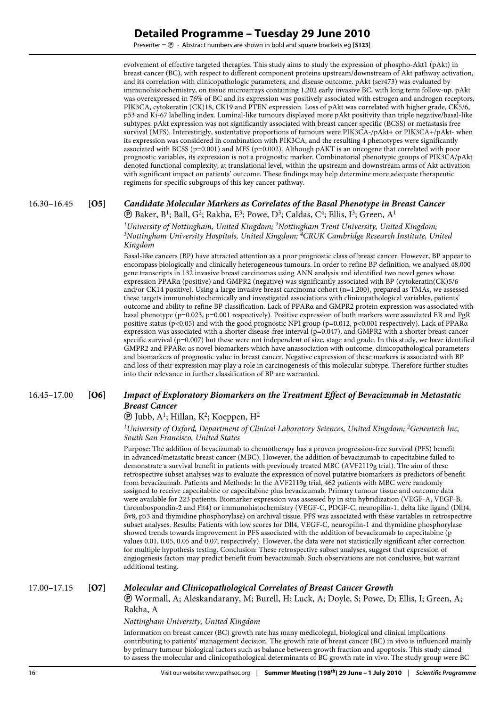Presenter =  $(P)$  · Abstract numbers are shown in bold and square brackets eg [S123]

evolvement of effective targeted therapies. This study aims to study the expression of phospho-Akt1 (pAkt) in breast cancer (BC), with respect to different component proteins upstream/downstream of Akt pathway activation, and its correlation with clinicopathologic parameters, and disease outcome. pAkt (ser473) was evaluated by immunohistochemistry, on tissue microarrays containing 1,202 early invasive BC, with long term follow-up. pAkt was overexpressed in 76% of BC and its expression was positively associated with estrogen and androgen receptors, PIK3CA, cytokeratin (CK)18, CK19 and PTEN expression. Loss of pAkt was correlated with higher grade, CK5/6, p53 and Ki-67 labelling index. Luminal-like tumours displayed more pAkt positivity than triple negative/basal-like subtypes. pAkt expression was not significantly associated with breast cancer specific (BCSS) or metastasis free survival (MFS). Interestingly, sustentative proportions of tumours were PIK3CA-/pAkt+ or PIK3CA+/pAkt- when its expression was considered in combination with PIK3CA, and the resulting 4 phenotypes were significantly associated with BCSS ( $p=0.001$ ) and MFS ( $p=0.002$ ). Although pAKT is an oncogene that correlated with poor prognostic variables, its expression is not a prognostic marker. Combinatorial phenotypic groups of PIK3CA/pAkt denoted functional complexity, at translational level, within the upstream and downstream arms of Akt activation with significant impact on patients' outcome. These findings may help determine more adequate therapeutic regimens for specific subgroups of this key cancer pathway.

#### 16.30–16.45 [O5] *Candidate Molecular Markers as Correlates of the Basal Phenotype in Breast Cancer*  $\textcircled{P}$  Baker, B<sup>1</sup>; Ball, G<sup>2</sup>; Rakha, E<sup>3</sup>; Powe, D<sup>3</sup>; Caldas, C<sup>4</sup>; Ellis, I<sup>3</sup>; Green, A<sup>1</sup>

*1University of Nottingham, United Kingdom; 2Nottingham Trent University, United Kingdom; 3Nottingham University Hospitals, United Kingdom; 4CRUK Cambridge Research Institute, United Kingdom*

Basal-like cancers (BP) have attracted attention as a poor prognostic class of breast cancer. However, BP appear to encompass biologically and clinically heterogeneous tumours. In order to refine BP definition, we analysed 48,000 gene transcripts in 132 invasive breast carcinomas using ANN analysis and identified two novel genes whose expression PPARα (positive) and GMPR2 (negative) was significantly associated with BP (cytokeratin(CK)5/6 and/or CK14 positive). Using a large invasive breast carcinoma cohort (n=1,200), prepared as TMAs, we assessed these targets immunohistochemically and investigated associations with clinicopathological variables, patients' outcome and ability to refine BP classification. Lack of PPARα and GMPR2 protein expression was associated with basal phenotype (p=0.023, p=0.001 respectively). Positive expression of both markers were associated ER and PgR positive status (p<0.05) and with the good prognostic NPI group (p=0.012, p<0.001 respectively). Lack of PPARα expression was associated with a shorter disease-free interval (p=0.047), and GMPR2 with a shorter breast cancer specific survival (p=0.007) but these were not independent of size, stage and grade. In this study, we have identified GMPR2 and PPARα as novel biomarkers which have anassociation with outcome, clinicopathological parameters and biomarkers of prognostic value in breast cancer. Negative expression of these markers is associated with BP and loss of their expression may play a role in carcinogenesis of this molecular subtype. Therefore further studies into their relevance in further classification of BP are warranted.

#### 16.45–17.00 [O6] *Impact of Exploratory Biomarkers on the Treatment Effect of Bevacizumab in Metastatic Breast Cancer*

#### $\Theta$  Jubb, A<sup>1</sup>; Hillan, K<sup>2</sup>; Koeppen, H<sup>2</sup>

#### *1University of Oxford, Department of Clinical Laboratory Sciences, United Kingdom; 2Genentech Inc, South San Francisco, United States*

Purpose: The addition of bevacizumab to chemotherapy has a proven progression-free survival (PFS) benefit in advanced/metastatic breast cancer (MBC). However, the addition of bevacizumab to capecitabine failed to demonstrate a survival benefit in patients with previously treated MBC (AVF2119g trial). The aim of these retrospective subset analyses was to evaluate the expression of novel putative biomarkers as predictors of benefit from bevacizumab. Patients and Methods: In the AVF2119g trial, 462 patients with MBC were randomly assigned to receive capecitabine or capecitabine plus bevacizumab. Primary tumour tissue and outcome data were available for 223 patients. Biomarker expression was assessed by in situ hybridization (VEGF-A, VEGF-B, thrombospondin-2 and Flt4) or immunohistochemistry (VEGF-C, PDGF-C, neuropilin-1, delta like ligand (Dll)4, Bv8, p53 and thymidine phosphorylase) on archival tissue. PFS was associated with these variables in retrospective subset analyses. Results: Patients with low scores for Dll4, VEGF-C, neuropilin-1 and thymidine phosphorylase showed trends towards improvement in PFS associated with the addition of bevacizumab to capecitabine (p values 0.01, 0.05, 0.05 and 0.07, respectively). However, the data were not statistically significant after correction for multiple hypothesis testing. Conclusion: These retrospective subset analyses, suggest that expression of angiogenesis factors may predict benefit from bevacizumab. Such observations are not conclusive, but warrant additional testing.

#### 17.00–17.15 [O7] *Molecular and Clinicopathological Correlates of Breast Cancer Growth*

P Wormall, A; Aleskandarany, M; Burell, H; Luck, A; Doyle, S; Powe, D; Ellis, I; Green, A; Rakha, A

*Nottingham University, United Kingdom*

Information on breast cancer (BC) growth rate has many medicolegal, biological and clinical implications contributing to patients' management decision. The growth rate of breast cancer (BC) in vivo is influenced mainly by primary tumour biological factors such as balance between growth fraction and apoptosis. This study aimed to assess the molecular and clinicopathological determinants of BC growth rate in vivo. The study group were BC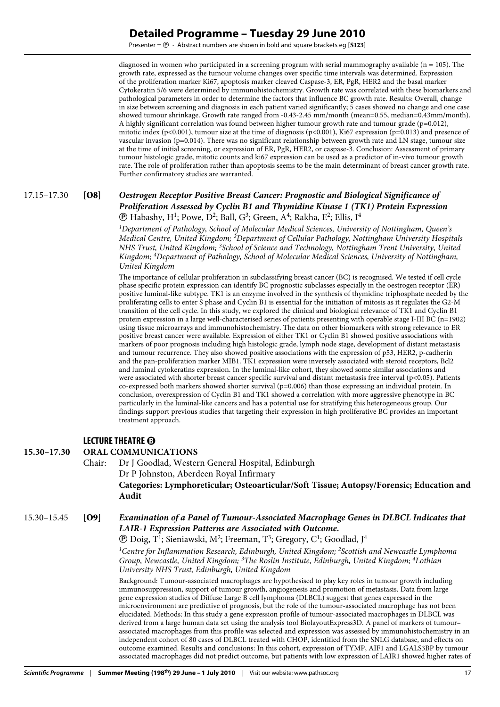Presenter =  $\circled{P}$  · Abstract numbers are shown in bold and square brackets eg [S123]

diagnosed in women who participated in a screening program with serial mammography available (n = 105). The growth rate, expressed as the tumour volume changes over specific time intervals was determined. Expression of the proliferation marker Ki67, apoptosis marker cleaved Caspase-3, ER, PgR, HER2 and the basal marker Cytokeratin 5/6 were determined by immunohistochemistry. Growth rate was correlated with these biomarkers and pathological parameters in order to determine the factors that influence BC growth rate. Results: Overall, change in size between screening and diagnosis in each patient varied significantly; 5 cases showed no change and one case showed tumour shrinkage. Growth rate ranged from -0.43-2.45 mm/month (mean=0.55, median=0.43mm/month). A highly significant correlation was found between higher tumour growth rate and tumour grade ( $p=0.012$ ), mitotic index (p<0.001), tumour size at the time of diagnosis (p<0.001), Ki67 expression (p=0.013) and presence of vascular invasion (p=0.014). There was no significant relationship between growth rate and LN stage, tumour size at the time of initial screening, or expression of ER, PgR, HER2, or caspase-3. Conclusion: Assessment of primary tumour histologic grade, mitotic counts and ki67 expression can be used as a predictor of in-vivo tumour growth rate. The role of proliferation rather than apoptosis seems to be the main determinant of breast cancer growth rate. Further confirmatory studies are warranted.

## 17.15–17.30 [O8] *Oestrogen Receptor Positive Breast Cancer: Prognostic and Biological Significance of Proliferation Assessed by Cyclin B1 and Thymidine Kinase 1 (TK1) Protein Expression*

 $\textcircled{P}$  Habashy, H<sup>1</sup>; Powe, D<sup>2</sup>; Ball, G<sup>3</sup>; Green, A<sup>4</sup>; Rakha, E<sup>2</sup>; Ellis, I<sup>4</sup>

*1Department of Pathology, School of Molecular Medical Sciences, University of Nottingham, Queen's Medical Centre, United Kingdom; 2Department of Cellular Pathology, Nottingham University Hospitals NHS Trust, United Kingdom; 3School of Science and Technology, Nottingham Trent University, United Kingdom; 4Department of Pathology, School of Molecular Medical Sciences, University of Nottingham, United Kingdom*

The importance of cellular proliferation in subclassifying breast cancer (BC) is recognised. We tested if cell cycle phase specific protein expression can identify BC prognostic subclasses especially in the oestrogen receptor (ER) positive luminal-like subtype. TK1 is an enzyme involved in the synthesis of thymidine triphosphate needed by the proliferating cells to enter S phase and Cyclin B1 is essential for the initiation of mitosis as it regulates the G2-M transition of the cell cycle. In this study, we explored the clinical and biological relevance of TK1 and Cyclin B1 protein expression in a large well-characterised series of patients presenting with operable stage I-III BC (n=1902) using tissue microarrays and immunohistochemistry. The data on other biomarkers with strong relevance to ER positive breast cancer were available. Expression of either TK1 or Cyclin B1 showed positive associations with markers of poor prognosis including high histologic grade, lymph node stage, development of distant metastasis and tumour recurrence. They also showed positive associations with the expression of p53, HER2, p-cadherin and the pan-proliferation marker MIB1. TK1 expression were inversely associated with steroid receptors, Bcl2 and luminal cytokeratins expression. In the luminal-like cohort, they showed some similar associations and were associated with shorter breast cancer specific survival and distant metastasis free interval (p<0.05). Patients co-expressed both markers showed shorter survival (p=0.006) than those expressing an individual protein. In conclusion, overexpression of Cyclin B1 and TK1 showed a correlation with more aggressive phenotype in BC particularly in the luminal-like cancers and has a potential use for stratifying this heterogeneous group. Our findings support previous studies that targeting their expression in high proliferative BC provides an important treatment approach.

#### **LECTURE THEATRE <sup>®</sup>**

**15.30–17.30 ORAL COMMUNICATIONS**

Chair: Dr J Goodlad, Western General Hospital, Edinburgh Dr P Johnston, Aberdeen Royal Infirmary  **Categories: Lymphoreticular; Osteoarticular/Soft Tissue; Autopsy/Forensic; Education and Audit**

#### 15.30–15.45 [O9] *Examination of a Panel of Tumour-Associated Macrophage Genes in DLBCL Indicates that LAIR-1 Expression Patterns are Associated with Outcome.*

 $\textcircled{P}$  Doig, T<sup>1</sup>; Sieniawski, M<sup>2</sup>; Freeman, T<sup>3</sup>; Gregory, C<sup>1</sup>; Goodlad, J<sup>4</sup>

*1Centre for Inflammation Research, Edinburgh, United Kingdom; 2Scottish and Newcastle Lymphoma Group, Newcastle, United Kingdom; 3The Roslin Institute, Edinburgh, United Kingdom; 4Lothian University NHS Trust, Edinburgh, United Kingdom*

Background: Tumour-associated macrophages are hypothesised to play key roles in tumour growth including immunosuppression, support of tumour growth, angiogenesis and promotion of metastasis. Data from large gene expression studies of Diffuse Large B cell lymphoma (DLBCL) suggest that genes expressed in the microenvironment are predictive of prognosis, but the role of the tumour-associated macrophage has not been elucidated. Methods: In this study a gene expression profile of tumour-associated macrophages in DLBCL was derived from a large human data set using the analysis tool BiolayoutExpress3D. A panel of markers of tumour– associated macrophages from this profile was selected and expression was assessed by immunohistochemistry in an independent cohort of 80 cases of DLBCL treated with CHOP, identified from the SNLG database, and effects on outcome examined. Results and conclusions: In this cohort, expression of TYMP, AIF1 and LGALS3BP by tumour associated macrophages did not predict outcome, but patients with low expression of LAIR1 showed higher rates of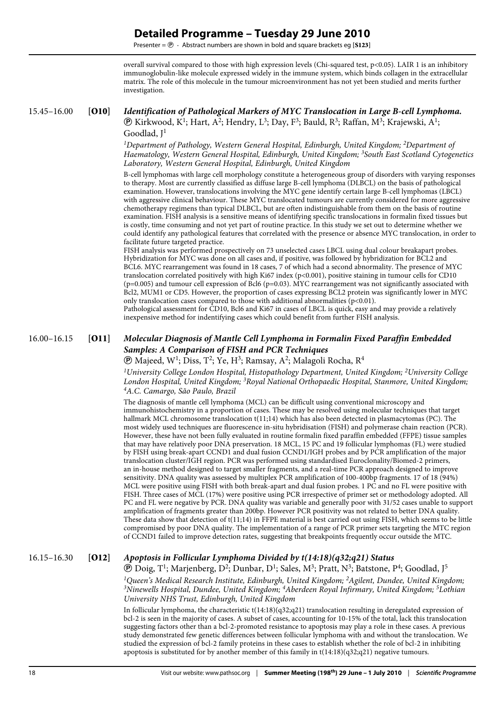Presenter =  $(P)$  · Abstract numbers are shown in bold and square brackets eg [S123]

overall survival compared to those with high expression levels (Chi-squared test, p<0.05). LAIR 1 is an inhibitory immunoglobulin-like molecule expressed widely in the immune system, which binds collagen in the extracellular matrix. The role of this molecule in the tumour microenvironment has not yet been studied and merits further investigation.

#### 15.45–16.00 [O10] *Identification of Pathological Markers of MYC Translocation in Large B-cell Lymphoma.*  $\overline{P}$  Kirkwood, K<sup>1</sup>; Hart, A<sup>2</sup>; Hendry, L<sup>3</sup>; Day, F<sup>3</sup>; Bauld, R<sup>3</sup>; Raffan, M<sup>3</sup>; Krajewski, A<sup>1</sup>; Goodlad,  $I^1$

*1Department of Pathology, Western General Hospital, Edinburgh, United Kingdom; 2Department of Haematology, Western General Hospital, Edinburgh, United Kingdom; 3South East Scotland Cytogenetics Laboratory, Western General Hospital, Edinburgh, United Kingdom*

B-cell lymphomas with large cell morphology constitute a heterogeneous group of disorders with varying responses to therapy. Most are currently classified as diffuse large B-cell lymphoma (DLBCL) on the basis of pathological examination. However, translocations involving the MYC gene identify certain large B-cell lymphomas (LBCL) with aggressive clinical behaviour. These MYC translocated tumours are currently considered for more aggressive chemotherapy regimens than typical DLBCL, but are often indistinguishable from them on the basis of routine examination. FISH analysis is a sensitive means of identifying specific translocations in formalin fixed tissues but is costly, time consuming and not yet part of routine practice. In this study we set out to determine whether we could identify any pathological features that correlated with the presence or absence MYC translocation, in order to facilitate future targeted practice.

FISH analysis was performed prospectively on 73 unselected cases LBCL using dual colour breakapart probes. Hybridization for MYC was done on all cases and, if positive, was followed by hybridization for BCL2 and BCL6. MYC rearrangement was found in 18 cases, 7 of which had a second abnormality. The presence of MYC translocation correlated positively with high Ki67 index (p<0.001), positive staining in tumour cells for CD10 (p=0.005) and tumour cell expression of Bcl6 (p=0.03). MYC rearrangement was not significantly associated with Bcl2, MUM1 or CD5. However, the proportion of cases expressing BCL2 protein was significantly lower in MYC only translocation cases compared to those with additional abnormalities  $(p<0.01)$ .

Pathological assessment for CD10, Bcl6 and Ki67 in cases of LBCL is quick, easy and may provide a relatively inexpensive method for indentifying cases which could benefit from further FISH analysis.

## 16.00–16.15 [O11] *Molecular Diagnosis of Mantle Cell Lymphoma in Formalin Fixed Paraffin Embedded Samples: A Comparison of FISH and PCR Techniques*

 $\textcircled{P}$  Majeed, W<sup>1</sup>; Diss, T<sup>2</sup>; Ye, H<sup>3</sup>; Ramsay, A<sup>2</sup>; Malagoli Rocha, R<sup>4</sup>

*1University College London Hospital, Histopathology Department, United Kingdom; 2University College London Hospital, United Kingdom; 3Royal National Orthopaedic Hospital, Stanmore, United Kingdom; 4A.C. Camargo, São Paulo, Brazil*

The diagnosis of mantle cell lymphoma (MCL) can be difficult using conventional microscopy and immunohistochemistry in a proportion of cases. These may be resolved using molecular techniques that target hallmark MCL chromosome translocation t(11;14) which has also been detected in plasmacytomas (PC). The most widely used techniques are fluorescence in-situ hybridisation (FISH) and polymerase chain reaction (PCR). However, these have not been fully evaluated in routine formalin fixed paraffin embedded (FFPE) tissue samples that may have relatively poor DNA preservation. 18 MCL, 15 PC and 19 follicular lymphomas (FL) were studied by FISH using break-apart CCND1 and dual fusion CCND1/IGH probes and by PCR amplification of the major translocation cluster/IGH region. PCR was performed using standardised Euroclonality/Biomed-2 primers, an in-house method designed to target smaller fragments, and a real-time PCR approach designed to improve sensitivity. DNA quality was assessed by multiplex PCR amplification of 100-400bp fragments. 17 of 18 (94%) MCL were positive using FISH with both break-apart and dual fusion probes. 1 PC and no FL were positive with FISH. Three cases of MCL (17%) were positive using PCR irrespective of primer set or methodology adopted. All PC and FL were negative by PCR. DNA quality was variable and generally poor with 31/52 cases unable to support amplification of fragments greater than 200bp. However PCR positivity was not related to better DNA quality. These data show that detection of t(11;14) in FFPE material is best carried out using FISH, which seems to be little compromised by poor DNA quality. The implementation of a range of PCR primer sets targeting the MTC region of CCND1 failed to improve detection rates, suggesting that breakpoints frequently occur outside the MTC.

### 16.15–16.30 [O12] *Apoptosis in Follicular Lymphoma Divided by t(14:18)(q32;q21) Status*

 $\textcircled{P}$  Doig, T<sup>1</sup>; Marjenberg, D<sup>2</sup>; Dunbar, D<sup>1</sup>; Sales, M<sup>3</sup>; Pratt, N<sup>3</sup>; Batstone, P<sup>4</sup>; Goodlad, J<sup>5</sup> *1Queen's Medical Research Institute, Edinburgh, United Kingdom; 2Agilent, Dundee, United Kingdom; 3Ninewells Hospital, Dundee, United Kingdom; 4Aberdeen Royal Infirmary, United Kingdom; 5Lothian University NHS Trust, Edinburgh, United Kingdom*

In follicular lymphoma, the characteristic  $t(14:18)(q32;q21)$  translocation resulting in deregulated expression of bcl-2 is seen in the majority of cases. A subset of cases, accounting for 10-15% of the total, lack this translocation suggesting factors other than a bcl-2-promoted resistance to apoptosis may play a role in these cases. A previous study demonstrated few genetic differences between follicular lymphoma with and without the translocation. We studied the expression of bcl-2 family proteins in these cases to establish whether the role of bcl-2 in inhibiting apoptosis is substituted for by another member of this family in t(14:18)(q32;q21) negative tumours.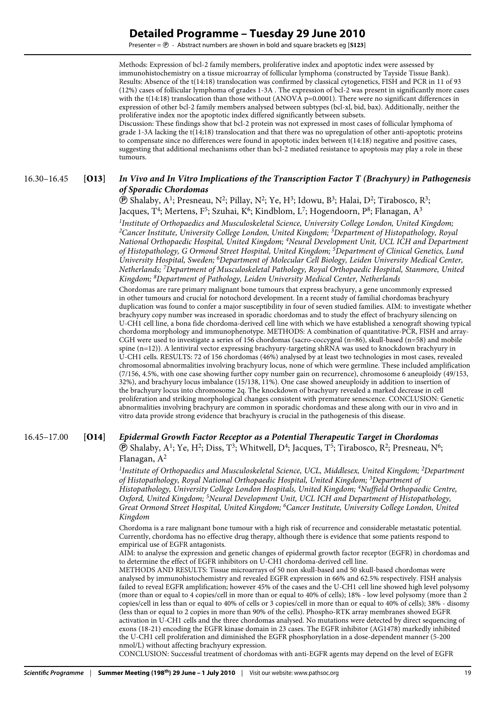Presenter =  $\circled{P}$   $\cdot$  Abstract numbers are shown in bold and square brackets eg [S123]

Methods: Expression of bcl-2 family members, proliferative index and apoptotic index were assessed by immunohistochemistry on a tissue microarray of follicular lymphoma (constructed by Tayside Tissue Bank). Results: Absence of the t(14:18) translocation was confirmed by classical cytogenetics, FISH and PCR in 11 of 93 (12%) cases of follicular lymphoma of grades 1-3A . The expression of bcl-2 was present in significantly more cases with the t(14:18) translocation than those without (ANOVA p=0.0001). There were no significant differences in expression of other bcl-2 family members analysed between subtypes (bcl-xl, bid, bax). Additionally, neither the proliferative index nor the apoptotic index differed significantly between subsets. Discussion: These findings show that bcl-2 protein was not expressed in most cases of follicular lymphoma of

grade 1-3A lacking the t(14;18) translocation and that there was no upregulation of other anti-apoptotic proteins to compensate since no differences were found in apoptotic index between t(14:18) negative and positive cases, suggesting that additional mechanisms other than bcl-2 mediated resistance to apoptosis may play a role in these tumours.

#### 16.30–16.45 [O13] *In Vivo and In Vitro Implications of the Transcription Factor T (Brachyury) in Pathogenesis of Sporadic Chordomas*

 $\Phi$  Shalaby, A<sup>1</sup>; Presneau, N<sup>2</sup>; Pillay, N<sup>2</sup>; Ye, H<sup>3</sup>; Idowu, B<sup>3</sup>; Halai, D<sup>2</sup>; Tirabosco, R<sup>3</sup>; Jacques,  $T^4$ ; Mertens, F<sup>5</sup>; Szuhai, K<sup>6</sup>; Kindblom, L<sup>7</sup>; Hogendoorn, P<sup>8</sup>; Flanagan, A<sup>3</sup>

*1Institute of Orthopaedics and Musculoskeletal Science, University College London, United Kingdom; 2Cancer Institute, University College London, United Kingdom; 3Department of Histopathology, Royal National Orthopaedic Hospital, United Kingdom; 4Neural Development Unit, UCL ICH and Department of Histopathology, G Ormond Street Hospital, United Kingdom; 5Department of Clinical Genetics, Lund University Hospital, Sweden; 6Department of Molecular Cell Biology, Leiden University Medical Center, Netherlands; 7Department of Musculoskeletal Pathology, Royal Orthopaedic Hospital, Stanmore, United Kingdom; 8Department of Pathology, Leiden University Medical Center, Netherlands*

Chordomas are rare primary malignant bone tumours that express brachyury, a gene uncommonly expressed in other tumours and crucial for notochord development. In a recent study of familial chordomas brachyury duplication was found to confer a major susceptibility in four of seven studied families. AIM: to investigate whether brachyury copy number was increased in sporadic chordomas and to study the effect of brachyury silencing on U-CH1 cell line, a bona fide chordoma-derived cell line with which we have established a xenograft showing typical chordoma morphology and immunophenotype. METHODS: A combination of quantitative-PCR, FISH and array-CGH were used to investigate a series of 156 chordomas (sacro-coccygeal (n=86), skull-based (n=58) and mobile spine (n=12)). A lentiviral vector expressing brachyury-targeting shRNA was used to knockdown brachyury in U-CH1 cells. RESULTS: 72 of 156 chordomas (46%) analysed by at least two technologies in most cases, revealed chromosomal abnormalities involving brachyury locus, none of which were germline. These included amplification (7/156, 4.5%, with one case showing further copy number gain on recurrence), chromosome 6 aneuploidy (49/153, 32%), and brachyury locus imbalance (15/138, 11%). One case showed aneuploidy in addition to insertion of the brachyury locus into chromosome 2q. The knockdown of brachyury revealed a marked decrease in cell proliferation and striking morphological changes consistent with premature senescence. CONCLUSION: Genetic abnormalities involving brachyury are common in sporadic chordomas and these along with our in vivo and in vitro data provide strong evidence that brachyury is crucial in the pathogenesis of this disease.

#### 16.45–17.00 [O14] *Epidermal Growth Factor Receptor as a Potential Therapeutic Target in Chordomas*

 $\overline{P}$  Shalaby, A<sup>1</sup>; Ye, H<sup>2</sup>; Diss, T<sup>3</sup>; Whitwell, D<sup>4</sup>; Jacques, T<sup>5</sup>; Tirabosco, R<sup>2</sup>; Presneau, N<sup>6</sup>; Flanagan,  $A^2$ 

*1Institute of Orthopaedics and Musculoskeletal Science, UCL, Middlesex, United Kingdom; 2Department of Histopathology, Royal National Orthopaedic Hospital, United Kingdom; 3Department of Histopathology, University College London Hospitals, United Kingdom; 4Nuffield Orthopaedic Centre, Oxford, United Kingdom; 5Neural Development Unit, UCL ICH and Department of Histopathology, Great Ormond Street Hospital, United Kingdom; 6Cancer Institute, University College London, United Kingdom*

Chordoma is a rare malignant bone tumour with a high risk of recurrence and considerable metastatic potential. Currently, chordoma has no effective drug therapy, although there is evidence that some patients respond to empirical use of EGFR antagonists.

AIM: to analyse the expression and genetic changes of epidermal growth factor receptor (EGFR) in chordomas and to determine the effect of EGFR inhibitors on U-CH1 chordoma-derived cell line.

METHODS AND RESULTS: Tissue microarrays of 50 non skull-based and 50 skull-based chordomas were analysed by immunohistochemistry and revealed EGFR expression in 66% and 62.5% respectively. FISH analysis failed to reveal EGFR amplification; however 45% of the cases and the U-CH1 cell line showed high level polysomy (more than or equal to 4 copies/cell in more than or equal to 40% of cells); 18% - low level polysomy (more than 2 copies/cell in less than or equal to 40% of cells or 3 copies/cell in more than or equal to 40% of cells); 38% - disomy (less than or equal to 2 copies in more than 90% of the cells). Phospho-RTK array membranes showed EGFR activation in U-CH1 cells and the three chordomas analysed. No mutations were detected by direct sequencing of exons (18-21) encoding the EGFR kinase domain in 23 cases. The EGFR inhibitor (AG1478) markedly inhibited the U-CH1 cell proliferation and diminished the EGFR phosphorylation in a dose-dependent manner (5-200 nmol/L) without affecting brachyury expression.

CONCLUSION: Successful treatment of chordomas with anti-EGFR agents may depend on the level of EGFR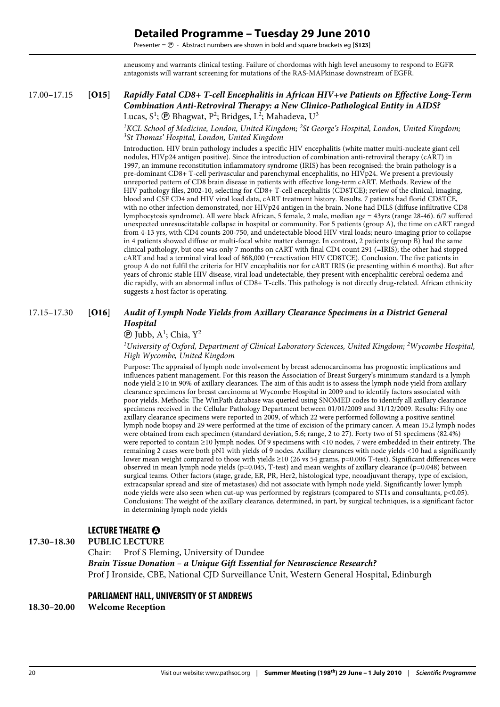Presenter =  $(P)$  · Abstract numbers are shown in bold and square brackets eg [S123]

aneusomy and warrants clinical testing. Failure of chordomas with high level aneusomy to respond to EGFR antagonists will warrant screening for mutations of the RAS-MAPkinase downstream of EGFR.

#### 17.00–17.15 [O15] *Rapidly Fatal CD8+ T-cell Encephalitis in African HIV+ve Patients on Effective Long-Term Combination Anti-Retroviral Therapy: a New Clinico-Pathological Entity in AIDS?* Lucas,  $S^1$ ;  $\overline{O}$  Bhagwat,  $P^2$ ; Bridges,  $L^2$ ; Mahadeva,  $U^3$

*1KCL School of Medicine, London, United Kingdom; 2St George's Hospital, London, United Kingdom; 3St Thomas' Hospital, London, United Kingdom*

Introduction. HIV brain pathology includes a specific HIV encephalitis (white matter multi-nucleate giant cell nodules, HIVp24 antigen positive). Since the introduction of combination anti-retroviral therapy (cART) in 1997, an immune reconstitution inflammatory syndrome (IRIS) has been recognised: the brain pathology is a pre-dominant CD8+ T-cell perivascular and parenchymal encephalitis, no HIVp24. We present a previously unreported pattern of CD8 brain disease in patients with effective long-term cART. Methods. Review of the HIV pathology files, 2002-10, selecting for CD8+ T-cell encephalitis (CD8TCE); review of the clinical, imaging, blood and CSF CD4 and HIV viral load data, cART treatment history. Results. 7 patients had florid CD8TCE, with no other infection demonstrated, nor HIVp24 antigen in the brain. None had DILS (diffuse infiltrative CD8 lymphocytosis syndrome). All were black African, 5 female, 2 male, median age = 43yrs (range 28-46). 6/7 suffered unexpected unresuscitatable collapse in hospital or community. For 5 patients (group A), the time on cART ranged from 4-13 yrs, with CD4 counts 200-750, and undetectable blood HIV viral loads; neuro-imaging prior to collapse in 4 patients showed diffuse or multi-focal white matter damage. In contrast, 2 patients (group B) had the same clinical pathology, but one was only 7 months on cART with final CD4 count 291 (=IRIS); the other had stopped cART and had a terminal viral load of 868,000 (=reactivation HIV CD8TCE). Conclusion. The five patients in group A do not fulfil the criteria for HIV encephalitis nor for cART IRIS (ie presenting within 6 months). But after years of chronic stable HIV disease, viral load undetectable, they present with encephalitic cerebral oedema and die rapidly, with an abnormal influx of CD8+ T-cells. This pathology is not directly drug-related. African ethnicity suggests a host factor is operating.

#### 17.15–17.30 [O16] *Audit of Lymph Node Yields from Axillary Clearance Specimens in a District General Hospital*

 $\circled{P}$  Jubb, A<sup>1</sup>; Chia, Y<sup>2</sup>

*1University of Oxford, Department of Clinical Laboratory Sciences, United Kingdom; 2Wycombe Hospital, High Wycombe, United Kingdom*

Purpose: The appraisal of lymph node involvement by breast adenocarcinoma has prognostic implications and influences patient management. For this reason the Association of Breast Surgery's minimum standard is a lymph node yield ≥10 in 90% of axillary clearances. The aim of this audit is to assess the lymph node yield from axillary clearance specimens for breast carcinoma at Wycombe Hospital in 2009 and to identify factors associated with poor yields. Methods: The WinPath database was queried using SNOMED codes to identify all axillary clearance specimens received in the Cellular Pathology Department between 01/01/2009 and 31/12/2009. Results: Fifty one axillary clearance specimens were reported in 2009, of which 22 were performed following a positive sentinel lymph node biopsy and 29 were performed at the time of excision of the primary cancer. A mean 15.2 lymph nodes were obtained from each specimen (standard deviation, 5.6; range, 2 to 27). Forty two of 51 specimens (82.4%) were reported to contain ≥10 lymph nodes. Of 9 specimens with <10 nodes, 7 were embedded in their entirety. The remaining 2 cases were both pN1 with yields of 9 nodes. Axillary clearances with node yields <10 had a significantly lower mean weight compared to those with yields ≥10 (26 vs 54 grams, p=0.006 T-test). Significant differences were observed in mean lymph node yields (p=0.045, T-test) and mean weights of axillary clearance (p=0.048) between surgical teams. Other factors (stage, grade, ER, PR, Her2, histological type, neoadjuvant therapy, type of excision, extracapsular spread and size of metastases) did not associate with lymph node yield. Significantly lower lymph node yields were also seen when cut-up was performed by registrars (compared to ST1s and consultants, p<0.05). Conclusions: The weight of the axillary clearance, determined, in part, by surgical techniques, is a significant factor in determining lymph node yields

#### **LECTURE THEATRE**

**17.30–18.30 PUBLIC LECTURE**

Chair: Prof S Fleming, University of Dundee *Brain Tissue Donation – a Unique Gift Essential for Neuroscience Research?* Prof J Ironside, CBE, National CJD Surveillance Unit, Western General Hospital, Edinburgh

### **PARLIAMENT HALL, UNIVERSITY OF ST ANDREWS**

**18.30–20.00 Welcome Reception**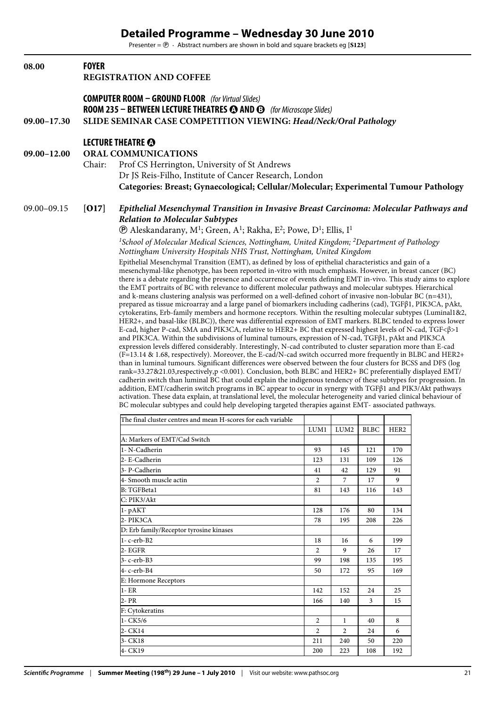Presenter =  $\circled{P}$  · Abstract numbers are shown in bold and square brackets eg [S123]

## **08.00 Foyer**

## **Registration and Coffee**

**COMPUTER ROOM – Ground Floor** *(for Virtual Slides)*  **ROOM 235 – BETWEEN LECTURE THEATRES @ AND <sup>G</sup> (for Microscope Slides)** 

**09.00–17.30 Slide seminar CASE competition viewing:** *Head/Neck/Oral Pathology*

#### **LECTURE THEATRE**  $\odot$

#### **09.00–12.00 ORAL COMMUNICATIONS**

Chair: Prof CS Herrington, University of St Andrews Dr JS Reis-Filho, Institute of Cancer Research, London **Categories: Breast; Gynaecological; Cellular/Molecular; Experimental Tumour Pathology** 

#### 09.00–09.15 [O17] *Epithelial Mesenchymal Transition in Invasive Breast Carcinoma: Molecular Pathways and Relation to Molecular Subtypes*

 $\mathcal{P}$  Aleskandarany, M<sup>1</sup>; Green, A<sup>1</sup>; Rakha, E<sup>2</sup>; Powe, D<sup>1</sup>; Ellis, I<sup>1</sup> *1School of Molecular Medical Sciences, Nottingham, United Kingdom; 2Department of Pathology Nottingham University Hospitals NHS Trust, Nottingham, United Kingdom* Epithelial Mesenchymal Transition (EMT), as defined by loss of epithelial characteristics and gain of a mesenchymal-like phenotype, has been reported in-vitro with much emphasis. However, in breast cancer (BC) there is a debate regarding the presence and occurrence of events defining EMT in-vivo. This study aims to explore the EMT portraits of BC with relevance to different molecular pathways and molecular subtypes. Hierarchical and k-means clustering analysis was performed on a well-defined cohort of invasive non-lobular BC (n=431), prepared as tissue microarray and a large panel of biomarkers including cadherins (cad), TGFβ1, PIK3CA, pAkt, cytokeratins, Erb-family members and hormone receptors. Within the resulting molecular subtypes (Luminal1&2, HER2+, and basal-like (BLBC)), there was differential expression of EMT markers. BLBC tended to express lower E-cad, higher P-cad, SMA and PIK3CA, relative to HER2+ BC that expressed highest levels of N-cad, TGF<β>1 and PIK3CA. Within the subdivisions of luminal tumours, expression of N-cad, TGFβ1, pAkt and PIK3CA expression levels differed considerably. Interestingly, N-cad contributed to cluster separation more than E-cad (F=13.14 & 1.68, respectively). Moreover, the E-cad/N-cad switch occurred more frequently in BLBC and HER2+ than in luminal tumours. Significant differences were observed between the four clusters for BCSS and DFS (log rank=33.27&21.03,respectively,p <0.001). Conclusion, both BLBC and HER2+ BC preferentially displayed EMT/ 1586691 / O17 cadherin switch than luminal BC that could explain the indigenous tendency of these subtypes for progression. In addition, EMT/cadherin switch programs in BC appear to occur in synergy with TGFβ1 and PIK3/Akt pathways activation. These data explain, at translational level, the molecular heterogeneity and varied clinical behaviour of BC molecular subtypes and could help developing targeted therapies against EMT- associated pathways.

| The final cluster centres and mean H-scores for each variable |                |                  |             |                  |
|---------------------------------------------------------------|----------------|------------------|-------------|------------------|
|                                                               | LUM1           | LUM <sub>2</sub> | <b>BLBC</b> | HER <sub>2</sub> |
| A: Markers of EMT/Cad Switch                                  |                |                  |             |                  |
| 1- N-Cadherin                                                 | 93             | 145              | 121         | 170              |
| 2- E-Cadherin                                                 | 123            | 131              | 109         | 126              |
| 3- P-Cadherin                                                 | 41             | 42               | 129         | 91               |
| 4- Smooth muscle actin                                        | 2              | 7                | 17          | 9                |
| <b>B: TGFBeta1</b>                                            | 81             | 143              | 116         | 143              |
| C: PIK3/Akt                                                   |                |                  |             |                  |
| 1- pAKT                                                       | 128            | 176              | 80          | 134              |
| $2-PIK3CA$                                                    | 78             | 195              | 208         | 226              |
| D: Erb family/Receptor tyrosine kinases                       |                |                  |             |                  |
| $1 - c$ -erb-B2                                               | 18             | 16               | 6           | 199              |
| 2- EGFR                                                       | $\overline{2}$ | 9                | 26          | 17               |
| 3-c-erb-B3                                                    | 99             | 198              | 135         | 195              |
| $4 - c$ -erb-B $4$                                            | 50             | 172              | 95          | 169              |
| E: Hormone Receptors                                          |                |                  |             |                  |
| $1 - ER$                                                      | 142            | 152              | 24          | 25               |
| $2 - PR$                                                      | 166            | 140              | 3           | 15               |
| F: Cytokeratins                                               |                |                  |             |                  |
| $1 - CK5/6$                                                   | $\overline{2}$ | $\mathbf{1}$     | 40          | 8                |
| 2- CK14                                                       | $\overline{c}$ | $\overline{2}$   | 24          | 6                |
| 3- CK18                                                       | 211            | 240              | 50          | 220              |
| 4- CK19                                                       | 200            | 223              | 108         | 192              |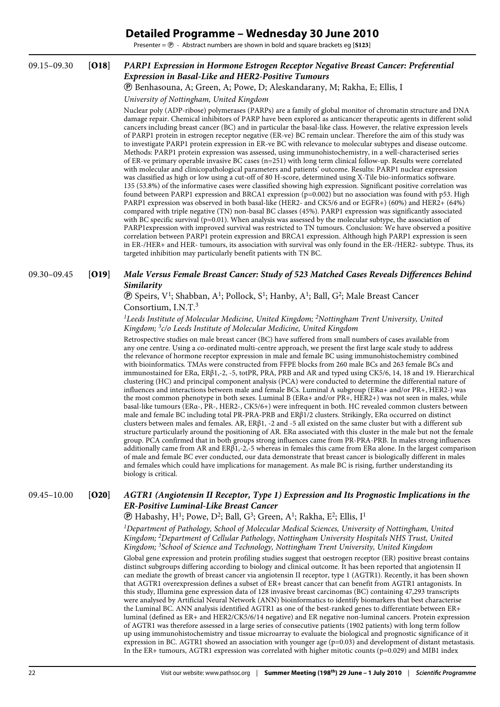Presenter =  $(P \cdot$  Abstract numbers are shown in bold and square brackets eg [S123]

#### 09.15–09.30 [O18] *PARP1 Expression in Hormone Estrogen Receptor Negative Breast Cancer: Preferential Expression in Basal-Like and HER2-Positive Tumours*

P Benhasouna, A; Green, A; Powe, D; Aleskandarany, M; Rakha, E; Ellis, I

#### *University of Nottingham, United Kingdom*

Nuclear poly (ADP-ribose) polymerases (PARPs) are a family of global monitor of chromatin structure and DNA damage repair. Chemical inhibitors of PARP have been explored as anticancer therapeutic agents in different solid cancers including breast cancer (BC) and in particular the basal-like class. However, the relative expression levels of PARP1 protein in estrogen receptor negative (ER-ve) BC remain unclear. Therefore the aim of this study was to investigate PARP1 protein expression in ER-ve BC with relevance to molecular subtypes and disease outcome. Methods: PARP1 protein expression was assessed, using immunohistochemistry, in a well-characterised series of ER-ve primary operable invasive BC cases (n=251) with long term clinical follow-up. Results were correlated with molecular and clinicopathological parameters and patients' outcome. Results: PARP1 nuclear expression was classified as high or low using a cut-off of 80 H-score, determined using X-Tile bio-informatics software. 135 (53.8%) of the informative cases were classified showing high expression. Significant positive correlation was found between PARP1 expression and BRCA1 expression (p=0.002) but no association was found with p53. High PARP1 expression was observed in both basal-like (HER2- and CK5/6 and or EGFR+) (60%) and HER2+ (64%) compared with triple negative (TN) non-basal BC classes (45%). PARP1 expression was significantly associated with BC specific survival (p=0.01). When analysis was assessed by the molecular subtype, the association of PARP1expression with improved survival was restricted to TN tumours. Conclusion: We have observed a positive correlation between PARP1 protein expression and BRCA1 expression. Although high PARP1 expression is seen in ER-/HER+ and HER- tumours, its association with survival was only found in the ER-/HER2- subtype. Thus, its targeted inhibition may particularly benefit patients with TN BC.

#### 09.30–09.45 [O19] *Male Versus Female Breast Cancer: Study of 523 Matched Cases Reveals Differences Behind Similarity*

 $\mathcal{P}$  Speirs, V<sup>1</sup>; Shabban, A<sup>1</sup>; Pollock, S<sup>1</sup>; Hanby, A<sup>1</sup>; Ball, G<sup>2</sup>; Male Breast Cancer Consortium, I.N.T.3

*1Leeds Institute of Molecular Medicine, United Kingdom; 2Nottingham Trent University, United Kingdom; 3c/o Leeds Institute of Molecular Medicine, United Kingdom*

Retrospective studies on male breast cancer (BC) have suffered from small numbers of cases available from any one centre. Using a co-ordinated multi-centre approach, we present the first large scale study to address the relevance of hormone receptor expression in male and female BC using immunohistochemistry combined with bioinformatics. TMAs were constructed from FFPE blocks from 260 male BCs and 263 female BCs and immunostained for ERα, ERβ1,-2, -5, totPR, PRA, PRB and AR and typed using CK5/6, 14, 18 and 19. Hierarchical clustering (HC) and principal component analysis (PCA) were conducted to determine the differential nature of influences and interactions between male and female BCs. Luminal A subgroup (ERα+ and/or PR+, HER2-) was the most common phenotype in both sexes. Luminal B (ERα+ and/or PR+, HER2+) was not seen in males, while basal-like tumours (ERα-, PR-, HER2-, CK5/6+) were infrequent in both. HC revealed common clusters between male and female BC including total PR-PRA-PRB and ERβ1/2 clusters. Strikingly, ERα occurred on distinct clusters between males and females. AR, ERβ1, -2 and -5 all existed on the same cluster but with a different sub structure particularly around the positioning of AR. ERα associated with this cluster in the male but not the female group. PCA confirmed that in both groups strong influences came from PR-PRA-PRB. In males strong influences additionally came from AR and ERβ1,-2,-5 whereas in females this came from ERα alone. In the largest comparison of male and female BC ever conducted, our data demonstrate that breast cancer is biologically different in males and females which could have implications for management. As male BC is rising, further understanding its biology is critical.

#### 09.45–10.00 [O20] *AGTR1 (Angiotensin II Receptor, Type 1) Expression and Its Prognostic Implications in the ER-Positive Luminal-Like Breast Cancer*

 $\textcircled{P}$  Habashy, H<sup>1</sup>; Powe, D<sup>2</sup>; Ball, G<sup>3</sup>; Green, A<sup>1</sup>; Rakha, E<sup>2</sup>; Ellis, I<sup>1</sup>

*1Department of Pathology, School of Molecular Medical Sciences, University of Nottingham, United Kingdom; 2Department of Cellular Pathology, Nottingham University Hospitals NHS Trust, United Kingdom; 3School of Science and Technology, Nottingham Trent University, United Kingdom*

Global gene expression and protein profiling studies suggest that oestrogen receptor (ER) positive breast contains distinct subgroups differing according to biology and clinical outcome. It has been reported that angiotensin II can mediate the growth of breast cancer via angiotensin II receptor, type 1 (AGTR1). Recently, it has been shown that AGTR1 overexpression defines a subset of ER+ breast cancer that can benefit from AGTR1 antagonists. In this study, Illumina gene expression data of 128 invasive breast carcinomas (BC) containing 47,293 transcripts were analysed by Artificial Neural Network (ANN) bioinformatics to identify biomarkers that best characterise the Luminal BC. ANN analysis identified AGTR1 as one of the best-ranked genes to differentiate between ER+ luminal (defined as ER+ and HER2/CK5/6/14 negative) and ER negative non-luminal cancers. Protein expression of AGTR1 was therefore assessed in a large series of consecutive patients (1902 patients) with long term follow up using immunohistochemistry and tissue microarray to evaluate the biological and prognostic significance of it expression in BC. AGTR1 showed an association with younger age (p=0.03) and development of distant metastasis. In the ER+ tumours, AGTR1 expression was correlated with higher mitotic counts (p=0.029) and MIB1 index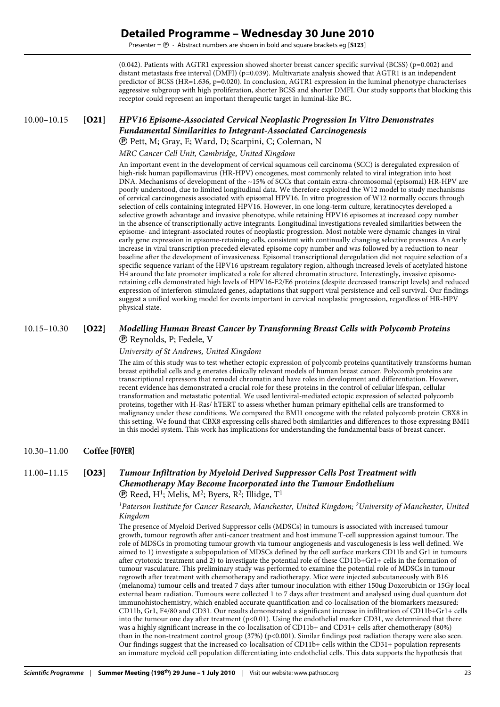Presenter =  $\circled{P}$  · Abstract numbers are shown in bold and square brackets eg [S123]

(0.042). Patients with AGTR1 expression showed shorter breast cancer specific survival (BCSS) (p=0.002) and distant metastasis free interval (DMFI) (p=0.039). Multivariate analysis showed that AGTR1 is an independent predictor of BCSS (HR=1.636, p=0.020). In conclusion, AGTR1 expression in the luminal phenotype characterises aggressive subgroup with high proliferation, shorter BCSS and shorter DMFI. Our study supports that blocking this receptor could represent an important therapeutic target in luminal-like BC.

#### 10.00–10.15 [O21] *HPV16 Episome-Associated Cervical Neoplastic Progression In Vitro Demonstrates Fundamental Similarities to Integrant-Associated Carcinogenesis*

P Pett, M; Gray, E; Ward, D; Scarpini, C; Coleman, N

*MRC Cancer Cell Unit, Cambridge, United Kingdom*

An important event in the development of cervical squamous cell carcinoma (SCC) is deregulated expression of high-risk human papillomavirus (HR-HPV) oncogenes, most commonly related to viral integration into host DNA. Mechanisms of development of the ~15% of SCCs that contain extra-chromosomal (episomal) HR-HPV are poorly understood, due to limited longitudinal data. We therefore exploited the W12 model to study mechanisms of cervical carcinogenesis associated with episomal HPV16. In vitro progression of W12 normally occurs through selection of cells containing integrated HPV16. However, in one long-term culture, keratinocytes developed a selective growth advantage and invasive phenotype, while retaining HPV16 episomes at increased copy number in the absence of transcriptionally active integrants. Longitudinal investigations revealed similarities between the episome- and integrant-associated routes of neoplastic progression. Most notable were dynamic changes in viral early gene expression in episome-retaining cells, consistent with continually changing selective pressures. An early increase in viral transcription preceded elevated episome copy number and was followed by a reduction to near baseline after the development of invasiveness. Episomal transcriptional deregulation did not require selection of a specific sequence variant of the HPV16 upstream regulatory region, although increased levels of acetylated histone H4 around the late promoter implicated a role for altered chromatin structure. Interestingly, invasive episomeretaining cells demonstrated high levels of HPV16-E2/E6 proteins (despite decreased transcript levels) and reduced expression of interferon-stimulated genes, adaptations that support viral persistence and cell survival. Our findings suggest a unified working model for events important in cervical neoplastic progression, regardless of HR-HPV physical state.

#### 10.15–10.30 [O22] *Modelling Human Breast Cancer by Transforming Breast Cells with Polycomb Proteins* P Reynolds, P; Fedele, V

#### *University of St Andrews, United Kingdom*

The aim of this study was to test whether ectopic expression of polycomb proteins quantitatively transforms human breast epithelial cells and g enerates clinically relevant models of human breast cancer. Polycomb proteins are transcriptional repressors that remodel chromatin and have roles in development and differentiation. However, recent evidence has demonstrated a crucial role for these proteins in the control of cellular lifespan, cellular transformation and metastatic potential. We used lentiviral-mediated ectopic expression of selected polycomb proteins, together with H-Ras/ hTERT to assess whether human primary epithelial cells are transformed to malignancy under these conditions. We compared the BMI1 oncogene with the related polycomb protein CBX8 in this setting. We found that CBX8 expressing cells shared both similarities and differences to those expressing BMI1 in this model system. This work has implications for understanding the fundamental basis of breast cancer.

#### 10.30–11.00 **Coffee [Foyer]**

#### 11.00–11.15 [O23] *Tumour Infiltration by Myeloid Derived Suppressor Cells Post Treatment with Chemotherapy May Become Incorporated into the Tumour Endothelium*  $(P)$  Reed, H<sup>1</sup>; Melis, M<sup>2</sup>; Byers, R<sup>2</sup>; Illidge, T<sup>1</sup>

*1Paterson Institute for Cancer Research, Manchester, United Kingdom; 2University of Manchester, United Kingdom*

The presence of Myeloid Derived Suppressor cells (MDSCs) in tumours is associated with increased tumour growth, tumour regrowth after anti-cancer treatment and host immune T-cell suppression against tumour. The role of MDSCs in promoting tumour growth via tumour angiogenesis and vasculogenesis is less well defined. We aimed to 1) investigate a subpopulation of MDSCs defined by the cell surface markers CD11b and Gr1 in tumours after cytotoxic treatment and 2) to investigate the potential role of these CD11b+Gr1+ cells in the formation of tumour vasculature. This preliminary study was performed to examine the potential role of MDSCs in tumour regrowth after treatment with chemotherapy and radiotherapy. Mice were injected subcutaneously with B16 (melanoma) tumour cells and treated 7 days after tumour inoculation with either 150ug Doxorubicin or 15Gy local external beam radiation. Tumours were collected 1 to 7 days after treatment and analysed using dual quantum dot immunohistochemistry, which enabled accurate quantification and co-localisation of the biomarkers measured: CD11b, Gr1, F4/80 and CD31. Our results demonstrated a significant increase in infiltration of CD11b+Gr1+ cells into the tumour one day after treatment ( $p<0.01$ ). Using the endothelial marker CD31, we determined that there was a highly significant increase in the co-localisation of CD11b+ and CD31+ cells after chemotherapy (80%) than in the non-treatment control group (37%) (p<0.001). Similar findings post radiation therapy were also seen. Our findings suggest that the increased co-localisation of CD11b+ cells within the CD31+ population represents an immature myeloid cell population differentiating into endothelial cells. This data supports the hypothesis that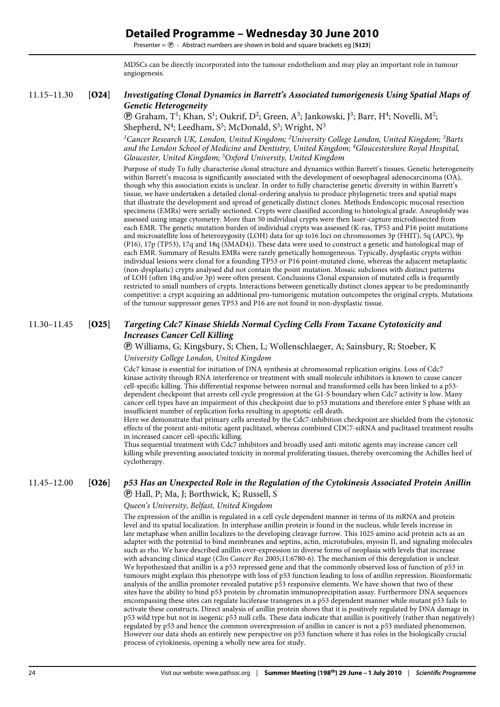Presenter =  $(P)$  · Abstract numbers are shown in bold and square brackets eg [S123]

MDSCs can be directly incorporated into the tumour endothelium and may play an important role in tumour angiogenesis.

#### 11.15–11.30 [O24] *Investigating Clonal Dynamics in Barrett's Associated tumorigenesis Using Spatial Maps of Genetic Heterogeneity*

P Graham, T1; Khan, S1; Oukrif, D2; Green, A3; Jankowski, J3; Barr, H4; Novelli, M2; Shepherd,  $N^4$ ; Leedham,  $S^5$ ; McDonald,  $S^3$ ; Wright,  $N^3$ 

*1Cancer Research UK, London, United Kingdom; 2University College London, United Kingdom; 3Barts and the London School of Medicine and Dentistry, United Kingdom; 4Gloucestershire Royal Hospital, Gloucester, United Kingdom; 5Oxford University, United Kingdom*

Purpose of study To fully characterise clonal structure and dynamics within Barrett's tissues. Genetic heterogeneity within Barrett's mucosa is significantly associated with the development of oesophageal adenocarcinoma (OA), though why this association exists is unclear. In order to fully characterise genetic diversity in within Barrett's tissue, we have undertaken a detailed clonal-ordering analysis to produce phylogenetic trees and spatial maps that illustrate the development and spread of genetically distinct clones. Methods Endoscopic mucosal resection specimens (EMRs) were serially sectioned. Crypts were classified according to histological grade. Aneuploidy was assessed using image cytometry. More than 50 individual crypts were then laser-capture microdissected from each EMR. The genetic mutation burden of individual crypts was assessed (K-ras, TP53 and P16 point mutations and microsatellite loss of heterozygosity (LOH) data for up to16 loci on chromosomes 3p (FHIT), 5q (APC), 9p (P16), 17p (TP53), 17q and 18q (SMAD4)). These data were used to construct a genetic and histological map of each EMR. Summary of Results EMRs were rarely genetically homogeneous. Typically, dysplastic crypts within individual lesions were clonal for a founding TP53 or P16 point-mutated clone, whereas the adjacent metaplastic (non-dysplastic) crypts analysed did not contain the point mutation. Mosaic subclones with distinct patterns of LOH (often 18q and/or 3p) were often present. Conclusions Clonal expansion of mutated cells is frequently restricted to small numbers of crypts. Interactions between genetically distinct clones appear to be predominantly competitive: a crypt acquiring an additional pro-tumorigenic mutation outcompetes the original crypts. Mutations of the tumour suppressor genes TP53 and P16 are not found in non-dysplastic tissue.

#### 11.30–11.45 [O25] *Targeting Cdc7 Kinase Shields Normal Cycling Cells From Taxane Cytotoxicity and Increases Cancer Cell Killing*

P Williams, G; Kingsbury, S; Chen, L; Wollenschlaeger, A; Sainsbury, R; Stoeber, K *University College London, United Kingdom*

Cdc7 kinase is essential for initiation of DNA synthesis at chromosomal replication origins. Loss of Cdc7 kinase activity through RNA interference or treatment with small molecule inhibitors is known to cause cancer cell-specific killing. This differential response between normal and transformed cells has been linked to a p53 dependent checkpoint that arrests cell cycle progression at the G1-S boundary when Cdc7 activity is low. Many cancer cell types have an impairment of this checkpoint due to p53 mutations and therefore enter S phase with an insufficient number of replication forks resulting in apoptotic cell death.

Here we demonstrate that primary cells arrested by the Cdc7-inhibition checkpoint are shielded from the cytotoxic effects of the potent anti-mitotic agent paclitaxel, whereas combined CDC7-siRNA and paclitaxel treatment results in increased cancer cell-specific killing.

Thus sequential treatment with Cdc7 inhibitors and broadly used anti-mitotic agents may increase cancer cell killing while preventing associated toxicity in normal proliferating tissues, thereby overcoming the Achilles heel of cyclotherapy.

#### 11.45–12.00 [O26] *p53 Has an Unexpected Role in the Regulation of the Cytokinesis Associated Protein Anillin* P Hall, P; Ma, J; Borthwick, K; Russell, S

#### *Queen's University, Belfast, United Kingdom*

The expression of the anillin is regulated in a cell cycle dependent manner in terms of its mRNA and protein level and its spatial localization. In interphase anillin protein is found in the nucleus, while levels increase in late metaphase when anillin localizes to the developing cleavage furrow. This 1025 amino acid protein acts as an adapter with the potential to bind membranes and septins, actin, microtubules, myosin II, and signaling molecules such as rho. We have described anillin over-expression in diverse forms of neoplasia with levels that increase with advancing clinical stage (*Clin Cancer Res* 2005;11:6780-6). The mechanism of this deregulation is unclear. We hypothesized that anillin is a p53 repressed gene and that the commonly observed loss of function of p53 in tumours might explain this phenotype with loss of p53 function leading to loss of anillin repression. Bioinformatic analysis of the anillin promoter revealed putative p53 responsive elements. We have shown that two of these sites have the ability to bind p53 protein by chromatin immunoprecipitation assay. Furthermore DNA sequences encompassing these sites can regulate luciferase transgenes in a p53 dependent manner while mutant p53 fails to activate these constructs. Direct analysis of anillin protein shows that it is positively regulated by DNA damage in p53 wild type but not in isogenic p53 null cells. These data indicate that anillin is positively (rather than negatively) regulated by p53 and hence the common overexpression of anillin in cancer is not a p53 mediated phenomenon. However our data sheds an entirely new perspective on p53 function where it has roles in the biologically crucial process of cytokinesis, opening a wholly new area for study.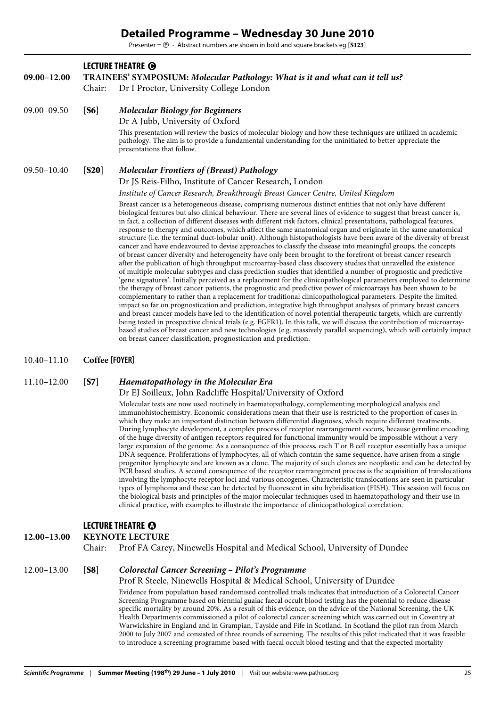Presenter =  $(P \cdot$  Abstract numbers are shown in bold and square brackets eg [S123]

#### **LECTURE THEATRE @**

### **09.00–12.00 TRAINEES' SYMPOSIUM:** *Molecular Pathology: What is it and what can it tell us?* Chair: Dr I Proctor, University College London

#### 09.00–09.50 [S6] *Molecular Biology for Beginners* Dr A Jubb, University of Oxford This presentation will review the basics of molecular biology and how these techniques are utilized in academic pathology. The aim is to provide a fundamental understanding for the uninitiated to better appreciate the presentations that follow.

#### 09.50–10.40 [S20] *Molecular Frontiers of (Breast) Pathology*

#### Dr JS Reis-Filho, Institute of Cancer Research, London

#### *Institute of Cancer Research, Breakthrough Breast Cancer Centre, United Kingdom*

Breast cancer is a heterogeneous disease, comprising numerous distinct entities that not only have different biological features but also clinical behaviour. There are several lines of evidence to suggest that breast cancer is, in fact, a collection of different diseases with different risk factors, clinical presentations, pathological features, response to therapy and outcomes, which affect the same anatomical organ and originate in the same anatomical structure (i.e. the terminal duct-lobular unit). Although histopathologists have been aware of the diversity of breast cancer and have endeavoured to devise approaches to classify the disease into meaningful groups, the concepts of breast cancer diversity and heterogeneity have only been brought to the forefront of breast cancer research after the publication of high throughput microarray-based class discovery studies that unravelled the existence of multiple molecular subtypes and class prediction studies that identified a number of prognostic and predictive 'gene signatures'. Initially perceived as a replacement for the clinicopathological parameters employed to determine the therapy of breast cancer patients, the prognostic and predictive power of microarrays has been shown to be complementary to rather than a replacement for traditional clinicopathological parameters. Despite the limited impact so far on prognostication and prediction, integrative high throughput analyses of primary breast cancers and breast cancer models have led to the identification of novel potential therapeutic targets, which are currently being tested in prospective clinical trials (e.g. FGFR1). In this talk, we will discuss the contribution of microarraybased studies of breast cancer and new technologies (e.g. massively parallel sequencing), which will certainly impact on breast cancer classification, prognostication and prediction.

#### 10.40–11.10 **Coffee [Foyer]**

#### 11.10–12.00 [S7] *Haematopathology in the Molecular Era*

#### Dr EJ Soilleux, John Radcliffe Hospital/University of Oxford

Molecular tests are now used routinely in haematopathology, complementing morphological analysis and immunohistochemistry. Economic considerations mean that their use is restricted to the proportion of cases in which they make an important distinction between differential diagnoses, which require different treatments. During lymphocyte development, a complex process of receptor rearrangement occurs, because germline encoding of the huge diversity of antigen receptors required for functional immunity would be impossible without a very large expansion of the genome. As a consequence of this process, each T or B cell receptor essentially has a unique DNA sequence. Proliferations of lymphocytes, all of which contain the same sequence, have arisen from a single progenitor lymphocyte and are known as a clone. The majority of such clones are neoplastic and can be detected by PCR based studies. A second consequence of the receptor rearrangement process is the acquisition of translocations involving the lymphocyte receptor loci and various oncogenes. Characteristic translocations are seen in particular types of lymphoma and these can be detected by fluorescent in situ hybridisation (FISH). This session will focus on the biological basis and principles of the major molecular techniques used in haematopathology and their use in clinical practice, with examples to illustrate the importance of clinicopathological correlation.

#### **LECTURE THEATRE**

### **12.00–13.00 KEYNOTE LECTURE**

### Chair: Prof FA Carey, Ninewells Hospital and Medical School, University of Dundee

#### 12.00–13.00 [S8] *Colorectal Cancer Screening – Pilot's Programme*

#### Prof R Steele, Ninewells Hospital & Medical School, University of Dundee

Evidence from population based randomised controlled trials indicates that introduction of a Colorectal Cancer Screening Programme based on biennial guaiac faecal occult blood testing has the potential to reduce disease specific mortality by around 20%. As a result of this evidence, on the advice of the National Screening, the UK Health Departments commissioned a pilot of colorectal cancer screening which was carried out in Coventry at Warwickshire in England and in Grampian, Tayside and Fife in Scotland. In Scotland the pilot ran from March 2000 to July 2007 and consisted of three rounds of screening. The results of this pilot indicated that it was feasible to introduce a screening programme based with faecal occult blood testing and that the expected mortality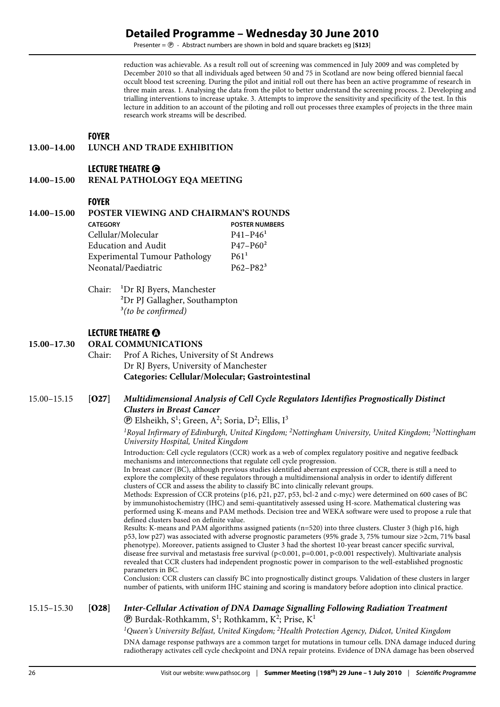Presenter =  $(P)$  · Abstract numbers are shown in bold and square brackets eg [S123]

reduction was achievable. As a result roll out of screening was commenced in July 2009 and was completed by December 2010 so that all individuals aged between 50 and 75 in Scotland are now being offered biennial faecal occult blood test screening. During the pilot and initial roll out there has been an active programme of research in three main areas. 1. Analysing the data from the pilot to better understand the screening process. 2. Developing and trialling interventions to increase uptake. 3. Attempts to improve the sensitivity and specificity of the test. In this lecture in addition to an account of the piloting and roll out processes three examples of projects in the three main research work streams will be described.

#### **FOYER**

**13.00–14.00 Lunch and trade EXHIBITION**

#### **LECTURE THEATRE @**

**14.00–15.00 Renal Pathology EQA Meeting**

#### **FOYER**

**14.00–15.00 Poster viewing and Chairman's Rounds CATEGORY POSTER NUMBERS** Cellular/Molecular P41-P46<sup>1</sup> Education and Audit P47–P60<sup>2</sup> Experimental Tumour Pathology  $P61<sup>1</sup>$ Neonatal/Paediatric P62–P82<sup>3</sup>

> Chair: <sup>1</sup>Dr RJ Byers, Manchester ²Dr PJ Gallagher, Southampton ³*(to be confirmed)*

#### **LECTURE THEATRE**  $\Omega$

#### **15.00–17.30 ORAL COMMUNICATIONS**

Chair: Prof A Riches, University of St Andrews Dr RJ Byers, University of Manchester **Categories: Cellular/Molecular; Gastrointestinal**

#### 15.00–15.15 [O27] *Multidimensional Analysis of Cell Cycle Regulators Identifies Prognostically Distinct Clusters in Breast Cancer*

 $\circledR$  Elsheikh, S<sup>1</sup>; Green, A<sup>2</sup>; Soria, D<sup>2</sup>; Ellis, I<sup>3</sup>

*1Royal Infirmary of Edinburgh, United Kingdom; 2Nottingham University, United Kingdom; 3Nottingham University Hospital, United Kingdom*

Introduction: Cell cycle regulators (CCR) work as a web of complex regulatory positive and negative feedback mechanisms and interconnections that regulate cell cycle progression.

In breast cancer (BC), although previous studies identified aberrant expression of CCR, there is still a need to explore the complexity of these regulators through a multidimensional analysis in order to identify different clusters of CCR and assess the ability to classify BC into clinically relevant groups.

Methods: Expression of CCR proteins (p16, p21, p27, p53, bcl-2 and c-myc) were determined on 600 cases of BC by immunohistochemistry (IHC) and semi-quantitatively assessed using H-score. Mathematical clustering was performed using K-means and PAM methods. Decision tree and WEKA software were used to propose a rule that defined clusters based on definite value.

Results: K-means and PAM algorithms assigned patients (n=520) into three clusters. Cluster 3 (high p16, high p53, low p27) was associated with adverse prognostic parameters (95% grade 3, 75% tumour size >2cm, 71% basal phenotype). Moreover, patients assigned to Cluster 3 had the shortest 10-year breast cancer specific survival, disease free survival and metastasis free survival (p<0.001, p=0.001, p<0.001 respectively). Multivariate analysis revealed that CCR clusters had independent prognostic power in comparison to the well-established prognostic parameters in BC.

Conclusion: CCR clusters can classify BC into prognostically distinct groups. Validation of these clusters in larger number of patients, with uniform IHC staining and scoring is mandatory before adoption into clinical practice.

#### 15.15–15.30 [O28] *Inter-Cellular Activation of DNA Damage Signalling Following Radiation Treatment*  $\mathcal{P}$  Burdak-Rothkamm, S<sup>1</sup>; Rothkamm, K<sup>2</sup>; Prise, K<sup>1</sup>

*1Queen's University Belfast, United Kingdom; 2Health Protection Agency, Didcot, United Kingdom* DNA damage response pathways are a common target for mutations in tumour cells. DNA damage induced during radiotherapy activates cell cycle checkpoint and DNA repair proteins. Evidence of DNA damage has been observed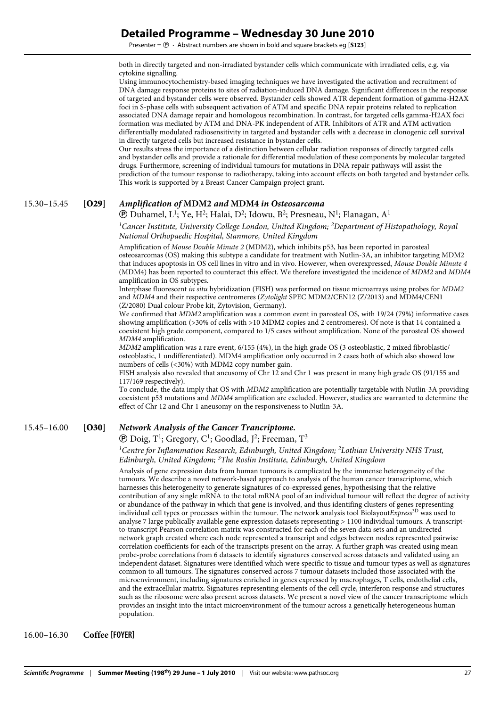Presenter =  $\circled{P}$  · Abstract numbers are shown in bold and square brackets eg [S123]

both in directly targeted and non-irradiated bystander cells which communicate with irradiated cells, e.g. via cytokine signalling.

Using immunocytochemistry-based imaging techniques we have investigated the activation and recruitment of DNA damage response proteins to sites of radiation-induced DNA damage. Significant differences in the response of targeted and bystander cells were observed. Bystander cells showed ATR dependent formation of gamma-H2AX foci in S-phase cells with subsequent activation of ATM and specific DNA repair proteins related to replication associated DNA damage repair and homologous recombination. In contrast, for targeted cells gamma-H2AX foci formation was mediated by ATM and DNA-PK independent of ATR. Inhibitors of ATR and ATM activation differentially modulated radiosensitivity in targeted and bystander cells with a decrease in clonogenic cell survival in directly targeted cells but increased resistance in bystander cells.

Our results stress the importance of a distinction between cellular radiation responses of directly targeted cells and bystander cells and provide a rationale for differential modulation of these components by molecular targeted drugs. Furthermore, screening of individual tumours for mutations in DNA repair pathways will assist the prediction of the tumour response to radiotherapy, taking into account effects on both targeted and bystander cells. This work is supported by a Breast Cancer Campaign project grant.

#### 15.30–15.45 [O29] *Amplification of* **MDM2** *and* **MDM4** *in Osteosarcoma*

 $\textcircled{P}$  Duhamel, L<sup>1</sup>; Ye, H<sup>2</sup>; Halai, D<sup>2</sup>; Idowu, B<sup>2</sup>; Presneau, N<sup>1</sup>; Flanagan, A<sup>1</sup>

*1Cancer Institute, University College London, United Kingdom; 2Department of Histopathology, Royal National Orthopaedic Hospital, Stanmore, United Kingdom*

Amplification of *Mouse Double Minute 2* (MDM2), which inhibits p53, has been reported in parosteal osteosarcomas (OS) making this subtype a candidate for treatment with Nutlin-3A, an inhibitor targeting MDM2 that induces apoptosis in OS cell lines in vitro and in vivo. However, when overexpressed, *Mouse Double Minute 4* (MDM4) has been reported to counteract this effect. We therefore investigated the incidence of *MDM2* and *MDM4* amplification in OS subtypes.

Interphase fluorescent *in situ* hybridization (FISH) was performed on tissue microarrays using probes for *MDM2* and *MDM4* and their respective centromeres (*Zytolight* SPEC MDM2/CEN12 (Z/2013) and MDM4/CEN1 (Z/2080) Dual colour Probe kit, Zytovision, Germany).

We confirmed that *MDM2* amplification was a common event in parosteal OS, with 19/24 (79%) informative cases showing amplification (>30% of cells with >10 MDM2 copies and 2 centromeres). Of note is that 14 contained a coexistent high grade component, compared to 1/5 cases without amplification. None of the parosteal OS showed *MDM4* amplification.

*MDM2* amplification was a rare event, 6/155 (4%), in the high grade OS (3 osteoblastic, 2 mixed fibroblastic/ osteoblastic, 1 undifferentiated). MDM4 amplification only occurred in 2 cases both of which also showed low numbers of cells (<30%) with MDM2 copy number gain.

FISH analysis also revealed that aneusomy of Chr 12 and Chr 1 was present in many high grade OS (91/155 and 117/169 respectively).

To conclude, the data imply that OS with *MDM2* amplification are potentially targetable with Nutlin-3A providing coexistent p53 mutations and *MDM4* amplification are excluded. However, studies are warranted to determine the effect of Chr 12 and Chr 1 aneusomy on the responsiveness to Nutlin-3A.

## 15.45–16.00 [O30] *Network Analysis of the Cancer Trancriptome.*

#### $\textcircled{P}$  Doig, T<sup>1</sup>; Gregory, C<sup>1</sup>; Goodlad, J<sup>2</sup>; Freeman, T<sup>3</sup>

*1Centre for Inflammation Research, Edinburgh, United Kingdom; 2Lothian University NHS Trust, Edinburgh, United Kingdom; 3The Roslin Institute, Edinburgh, United Kingdom*

Analysis of gene expression data from human tumours is complicated by the immense heterogeneity of the tumours. We describe a novel network-based approach to analysis of the human cancer transcriptome, which harnesses this heterogeneity to generate signatures of co-expressed genes, hypothesising that the relative contribution of any single mRNA to the total mRNA pool of an individual tumour will reflect the degree of activity or abundance of the pathway in which that gene is involved, and thus identifing clusters of genes representing individual cell types or processes within the tumour. The network analysis tool Biolayout*Express*3D was used to analyse 7 large publically available gene expression datasets representing > 1100 individual tumours. A transcriptto-transcript Pearson correlation matrix was constructed for each of the seven data sets and an undirected network graph created where each node represented a transcript and edges between nodes represented pairwise correlation coefficients for each of the transcripts present on the array. A further graph was created using mean probe-probe correlations from 6 datasets to identify signatures conserved across datasets and validated using an independent dataset. Signatures were identified which were specific to tissue and tumour types as well as signatures common to all tumours. The signatures conserved across 7 tumour datasets included those associated with the microenvironment, including signatures enriched in genes expressed by macrophages, T cells, endothelial cells, and the extracellular matrix. Signatures representing elements of the cell cycle, interferon response and structures such as the ribosome were also present across datasets. We present a novel view of the cancer transcriptome which provides an insight into the intact microenvironment of the tumour across a genetically heterogeneous human population.

#### 16.00–16.30 **Coffee [Foyer]**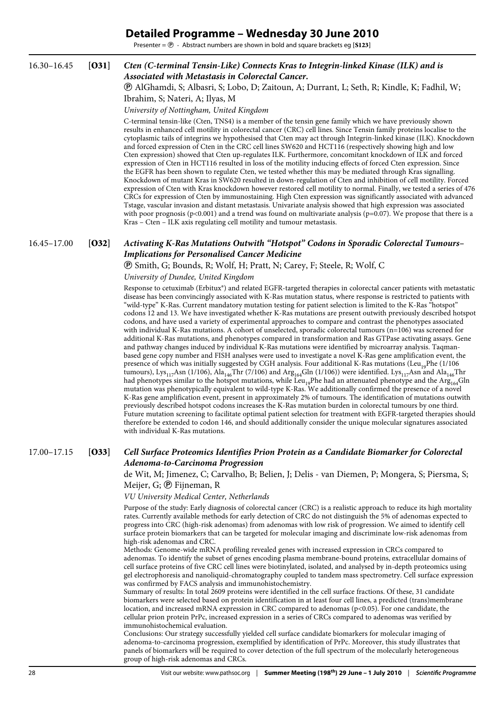Presenter =  $(P \cdot$  Abstract numbers are shown in bold and square brackets eg [S123]

## 16.30–16.45 [O31] *Cten (C-terminal Tensin-Like) Connects Kras to Integrin-linked Kinase (ILK) and is*

*Associated with Metastasis in Colorectal Cancer.*

P AlGhamdi, S; Albasri, S; Lobo, D; Zaitoun, A; Durrant, L; Seth, R; Kindle, K; Fadhil, W; Ibrahim, S; Nateri, A; Ilyas, M

*University of Nottingham, United Kingdom*

C-terminal tensin-like (Cten, TNS4) is a member of the tensin gene family which we have previously shown results in enhanced cell motility in colorectal cancer (CRC) cell lines. Since Tensin family proteins localise to the cytoplasmic tails of integrins we hypothesised that Cten may act through Integrin-linked kinase (ILK). Knockdown and forced expression of Cten in the CRC cell lines SW620 and HCT116 (respectively showing high and low Cten expression) showed that Cten up-regulates ILK. Furthermore, concomitant knockdown of ILK and forced expression of Cten in HCT116 resulted in loss of the motility inducing effects of forced Cten expression. Since the EGFR has been shown to regulate Cten, we tested whether this may be mediated through Kras signalling. Knockdown of mutant Kras in SW620 resulted in down-regulation of Cten and inhibition of cell motility. Forced expression of Cten with Kras knockdown however restored cell motility to normal. Finally, we tested a series of 476 CRCs for expression of Cten by immunostaining. High Cten expression was significantly associated with advanced Tstage, vascular invasion and distant metastasis. Univariate analysis showed that high expression was associated with poor prognosis ( $p<0.001$ ) and a trend was found on multivariate analysis ( $p=0.07$ ). We propose that there is a Kras – Cten – ILK axis regulating cell motility and tumour metastasis.

#### 16.45–17.00 [O32] *Activating K-Ras Mutations Outwith "Hotspot" Codons in Sporadic Colorectal Tumours– Implications for Personalised Cancer Medicine*

P Smith, G; Bounds, R; Wolf, H; Pratt, N; Carey, F; Steele, R; Wolf, C

*University of Dundee, United Kingdom*

Response to cetuximab (Erbitux®) and related EGFR-targeted therapies in colorectal cancer patients with metastatic disease has been convincingly associated with K-Ras mutation status, where response is restricted to patients with "wild-type" K-Ras. Current mandatory mutation testing for patient selection is limited to the K-Ras "hotspot" codons 12 and 13. We have investigated whether K-Ras mutations are present outwith previously described hotspot codons, and have used a variety of experimental approaches to compare and contrast the phenotypes associated with individual K-Ras mutations. A cohort of unselected, sporadic colorectal tumours (n=106) was screened for additional K-Ras mutations, and phenotypes compared in transformation and Ras GTPase activating assays. Gene and pathway changes induced by individual K-Ras mutations were identified by microarray analysis. Taqmanbased gene copy number and FISH analyses were used to investigate a novel K-Ras gene amplification event, the presence of which was initially suggested by CGH analysis. Four additional K-Ras mutations (Leu<sub>10</sub>Phe (1/106 tumours), Lys<sub>117</sub>Asn (1/106), Ala<sub>146</sub>Thr (7/106) and Arg<sub>164</sub>Gln (1/106)) were identified. Lys<sub>117</sub>Asn and Ala<sub>146</sub>Thr had phenotypes similar to the hotspot mutations, while Leu<sub>19</sub>Phe had an attenuated phenotype and the Arg<sub>164</sub>Gln mutation was phenotypically equivalent to wild-type K-Ras. We additionally confirmed the presence of a novel K-Ras gene amplification event, present in approximately 2% of tumours. The identification of mutations outwith previously described hotspot codons increases the K-Ras mutation burden in colorectal tumours by one third. Future mutation screening to facilitate optimal patient selection for treatment with EGFR-targeted therapies should therefore be extended to codon 146, and should additionally consider the unique molecular signatures associated with individual K-Ras mutations.

#### 17.00–17.15 [O33] *Cell Surface Proteomics Identifies Prion Protein as a Candidate Biomarker for Colorectal Adenoma-to-Carcinoma Progression*

de Wit, M; Jimenez, C; Carvalho, B; Belien, J; Delis - van Diemen, P; Mongera, S; Piersma, S; Meijer, G; **D** Fijneman, R

#### *VU University Medical Center, Netherlands*

Purpose of the study: Early diagnosis of colorectal cancer (CRC) is a realistic approach to reduce its high mortality rates. Currently available methods for early detection of CRC do not distinguish the 5% of adenomas expected to progress into CRC (high-risk adenomas) from adenomas with low risk of progression. We aimed to identify cell surface protein biomarkers that can be targeted for molecular imaging and discriminate low-risk adenomas from high-risk adenomas and CRC.

Methods: Genome-wide mRNA profiling revealed genes with increased expression in CRCs compared to adenomas. To identify the subset of genes encoding plasma membrane-bound proteins, extracellular domains of cell surface proteins of five CRC cell lines were biotinylated, isolated, and analysed by in-depth proteomics using gel electrophoresis and nanoliquid-chromatography coupled to tandem mass spectrometry. Cell surface expression was confirmed by FACS analysis and immunohistochemistry.

Summary of results: In total 2609 proteins were identified in the cell surface fractions. Of these, 31 candidate biomarkers were selected based on protein identification in at least four cell lines, a predicted (trans)membrane location, and increased mRNA expression in CRC compared to adenomas (p<0.05). For one candidate, the cellular prion protein PrPc, increased expression in a series of CRCs compared to adenomas was verified by immunohistochemical evaluation.

Conclusions: Our strategy successfully yielded cell surface candidate biomarkers for molecular imaging of adenoma-to-carcinoma progression, exemplified by identification of PrPc. Moreover, this study illustrates that panels of biomarkers will be required to cover detection of the full spectrum of the molecularly heterogeneous group of high-risk adenomas and CRCs.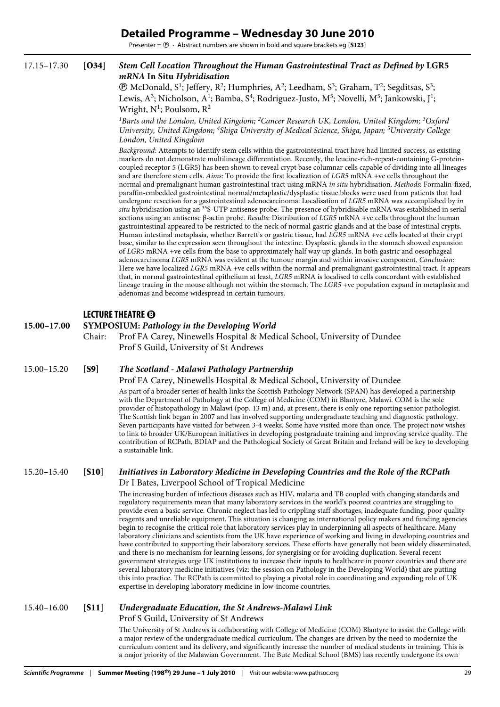Presenter =  $\circled{P}$  · Abstract numbers are shown in bold and square brackets eg [S123]

#### 17.15–17.30 [O34] *Stem Cell Location Throughout the Human Gastrointestinal Tract as Defined by* **LGR5** *mRNA* **In Situ** *Hybridisation*

 $\textcircled{P}$  McDonald, S<sup>1</sup>; Jeffery, R<sup>2</sup>; Humphries, A<sup>2</sup>; Leedham, S<sup>3</sup>; Graham, T<sup>2</sup>; Segditsas, S<sup>3</sup>; Lewis,  $A^3$ ; Nicholson,  $A^1$ ; Bamba,  $S^4$ ; Rodriguez-Justo,  $M^5$ ; Novelli,  $M^5$ ; Jankowski, J<sup>1</sup>; Wright,  $N^1$ ; Poulsom,  $R^2$ 

*1Barts and the London, United Kingdom; 2Cancer Research UK, London, United Kingdom; 3Oxford University, United Kingdom; 4Shiga University of Medical Science, Shiga, Japan; 5University College London, United Kingdom*

*Background*: Attempts to identify stem cells within the gastrointestinal tract have had limited success, as existing markers do not demonstrate multilineage differentiation. Recently, the leucine-rich-repeat-containing G-proteincoupled receptor 5 (LGR5) has been shown to reveal crypt base columnar cells capable of dividing into all lineages and are therefore stem cells. *Aims*: To provide the first localization of *LGR5* mRNA +ve cells throughout the normal and premalignant human gastrointestinal tract using mRNA *in situ* hybridisation. *Methods*: Formalin-fixed, paraffin-embedded gastrointestinal normal/metaplastic/dysplastic tissue blocks were used from patients that had undergone resection for a gastrointestinal adenocarcinoma. Localisation of *LGR5* mRNA was accomplished by *in situ* hybridisation using an 35S-UTP antisense probe. The presence of hybridisable mRNA was established in serial sections using an antisense β-actin probe. *Results*: Distribution of *LGR5* mRNA +ve cells throughout the human gastrointestinal appeared to be restricted to the neck of normal gastric glands and at the base of intestinal crypts. Human intestinal metaplasia, whether Barrett's or gastric tissue, had *LGR5* mRNA +ve cells located at their crypt base, similar to the expression seen throughout the intestine. Dysplastic glands in the stomach showed expansion of *LGR5* mRNA +ve cells from the base to approximately half way up glands. In both gastric and oesophageal adenocarcinoma *LGR5* mRNA was evident at the tumour margin and within invasive component. *Conclusion*: Here we have localized *LGR5* mRNA +ve cells within the normal and premalignant gastrointestinal tract. It appears that, in normal gastrointestinal epithelium at least, *LGR5* mRNA is localised to cells concordant with established lineage tracing in the mouse although not within the stomach. The *LGR5* +ve population expand in metaplasia and adenomas and become widespread in certain tumours.

#### **LECTURE THEATRE <sup>®</sup>**

#### **15.00–17.00 SYMPOSIUM:** *Pathology in the Developing World*

Chair: Prof FA Carey, Ninewells Hospital & Medical School, University of Dundee Prof S Guild, University of St Andrews

#### 15.00–15.20 [S9] *The Scotland - Malawi Pathology Partnership*

Prof FA Carey, Ninewells Hospital & Medical School, University of Dundee

As part of a broader series of health links the Scottish Pathology Network (SPAN) has developed a partnership with the Department of Pathology at the College of Medicine (COM) in Blantyre, Malawi. COM is the sole provider of histopathology in Malawi (pop. 13 m) and, at present, there is only one reporting senior pathologist. The Scottish link began in 2007 and has involved supporting undergraduate teaching and diagnostic pathology. Seven participants have visited for between 3-4 weeks. Some have visited more than once. The project now wishes to link to broader UK/European initiatives in developing postgraduate training and improving service quality. The contribution of RCPath, BDIAP and the Pathological Society of Great Britain and Ireland will be key to developing a sustainable link.

#### 15.20–15.40 [S10] *Initiatives in Laboratory Medicine in Developing Countries and the Role of the RCPath* Dr I Bates, Liverpool School of Tropical Medicine

The increasing burden of infectious diseases such as HIV, malaria and TB coupled with changing standards and regulatory requirements mean that many laboratory services in the world's poorest countries are struggling to provide even a basic service. Chronic neglect has led to crippling staff shortages, inadequate funding, poor quality reagents and unreliable equipment. This situation is changing as international policy makers and funding agencies begin to recognise the critical role that laboratory services play in underpinning all aspects of healthcare. Many laboratory clinicians and scientists from the UK have experience of working and living in developing countries and have contributed to supporting their laboratory services. These efforts have generally not been widely disseminated, and there is no mechanism for learning lessons, for synergising or for avoiding duplication. Several recent government strategies urge UK institutions to increase their inputs to healthcare in poorer countries and there are several laboratory medicine initiatives (viz: the session on Pathology in the Developing World) that are putting this into practice. The RCPath is committed to playing a pivotal role in coordinating and expanding role of UK expertise in developing laboratory medicine in low-income countries.

#### 15.40–16.00 [S11] *Undergraduate Education, the St Andrews-Malawi Link* Prof S Guild, University of St Andrews

The University of St Andrews is collaborating with College of Medicine (COM) Blantyre to assist the College with a major review of the undergraduate medical curriculum. The changes are driven by the need to modernize the curriculum content and its delivery, and significantly increase the number of medical students in training. This is a major priority of the Malawian Government. The Bute Medical School (BMS) has recently undergone its own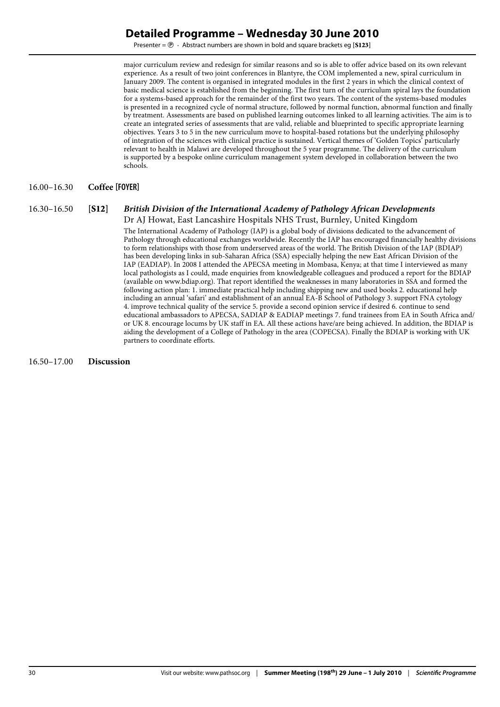Presenter =  $(P \cdot$  Abstract numbers are shown in bold and square brackets eg [S123]

major curriculum review and redesign for similar reasons and so is able to offer advice based on its own relevant experience. As a result of two joint conferences in Blantyre, the COM implemented a new, spiral curriculum in January 2009. The content is organised in integrated modules in the first 2 years in which the clinical context of basic medical science is established from the beginning. The first turn of the curriculum spiral lays the foundation for a systems-based approach for the remainder of the first two years. The content of the systems-based modules is presented in a recognized cycle of normal structure, followed by normal function, abnormal function and finally by treatment. Assessments are based on published learning outcomes linked to all learning activities. The aim is to create an integrated series of assessments that are valid, reliable and blueprinted to specific appropriate learning objectives. Years 3 to 5 in the new curriculum move to hospital-based rotations but the underlying philosophy of integration of the sciences with clinical practice is sustained. Vertical themes of 'Golden Topics' particularly relevant to health in Malawi are developed throughout the 5 year programme. The delivery of the curriculum is supported by a bespoke online curriculum management system developed in collaboration between the two schools.

#### 16.00–16.30 **Coffee [Foyer]**

#### 16.30–16.50 [S12] *British Division of the International Academy of Pathology African Developments*

Dr AJ Howat, East Lancashire Hospitals NHS Trust, Burnley, United Kingdom The International Academy of Pathology (IAP) is a global body of divisions dedicated to the advancement of Pathology through educational exchanges worldwide. Recently the IAP has encouraged financially healthy divisions to form relationships with those from underserved areas of the world. The British Division of the IAP (BDIAP) has been developing links in sub-Saharan Africa (SSA) especially helping the new East African Division of the IAP (EADIAP). In 2008 I attended the APECSA meeting in Mombasa, Kenya; at that time I interviewed as many local pathologists as I could, made enquiries from knowledgeable colleagues and produced a report for the BDIAP (available on www.bdiap.org). That report identified the weaknesses in many laboratories in SSA and formed the following action plan: 1. immediate practical help including shipping new and used books 2. educational help including an annual 'safari' and establishment of an annual EA-B School of Pathology 3. support FNA cytology 4. improve technical quality of the service 5. provide a second opinion service if desired 6. continue to send educational ambassadors to APECSA, SADIAP & EADIAP meetings 7. fund trainees from EA in South Africa and/ or UK 8. encourage locums by UK staff in EA. All these actions have/are being achieved. In addition, the BDIAP is aiding the development of a College of Pathology in the area (COPECSA). Finally the BDIAP is working with UK partners to coordinate efforts.

#### 16.50–17.00 **Discussion**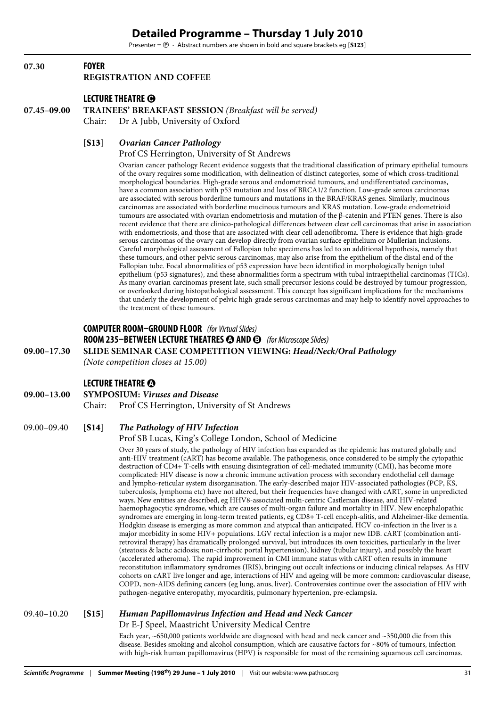Presenter =  $\circled{P}$  · Abstract numbers are shown in bold and square brackets eg [S123]

#### **07.30 Foyer Registration and Coffee**

#### **LECTURE THEATRE @**

**07.45–09.00 TRAINEES' BREAKFAST SESSION** *(Breakfast will be served)* Chair: Dr A Jubb, University of Oxford

[S13] *Ovarian Cancer Pathology*

Prof CS Herrington, University of St Andrews

Ovarian cancer pathology Recent evidence suggests that the traditional classification of primary epithelial tumours of the ovary requires some modification, with delineation of distinct categories, some of which cross-traditional morphological boundaries. High-grade serous and endometrioid tumours, and undifferentiated carcinomas, have a common association with p53 mutation and loss of BRCA1/2 function. Low-grade serous carcinomas are associated with serous borderline tumours and mutations in the BRAF/KRAS genes. Similarly, mucinous carcinomas are associated with borderline mucinous tumours and KRAS mutation. Low-grade endometrioid tumours are associated with ovarian endometriosis and mutation of the β-catenin and PTEN genes. There is also recent evidence that there are clinico-pathological differences between clear cell carcinomas that arise in association with endometriosis, and those that are associated with clear cell adenofibroma. There is evidence that high-grade serous carcinomas of the ovary can develop directly from ovarian surface epithelium or Mullerian inclusions. Careful morphological assessment of Fallopian tube specimens has led to an additional hypothesis, namely that these tumours, and other pelvic serous carcinomas, may also arise from the epithelium of the distal end of the Fallopian tube. Focal abnormalities of p53 expression have been identified in morphologically benign tubal epithelium (p53 signatures), and these abnormalities form a spectrum with tubal intraepithelial carcinomas (TICs). As many ovarian carcinomas present late, such small precursor lesions could be destroyed by tumour progression, or overlooked during histopathological assessment. This concept has significant implications for the mechanisms that underly the development of pelvic high-grade serous carcinomas and may help to identify novel approaches to the treatment of these tumours.

#### **COMPUTER ROOM–Ground Floor** *(for Virtual Slides)*  **ROOM 235–BETWEEN LECTURE THEATRES @ AND <sup>B</sup> (for Microscope Slides)**

## **09.00–17.30 Slide seminar CASE competition viewing:** *Head/Neck/Oral Pathology*

*(Note competition closes at 15.00)*

#### **LECTURE THEATRE**

**09.00–13.00 SYMPOSIUM:** *Viruses and Disease*

Chair: Prof CS Herrington, University of St Andrews

#### 09.00–09.40 [S14] *The Pathology of HIV Infection*

Prof SB Lucas, King's College London, School of Medicine

Over 30 years of study, the pathology of HIV infection has expanded as the epidemic has matured globally and anti-HIV treatment (cART) has become available. The pathogenesis, once considered to be simply the cytopathic destruction of CD4+ T-cells with ensuing disintegration of cell-mediated immunity (CMI), has become more complicated: HIV disease is now a chronic immune activation process with secondary endothelial cell damage and lympho-reticular system disorganisation. The early-described major HIV-associated pathologies (PCP, KS, tuberculosis, lymphoma etc) have not altered, but their frequencies have changed with cART, some in unpredicted ways. New entities are described, eg HHV8-associated multi-centric Castleman disease, and HIV-related haemophagocytic syndrome, which are causes of multi-organ failure and mortality in HIV. New encephalopathic syndromes are emerging in long-term treated patients, eg CD8+ T-cell enceph-alitis, and Alzheimer-like dementia. Hodgkin disease is emerging as more common and atypical than anticipated. HCV co-infection in the liver is a major morbidity in some HIV+ populations. LGV rectal infection is a major new IDB. cART (combination antiretroviral therapy) has dramatically prolonged survival, but introduces its own toxicities, particularly in the liver (steatosis & lactic acidosis; non-cirrhotic portal hypertension), kidney (tubular injury), and possibly the heart (accelerated atheroma). The rapid improvement in CMI immune status with cART often results in immune reconstitution inflammatory syndromes (IRIS), bringing out occult infections or inducing clinical relapses. As HIV cohorts on cART live longer and age, interactions of HIV and ageing will be more common: cardiovascular disease, COPD, non-AIDS defining cancers (eg lung, anus, liver). Controversies continue over the association of HIV with pathogen-negative enteropathy, myocarditis, pulmonary hypertenion, pre-eclampsia.

#### 09.40–10.20 [S15] *Human Papillomavirus Infection and Head and Neck Cancer*

#### Dr E-J Speel, Maastricht University Medical Centre

Each year, ~650,000 patients worldwide are diagnosed with head and neck cancer and ~350,000 die from this disease. Besides smoking and alcohol consumption, which are causative factors for ~80% of tumours, infection with high-risk human papillomavirus (HPV) is responsible for most of the remaining squamous cell carcinomas.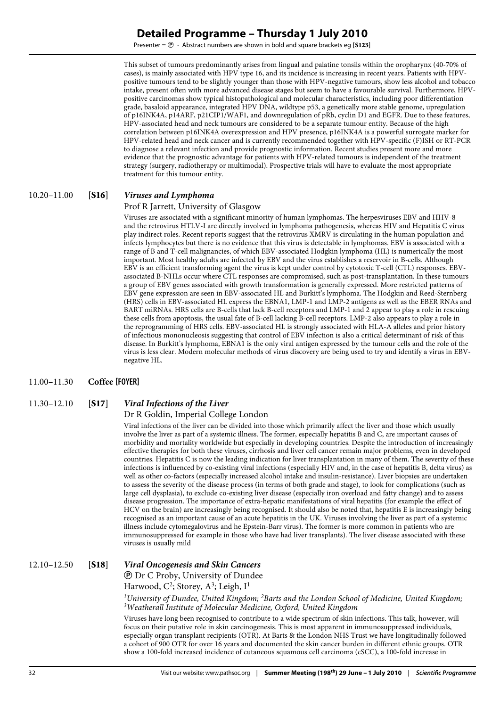Presenter =  $(P)$  · Abstract numbers are shown in bold and square brackets eg [S123]

This subset of tumours predominantly arises from lingual and palatine tonsils within the oropharynx (40-70% of cases), is mainly associated with HPV type 16, and its incidence is increasing in recent years. Patients with HPVpositive tumours tend to be slightly younger than those with HPV-negative tumours, show less alcohol and tobacco intake, present often with more advanced disease stages but seem to have a favourable survival. Furthermore, HPVpositive carcinomas show typical histopathological and molecular characteristics, including poor differentiation grade, basaloid appearance, integrated HPV DNA, wildtype p53, a genetically more stable genome, upregulation of p16INK4A, p14ARF, p21CIP1/WAF1, and downregulation of pRb, cyclin D1 and EGFR. Due to these features, HPV-associated head and neck tumours are considered to be a separate tumour entity. Because of the high correlation between p16INK4A overexpression and HPV presence, p16INK4A is a powerful surrogate marker for HPV-related head and neck cancer and is currently recommended together with HPV-specific (F)ISH or RT-PCR to diagnose a relevant infection and provide prognostic information. Recent studies present more and more evidence that the prognostic advantage for patients with HPV-related tumours is independent of the treatment strategy (surgery, radiotherapy or multimodal). Prospective trials will have to evaluate the most appropriate treatment for this tumour entity.

#### 10.20–11.00 [S16] *Viruses and Lymphoma*

#### Prof R Jarrett, University of Glasgow

Viruses are associated with a significant minority of human lymphomas. The herpesviruses EBV and HHV-8 and the retrovirus HTLV-I are directly involved in lymphoma pathogenesis, whereas HIV and Hepatitis C virus play indirect roles. Recent reports suggest that the retrovirus XMRV is circulating in the human population and infects lymphocytes but there is no evidence that this virus is detectable in lymphomas. EBV is associated with a range of B and T-cell malignancies, of which EBV-associated Hodgkin lymphoma (HL) is numerically the most important. Most healthy adults are infected by EBV and the virus establishes a reservoir in B-cells. Although EBV is an efficient transforming agent the virus is kept under control by cytotoxic T-cell (CTL) responses. EBVassociated B-NHLs occur where CTL responses are compromised, such as post-transplantation. In these tumours a group of EBV genes associated with growth transformation is generally expressed. More restricted patterns of EBV gene expression are seen in EBV-associated HL and Burkitt's lymphoma. The Hodgkin and Reed-Sternberg (HRS) cells in EBV-associated HL express the EBNA1, LMP-1 and LMP-2 antigens as well as the EBER RNAs and BART miRNAs. HRS cells are B-cells that lack B-cell receptors and LMP-1 and 2 appear to play a role in rescuing these cells from apoptosis, the usual fate of B-cell lacking B-cell receptors. LMP-2 also appears to play a role in the reprogramming of HRS cells. EBV-associated HL is strongly associated with HLA-A alleles and prior history of infectious mononucleosis suggesting that control of EBV infection is also a critical determinant of risk of this disease. In Burkitt's lymphoma, EBNA1 is the only viral antigen expressed by the tumour cells and the role of the virus is less clear. Modern molecular methods of virus discovery are being used to try and identify a virus in EBVnegative HL.

#### 11.00–11.30 **Coffee [Foyer]**

#### 11.30–12.10 [S17] *Viral Infections of the Liver*

#### Dr R Goldin, Imperial College London

Viral infections of the liver can be divided into those which primarily affect the liver and those which usually involve the liver as part of a systemic illness. The former, especially hepatitis B and C, are important causes of morbidity and mortality worldwide but especially in developing countries. Despite the introduction of increasingly effective therapies for both these viruses, cirrhosis and liver cell cancer remain major problems, even in developed countries. Hepatitis C is now the leading indication for liver transplantation in many of them. The severity of these infections is influenced by co-existing viral infections (especially HIV and, in the case of hepatitis B, delta virus) as well as other co-factors (especially increased alcohol intake and insulin-resistance). Liver biopsies are undertaken to assess the severity of the disease process (in terms of both grade and stage), to look for complications (such as large cell dysplasia), to exclude co-existing liver disease (especially iron overload and fatty change) and to assess disease progression. The importance of extra-hepatic manifestations of viral hepatitis (for example the effect of HCV on the brain) are increasingly being recognised. It should also be noted that, hepatitis E is increasingly being recognised as an important cause of an acute hepatitis in the UK. Viruses involving the liver as part of a systemic illness include cytomegalovirus and he Epstein-Barr virus). The former is more common in patients who are immunosuppressed for example in those who have had liver transplants). The liver disease associated with these viruses is usually mild

#### 12.10–12.50 [S18] *Viral Oncogenesis and Skin Cancers*

P Dr C Proby, University of Dundee Harwood,  $C^2$ ; Storey,  $A^3$ ; Leigh,  $I^1$ 

*1University of Dundee, United Kingdom; 2Barts and the London School of Medicine, United Kingdom; 3Weatherall Institute of Molecular Medicine, Oxford, United Kingdom*

Viruses have long been recognised to contribute to a wide spectrum of skin infections. This talk, however, will focus on their putative role in skin carcinogenesis. This is most apparent in immunosuppressed individuals, especially organ transplant recipients (OTR). At Barts & the London NHS Trust we have longitudinally followed a cohort of 900 OTR for over 16 years and documented the skin cancer burden in different ethnic groups. OTR show a 100-fold increased incidence of cutaneous squamous cell carcinoma (cSCC), a 100-fold increase in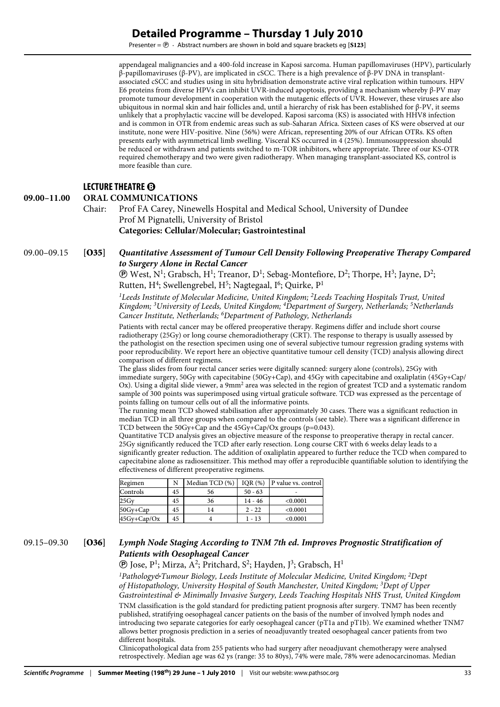Presenter =  $\circled{P}$  · Abstract numbers are shown in bold and square brackets eg [S123]

appendageal malignancies and a 400-fold increase in Kaposi sarcoma. Human papillomaviruses (HPV), particularly β-papillomaviruses (β-PV), are implicated in cSCC. There is a high prevalence of β-PV DNA in transplantassociated cSCC and studies using in situ hybridisation demonstrate active viral replication within tumours. HPV E6 proteins from diverse HPVs can inhibit UVR-induced apoptosis, providing a mechanism whereby β-PV may promote tumour development in cooperation with the mutagenic effects of UVR. However, these viruses are also ubiquitous in normal skin and hair follicles and, until a hierarchy of risk has been established for β-PV, it seems unlikely that a prophylactic vaccine will be developed. Kaposi sarcoma (KS) is associated with HHV8 infection and is common in OTR from endemic areas such as sub-Saharan Africa. Sixteen cases of KS were observed at our institute, none were HIV-positive. Nine (56%) were African, representing 20% of our African OTRs. KS often presents early with asymmetrical limb swelling. Visceral KS occurred in 4 (25%). Immunosuppression should be reduced or withdrawn and patients switched to m-TOR inhibitors, where appropriate. Three of our KS-OTR required chemotherapy and two were given radiotherapy. When managing transplant-associated KS, control is more feasible than cure.

#### **LECTURE THEATRE B**

**09.00–11.00 ORAL COMMUNICATIONS**

Chair: Prof FA Carey, Ninewells Hospital and Medical School, University of Dundee Prof M Pignatelli, University of Bristol **Categories: Cellular/Molecular; Gastrointestinal**

#### 09.00–09.15 [O35] *Quantitative Assessment of Tumour Cell Density Following Preoperative Therapy Compared to Surgery Alone in Rectal Cancer*

 $\Theta$  West, N<sup>1</sup>; Grabsch, H<sup>1</sup>; Treanor, D<sup>1</sup>; Sebag-Montefiore, D<sup>2</sup>; Thorpe, H<sup>3</sup>; Jayne, D<sup>2</sup>; Rutten,  $H^4$ ; Swellengrebel,  $H^5$ ; Nagtegaal, I<sup>6</sup>; Quirke, P<sup>1</sup>

*1Leeds Institute of Molecular Medicine, United Kingdom; 2Leeds Teaching Hospitals Trust, United Kingdom; 3University of Leeds, United Kingdom; 4Department of Surgery, Netherlands; 5Netherlands Cancer Institute, Netherlands; 6Department of Pathology, Netherlands*

Patients with rectal cancer may be offered preoperative therapy. Regimens differ and include short course radiotherapy (25Gy) or long course chemoradiotherapy (CRT). The response to therapy is usually assessed by the pathologist on the resection specimen using one of several subjective tumour regression grading systems with poor reproducibility. We report here an objective quantitative tumour cell density (TCD) analysis allowing direct comparison of different regimens.

The glass slides from four rectal cancer series were digitally scanned: surgery alone (controls), 25Gy with immediate surgery, 50Gy with capecitabine (50Gy+Cap), and 45Gy with capecitabine and oxaliplatin (45Gy+Cap/ Ox). Using a digital slide viewer, a 9mm2 area was selected in the region of greatest TCD and a systematic random sample of 300 points was superimposed using virtual graticule software. TCD was expressed as the percentage of points falling on tumour cells out of all the informative points.

The running mean TCD showed stabilisation after approximately 30 cases. There was a significant reduction in median TCD in all three groups when compared to the controls (see table). There was a significant difference in TCD between the 50Gy+Cap and the 45Gy+Cap/Ox groups (p=0.043).

Quantitative TCD analysis gives an objective measure of the response to preoperative therapy in rectal cancer. 25Gy significantly reduced the TCD after early resection. Long course CRT with 6 weeks delay leads to a significantly greater reduction. The addition of oxaliplatin appeared to further reduce the TCD when compared to capecitabine alone as radiosensitizer. This method may offer a reproducible quantifiable solution to identifying the effectiveness of different preoperative regimens.

| Regimen     | N  | Median TCD (%) | IOR $(%)$ | P value vs. control |
|-------------|----|----------------|-----------|---------------------|
| Controls    | 45 | 56             | $50 - 63$ |                     |
| 25Gv        | 45 | 36             | $14 - 46$ | < 0.0001            |
| 50Gy+Cap    | 45 | 14             | $2 - 22$  | < 0.0001            |
| 45Gy+Cap/Ox | 45 |                | 1 - 13    | < 0.0001            |

#### 09.15–09.30 [O36] *Lymph Node Staging According to TNM 7th ed. Improves Prognostic Stratification of Patients with Oesophageal Cancer*

 $\textcircled{P}$  Jose, P<sup>1</sup>; Mirza, A<sup>2</sup>; Pritchard, S<sup>2</sup>; Hayden, J<sup>3</sup>; Grabsch, H<sup>1</sup>

*1Pathology&Tumour Biology, Leeds Institute of Molecular Medicine, United Kingdom; 2Dept of Histopathology, University Hospital of South Manchester, United Kingdom; 3Dept of Upper Gastrointestinal & Minimally Invasive Surgery, Leeds Teaching Hospitals NHS Trust, United Kingdom*

TNM classification is the gold standard for predicting patient prognosis after surgery. TNM7 has been recently published, stratifying oesophageal cancer patients on the basis of the number of involved lymph nodes and introducing two separate categories for early oesophageal cancer (pT1a and pT1b). We examined whether TNM7 allows better prognosis prediction in a series of neoadjuvantly treated oesophageal cancer patients from two different hospitals.

Clinicopathological data from 255 patients who had surgery after neoadjuvant chemotherapy were analysed retrospectively. Median age was 62 ys (range: 35 to 80ys), 74% were male, 78% were adenocarcinomas. Median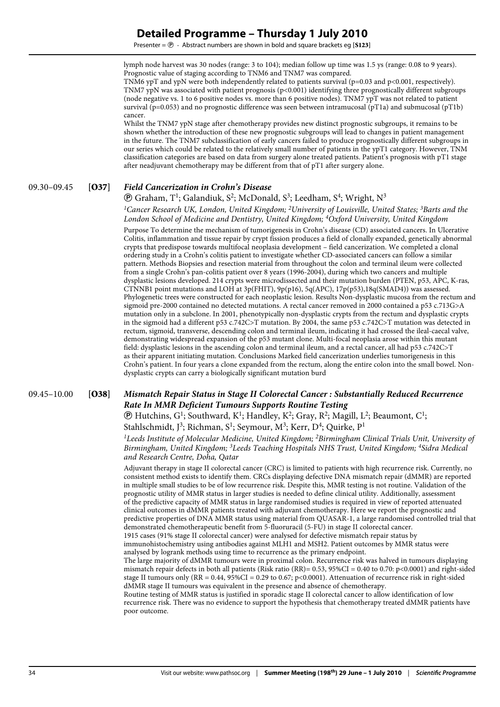Presenter =  $(P)$  · Abstract numbers are shown in bold and square brackets eg [S123]

lymph node harvest was 30 nodes (range: 3 to 104); median follow up time was 1.5 ys (range: 0.08 to 9 years). Prognostic value of staging according to TNM6 and TNM7 was compared.

TNM6 ypT and ypN were both independently related to patients survival (p=0.03 and p<0.001, respectively). TNM7 ypN was associated with patient prognosis (p<0.001) identifying three prognostically different subgroups (node negative vs. 1 to 6 positive nodes vs. more than 6 positive nodes). TNM7 ypT was not related to patient survival ( $p=0.053$ ) and no prognostic difference was seen between intramucosal ( $pT1a$ ) and submucosal ( $pT1b$ ) cancer.

Whilst the TNM7 ypN stage after chemotherapy provides new distinct prognostic subgroups, it remains to be shown whether the introduction of these new prognostic subgroups will lead to changes in patient management in the future. The TNM7 subclassification of early cancers failed to produce prognostically different subgroups in our series which could be related to the relatively small number of patients in the ypT1 category. However, TNM classification categories are based on data from surgery alone treated patients. Patient's prognosis with pT1 stage after neadjuvant chemotherapy may be different from that of pT1 after surgery alone.

#### 09.30–09.45 [O37] *Field Cancerization in Crohn's Disease*

 $\textcircled{P}$  Graham, T<sup>1</sup>; Galandiuk, S<sup>2</sup>; McDonald, S<sup>3</sup>; Leedham, S<sup>4</sup>; Wright, N<sup>3</sup>

*1Cancer Research UK, London, United Kingdom; 2University of Louisville, United States; 3Barts and the London School of Medicine and Dentistry, United Kingdom; 4Oxford University, United Kingdom* Purpose To determine the mechanism of tumorigenesis in Crohn's disease (CD) associated cancers. In Ulcerative Colitis, inflammation and tissue repair by crypt fission produces a field of clonally expanded, genetically abnormal crypts that predispose towards multifocal neoplasia development – field cancerization. We completed a clonal ordering study in a Crohn's colitis patient to investigate whether CD-associated cancers can follow a similar pattern. Methods Biopsies and resection material from throughout the colon and terminal ileum were collected from a single Crohn's pan-colitis patient over 8 years (1996-2004), during which two cancers and multiple dysplastic lesions developed. 214 crypts were microdissected and their mutation burden (PTEN, p53, APC, K-ras, CTNNB1 point mutations and LOH at 3p(FHIT), 9p(p16), 5q(APC), 17p(p53),18q(SMAD4)) was assessed. Phylogenetic trees were constructed for each neoplastic lesion. Results Non-dysplastic mucosa from the rectum and sigmoid pre-2000 contained no detected mutations. A rectal cancer removed in 2000 contained a p53 c.713G>A mutation only in a subclone. In 2001, phenotypically non-dysplastic crypts from the rectum and dysplastic crypts in the sigmoid had a different p53 c.742C>T mutation. By 2004, the same p53 c.742C>T mutation was detected in rectum, sigmoid, transverse, descending colon and terminal ileum, indicating it had crossed the ileal-caecal valve, demonstrating widespread expansion of the p53 mutant clone. Multi-focal neoplasia arose within this mutant field: dysplastic lesions in the ascending colon and terminal ileum, and a rectal cancer, all had p53 c.742C>T as their apparent initiating mutation. Conclusions Marked field cancerization underlies tumorigenesis in this Crohn's patient. In four years a clone expanded from the rectum, along the entire colon into the small bowel. Nondysplastic crypts can carry a biologically significant mutation burd

#### 09.45–10.00 [O38] *Mismatch Repair Status in Stage II Colorectal Cancer : Substantially Reduced Recurrence Rate In MMR Deficient Tumours Supports Routine Testing*

 $\textcircled{P}$  Hutchins, G<sup>1</sup>; Southward, K<sup>1</sup>; Handley, K<sup>2</sup>; Gray, R<sup>2</sup>; Magill, L<sup>2</sup>; Beaumont, C<sup>1</sup>; Stahlschmidt, J<sup>3</sup>; Richman, S<sup>1</sup>; Seymour, M<sup>3</sup>; Kerr, D<sup>4</sup>; Quirke, P<sup>1</sup>

*1Leeds Institute of Molecular Medicine, United Kingdom; 2Birmingham Clinical Trials Unit, University of Birmingham, United Kingdom; 3Leeds Teaching Hospitals NHS Trust, United Kingdom; 4Sidra Medical and Research Centre, Doha, Qatar*

Adjuvant therapy in stage II colorectal cancer (CRC) is limited to patients with high recurrence risk. Currently, no consistent method exists to identify them. CRCs displaying defective DNA mismatch repair (dMMR) are reported in multiple small studies to be of low recurrence risk. Despite this, MMR testing is not routine. Validation of the prognostic utility of MMR status in larger studies is needed to define clinical utility. Additionally, assessment of the predictive capacity of MMR status in large randomised studies is required in view of reported attenuated clinical outcomes in dMMR patients treated with adjuvant chemotherapy. Here we report the prognostic and predictive properties of DNA MMR status using material from QUASAR-1, a large randomised controlled trial that demonstrated chemotherapeutic benefit from 5-fluoruracil (5-FU) in stage II colorectal cancer.

1915 cases (91% stage II colorectal cancer) were analysed for defective mismatch repair status by immunohistochemistry using antibodies against MLH1 and MSH2. Patient outcomes by MMR status were

analysed by logrank methods using time to recurrence as the primary endpoint. The large majority of dMMR tumours were in proximal colon. Recurrence risk was halved in tumours displaying mismatch repair defects in both all patients (Risk ratio (RR)= 0.53, 95%CI = 0.40 to 0.70: p<0.0001) and right-sided stage II tumours only (RR = 0.44, 95%CI = 0.29 to 0.67; p<0.0001). Attenuation of recurrence risk in right-sided dMMR stage II tumours was equivalent in the presence and absence of chemotherapy.

Routine testing of MMR status is justified in sporadic stage II colorectal cancer to allow identification of low recurrence risk. There was no evidence to support the hypothesis that chemotherapy treated dMMR patients have poor outcome.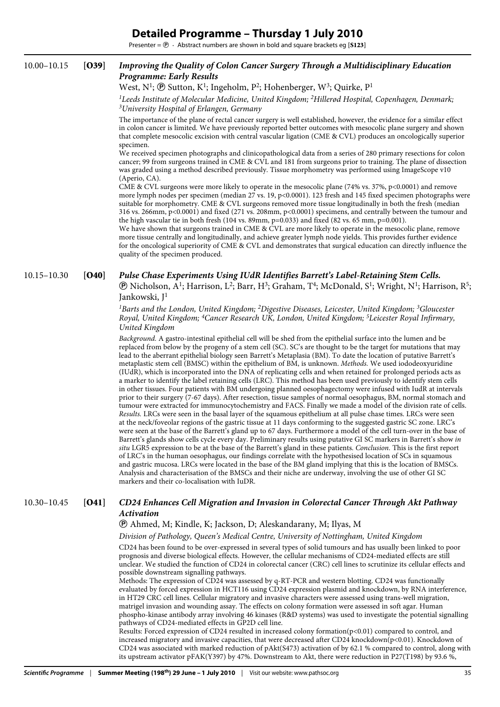Presenter =  $\circled{P}$  · Abstract numbers are shown in bold and square brackets eg [S123]

#### 10.00–10.15 [O39] *Improving the Quality of Colon Cancer Surgery Through a Multidisciplinary Education Programme: Early Results*

West,  $N^1$ ;  $\Theta$  Sutton,  $K^1$ ; Ingeholm,  $P^2$ ; Hohenberger,  $W^3$ ; Quirke,  $P^1$ 

*1Leeds Institute of Molecular Medicine, United Kingdom; 2Hillerød Hospital, Copenhagen, Denmark; 3University Hospital of Erlangen, Germany*

The importance of the plane of rectal cancer surgery is well established, however, the evidence for a similar effect in colon cancer is limited. We have previously reported better outcomes with mesocolic plane surgery and shown that complete mesocolic excision with central vascular ligation (CME & CVL) produces an oncologically superior specimen.

We received specimen photographs and clinicopathological data from a series of 280 primary resections for colon cancer; 99 from surgeons trained in CME & CVL and 181 from surgeons prior to training. The plane of dissection was graded using a method described previously. Tissue morphometry was performed using ImageScope v10 (Aperio, CA).

CME & CVL surgeons were more likely to operate in the mesocolic plane (74% vs. 37%, p<0.0001) and remove more lymph nodes per specimen (median 27 vs. 19, p<0.0001). 123 fresh and 145 fixed specimen photographs were suitable for morphometry. CME & CVL surgeons removed more tissue longitudinally in both the fresh (median 316 vs. 266mm, p<0.0001) and fixed (271 vs. 208mm, p<0.0001) specimens, and centrally between the tumour and the high vascular tie in both fresh (104 vs. 89mm, p=0.033) and fixed (82 vs. 65 mm, p=0.001).

We have shown that surgeons trained in CME & CVL are more likely to operate in the mesocolic plane, remove more tissue centrally and longitudinally, and achieve greater lymph node yields. This provides further evidence for the oncological superiority of CME & CVL and demonstrates that surgical education can directly influence the quality of the specimen produced.

#### 10.15–10.30 [O40] *Pulse Chase Experiments Using IUdR Identifies Barrett's Label-Retaining Stem Cells.*

 $\mathcal{P}$  Nicholson,  $A^1$ ; Harrison, L<sup>2</sup>; Barr, H<sup>3</sup>; Graham, T<sup>4</sup>; McDonald, S<sup>1</sup>; Wright, N<sup>1</sup>; Harrison, R<sup>5</sup>; Jankowski, J<sup>1</sup>

*1Barts and the London, United Kingdom; 2Digestive Diseases, Leicester, United Kingdom; 3Gloucester Royal, United Kingdom; 4Cancer Research UK, London, United Kingdom; 5Leicester Royal Infirmary, United Kingdom*

*Background.* A gastro-intestinal epithelial cell will be shed from the epithelial surface into the lumen and be replaced from below by the progeny of a stem cell (SC). SC's are thought to be the target for mutations that may lead to the aberrant epithelial biology seen Barrett's Metaplasia (BM). To date the location of putative Barrett's metaplastic stem cell (BMSC) within the epithelium of BM, is unknown. *Methods.* We used iododeoxyuridine (IUdR), which is incorporated into the DNA of replicating cells and when retained for prolonged periods acts as a marker to identify the label retaining cells (LRC). This method has been used previously to identify stem cells in other tissues. Four patients with BM undergoing planned oesophagectomy were infused with IudR at intervals prior to their surgery (7-67 days). After resection, tissue samples of normal oesophagus, BM, normal stomach and tumour were extracted for immunocytochemistry and FACS. Finally we made a model of the division rate of cells. *Results.* LRCs were seen in the basal layer of the squamous epithelium at all pulse chase times. LRCs were seen at the neck/foveolar regions of the gastric tissue at 11 days conforming to the suggested gastric SC zone. LRC's were seen at the base of the Barrett's gland up to 67 days. Furthermore a model of the cell turn-over in the base of Barrett's glands show cells cycle every day. Preliminary results using putative GI SC markers in Barrett's show *in situ* LGR5 expression to be at the base of the Barrett's gland in these patients. *Conclusion.* This is the first report of LRC's in the human oesophagus, our findings correlate with the hypothesised location of SCs in squamous and gastric mucosa. LRCs were located in the base of the BM gland implying that this is the location of BMSCs. Analysis and characterisation of the BMSCs and their niche are underway, involving the use of other GI SC markers and their co-localisation with IuDR.

#### 10.30–10.45 [O41] *CD24 Enhances Cell Migration and Invasion in Colorectal Cancer Through Akt Pathway Activation*

#### P Ahmed, M; Kindle, K; Jackson, D; Aleskandarany, M; Ilyas, M

*Division of Pathology, Queen's Medical Centre, University of Nottingham, United Kingdom*

CD24 has been found to be over-expressed in several types of solid tumours and has usually been linked to poor prognosis and diverse biological effects. However, the cellular mechanisms of CD24-mediated effects are still unclear. We studied the function of CD24 in colorectal cancer (CRC) cell lines to scrutinize its cellular effects and possible downstream signalling pathways.

Methods: The expression of CD24 was assessed by q-RT-PCR and western blotting. CD24 was functionally evaluated by forced expression in HCT116 using CD24 expression plasmid and knockdown, by RNA interference, in HT29 CRC cell lines. Cellular migratory and invasive characters were assessed using trans-well migration, matrigel invasion and wounding assay. The effects on colony formation were assessed in soft agar. Human phospho-kinase antibody array involving 46 kinases (R&D systems) was used to investigate the potential signalling pathways of CD24-mediated effects in GP2D cell line.

Results: Forced expression of CD24 resulted in increased colony formation(p<0.01) compared to control, and increased migratory and invasive capacities, that were decreased after CD24 knockdown(p<0.01). Knockdown of CD24 was associated with marked reduction of pAkt(S473) activation of by 62.1 % compared to control, along with its upstream activator pFAK(Y397) by 47%. Downstream to Akt, there were reduction in P27(T198) by 93.6 %,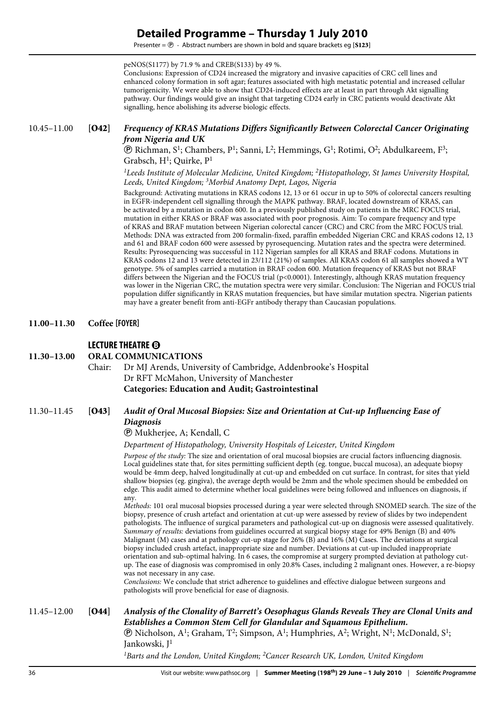Presenter =  $(P)$  · Abstract numbers are shown in bold and square brackets eg [S123]

peNOS(S1177) by 71.9 % and CREB(S133) by 49 %.

Conclusions: Expression of CD24 increased the migratory and invasive capacities of CRC cell lines and enhanced colony formation in soft agar; features associated with high metastatic potential and increased cellular tumorigenicity. We were able to show that CD24-induced effects are at least in part through Akt signalling pathway. Our findings would give an insight that targeting CD24 early in CRC patients would deactivate Akt signalling, hence abolishing its adverse biologic effects.

#### 10.45–11.00 [O42] *Frequency of KRAS Mutations Differs Significantly Between Colorectal Cancer Originating from Nigeria and UK*

P Richman, S1; Chambers, P1; Sanni, L2; Hemmings, G1; Rotimi, O2; Abdulkareem, F3; Grabsch,  $H^1$ ; Quirke,  $P^1$ 

*1Leeds Institute of Molecular Medicine, United Kingdom; 2Histopathology, St James University Hospital, Leeds, United Kingdom; 3Morbid Anatomy Dept, Lagos, Nigeria*

Background: Activating mutations in KRAS codons 12, 13 or 61 occur in up to 50% of colorectal cancers resulting in EGFR-independent cell signalling through the MAPK pathway. BRAF, located downstream of KRAS, can be activated by a mutation in codon 600. In a previously published study on patients in the MRC FOCUS trial, mutation in either KRAS or BRAF was associated with poor prognosis. Aim: To compare frequency and type of KRAS and BRAF mutation between Nigerian colorectal cancer (CRC) and CRC from the MRC FOCUS trial. Methods: DNA was extracted from 200 formalin-fixed, paraffin embedded Nigerian CRC and KRAS codons 12, 13 and 61 and BRAF codon 600 were assessed by pyrosequencing. Mutation rates and the spectra were determined. Results: Pyrosequencing was successful in 112 Nigerian samples for all KRAS and BRAF codons. Mutations in KRAS codons 12 and 13 were detected in 23/112 (21%) of samples. All KRAS codon 61 all samples showed a WT genotype. 5% of samples carried a mutation in BRAF codon 600. Mutation frequency of KRAS but not BRAF differs between the Nigerian and the FOCUS trial (p<0.0001). Interestingly, although KRAS mutation frequency was lower in the Nigerian CRC, the mutation spectra were very similar. Conclusion: The Nigerian and FOCUS trial population differ significantly in KRAS mutation frequencies, but have similar mutation spectra. Nigerian patients may have a greater benefit from anti-EGFr antibody therapy than Caucasian populations.

**11.00–11.30 Coffee [Foyer]**

#### **LECTURE THEATRE <b>B**

#### **11.30–13.00 ORAL COMMUNICATIONS**

#### Chair: Dr MJ Arends, University of Cambridge, Addenbrooke's Hospital Dr RFT McMahon, University of Manchester **Categories: Education and Audit; Gastrointestinal**

#### 11.30–11.45 [O43] *Audit of Oral Mucosal Biopsies: Size and Orientation at Cut-up Influencing Ease of*

#### *Diagnosis*

P Mukherjee, A; Kendall, C

#### *Department of Histopathology, University Hospitals of Leicester, United Kingdom*

*Purpose of the study:* The size and orientation of oral mucosal biopsies are crucial factors influencing diagnosis. Local guidelines state that, for sites permitting sufficient depth (eg. tongue, buccal mucosa), an adequate biopsy would be 4mm deep, halved longitudinally at cut-up and embedded on cut surface. In contrast, for sites that yield shallow biopsies (eg. gingiva), the average depth would be 2mm and the whole specimen should be embedded on edge. This audit aimed to determine whether local guidelines were being followed and influences on diagnosis, if any.

*Methods:* 101 oral mucosal biopsies processed during a year were selected through SNOMED search. The size of the biopsy, presence of crush artefact and orientation at cut-up were assessed by review of slides by two independent pathologists. The influence of surgical parameters and pathological cut-up on diagnosis were assessed qualitatively. *Summary of results:* deviations from guidelines occurred at surgical biopsy stage for 49% Benign (B) and 40% Malignant (M) cases and at pathology cut-up stage for 26% (B) and 16% (M) Cases. The deviations at surgical biopsy included crush artefact, inappropriate size and number. Deviations at cut-up included inappropriate orientation and sub-optimal halving. In 6 cases, the compromise at surgery prompted deviation at pathology cutup. The ease of diagnosis was compromised in only 20.8% Cases, including 2 malignant ones. However, a re-biopsy was not necessary in any case.

*Conclusions:* We conclude that strict adherence to guidelines and effective dialogue between surgeons and pathologists will prove beneficial for ease of diagnosis.

#### 11.45–12.00 [O44] *Analysis of the Clonality of Barrett's Oesophagus Glands Reveals They are Clonal Units and Establishes a Common Stem Cell for Glandular and Squamous Epithelium.*

 $\textcircled{P}$  Nicholson, A<sup>1</sup>; Graham, T<sup>2</sup>; Simpson, A<sup>1</sup>; Humphries, A<sup>2</sup>; Wright, N<sup>1</sup>; McDonald, S<sup>1</sup>; Jankowski, J<sup>1</sup>

*1Barts and the London, United Kingdom; 2Cancer Research UK, London, United Kingdom*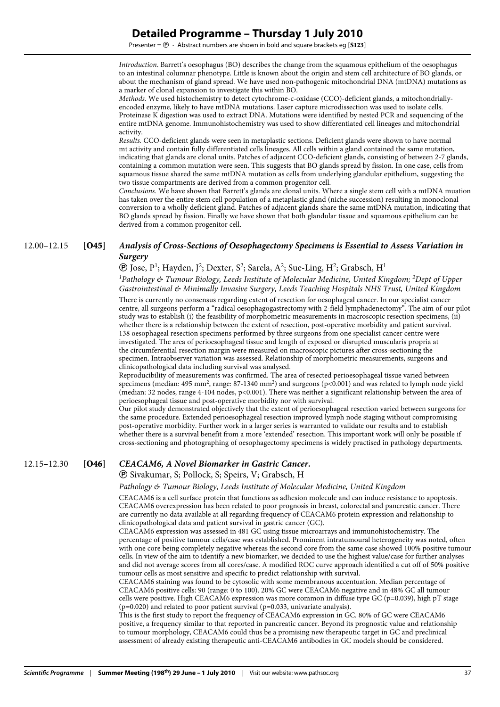Presenter =  $\circled{P}$  · Abstract numbers are shown in bold and square brackets eg [S123]

*Introduction*. Barrett's oesophagus (BO) describes the change from the squamous epithelium of the oesophagus to an intestinal columnar phenotype. Little is known about the origin and stem cell architecture of BO glands, or about the mechanism of gland spread. We have used non-pathogenic mitochondrial DNA (mtDNA) mutations as a marker of clonal expansion to investigate this within BO.

*Methods.* We used histochemistry to detect cytochrome-c-oxidase (CCO)-deficient glands, a mitochondriallyencoded enzyme, likely to have mtDNA mutations. Laser capture microdissection was used to isolate cells. Proteinase K digestion was used to extract DNA. Mutations were identified by nested PCR and sequencing of the entire mtDNA genome. Immunohistochemistry was used to show differentiated cell lineages and mitochondrial activity.

*Results.* CCO-deficient glands were seen in metaplastic sections. Deficient glands were shown to have normal mt activity and contain fully differentiated cells lineages. All cells within a gland contained the same mutation, indicating that glands are clonal units. Patches of adjacent CCO-deficient glands, consisting of between 2-7 glands, containing a common mutation were seen. This suggests that BO glands spread by fission. In one case, cells from squamous tissue shared the same mtDNA mutation as cells from underlying glandular epithelium, suggesting the two tissue compartments are derived from a common progenitor cell.

*Conclusions.* We have shown that Barrett's glands are clonal units. Where a single stem cell with a mtDNA muation has taken over the entire stem cell population of a metaplastic gland (niche succession) resulting in monoclonal conversion to a wholly deficient gland. Patches of adjacent glands share the same mtDNA mutation, indicating that BO glands spread by fission. Finally we have shown that both glandular tissue and squamous epithelium can be derived from a common progenitor cell.

#### 12.00–12.15 [O45] *Analysis of Cross-Sections of Oesophagectomy Specimens is Essential to Assess Variation in Surgery*

 $\Theta$  Jose, P<sup>1</sup>; Hayden, J<sup>2</sup>; Dexter, S<sup>2</sup>; Sarela, A<sup>2</sup>; Sue-Ling, H<sup>2</sup>; Grabsch, H<sup>1</sup>

*1Pathology & Tumour Biology, Leeds Institute of Molecular Medicine, United Kingdom; 2Dept of Upper Gastrointestinal & Minimally Invasive Surgery, Leeds Teaching Hospitals NHS Trust, United Kingdom*

There is currently no consensus regarding extent of resection for oesophageal cancer. In our specialist cancer centre, all surgeons perform a "radical oesophagogastrectomy with 2-field lymphadenectomy". The aim of our pilot study was to establish (i) the feasibility of morphometric measurements in macroscopic resection specimens, (ii) whether there is a relationship between the extent of resection, post-operative morbidity and patient survival. 138 oesophageal resection specimens performed by three surgeons from one specialist cancer centre were investigated. The area of perioesophageal tissue and length of exposed or disrupted muscularis propria at the circumferential resection margin were measured on macroscopic pictures after cross-sectioning the specimen. Intraobserver variation was assessed. Relationship of morphometric measurements, surgeons and clinicopathological data including survival was analysed.

Reproducibility of measurements was confirmed. The area of resected perioesophageal tissue varied between specimens (median:  $495 \text{ mm}^2$ , range:  $87-1340 \text{ mm}^2$ ) and surgeons (p<0.001) and was related to lymph node yield (median: 32 nodes, range 4-104 nodes, p<0.001). There was neither a significant relationship between the area of perioesophageal tissue and post-operative morbidity nor with survival.

Our pilot study demonstrated objectively that the extent of perioesophageal resection varied between surgeons for the same procedure. Extended perioesophageal resection improved lymph node staging without compromising post-operative morbidity. Further work in a larger series is warranted to validate our results and to establish whether there is a survival benefit from a more 'extended' resection. This important work will only be possible if cross-sectioning and photographing of oesophagectomy specimens is widely practised in pathology departments.

12.15–12.30 [O46] *CEACAM6, A Novel Biomarker in Gastric Cancer.*

P Sivakumar, S; Pollock, S; Speirs, V; Grabsch, H

*Pathology & Tumour Biology, Leeds Institute of Molecular Medicine, United Kingdom*

CEACAM6 is a cell surface protein that functions as adhesion molecule and can induce resistance to apoptosis. CEACAM6 overexpression has been related to poor prognosis in breast, colorectal and pancreatic cancer. There are currently no data available at all regarding frequency of CEACAM6 protein expression and relationship to clinicopathological data and patient survival in gastric cancer (GC).

CEACAM6 expression was assessed in 481 GC using tissue microarrays and immunohistochemistry. The percentage of positive tumour cells/case was established. Prominent intratumoural heterogeneity was noted, often with one core being completely negative whereas the second core from the same case showed 100% positive tumour cells. In view of the aim to identify a new biomarker, we decided to use the highest value/case for further analyses and did not average scores from all cores/case. A modified ROC curve approach identified a cut off of 50% positive tumour cells as most sensitive and specific to predict relationship with survival.

CEACAM6 staining was found to be cytosolic with some membranous accentuation. Median percentage of CEACAM6 positive cells: 90 (range: 0 to 100). 20% GC were CEACAM6 negative and in 48% GC all tumour cells were positive. High CEACAM6 expression was more common in diffuse type GC ( $p=0.039$ ), high pT stage (p=0.020) and related to poor patient survival (p=0.033, univariate analysis).

This is the first study to report the frequency of CEACAM6 expression in GC. 80% of GC were CEACAM6 positive, a frequency similar to that reported in pancreatic cancer. Beyond its prognostic value and relationship to tumour morphology, CEACAM6 could thus be a promising new therapeutic target in GC and preclinical assessment of already existing therapeutic anti-CEACAM6 antibodies in GC models should be considered.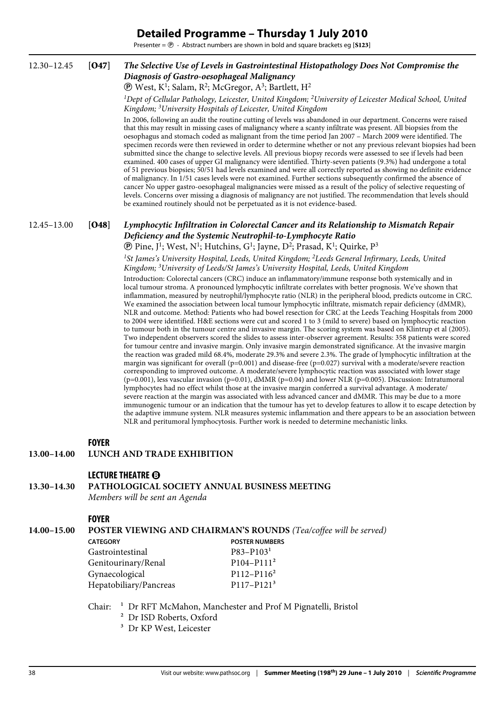Presenter =  $(P)$  · Abstract numbers are shown in bold and square brackets eg [S123]

### 12.30–12.45 [O47] *The Selective Use of Levels in Gastrointestinal Histopathology Does Not Compromise the*

*Diagnosis of Gastro-oesophageal Malignancy*

 $\textcircled{P}$  West, K<sup>1</sup>; Salam, R<sup>2</sup>; McGregor, A<sup>3</sup>; Bartlett, H<sup>2</sup>

*1Dept of Cellular Pathology, Leicester, United Kingdom; 2University of Leicester Medical School, United Kingdom; 3University Hospitals of Leicester, United Kingdom*

In 2006, following an audit the routine cutting of levels was abandoned in our department. Concerns were raised that this may result in missing cases of malignancy where a scanty infiltrate was present. All biopsies from the oesophagus and stomach coded as malignant from the time period Jan 2007 – March 2009 were identified. The specimen records were then reviewed in order to determine whether or not any previous relevant biopsies had been submitted since the change to selective levels. All previous biopsy records were assessed to see if levels had been examined. 400 cases of upper GI malignancy were identified. Thirty-seven patients (9.3%) had undergone a total of 51 previous biopsies; 50/51 had levels examined and were all correctly reported as showing no definite evidence of malignancy. In 1/51 cases levels were not examined. Further sections subsequently confirmed the absence of cancer No upper gastro-oesophageal malignancies were missed as a result of the policy of selective requesting of levels. Concerns over missing a diagnosis of malignancy are not justified. The recommendation that levels should be examined routinely should not be perpetuated as it is not evidence-based.

#### 12.45–13.00 [O48] *Lymphocytic Infiltration in Colorectal Cancer and its Relationship to Mismatch Repair Deficiency and the Systemic Neutrophil-to-Lymphocyte Ratio*

 $\Theta$  Pine, J<sup>1</sup>; West, N<sup>1</sup>; Hutchins, G<sup>1</sup>; Jayne, D<sup>2</sup>; Prasad, K<sup>1</sup>; Quirke, P<sup>3</sup>

*1St James's University Hospital, Leeds, United Kingdom; 2Leeds General Infirmary, Leeds, United Kingdom; 3University of Leeds/St James's University Hospital, Leeds, United Kingdom*

Introduction: Colorectal cancers (CRC) induce an inflammatory/immune response both systemically and in local tumour stroma. A pronounced lymphocytic infiltrate correlates with better prognosis. We've shown that inflammation, measured by neutrophil/lymphocyte ratio (NLR) in the peripheral blood, predicts outcome in CRC. We examined the association between local tumour lymphocytic infiltrate, mismatch repair deficiency (dMMR), NLR and outcome. Method: Patients who had bowel resection for CRC at the Leeds Teaching Hospitals from 2000 to 2004 were identified. H&E sections were cut and scored 1 to 3 (mild to severe) based on lymphocytic reaction to tumour both in the tumour centre and invasive margin. The scoring system was based on Klintrup et al (2005). Two independent observers scored the slides to assess inter-observer agreement. Results: 358 patients were scored for tumour centre and invasive margin. Only invasive margin demonstrated significance. At the invasive margin the reaction was graded mild 68.4%, moderate 29.3% and severe 2.3%. The grade of lymphocytic infiltration at the margin was significant for overall ( $p=0.001$ ) and disease-free ( $p=0.027$ ) survival with a moderate/severe reaction corresponding to improved outcome. A moderate/severe lymphocytic reaction was associated with lower stage (p=0.001), less vascular invasion (p=0.01), dMMR (p=0.04) and lower NLR (p=0.005). Discussion: Intratumoral lymphocytes had no effect whilst those at the invasive margin conferred a survival advantage. A moderate/ severe reaction at the margin was associated with less advanced cancer and dMMR. This may be due to a more immunogenic tumour or an indication that the tumour has yet to develop features to allow it to escape detection by the adaptive immune system. NLR measures systemic inflammation and there appears to be an association between NLR and peritumoral lymphocytosis. Further work is needed to determine mechanistic links.

#### **FOYER**

**13.00–14.00 Lunch and trade Exhibition**

#### **LECTURE THEATRE B**

#### **13.30–14.30 Pathological Society Annual Business Meeting**

*Members will be sent an Agenda*

**FOYER**

#### **14.00–15.00 Poster viewing and Chairman's Rounds** *(Tea/coffee will be served)* **CATEGORY POSTER NUMBERS**  $G$ astrointestinal  $P83-P103<sup>1</sup>$ Genitourinary/Renal P104-P111<sup>2</sup>

| Gynaecological         | $P112-P116^2$ |
|------------------------|---------------|
| Hepatobiliary/Pancreas | $P117-P1213$  |

Chair: ¹ Dr RFT McMahon, Manchester and Prof M Pignatelli, Bristol

- ² Dr ISD Roberts, Oxford
- <sup>3</sup> Dr KP West, Leicester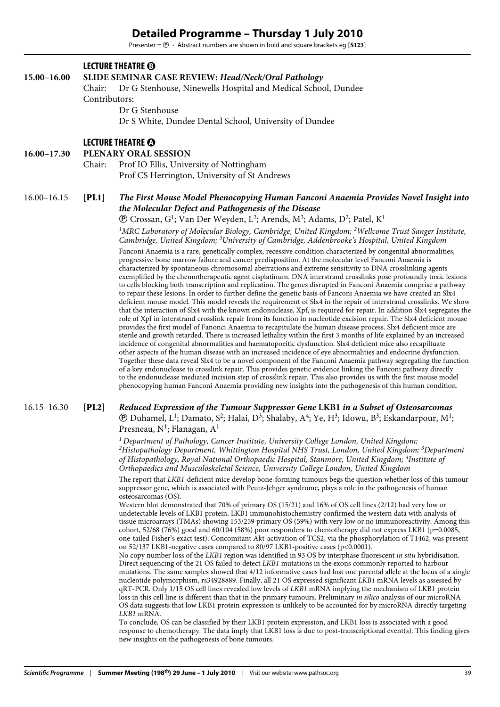Presenter =  $\circled{P}$  · Abstract numbers are shown in bold and square brackets eg [S123]

#### **LECTURE THEATRE B**

| $15.00 - 16.00$ |               | SLIDE SEMINAR CASE REVIEW: Head/Neck/Oral Pathology                                                                                          |
|-----------------|---------------|----------------------------------------------------------------------------------------------------------------------------------------------|
|                 | Chair:        | Dr G Stenhouse, Ninewells Hospital and Medical School, Dundee                                                                                |
|                 | Contributors: |                                                                                                                                              |
|                 |               | Dr G Stenhouse                                                                                                                               |
|                 |               | Dr S White, Dundee Dental School, University of Dundee                                                                                       |
|                 |               | <b>LECTURE THEATRE @</b>                                                                                                                     |
| $16.00 - 17.30$ |               | PLENARY ORAL SESSION                                                                                                                         |
|                 | Chair:        | Prof IO Ellis, University of Nottingham                                                                                                      |
|                 |               | Prof CS Herrington, University of St Andrews                                                                                                 |
| $16.00 - 16.15$ | [PL1]         | The First Mouse Model Phenocopying Human Fanconi Anaemia Provides Novel Insight into<br>the Molecular Defect and Pathogenesis of the Disease |

 $\textcircled{P}$  Crossan, G<sup>1</sup>; Van Der Weyden, L<sup>2</sup>; Arends, M<sup>3</sup>; Adams, D<sup>2</sup>; Patel, K<sup>1</sup>

*1MRC Laboratory of Molecular Biology, Cambridge, United Kingdom; 2Wellcome Trust Sanger Institute, Cambridge, United Kingdom; 3University of Cambridge, Addenbrooke's Hospital, United Kingdom* 

Fanconi Anaemia is a rare, genetically complex, recessive condition characterized by congenital abnormalities, progressive bone marrow failure and cancer predisposition. At the molecular level Fanconi Anaemia is characterized by spontaneous chromosomal aberrations and extreme sensitivity to DNA crosslinking agents exemplified by the chemotherapeutic agent cisplatinum. DNA interstrand crosslinks pose profoundly toxic lesions to cells blocking both transcription and replication. The genes disrupted in Fanconi Anaemia comprise a pathway to repair these lesions. In order to further define the genetic basis of Fanconi Anaemia we have created an Slx4 deficient mouse model. This model reveals the requirement of Slx4 in the repair of interstrand crosslinks. We show that the interaction of Slx4 with the known endonuclease, Xpf, is required for repair. In addition Slx4 segregates the role of Xpf in interstrand crosslink repair from its function in nucleotide excision repair. The Slx4 deficient mouse provides the first model of Fanonci Anaemia to recapitulate the human disease process. Slx4 deficient mice are sterile and growth retarded. There is increased lethality within the first 3 months of life explained by an increased incidence of congenital abnormalities and haematopoeitic dysfunction. Slx4 deficient mice also recapiltuate other aspects of the human disease with an increased incidence of eye abnormalities and endocrine dysfunction. Together these data reveal Slx4 to be a novel component of the Fanconi Anaemia pathway segregating the function of a key endonuclease to crosslink repair. This provides genetic evidence linking the Fanconi pathway directly to the endonuclease mediated incision step of crosslink repair. This also provides us with the first mouse model phenocopying human Fanconi Anaemia providing new insights into the pathogenesis of this human condition.

16.15–16.30 [PL2] *Reduced Expression of the Tumour Suppressor Gene* **LKB1** *in a Subset of Osteosarcomas*  $\circledR$  Duhamel, L<sup>1</sup>; Damato, S<sup>2</sup>; Halai, D<sup>3</sup>; Shalaby, A<sup>4</sup>; Ye, H<sup>3</sup>; Idowu, B<sup>3</sup>; Eskandarpour, M<sup>1</sup>; Presneau,  $N^1$ ; Flanagan,  $A^1$ 

> *1 Department of Pathology, Cancer Institute, University College London, United Kingdom; 2Histopathology Department, Whittington Hospital NHS Trust, London, United Kingdom; 3Department of Histopathology, Royal National Orthopaedic Hospital, Stanmore, United Kingdom; 4Institute of Orthopaedics and Musculoskeletal Science, University College London, United Kingdom*

> The report that *LKB1*-deficient mice develop bone-forming tumours begs the question whether loss of this tumour suppressor gene, which is associated with Peutz-Jehger syndrome, plays a role in the pathogenesis of human osteosarcomas (OS).

> Western blot demonstrated that 70% of primary OS (15/21) and 16% of OS cell lines (2/12) had very low or undetectable levels of LKB1 protein. LKB1 immunohistochemistry confirmed the western data with analysis of tissue microarrays (TMAs) showing 153/259 primary OS (59%) with very low or no immunoreactivity. Among this cohort, 52/68 (76%) good and 60/104 (58%) poor responders to chemotherapy did not express LKB1 (p=0.0085, one-tailed Fisher's exact test). Concomitant Akt-activation of TCS2, via the phosphorylation of T1462, was present on 52/137 LKB1-negative cases compared to 80/97 LKB1-positive cases ( $p<0.0001$ ).

> No copy number loss of the *LKB1* region was identified in 93 OS by interphase fluorescent *in situ* hybridisation. Direct sequencing of the 21 OS failed to detect *LKB1* mutations in the exons commonly reported to harbour mutations. The same samples showed that 4/12 informative cases had lost one parental allele at the locus of a single nucleotide polymorphism, rs34928889. Finally, all 21 OS expressed significant *LKB1* mRNA levels as assessed by qRT-PCR. Only 1/15 OS cell lines revealed low levels of *LKB1* mRNA implying the mechanism of LKB1 protein loss in this cell line is different than that in the primary tumours. Preliminary *in silico* analysis of our microRNA OS data suggests that low LKB1 protein expression is unlikely to be accounted for by microRNA directly targeting *LKB1* mRNA.

> To conclude, OS can be classified by their LKB1 protein expression, and LKB1 loss is associated with a good response to chemotherapy. The data imply that LKB1 loss is due to post-transcriptional event(s). This finding gives new insights on the pathogenesis of bone tumours.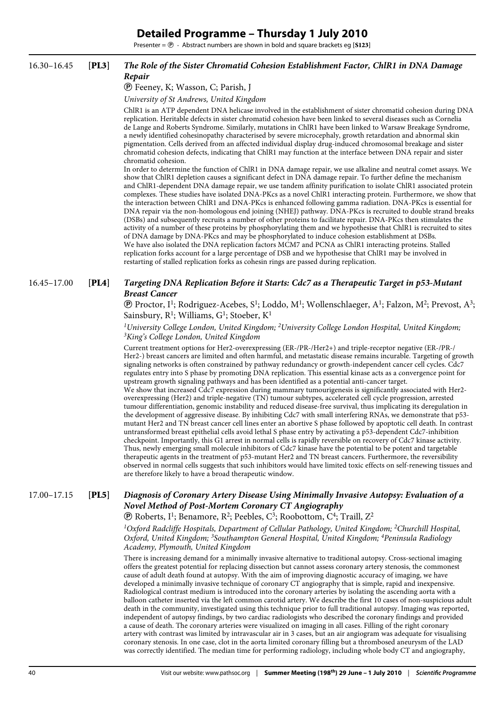Presenter =  $(P)$  · Abstract numbers are shown in bold and square brackets eg [S123]

#### 16.30–16.45 [PL3] *The Role of the Sister Chromatid Cohesion Establishment Factor, ChlR1 in DNA Damage Repair*

P Feeney, K; Wasson, C; Parish, J

*University of St Andrews, United Kingdom* 

ChlR1 is an ATP dependent DNA helicase involved in the establishment of sister chromatid cohesion during DNA replication. Heritable defects in sister chromatid cohesion have been linked to several diseases such as Cornelia de Lange and Roberts Syndrome. Similarly, mutations in ChlR1 have been linked to Warsaw Breakage Syndrome, a newly identified cohesinopathy characterised by severe microcephaly, growth retardation and abnormal skin pigmentation. Cells derived from an affected individual display drug-induced chromosomal breakage and sister chromatid cohesion defects, indicating that ChlR1 may function at the interface between DNA repair and sister chromatid cohesion.

In order to determine the function of ChlR1 in DNA damage repair, we use alkaline and neutral comet assays. We show that ChlR1 depletion causes a significant defect in DNA damage repair. To further define the mechanism and ChlR1-dependent DNA damage repair, we use tandem affinity purification to isolate ChlR1 associated protein complexes. These studies have isolated DNA-PKcs as a novel ChlR1 interacting protein. Furthermore, we show that the interaction between ChlR1 and DNA-PKcs is enhanced following gamma radiation. DNA-PKcs is essential for DNA repair via the non-homologous end joining (NHEJ) pathway. DNA-PKcs is recruited to double strand breaks (DSBs) and subsequently recruits a number of other proteins to facilitate repair. DNA-PKcs then stimulates the activity of a number of these proteins by phosphorylating them and we hypothesise that ChlR1 is recruited to sites of DNA damage by DNA-PKcs and may be phosphorylated to induce cohesion establishment at DSBs. We have also isolated the DNA replication factors MCM7 and PCNA as ChlR1 interacting proteins. Stalled replication forks account for a large percentage of DSB and we hypothesise that ChlR1 may be involved in restarting of stalled replication forks as cohesin rings are passed during replication.

#### 16.45–17.00 [PL4] *Targeting DNA Replication Before it Starts: Cdc7 as a Therapeutic Target in p53-Mutant Breast Cancer*

 $\textcircled{P}$  Proctor, I<sup>1</sup>; Rodriguez-Acebes, S<sup>1</sup>; Loddo, M<sup>1</sup>; Wollenschlaeger, A<sup>1</sup>; Falzon, M<sup>2</sup>; Prevost, A<sup>3</sup>; Sainsbury,  $R^1$ ; Williams,  $G^1$ ; Stoeber,  $K^1$ 

*1University College London, United Kingdom; 2University College London Hospital, United Kingdom; 3King's College London, United Kingdom* 

Current treatment options for Her2-overexpressing (ER-/PR-/Her2+) and triple-receptor negative (ER-/PR-/ Her2-) breast cancers are limited and often harmful, and metastatic disease remains incurable. Targeting of growth signaling networks is often constrained by pathway redundancy or growth-independent cancer cell cycles. Cdc7 regulates entry into S phase by promoting DNA replication. This essential kinase acts as a convergence point for upstream growth signaling pathways and has been identified as a potential anti-cancer target. We show that increased Cdc7 expression during mammary tumourigenesis is significantly associated with Her2 overexpressing (Her2) and triple-negative (TN) tumour subtypes, accelerated cell cycle progression, arrested tumour differentiation, genomic instability and reduced disease-free survival, thus implicating its deregulation in the development of aggressive disease. By inhibiting Cdc7 with small interfering RNAs, we demonstrate that p53 mutant Her2 and TN breast cancer cell lines enter an abortive S phase followed by apoptotic cell death. In contrast untransformed breast epithelial cells avoid lethal S phase entry by activating a p53-dependent Cdc7-inhibition checkpoint. Importantly, this G1 arrest in normal cells is rapidly reversible on recovery of Cdc7 kinase activity. Thus, newly emerging small molecule inhibitors of Cdc7 kinase have the potential to be potent and targetable therapeutic agents in the treatment of p53-mutant Her2 and TN breast cancers. Furthermore, the reversibility observed in normal cells suggests that such inhibitors would have limited toxic effects on self-renewing tissues and are therefore likely to have a broad therapeutic window.

#### 17.00–17.15 [PL5] *Diagnosis of Coronary Artery Disease Using Minimally Invasive Autopsy: Evaluation of a Novel Method of Post-Mortem Coronary CT Angiography*

 $\mathcal{P}$  Roberts, I<sup>1</sup>; Benamore, R<sup>2</sup>; Peebles, C<sup>3</sup>; Roobottom, C<sup>4</sup>; Traill, Z<sup>2</sup>

*1Oxford Radcliffe Hospitals, Department of Cellular Pathology, United Kingdom; 2Churchill Hospital, Oxford, United Kingdom; 3Southampton General Hospital, United Kingdom; 4Peninsula Radiology Academy, Plymouth, United Kingdom* 

There is increasing demand for a minimally invasive alternative to traditional autopsy. Cross-sectional imaging offers the greatest potential for replacing dissection but cannot assess coronary artery stenosis, the commonest cause of adult death found at autopsy. With the aim of improving diagnostic accuracy of imaging, we have developed a minimally invasive technique of coronary CT angiography that is simple, rapid and inexpensive. Radiological contrast medium is introduced into the coronary arteries by isolating the ascending aorta with a balloon catheter inserted via the left common carotid artery. We describe the first 10 cases of non-suspicious adult death in the community, investigated using this technique prior to full traditional autopsy. Imaging was reported, independent of autopsy findings, by two cardiac radiologists who described the coronary findings and provided a cause of death. The coronary arteries were visualized on imaging in all cases. Filling of the right coronary artery with contrast was limited by intravascular air in 3 cases, but an air angiogram was adequate for visualising coronary stenosis. In one case, clot in the aorta limited coronary filling but a thrombosed aneurysm of the LAD was correctly identified. The median time for performing radiology, including whole body CT and angiography,

40 Visit our website: www.pathsoc.org | **Summer Meeting (198th) 29 June – 1 July 2010** | *Scientific Programme*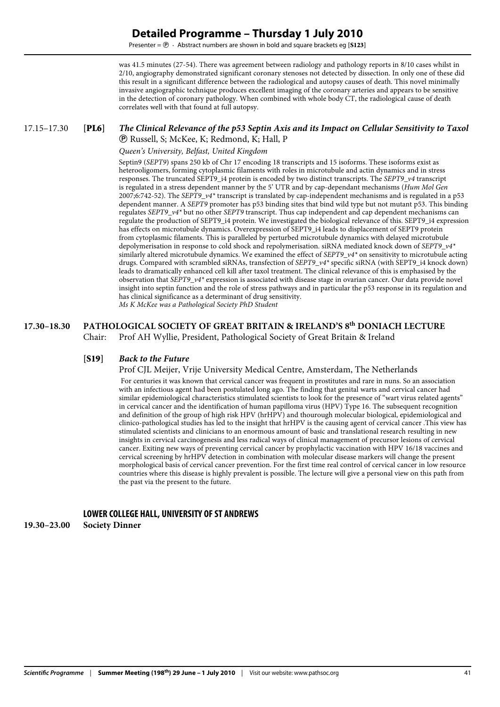Presenter =  $\circled{P}$  · Abstract numbers are shown in bold and square brackets eg [S123]

was 41.5 minutes (27-54). There was agreement between radiology and pathology reports in 8/10 cases whilst in 2/10, angiography demonstrated significant coronary stenoses not detected by dissection. In only one of these did this result in a significant difference between the radiological and autopsy causes of death. This novel minimally invasive angiographic technique produces excellent imaging of the coronary arteries and appears to be sensitive in the detection of coronary pathology. When combined with whole body CT, the radiological cause of death correlates well with that found at full autopsy.

### 17.15–17.30 [PL6] *The Clinical Relevance of the p53 Septin Axis and its Impact on Cellular Sensitivity to Taxol*

P Russell, S; McKee, K; Redmond, K; Hall, P

*Queen's University, Belfast, United Kingdom* 

Septin9 (*SEPT9*) spans 250 kb of Chr 17 encoding 18 transcripts and 15 isoforms. These isoforms exist as heterooligomers, forming cytoplasmic filaments with roles in microtubule and actin dynamics and in stress responses. The truncated SEPT9\_i4 protein is encoded by two distinct transcripts. The *SEPT9\_v4* transcript is regulated in a stress dependent manner by the 5' UTR and by cap-dependant mechanisms (*Hum Mol Gen* 2007;6:742-52). The *SEPT9\_v4\** transcript is translated by cap-independent mechanisms and is regulated in a p53 dependent manner. A *SEPT9* promoter has p53 binding sites that bind wild type but not mutant p53. This binding regulates *SEPT9\_v4\** but no other *SEPT9* transcript. Thus cap independent and cap dependent mechanisms can regulate the production of SEPT9\_i4 protein. We investigated the biological relevance of this. SEPT9\_i4 expression has effects on microtubule dynamics. Overexpression of SEPT9\_i4 leads to displacement of SEPT9 protein from cytoplasmic filaments. This is paralleled by perturbed microtubule dynamics with delayed microtubule depolymerisation in response to cold shock and repolymerisation. siRNA mediated knock down of *SEPT9\_v4\** similarly altered microtubule dynamics. We examined the effect of *SEPT9\_v4\** on sensitivity to microtubule acting drugs. Compared with scrambled siRNAs, transfection of *SEPT9\_v4\** specific siRNA (with SEPT9\_i4 knock down) leads to dramatically enhanced cell kill after taxol treatment. The clinical relevance of this is emphasised by the observation that *SEPT9\_v4\** expression is associated with disease stage in ovarian cancer. Our data provide novel insight into septin function and the role of stress pathways and in particular the p53 response in its regulation and has clinical significance as a determinant of drug sensitivity. *Ms K McKee was a Pathological Society PhD Student*

# **17.30–18.30 Pathological Society of Great Britain & Ireland's 8th Doniach Lecture**

Chair: Prof AH Wyllie, President, Pathological Society of Great Britain & Ireland

#### [S19] *Back to the Future*

#### Prof CJL Meijer, Vrije University Medical Centre, Amsterdam, The Netherlands

 For centuries it was known that cervical cancer was frequent in prostitutes and rare in nuns. So an association with an infectious agent had been postulated long ago. The finding that genital warts and cervical cancer had similar epidemiological characteristics stimulated scientists to look for the presence of "wart virus related agents" in cervical cancer and the identification of human papilloma virus (HPV) Type 16. The subsequent recognition and definition of the group of high risk HPV (hrHPV) and thourough molecular biological, epidemiological and clinico-pathological studies has led to the insight that hrHPV is the causing agent of cervical cancer .This view has stimulated scientists and clinicians to an enormous amount of basic and translational research resulting in new insights in cervical carcinogenesis and less radical ways of clinical management of precursor lesions of cervical cancer. Exiting new ways of preventing cervical cancer by prophylactic vaccination with HPV 16/18 vaccines and cervical screening by hrHPV detection in combination with molecular disease markers will change the present morphological basis of cervical cancer prevention. For the first time real control of cervical cancer in low resource countries where this disease is highly prevalent is possible. The lecture will give a personal view on this path from the past via the present to the future.

#### **LOWER COLLEGE HALL, UNIVERSITY OF ST ANDREWS**

**19.30–23.00 Society Dinner**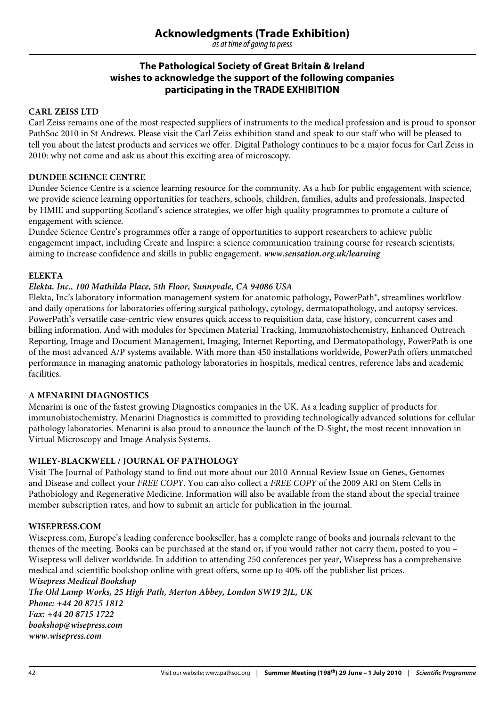*as at time of going to press*

### **The Pathological Society of Great Britain & Ireland wishes to acknowledge the support of the following companies participating in the TRADE EXHIBITION**

#### **CARL ZEISS LTD**

Carl Zeiss remains one of the most respected suppliers of instruments to the medical profession and is proud to sponsor PathSoc 2010 in St Andrews. Please visit the Carl Zeiss exhibition stand and speak to our staff who will be pleased to tell you about the latest products and services we offer. Digital Pathology continues to be a major focus for Carl Zeiss in 2010: why not come and ask us about this exciting area of microscopy.

#### **DUNDEE SCIENCE CENTRE**

Dundee Science Centre is a science learning resource for the community. As a hub for public engagement with science, we provide science learning opportunities for teachers, schools, children, families, adults and professionals. Inspected by HMIE and supporting Scotland's science strategies, we offer high quality programmes to promote a culture of engagement with science.

Dundee Science Centre's programmes offer a range of opportunities to support researchers to achieve public engagement impact, including Create and Inspire: a science communication training course for research scientists, aiming to increase confidence and skills in public engagement. *www.sensation.org.uk/learning*

#### **ELEKTA**

#### *Elekta, Inc., 100 Mathilda Place, 5th Floor, Sunnyvale, CA 94086 USA*

Elekta, Inc's laboratory information management system for anatomic pathology, PowerPath®, streamlines workflow and daily operations for laboratories offering surgical pathology, cytology, dermatopathology, and autopsy services. PowerPath's versatile case-centric view ensures quick access to requisition data, case history, concurrent cases and billing information. And with modules for Specimen Material Tracking, Immunohistochemistry, Enhanced Outreach Reporting, Image and Document Management, Imaging, Internet Reporting, and Dermatopathology, PowerPath is one of the most advanced A/P systems available. With more than 450 installations worldwide, PowerPath offers unmatched performance in managing anatomic pathology laboratories in hospitals, medical centres, reference labs and academic facilities.

#### **A MENARINI DIAGNOSTICS**

Menarini is one of the fastest growing Diagnostics companies in the UK. As a leading supplier of products for immunohistochemistry, Menarini Diagnostics is committed to providing technologically advanced solutions for cellular pathology laboratories. Menarini is also proud to announce the launch of the D-Sight, the most recent innovation in Virtual Microscopy and Image Analysis Systems.

#### **WILEY-BLACKWELL / JOURNAL OF PATHOLOGY**

Visit The Journal of Pathology stand to find out more about our 2010 Annual Review Issue on Genes, Genomes and Disease and collect your *FREE COPY*. You can also collect a *FREE COPY* of the 2009 ARI on Stem Cells in Pathobiology and Regenerative Medicine. Information will also be available from the stand about the special trainee member subscription rates, and how to submit an article for publication in the journal.

#### **Wisepress.com**

Wisepress.com, Europe's leading conference bookseller, has a complete range of books and journals relevant to the themes of the meeting. Books can be purchased at the stand or, if you would rather not carry them, posted to you – Wisepress will deliver worldwide. In addition to attending 250 conferences per year, Wisepress has a comprehensive medical and scientific bookshop online with great offers, some up to 40% off the publisher list prices.

*Wisepress Medical Bookshop The Old Lamp Works, 25 High Path, Merton Abbey, London SW19 2JL, UK Phone: +44 20 8715 1812 Fax: +44 20 8715 1722 bookshop@wisepress.com www.wisepress.com*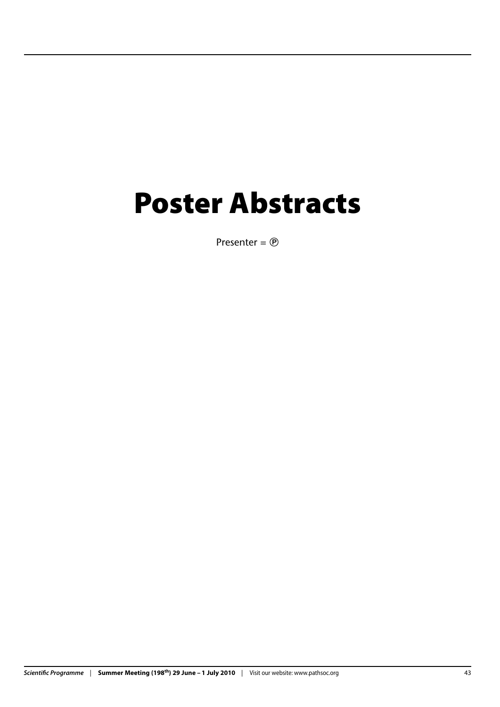# Poster Abstracts

Presenter =  $<sup>②</sup>$ </sup>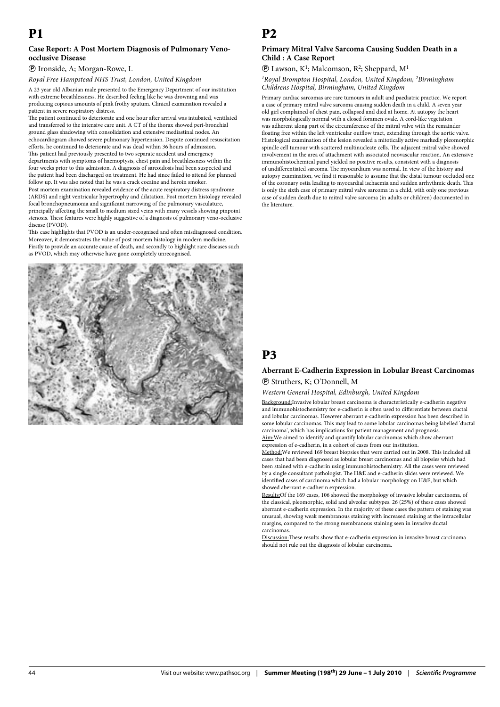#### **Case Report: A Post Mortem Diagnosis of Pulmonary Venoocclusive Disease**

#### P Ironside, A; Morgan-Rowe, L

*Royal Free Hampstead NHS Trust, London, United Kingdom*

A 23 year old Albanian male presented to the Emergency Department of our institution with extreme breathlessness. He described feeling like he was drowning and was producing copious amounts of pink frothy sputum. Clinical examination revealed a patient in severe respiratory distress.

The patient continued to deteriorate and one hour after arrival was intubated, ventilated and transferred to the intensive care unit. A CT of the thorax showed peri-bronchial ground glass shadowing with consolidation and extensive mediastinal nodes. An echocardiogram showed severe pulmonary hypertension. Despite continued resuscitation efforts, he continued to deteriorate and was dead within 36 hours of admission. This patient had previously presented to two separate accident and emergency departments with symptoms of haemoptysis, chest pain and breathlessness within the four weeks prior to this admission. A diagnosis of sarcoidosis had been suspected and the patient had been discharged on treatment. He had since failed to attend for planned follow up. It was also noted that he was a crack cocaine and heroin smoker. Post mortem examination revealed evidence of the acute respiratory distress syndrome (ARDS) and right ventricular hypertrophy and dilatation. Post mortem histology revealed focal bronchopneumonia and significant narrowing of the pulmonary vasculature, principally affecting the small to medium sized veins with many vessels showing pinpoint stenosis. These features were highly suggestive of a diagnosis of pulmonary veno-occlusive disease (PVOD).

This case highlights that PVOD is an under-recognised and often misdiagnosed condition. Moreover, it demonstrates the value of post mortem histology in modern medicine. Firstly to provide an accurate cause of death, and secondly to highlight rare diseases such as PVOD, which may otherwise have gone completely unrecognised.



#### **Primary Mitral Valve Sarcoma Causing Sudden Death in a Child : A Case Report**

#### $\mathcal{P}$  Lawson, K<sup>1</sup>; Malcomson, R<sup>2</sup>; Sheppard, M<sup>1</sup>

*1Royal Brompton Hospital, London, United Kingdom; 2Birmingham Childrens Hospital, Birmingham, United Kingdom*

Primary cardiac sarcomas are rare tumours in adult and paediatric practice. We report a case of primary mitral valve sarcoma causing sudden death in a child. A seven year old girl complained of chest pain, collapsed and died at home. At autopsy the heart was morphologically normal with a closed foramen ovale. A cord-like vegetation was adherent along part of the circumference of the mitral valve with the remainder floating free within the left ventricular outflow tract, extending through the aortic valve. Histological examination of the lesion revealed a mitotically active markedly pleomorphic spindle cell tumour with scattered multinucleate cells. The adjacent mitral valve showed involvement in the area of attachment with associated neovascular reaction. An extensive immunohistochemical panel yielded no positive results, consistent with a diagnosis of undifferentiated sarcoma. The myocardium was normal. In view of the history and autopsy examination, we find it reasonable to assume that the distal tumour occluded one of the coronary ostia leading to myocardial ischaemia and sudden arrhythmic death. This is only the sixth case of primary mitral valve sarcoma in a child, with only one previous case of sudden death due to mitral valve sarcoma (in adults or children) documented in the literature.

### P3

P2

# **Aberrant E-Cadherin Expression in Lobular Breast Carcinomas**

P Struthers, K; O'Donnell, M

#### *Western General Hospital, Edinburgh, United Kingdom*

Background:Invasive lobular breast carcinoma is characteristically e-cadherin negative and immunohistochemistry for e-cadherin is often used to differentiate between ductal and lobular carcinomas. However aberrant e-cadherin expression has been described in some lobular carcinomas. This may lead to some lobular carcinomas being labelled 'ductal carcinoma', which has implications for patient management and prognosis. Aim:We aimed to identify and quantify lobular carcinomas which show aberrant

expression of e-cadherin, in a cohort of cases from our institution.

Method:We reviewed 169 breast biopsies that were carried out in 2008. This included all cases that had been diagnosed as lobular breast carcinomas and all biopsies which had been stained with e-cadherin using immunohistochemistry. All the cases were reviewed by a single consultant pathologist. The H&E and e-cadherin slides were reviewed. We identified cases of carcinoma which had a lobular morphology on H&E, but which showed aberrant e-cadherin expression.

Results:Of the 169 cases, 106 showed the morphology of invasive lobular carcinoma, of the classical, pleomorphic, solid and alveolar subtypes. 26 (25%) of these cases showed aberrant e-cadherin expression. In the majority of these cases the pattern of staining was unusual, showing weak membranous staining with increased staining at the intracellular margins, compared to the strong membranous staining seen in invasive ductal carcinomas.

Discussion:These results show that e-cadherin expression in invasive breast carcinoma should not rule out the diagnosis of lobular carcinoma.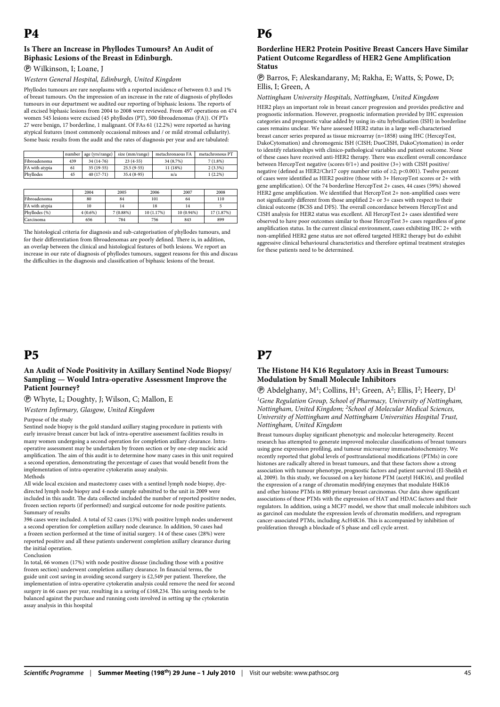#### **Is There an Increase in Phyllodes Tumours? An Audit of Biphasic Lesions of the Breast in Edinburgh.**

P Wilkinson, I; Loane, J

#### *Western General Hospital, Edinburgh, United Kingdom*

Phyllodes tumours are rare neoplasms with a reported incidence of between 0.3 and 1% of breast tumours. On the impression of an increase in the rate of diagnosis of phyllodes tumours in our department we audited our reporting of biphasic lesions. The reports of all excised biphasic lesions from 2004 to 2008 were reviewed. From 497 operations on 474 women 545 lesions were excised (45 phyllodes (PT), 500 fibroadenomas (FA)). Of PTs 27 were benign, 17 borderline, 1 malignant. Of FAs 61 (12.2%) were reported as having atypical features (most commonly occasional mitoses and / or mild stromal cellularity). Some basic results from the audit and the rates of diagnosis per year and are tabulated:

|                |     | number age (yrs/range) | size (mm/range) | metachronaous FA | metachronous PT |
|----------------|-----|------------------------|-----------------|------------------|-----------------|
| Fibroadenoma   | 439 | 34 (14-76)             | $23(4-55)$      | 34 (8.7%)        | $7(1.8\%)$      |
| FA with atypia | 61  | $35(19-55)$            | $25.5(9-55)$    | 11 (18%)         | $2(3.3\%)$      |
| Phyllodes      | 45  | 40 (17-71)             | $35.4(8-95)$    | n/a              | $1(2.2\%)$      |

|                | 2004       | 2005        | 2006       | 2007       | 2008       |
|----------------|------------|-------------|------------|------------|------------|
| Fibroadenoma   | 80         | 84          | 101        | 64         | 110        |
| FA with atypia | 10         | 14          | 18         | 14         |            |
| Phyllodes (%)  | $4(0.6\%)$ | $7(0.88\%)$ | 10 (1.17%) | 10 (0.94%) | 17 (1.87%) |
| Carcinoma      | 656        | 784         | 756        | 843        | 899        |

The histological criteria for diagnosis and sub-categorisation of phyllodes tumours, and for their differentiation from fibroadenomas are poorly defined. There is, in addition, an overlap between the clinical and histological features of both lesions. We report an increase in our rate of diagnosis of phyllodes tumours, suggest reasons for this and discuss the difficulties in the diagnosis and classification of biphasic lesions of the breast.

### **P5**

#### **An Audit of Node Positivity in Axillary Sentinel Node Biopsy/ Sampling — Would Intra-operative Assessment Improve the Patient Journey?**

P Whyte, L; Doughty, J; Wilson, C; Mallon, E

*Western Infirmary, Glasgow, United Kingdom*

#### Purpose of the study

Sentinel node biopsy is the gold standard axillary staging procedure in patients with early invasive breast cancer but lack of intra-operative assessment facilities results in many women undergoing a second operation for completion axillary clearance. Intraoperative assessment may be undertaken by frozen section or by one-step nucleic acid amplification. The aim of this audit is to determine how many cases in this unit required a second operation, demonstrating the percentage of cases that would benefit from the implementation of intra-operative cytokeratin assay analysis. Methods

All wide local excision and mastectomy cases with a sentinel lymph node biopsy, dyedirected lymph node biopsy and 4-node sample submitted to the unit in 2009 were included in this audit. The data collected included the number of reported positive nodes, frozen section reports (if performed) and surgical outcome for node positive patients. Summary of results

396 cases were included. A total of 52 cases (13%) with positive lymph nodes underwent a second operation for completion axillary node clearance. In addition, 50 cases had a frozen section performed at the time of initial surgery. 14 of these cases (28%) were reported positive and all these patients underwent completion axillary clearance during the initial operation.

#### Conclusion

In total, 66 women (17%) with node positive disease (including those with a positive frozen section) underwent completion axillary clearance. In financial terms, the guide unit cost saving in avoiding second surgery is £2,549 per patient. Therefore, the implementation of intra-operative cytokeratin analysis could remove the need for second surgery in 66 cases per year, resulting in a saving of £168,234. This saving needs to be balanced against the purchase and running costs involved in setting up the cytokeratin assay analysis in this hospital

# **P6**

#### **Borderline HER2 Protein Positive Breast Cancers Have Similar Patient Outcome Regardless of HER2 Gene Amplification Status**

P Barros, F; Aleskandarany, M; Rakha, E; Watts, S; Powe, D; Ellis, I; Green, A

#### *Nottingham University Hospitals, Nottingham, United Kingdom*

HER2 plays an important role in breast cancer progression and provides predictive and prognostic information. However, prognostic information provided by IHC expression categories and prognostic value added by using in-situ hybridisation (ISH) in borderline cases remains unclear. We have assessed HER2 status in a large well-characterised breast cancer series prepared as tissue microarray (n=1858) using IHC (HercepTest, DakoCytomation) and chromogenic ISH (CISH; DuoCISH, DakoCytomation) in order to identify relationships with clinico-pathological variables and patient outcome. None of these cases have received anti-HER2 therapy. There was excellent overall concordance between HercepTest negative (scores 0/1+) and positive (3+) with CISH positive/ negative (defined as HER2/Chr17 copy number ratio of  $\geq$ 2; p<0.001). Twelve percent of cases were identified as HER2 positive (those with 3+ HercepTest scores or 2+ with gene amplification). Of the 74 borderline HercepTest 2+ cases, 44 cases (59%) showed HER2 gene amplification. We identified that HercepTest 2+ non-amplified cases were not significantly different from those amplified 2+ or 3+ cases with respect to their clinical outcome (BCSS and DFS). The overall concordance between HercepTest and CISH analysis for HER2 status was excellent. All HercepTest 2+ cases identified were observed to have poor outcomes similar to those HercepTest 3+ cases regardless of gene amplification status. In the current clinical environment, cases exhibiting IHC 2+ with non-amplified HER2 gene status are not offered targeted HER2 therapy but do exhibit aggressive clinical behavioural characteristics and therefore optimal treatment strategies for these patients need to be determined.

**P7** 

#### **The Histone H4 K16 Regulatory Axis in Breast Tumours: Modulation by Small Molecule Inhibitors**

#### $\textcircled{P}$  Abdelghany, M<sup>1</sup>; Collins, H<sup>1</sup>; Green, A<sup>2</sup>; Ellis, I<sup>2</sup>; Heery, D<sup>1</sup>

*1Gene Regulation Group, School of Pharmacy, University of Nottingham, Nottingham, United Kingdom; 2School of Molecular Medical Sciences, University of Nottingham and Nottingham Universities Hospital Trust, Nottingham, United Kingdom*

Breast tumours display significant phenotypic and molecular heterogeneity. Recent research has attempted to generate improved molecular classifications of breast tumours using gene expression profiling, and tumour microarray immunohistochemistry. We recently reported that global levels of posttranslational modifications (PTMs) in core histones are radically altered in breast tumours, and that these factors show a strong association with tumour phenotype, prognostic factors and patient survival (El-Sheikh et al, 2009). In this study, we focussed on a key histone PTM (acetyl H4K16), and profiled the expression of a range of chromatin modifying enzymes that modulate H4K16 and other histone PTMs in 880 primary breast carcinomas. Our data show significant associations of these PTMs with the expression of HAT and HDAC factors and their regulators. In addition, using a MCF7 model, we show that small molecule inhibitors such as garcinol can modulate the expression levels of chromatin modifiers, and reprogram cancer-associated PTMs, including AcH4K16. This is accompanied by inhibition of proliferation through a blockade of S phase and cell cycle arrest.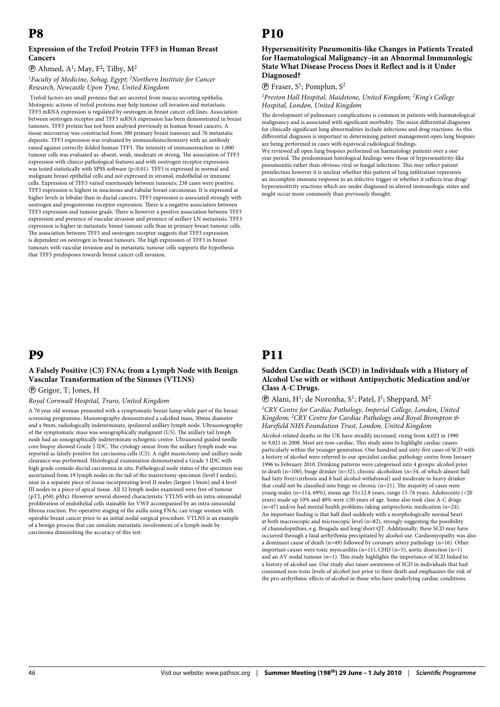#### **Expression of the Trefoil Protein TFF3 in Human Breast Cancers**

#### $\circledR$  Ahmed, A<sup>1</sup>; May, F<sup>2</sup>; Tilby, M<sup>2</sup>

*1Faculty of Medicine, Sohag, Egypt; 2Northern Institute for Cancer Research, Newcastle Upon Tyne, United Kingdom*

 Trefoil factors are small proteins that are secreted from mucus secreting epithelia. Motogenic actions of trefoil proteins may help tumour cell invasion and metastasis. TFF3 mRNA expression is regulated by oestrogen in breast cancer cell lines. Association between oestrogen receptor and TFF3 mRNA expression has been demonstrated in breast tumours. TFF3 protein has not been analysed previously in human breast cancers. A tissue microarray was constructed from 300 primary breast tumours and 76 metastatic deposits. TFF3 expression was evaluated by immunohistochemistry with an antibody raised against correctly-folded human TFF3. The intensity of immunoreaction in 1,000 tumour cells was evaluated as: absent, weak, moderate or strong. The association of TFF3 expression with clinico-pathological features and with oestrogen receptor expression was tested statistically with SPSS software (p<0.01). TFF3 is expressed in normal and malignant breast epithelial cells and not expressed in stromal, endothelial or immune cells. Expression of TFF3 varied enormously between tumours; 238 cases were positive. TFF3 expression is highest in mucinous and tubular breast carcinomas. It is expressed at higher levels in lobular than in ductal cancers. TFF3 expression is associated strongly with oestrogen and progesterone receptor expression. There is a negative association between TFF3 expression and tumour grade. There is however a positive association between TFF3 expression and presence of vascular invasion and presence of axillary LN metastasis. TFF3 expression is higher in metastatic breast tumour cells than in primary breast tumour cells. The association between TFF3 and oestrogen receptor suggests that TFF3 expression is dependent on oestrogen in breast tumours. The high expression of TFF3 in breast tumours with vascular invasion and in metastatic tumour cells supports the hypothesis that TFF3 predisposes towards breast cancer cell invasion.

### P9

#### **A Falsely Positive (C5) FNAc from a Lymph Node with Benign Vascular Transformation of the Sinuses (VTLNS)**

P Grigor, T; Jones, H

#### *Royal Cornwall Hospital, Truro, United Kingdom*

A 70 year old woman presented with a symptomatic breast lump while part of the breast screening programme. Mammography demonstrated a calcified mass, 30mm diameter and a 9mm, radiologically indeterminate, ipsilateral axillary lymph node. Ultrasonography of the symptomatic mass was sonographically malignant (U5). The axillary tail lymph node had an sonographically indeterminate echogenic centre. Ultrasound guided needle core biopsy showed Grade 2 IDC. The cytology smear from the axillary lymph node was reported as falsely positive for carcinoma cells (C5). A right mastectomy and axillary node clearance was performed. Histological examination demonstrated a Grade 3 IDC with high grade comedo ductal carcinoma in situ. Pathological node status of the specimen was ascertained from 19 lymph nodes in the tail of the mastectomy specimen (level I nodes), nine in a separate piece of tissue incorporating level II nodes (largest 13mm) and 4 level III nodes in a piece of apical tissue. All 32 lymph nodes examined were free of tumour (pT2, pN0, pMx). However several showed characteristic VTLNS with an intra-sinusoidal proliferation of endothelial cells stainable for VWF accompanied by an intra-sinusoidal fibrous reaction. Pre-operative staging of the axilla using FNAc can triage women with operable breast cancer prior to an initial nodal surgical procedure. VTLNS is an example of a benign process that can simulate metastatic involvement of a lymph node by carcinoma diminishing the accuracy of this test.

# **P10**

#### **Hypersensitivity Pneumonitis-like Changes in Patients Treated for Haematological Malignancy–in an Abnormal Immunologic State What Disease Process Does it Reflect and is it Under Diagnosed?**

 $\circledR$  Fraser, S<sup>1</sup>; Pomplun, S<sup>2</sup>

*1Preston Hall Hospital, Maidstone, United Kingdom; 2King's College Hospital, London, United Kingdom*

The development of pulmonary complications is common in patients with haematological malignancy and is associated with significant morbidity. The main differential diagnoses for clinically significant lung abnormalities include infections and drug reactions. As this differential diagnosis is important in determining patient management open lung biopsies are being performed in cases with equivocal radiological findings.

We reviewed all open lung biopsies performed on haematology patients over a one year period. The predominant histological findings were those of hypersensitivity-like pneumonitis rather than obvious viral or fungal infections. This may reflect patient preselection however it is unclear whether this pattern of lung infiltration represents an incomplete immune response to an infective trigger or whether it reflects true drug/ hypersensitivity reactions which are under diagnosed in altered immunologic states and might occur more commonly than previously thought.

### P11

#### **Sudden Cardiac Death (SCD) in Individuals with a History of Alcohol Use with or without Antipsychotic Medication and/or Class A-C Drugs.**

#### $\textcircled{P}$  Alani, H<sup>1</sup>; de Noronha, S<sup>1</sup>; Patel, J<sup>1</sup>; Sheppard, M<sup>2</sup>

<sup>1</sup>CRY Centre for Cardiac Pathology, Imperial College, London, United *Kingdom; 2CRY Centre for Cardiac Pathology and Royal Brompton & Harefield NHS Foundation Trust, London, United Kingdom*

Alcohol-related deaths in the UK have steadily increased, rising from 4,023 in 1990 to 9,021 in 2008. Most are non-cardiac. This study aims to highlight cardiac causes particularly within the younger generation. One hundred and sixty-five cases of SCD with a history of alcohol were referred to our specialist cardiac pathology centre from January 1996 to February 2010. Drinking patterns were categorised into 4 groups: alcohol prior to death (n=100), binge drinker (n=32), chronic alcoholism (n=54, of which almost half had fatty liver/cirrhosis and 8 had alcohol withdrawal) and moderate to heavy drinker that could not be classified into binge or chronic (n=21). The majority of cases were young males (n=114, 69%), mean age 35±12.8 years, range 15-76 years. Adolescents (<20 years) made up 10% and 40% were ≤30 years of age. Some also took class A-C drugs  $(n=47)$  and/or had mental health problems taking antipsychotic medication  $(n=24)$ . An important finding is that half died suddenly with a morphologically normal heart at both macroscopic and microscopic level (n=82), strongly suggesting the possibility of channelopathies, e.g. Brugada and long/short QT. Additionally, these SCD may have occurred through a fatal arrhythmia precipitated by alcohol use. Cardiomyopathy was also a dominant cause of death (n=49) followed by coronary artery pathology (n=16). Other important causes were toxic myocarditis (n=11), CHD (n=5), aortic dissection (n=1) and an AV nodal tumour (n=1). This study highlights the importance of SCD linked to a history of alcohol use. Our study also raises awareness of SCD in individuals that had consumed non-toxic levels of alcohol just prior to their death and emphasizes the risk of the pro-arrhythmic effects of alcohol in those who have underlying cardiac conditions.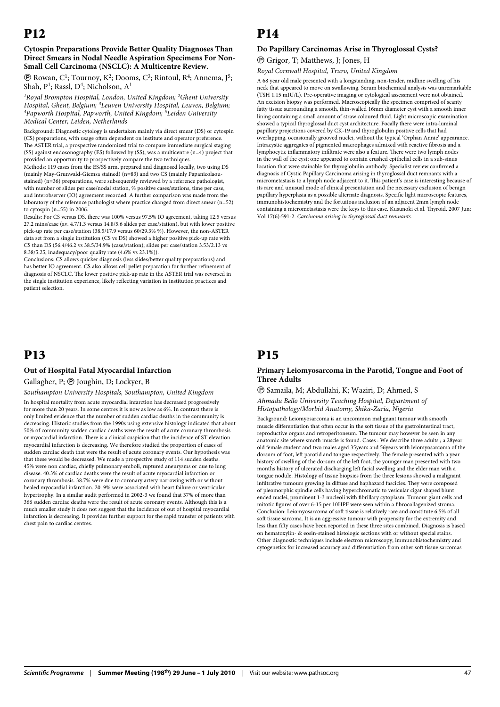#### **Cytospin Preparations Provide Better Quality Diagnoses Than Direct Smears in Nodal Needle Aspiration Specimens For Non-Small Cell Carcinoma (NSCLC): A Multicentre Review.**

 $\overline{P}$  Rowan, C<sup>1</sup>; Tournoy, K<sup>2</sup>; Dooms, C<sup>3</sup>; Rintoul, R<sup>4</sup>; Annema, J<sup>5</sup>; Shah,  $P^1$ ; Rassl,  $D^4$ ; Nicholson,  $A^1$ 

*1Royal Brompton Hospital, London, United Kingdom; 2Ghent University Hospital, Ghent, Belgium; 3Leuven University Hospital, Leuven, Belgium; 4Papworth Hospital, Papworth, United Kingdom; 5Leiden University Medical Center, Leiden, Netherlands*

Background: Diagnostic cytology is undertaken mainly via direct smear (DS) or cytospin (CS) preparations, with usage often dependent on institute and operator preference. The ASTER trial, a prospective randomized trial to compare immediate surgical staging (SS) against endosonography (ES) followed by (SS), was a multicentre (n=4) project that provided an opportunity to prospectively compare the two techniques.

Methods: 119 cases from the ES/SS arm, prepared and diagnosed locally, two using DS (mainly May-Grunwald-Giemsa stained) (n=83) and two CS (mainly Papanicolaoustained) (n=36) preparations, were subsequently reviewed by a reference pathologist, with number of slides per case/nodal station, % positive cases/stations, time per case, and interobserver (IO) agreement recorded. A further comparison was made from the laboratory of the reference pathologist where practice changed from direct smear (n=52) to cytospin (n=55) in 2006.

Results: For CS versus DS, there was 100% versus 97.5% IO agreement, taking 12.5 versus 27.2 mins/case (av. 4.7/1.3 versus 14.8/5.6 slides per case/station), but with lower positive pick-up rate per case/station (38.5/17.9 versus 60/29.3% %). However, the non-ASTER data set from a single institution (CS vs DS) showed a higher positive pick-up rate with CS than DS (56.4/46.2 vs 38.5/34.9% (case/station); slides per case/station 3.53/2.13 vs 8.38/5.25; inadequacy/poor quality rate (4.6% vs 23.1%)).

Conclusions: CS allows quicker diagnosis (less slides/better quality preparations) and has better IO agreement. CS also allows cell pellet preparation for further refinement of diagnosis of NSCLC. The lower positive pick-up rate in the ASTER trial was reversed in the single institution experience, likely reflecting variation in institution practices and patient selection.

### P13

#### **Out of Hospital Fatal Myocardial Infarction**

#### Gallagher, P;  $\circledR$  Joughin, D; Lockyer, B

*Southampton University Hospitals, Southampton, United Kingdom* In hospital mortality from acute myocardial infarction has decreased progressively for more than 20 years. In some centres it is now as low as 6%. In contrast there is only limited evidence that the number of sudden cardiac deaths in the community is decreasing. Historic studies from the 1990s using extensive histology indicated that about 50% of community sudden cardiac deaths were the result of acute coronary thrombosis or myocardial infarction. There is a clinical suspicion that the incidence of ST elevation myocardial infarction is decreasing. We therefore studied the proportion of cases of sudden cardiac death that were the result of acute coronary events. Our hypothesis was that these would be decreased. We made a prospective study of 114 sudden deaths. 45% were non cardiac, chiefly pulmonary emboli, ruptured aneurysms or due to lung disease. 40.3% of cardiac deaths were the result of acute myocardial infarction or coronary thrombosis. 38.7% were due to coronary artery narrowing with or without healed myocardial infarction. 20. 9% were associated with heart failure or ventricular hypertrophy. In a similar audit performed in 2002-3 we found that 37% of more than 366 sudden cardiac deaths were the result of acute coronary events. Although this is a much smaller study it does not suggest that the incidence of out of hospital myocardial infarction is decreasing. It provides further support for the rapid transfer of patients with chest pain to cardiac centres.

# P14

#### **Do Papillary Carcinomas Arise in Thyroglossal Cysts?**

#### P Grigor, T; Matthews, J; Jones, H

*Royal Cornwall Hospital, Truro, United Kingdom*

A 68 year old male presented with a longstanding, non-tender, midline swelling of his neck that appeared to move on swallowing. Serum biochemical analysis was unremarkable (TSH 1.15 mIU/L). Pre-operative imaging or cytological assessment were not obtained. An excision biopsy was performed. Macroscopically the specimen comprised of scanty fatty tissue surrounding a smooth, thin-walled 16mm diameter cyst with a smooth inner lining containing a small amount of straw coloured fluid. Light microscopic examination showed a typical thyroglossal duct cyst architecture. Focally there were intra-luminal papillary projections covered by CK-19 and thyroglobulin positive cells that had overlapping, occasionally grooved nuclei, without the typical 'Orphan Annie' appearance. Intracystic aggregates of pigmented macrophages admixed with reactive fibrosis and a lymphocytic inflammatory infiltrate were also a feature. There were two lymph nodes in the wall of the cyst; one appeared to contain crushed epithelial cells in a sub-sinus location that were stainable for thyroglobulin antibody. Specialist review confirmed a diagnosis of Cystic Papillary Carcinoma arising in thyroglossal duct remnants with a micrometastasis to a lymph node adjacent to it. This patient's case is interesting because of its rare and unusual mode of clinical presentation and the necessary exclusion of benign papillary hyperplasia as a possible alternate diagnosis. Specific light microscopic features, immunohistochemistry and the fortuitous inclusion of an adjacent 2mm lymph node containing a micrometastasis were the keys to this case. Kusunoki et al. Thyroid. 2007 Jun; Vol 17(6):591-2. *Carcinoma arising in thyroglossal duct remnants.*

### P15

#### **Primary Leiomyosarcoma in the Parotid, Tongue and Foot of Three Adults**

#### P Samaila, M; Abdullahi, K; Waziri, D; Ahmed, S

*Ahmadu Bello University Teaching Hospital, Department of Histopathology/Morbid Anatomy, Shika-Zaria, Nigeria*

Background: Leiomyosarcoma is an uncommon malignant tumour with smooth muscle differentiation that often occur in the soft tissue of the gastrointestinal tract, reproductive organs and retroperitoneum. The tumour may however be seen in any anatomic site where smoth muscle is found. Cases : We describe three adults ; a 28year old female student and two males aged 35years and 56years with leiomyosarcoma of the dorsum of foot, left parotid and tongue respectively. The female presented with a year history of swelling of the dorsum of the left foot, the younger man presented with two months history of ulcerated discharging left facial swelling and the elder man with a tongue nodule. Histology of tissue biopsies from the three lesions showed a malignant infiltrative tumours growing in diffuse and haphazard fascicles. They were composed of pleomorphic spindle cells having hyperchromatic to vesicular cigar shaped blunt ended nuclei, prominent 1-3 nucleoli with fibrillary cytoplasm. Tumour giant cells and mitotic figures of over 6-15 per 10HPF were seen within a fibrocollagenized stroma. Conclusion: Leiomyosarcoma of soft tissue is relatively rare and constitute 6.5% of all soft tissue sarcoma. It is an aggressive tumour with propensity for the extremity and less than fifty cases have been reported in these three sites combined. Diagnosis is based on hematoxylin- & eosin-stained histologic sections with or without special stains. Other diagnostic techniques include electron microscopy, immunohistochemistry and cytogenetics for increased accuracy and differentiation from other soft tissue sarcomas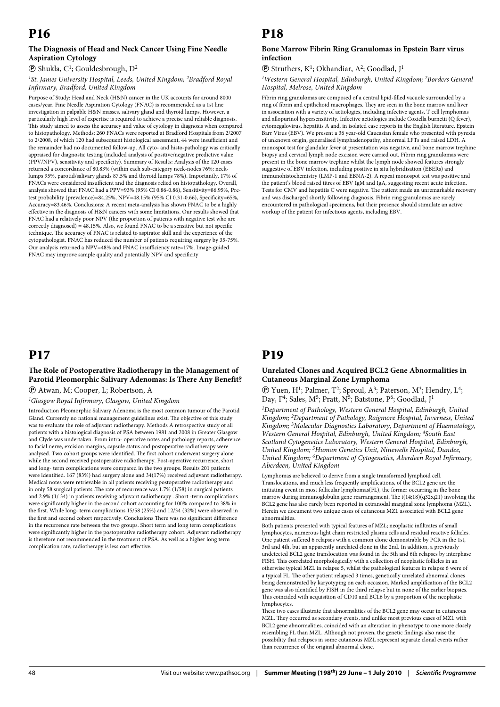#### **The Diagnosis of Head and Neck Cancer Using Fine Needle Aspiration Cytology**

#### $\mathcal{P}$  Shukla, C<sup>1</sup>; Gouldesbrough, D<sup>2</sup>

*1St. James University Hospital, Leeds, United Kingdom; 2Bradford Royal Infirmary, Bradford, United Kingdom*

Purpose of Study: Head and Neck (H&N) cancer in the UK accounts for around 8000 cases/year. Fine Needle Aspiration Cytology (FNAC) is recommended as a 1st line investigation in palpable H&N masses, salivary gland and thyroid lumps. However, a particularly high level of expertise is required to achieve a precise and reliable diagnosis. This study aimed to assess the accuracy and value of cytology in diagnosis when compared to histopathology. Methods: 260 FNACs were reported at Bradford Hospitals from 2/2007 to 2/2008, of which 120 had subsequent histological assessment, 44 were insufficient and the remainder had no documented follow-up. All cyto- and histo-pathology was critically appraised for diagnostic testing (included analysis of positive/negative predictive value (PPV/NPV), sensitivity and specificity). Summary of Results: Analysis of the 120 cases returned a concordance of 80.83% (within each sub-category neck-nodes 76%; necklumps 95%, parotid/salivary glands 87.5% and thyroid lumps 78%). Importantly, 17% of FNACs were considered insufficient and the diagnosis relied on histopathology. Overall, analysis showed that FNAC had a PPV=93% (95% CI 0.86-0.86), Sensitivity=86.95%, Pretest probability (prevalence)=84.25%, NPV=48.15% (95% CI 0.31-0.66), Specificity=65%, Accuracy=83.46%. Conclusions: A recent meta-analysis has shown FNAC to be a highly effective in the diagnosis of H&N cancers with some limitations. Our results showed that FNAC had a relatively poor NPV (the proportion of patients with negative test who are correctly diagnosed) = 48.15%. Also, we found FNAC to be a sensitive but not specific technique. The accuracy of FNAC is related to aspirator skill and the experience of the cytopathologist. FNAC has reduced the number of patients requiring surgery by 35-75%. Our analysis returned a NPV=48% and FNAC insufficiency rate=17%. Image-guided FNAC may improve sample quality and potentially NPV and specificity

# **P17**

#### **The Role of Postoperative Radiotherapy in the Management of Parotid Pleomorphic Salivary Adenomas: Is There Any Benefit?**

P Atwan, M; Cooper, L; Robertson, A

#### *1Glasgow Royal Infirmary, Glasgow, United Kingdom*

Introduction Pleomorphic Salivary Adenoma is the most common tumour of the Parotid Gland. Currently no national management guidelines exist. The objective of this study was to evaluate the role of adjuvant radiotherapy. Methods A retrospective study of all patients with a histological diagnosis of PSA between 1981 and 2008 in Greater Glasgow and Clyde was undertaken. From intra- operative notes and pathology reports, adherence to facial nerve, excision margins, capsule status and postoperative radiotherapy were analysed. Two cohort groups were identified. The first cohort underwent surgery alone while the second received postoperative radiotherapy. Post-operative recurrence, short and long- term complications were compared in the two groups. Results 201 patients were identified. 167 (83%) had surgery alone and 34(17%) received adjuvant radiotherapy. Medical notes were retrievable in all patients receiving postoperative radiotherapy and in only 58 surgical patients .The rate of recurrence was 1.7% (1/58) in surgical patients and 2.9% (1/ 34) in patients receiving adjuvant radiotherapy . Short -term complications were significantly higher in the second cohort accounting for 100% compared to 38% in the first. While long- term complications 15/58 (25%) and 12/34 (32%) were observed in the first and second cohort respectively. Conclusions There was no significant difference in the recurrence rate between the two groups. Short term and long term complications were significantly higher in the postoperative radiotherapy cohort. Adjuvant radiotherapy is therefore not recommended in the treatment of PSA. As well as a higher long term complication rate, radiotherapy is less cost effective.

# **P18**

#### **Bone Marrow Fibrin Ring Granulomas in Epstein Barr virus infection**

#### $\mathcal{P}$  Struthers, K<sup>1</sup>; Okhandiar, A<sup>2</sup>; Goodlad, J<sup>1</sup>

#### *1Western General Hospital, Edinburgh, United Kingdom; 2Borders General Hospital, Melrose, United Kingdom*

Fibrin ring granulomas are composed of a central lipid-filled vacuole surrounded by a ring of fibrin and epithelioid macrophages. They are seen in the bone marrow and liver in association with a variety of aetiologies, including infective agents, T cell lymphomas and allopurinol hypersensitivity. Infective aetiologies include Coxiella burnetii (Q fever), cytomegalovirus, hepatitis A and, in isolated case reports in the English literature, Epstein Barr Virus (EBV). We present a 36 year-old Caucasian female who presented with pyrexia of unknown origin, generalised lymphadenopathy, abnormal LFTs and raised LDH. A monospot test for glandular fever at presentation was negative, and bone marrow trephine biopsy and cervical lymph node excision were carried out. Fibrin ring granulomas were present in the bone marrow trephine whilst the lymph node showed features strongly suggestive of EBV infection, including positive in situ hybridisation (EBERs) and immunohistochemistry (LMP-1 and EBNA-2). A repeat monospot test was positive and the patient's blood raised titres of EBV IgM and IgA, suggesting recent acute infection. Tests for CMV and hepatitis C were negative. The patient made an unremarkable recovery and was discharged shortly following diagnosis. Fibrin ring granulomas are rarely encountered in pathological specimens, but their presence should stimulate an active workup of the patient for infectious agents, including EBV.

### P19

#### **Unrelated Clones and Acquired BCL2 Gene Abnormalities in Cutaneous Marginal Zone Lymphoma**

P Yuen, H1; Palmer, T2; Sproul, A3; Paterson, M3; Hendry, L4; Day, F<sup>4</sup>; Sales, M<sup>5</sup>; Pratt, N<sup>5</sup>; Batstone, P<sup>6</sup>; Goodlad, J<sup>1</sup>

*1Department of Pathology, Western General Hospital, Edinburgh, United Kingdom; 2Department of Pathology, Raigmore Hospital, Inverness, United Kingdom; 3Molecular Diagnostics Laboratory, Department of Haematology, Western General Hospital, Edinburgh, United Kingdom; 4South East Scotland Cytogenetics Laboratory, Western General Hospital, Edinburgh, United Kingdom; 5Human Genetics Unit, Ninewells Hospital, Dundee, United Kingdom; 6Department of Cytogenetics, Aberdeen Royal Infirmary, Aberdeen, United Kingdom*

Lymphomas are believed to derive from a single transformed lymphoid cell. Translocations, and much less frequently amplifications, of the BCL2 gene are the initiating event in most follicular lymphomas(FL), the former occurring in the bone marrow during immunoglobulin gene rearrangement. The t(14;18)(q32;q21) involving the BCL2 gene has also rarely been reported in extranodal marginal zone lymphoma (MZL). Herein we document two unique cases of cutaneous MZL associated with BCL2 gene abnormalities.

Both patients presented with typical features of MZL; neoplastic infiltrates of small lymphocytes, numerous light chain restricted plasma cells and residual reactive follicles. One patient suffered 6 relapses with a common clone demonstrable by PCR in the 1st, 3rd and 4th, but an apparently unrelated clone in the 2nd. In addition, a previously undetected BCL2 gene translocation was found in the 5th and 6th relapses by interphase FISH. This correlated morphologically with a collection of neoplastic follicles in an otherwise typical MZL in relapse 5, whilst the pathological features in relapse 6 were of a typical FL. The other patient relapsed 3 times, genetically unrelated abnormal clones being demonstrated by karyotyping on each occasion. Marked amplification of the BCL2 gene was also identified by FISH in the third relapse but in none of the earlier biopsies. This coincided with acquisition of CD10 and BCL6 by a proportion of the neoplastic lymphocytes.

These two cases illustrate that abnormalities of the BCL2 gene may occur in cutaneous MZL. They occurred as secondary events, and unlike most previous cases of MZL with BCL2 gene abnormalities, coincided with an alteration in phenotype to one more closely resembling FL than MZL. Although not proven, the genetic findings also raise the possibility that relapses in some cutaneous MZL represent separate clonal events rather than recurrence of the original abnormal clone.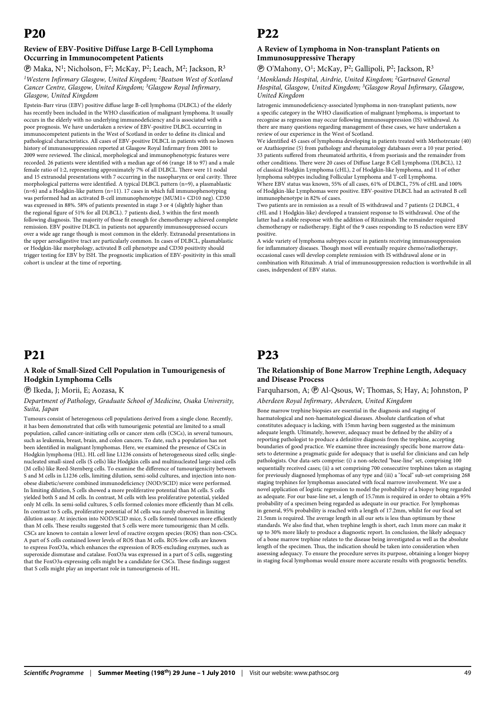#### **Review of EBV-Positive Diffuse Large B-Cell Lymphoma Occurring in Immunocompetent Patients**

 $\textcircled{P}$  Maka, N<sup>1</sup>; Nicholson, F<sup>2</sup>; McKay, P<sup>2</sup>; Leach, M<sup>2</sup>; Jackson, R<sup>3</sup> *1Western Infirmary Glasgow, United Kingdom; 2Beatson West of Scotland Cancer Centre, Glasgow, United Kingdom; 3Glasgow Royal Infirmary, Glasgow, United Kingdom*

Epstein-Barr virus (EBV) positive diffuse large B-cell lymphoma (DLBCL) of the elderly has recently been included in the WHO classification of malignant lymphoma. It usually occurs in the elderly with no underlying immunodeficiency and is associated with a poor prognosis. We have undertaken a review of EBV-positive DLBCL occurring in immunocompetent patients in the West of Scotland in order to define its clinical and pathological characteristics. All cases of EBV-positive DLBCL in patients with no known history of immunosuppression reported at Glasgow Royal Infirmary from 2001 to 2009 were reviewed. The clinical, morphological and immunophenotypic features were recorded. 26 patients were identified with a median age of 66 (range 18 to 97) and a male female ratio of 1:2, representing approximately 7% of all DLBCL. There were 11 nodal and 15 extranodal presentations with 7 occurring in the nasopharynx or oral cavity. Three morphological patterns were identified. A typical DLBCL pattern (n=9), a plasmablastic  $(n=6)$  and a Hodgkin-like pattern  $(n=11)$ . 17 cases in which full immunophenotyping was performed had an activated B-cell immunophenotype (MUM1+ CD10 neg). CD30 was expressed in 88%. 58% of patients presented in stage 3 or 4 (slightly higher than the regional figure of 51% for all DLBCL). 7 patients died, 3 within the first month following diagnosis. The majority of those fit enough for chemotherapy achieved complete remission. EBV positive DLBCL in patients not apparently immunosuppressed occurs over a wide age range though is most common in the elderly. Extranodal presentations in the upper aerodigestive tract are particularly common. In cases of DLBCL, plasmablastic or Hodgkin-like morphology, activated B cell phenotype and CD30 positivity should trigger testing for EBV by ISH. The prognostic implication of EBV-positivity in this small cohort is unclear at the time of reporting.

# P<sub>22</sub>

#### **A Review of Lymphoma in Non-transplant Patients on Immunosuppressive Therapy**

 $\textcircled{P}$  O'Mahony, O<sup>1</sup>; McKay, P<sup>2</sup>; Gallipoli, P<sup>2</sup>; Jackson, R<sup>3</sup>

*1Monklands Hospital, Airdrie, United Kingdom; 2Gartnavel General Hospital, Glasgow, United Kingdom; 3Glasgow Royal Infirmary, Glasgow, United Kingdom*

Iatrogenic immunodeficiency-associated lymphoma in non-transplant patients, now a specific category in the WHO classification of malignant lymphoma, is important to recognise as regression may occur following immunosuppression (IS) withdrawal. As there are many questions regarding management of these cases, we have undertaken a review of our experience in the West of Scotland.

We identified 45 cases of lymphoma developing in patients treated with Methotrexate (40) or Azathioprine (5) from pathology and rheumatology databases over a 10 year period. 33 patients suffered from rheumatoid arthritis, 4 from psoriasis and the remainder from other conditions. There were 20 cases of Diffuse Large B Cell Lymphoma (DLBCL), 12 of classical Hodgkin Lymphoma (cHL), 2 of Hodgkin-like lymphoma, and 11 of other lymphoma subtypes including Follicular Lymphoma and T-cell Lymphoma.

Where EBV status was known, 55% of all cases, 61% of DLBCL, 75% of cHL and 100% of Hodgkin-like Lymphomas were positive. EBV-positive DLBCL had an activated B cell immunophenotype in 82% of cases.

Two patients are in remission as a result of IS withdrawal and 7 patients (2 DLBCL, 4 cHL and 1 Hodgkin-like) developed a transient response to IS withdrawal. One of the latter had a stable response with the addition of Rituximab. The remainder required chemotherapy or radiotherapy. Eight of the 9 cases responding to IS reduction were EBV positive.

A wide variety of lymphoma subtypes occur in patients receiving immunosuppression for inflammatory diseases. Though most will eventually require chemo/radiotherapy, occasional cases will develop complete remission with IS withdrawal alone or in combination with Rituximab. A trial of immunosuppression reduction is worthwhile in all cases, independent of EBV status.

# P21

#### **A Role of Small-Sized Cell Population in Tumourigenesis of Hodgkin Lymphoma Cells**

#### P Ikeda, J; Morii, E; Aozasa, K

#### *Department of Pathology, Graduate School of Medicine, Osaka University, Suita, Japan*

Tumours consist of heterogenous cell populations derived from a single clone. Recently, it has been demonstrated that cells with tumourigenic potential are limited to a small population, called cancer-initiating cells or cancer stem cells (CSCs), in several tumours, such as leukemia, breast, brain, and colon cancers. To date, such a population has not been identified in malignant lymphomas. Here, we examined the presence of CSCs in Hodgkin lymphoma (HL). HL cell line L1236 consists of heterogeneous sized cells; singlenucleated small-sized cells (S cells) like Hodgkin cells and multinucleated large-sized cells (M cells) like Reed-Sternberg cells. To examine the difference of tumourigenicity between S and M cells in L1236 cells, limiting dilution, semi-solid cultures, and injection into nonobese diabetic/severe combined immunodeficiency (NOD/SCID) mice were performed. In limiting dilution, S cells showed a more proliferative potential than M cells. S cells yielded both S and M cells. In contrast, M cells with less proliferative potential, yielded only M cells. In semi-solid cultures, S cells formed colonies more efficiently than M cells. In contrast to S cells, proliferative potential of M cells was rarely observed in limiting dilution assay. At injection into NOD/SCID mice, S cells formed tumours more efficiently than M cells. These results suggested that S cells were more tumourigenic than M cells. CSCs are known to contain a lower level of reactive oxygen species (ROS) than non-CSCs. A part of S cells contained lower levels of ROS than M cells. ROS-low cells are known to express FoxO3a, which enhances the expression of ROS-excluding enzymes, such as superoxide dismutase and catalase. FoxO3a was expressed in a part of S cells, suggesting that the FoxO3a-expressing cells might be a candidate for CSCs. These findings suggest that S cells might play an important role in tumourigenesis of HL.

### P23

#### **The Relationship of Bone Marrow Trephine Length, Adequacy and Disease Process**

#### Farquharson, A;  $\circledR$  Al-Qsous, W; Thomas, S; Hay, A; Johnston, P

*Aberdeen Royal Infirmary, Aberdeen, United Kingdom*

Bone marrow trephine biopsies are essential in the diagnosis and staging of haematological and non-haematological diseases. Absolute clarification of what constitutes adequacy is lacking, with 15mm having been suggested as the minimum adequate length. Ultimately, however, adequacy must be defined by the ability of a reporting pathologist to produce a definitive diagnosis from the trephine, accepting boundaries of good practice. We examine three increasingly specific bone marrow datasets to determine a pragmatic guide for adequacy that is useful for clinicians and can help pathologists. Our data-sets comprise: (i) a non-selected "base-line" set, comprising 100 sequentially received cases; (ii) a set comprising 700 consecutive trephines taken as staging for previously diagnosed lymphomas of any type and (iii) a "focal" sub-set comprising 268 staging trephines for lymphomas associated with focal marrow involvement. We use a novel application of logistic regression to model the probability of a biopsy being regarded as adequate. For our base-line set, a length of 15.7mm is required in order to obtain a 95% probability of a specimen being regarded as adequate in our practice. For lymphomas in general, 95% probability is reached with a length of 17.2mm, whilst for our focal set 21.5mm is required. The average length in all our sets is less than optimum by these standards. We also find that, when trephine length is short, each 1mm more can make it up to 30% more likely to produce a diagnostic report. In conclusion, the likely adequacy of a bone marrow trephine relates to the disease being investigated as well as the absolute length of the specimen. Thus, the indication should be taken into consideration when assessing adequacy. To ensure the procedure serves its purpose, obtaining a longer biopsy in staging focal lymphomas would ensure more accurate results with prognostic benefits.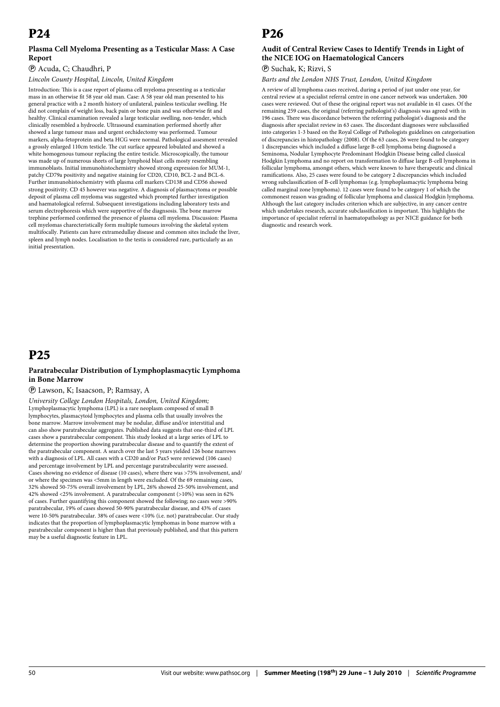#### **Plasma Cell Myeloma Presenting as a Testicular Mass: A Case Report**

#### P Acuda, C; Chaudhri, P

#### *Lincoln County Hospital, Lincoln, United Kingdom*

Introduction: This is a case report of plasma cell myeloma presenting as a testicular mass in an otherwise fit 58 year old man. Case: A 58 year old man presented to his general practice with a 2 month history of unilateral, painless testicular swelling. He did not complain of weight loss, back pain or bone pain and was otherwise fit and healthy. Clinical examination revealed a large testicular swelling, non-tender, which clinically resembled a hydrocele. Ultrasound examination performed shortly after showed a large tumour mass and urgent orchidectomy was performed. Tumour markers, alpha-fetoprotein and beta HCG were normal. Pathological assesment revealed a grossly enlarged 110cm testicle. The cut surface appeared lobulated and showed a white homogenous tumour replacing the entire testicle. Microscopically, the tumour was made up of numerous sheets of large lymphoid blast cells mosty resembling immunoblasts. Initial immunohistochemistry showed strong expression for MUM-1, patchy CD79a positivity and negative staining for CD20, CD10, BCL-2 and BCL-6. Further immunohistochemistry with plasma cell markers CD138 and CD56 showed strong positivity. CD 45 however was negative. A diagnosis of plasmacytoma or possible deposit of plasma cell myeloma was suggested which prompted further investigation and haematological referral. Subsequent investigations including laboratory tests and serum electrophoresis which were supportive of the diagnsosis. The bone marrow trephine performed confirmed the presence of plasma cell myeloma. Discussion: Plasma cell myelomas charecteristically form multiple tumours involving the skeletal system multifocally. Patients can have extramedullay disease and common sites include the liver, spleen and lymph nodes. Localisation to the testis is considered rare, particularly as an initial presentation.

# P26

#### **Audit of Central Review Cases to Identify Trends in Light of the NICE IOG on Haematological Cancers**

#### P Suchak, K; Rizvi, S

#### *Barts and the London NHS Trust, London, United Kingdom*

A review of all lymphoma cases received, during a period of just under one year, for central review at a specialist referral centre in one cancer network was undertaken. 300 cases were reviewed. Out of these the original report was not available in 41 cases. Of the remaining 259 cases, the original (referring pathologist's) diagnosis was agreed with in 196 cases. There was discordance between the referring pathologist's diagnosis and the diagnosis after specialist review in 63 cases. The discordant diagnoses were subclassified into categories 1-3 based on the Royal College of Pathologists guidelines on categorisation of discrepancies in histopathology (2008). Of the 63 cases, 26 were found to be category 1 discrepancies which included a diffuse large B-cell lymphoma being diagnosed a Seminoma, Nodular Lymphocyte Predominant Hodgkin Disease being called classical Hodgkin Lymphoma and no report on transformation to diffuse large B-cell lymphoma in follicular lymphoma, amongst others, which were known to have therapeutic and clinical ramifications. Also, 25 cases were found to be category 2 discrepancies which included wrong subclassification of B-cell lymphomas (e.g. lymphoplasmacytic lymphoma being called marginal zone lymphoma). 12 cases were found to be category 1 of which the commonest reason was grading of follicular lymphoma and classical Hodgkin lymphoma. Although the last category includes criterion which are subjective, in any cancer centre which undertakes research, accurate subclassification is important. This highlights the importance of specialist referral in haematopathology as per NICE guidance for both diagnostic and research work.

### P25

#### **Paratrabecular Distribution of Lymphoplasmacytic Lymphoma in Bone Marrow**

#### P Lawson, K; Isaacson, P; Ramsay, A

*University College London Hospitals, London, United Kingdom;*  Lymphoplasmacytic lymphoma (LPL) is a rare neoplasm composed of small B lymphocytes, plasmacytoid lymphocytes and plasma cells that usually involves the bone marrow. Marrow involvement may be nodular, diffuse and/or interstitial and can also show paratrabecular aggregates. Published data suggests that one-third of LPL cases show a paratrabecular component. This study looked at a large series of LPL to determine the proportion showing paratrabecular disease and to quantify the extent of the paratrabecular component. A search over the last 5 years yielded 126 bone marrows with a diagnosis of LPL. All cases with a CD20 and/or Pax5 were reviewed (106 cases) and percentage involvement by LPL and percentage paratrabecularity were assessed. Cases showing no evidence of disease (10 cases), where there was >75% involvement, and/ or where the specimen was <5mm in length were excluded. Of the 69 remaining cases, 32% showed 50-75% overall involvement by LPL, 26% showed 25-50% involvement, and 42% showed <25% involvement. A paratrabecular component (>10%) was seen in 62% of cases. Further quantifying this component showed the following; no cases were >90% paratrabecular, 19% of cases showed 50-90% paratrabecular disease, and 43% of cases were 10-50% paratrabecular. 38% of cases were <10% (i.e. not) paratrabecular. Our study indicates that the proportion of lymphoplasmacytic lymphomas in bone marrow with a paratrabecular component is higher than that previously published, and that this pattern may be a useful diagnostic feature in LPL.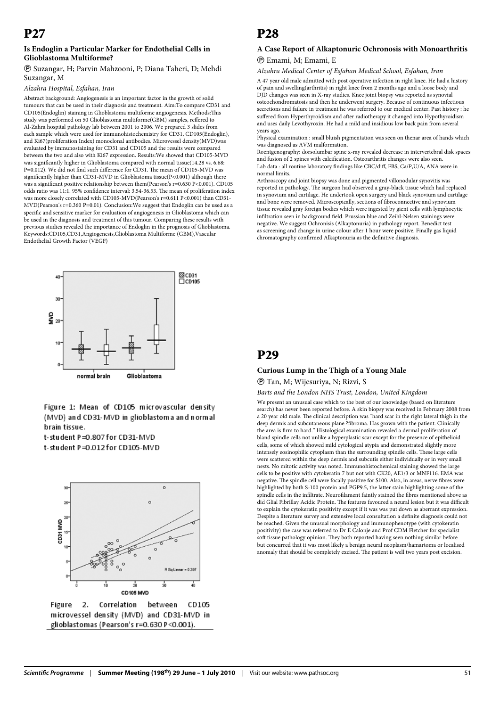#### **Is Endoglin a Particular Marker for Endothelial Cells in Glioblastoma Multiforme?**

#### P Suzangar, H; Parvin Mahzooni, P; Diana Taheri, D; Mehdi Suzangar, M

*Alzahra Hospital, Esfahan, Iran*

Abstract background: Angiogenesis is an important factor in the growth of solid tumours that can be used in their diagnosis and treatment. Aim:To compare CD31 and CD105(Endoglin) staining in Glioblastoma multiforme angiogenesis. Methods:This study was performed on 50 Glioblastoma multiforme(GBM) samples, reffered to Al-Zahra hospital pathology lab between 2001 to 2006. We prepared 3 slides from each sample which were used for immunohistochemistry for CD31, CD105(Endoglin), and Ki67(proliferation Index) monoclonal antibodies. Microvessel density(MVD)was evaluated by immunostaining for CD31 and CD105 and the results were compared between the two and also with Ki67 expression. Results:We showed that CD105-MVD was significantly higher in Glioblastoma compared with normal tissue(14.28 vs. 6.68: P=0.012). We did not find such difference for CD31. The mean of CD105-MVD was significantly higher than CD31-MVD in Glioblastoma tissue(P<0.001) although there was a significant positive relationship between them(Pearson's r=0.630 P<0.001). CD105 odds ratio was 11:1. 95% confidence interval: 3.54-36.53. The mean of proliferation index was more closely correlated with CD105-MVD(Pearson's r=0.611 P<0.001) than CD31-MVD(Pearson's  $r=0.360$  P=0.01). Conclusion: We suggest that Endoglin can be used as a specific and sensitive marker for evaluation of angiogenesis in Glioblastoma which can be used in the diagnosis and treatment of this tumour. Comparing these results with previous studies revealed the importance of Endoglin in the prognosis of Glioblastoma. Keywords:CD105,CD31,Angiogenesis,Glioblastoma Multiforme (GBM),Vascular Endothelial Growth Factor (VEGF)



Figure 1: Mean of CD105 microvascular density (MVD) and CD31-MVD in glioblastoma and normal brain tissue.

t-student P=0.807 for CD31-MVD t-student P=0.012 for CD105-MVD



Figure 2. Correlation between CD105 microvessel density (MVD) and CD31-MVD in glioblastomas (Pearson's r=0.630 P<0.001).

### **P28**

#### **A Case Report of Alkaptonuric Ochronosis with Monoarthritis** P Emami, M; Emami, E

*Alzahra Medical Center of Esfahan Medical School, Esfahan, Iran*

A 47 year old male admitted with post operative infection in right knee. He had a history of pain and swelling(arthritis) in right knee from 2 months ago and a loose body and DJD changes was seen in X-ray studies. Knee joint biopsy was reported as synovial osteochondromatosis and then he underwent surgery. Because of continuous infectious secretions and failure in treatment he was referred to our medical center. Past history : he suffered from Hyperthyroidism and after radiotherapy it changed into Hypothyroidism and uses daily Levothyroxin. He had a mild and insidious low back pain from several years ago.

Physical examination : small bluish pigmentation was seen on thenar area of hands which was diagnosed as AVM malformation.

Roentgenography: dorsolumbar spine x-ray revealed decrease in intervertebral disk spaces and fusion of 2 spines with calcification. Osteoarthritis changes were also seen. Lab data : all routine laboratory findings like CBC/diff, FBS, Ca/P,U/A, ANA were in normal limits.

Arthroscopy and joint biopsy was done and pigmented villonodular synovitis was reported in pathology. The surgeon had observed a gray-black tissue which had replaced in synovium and cartilage. He undertook open surgery and black synovium and cartilage and bone were removed. Microscopically, sections of fibroconnective and synovium tissue revealed gray foreign bodies which were ingested by gient cells with lymphocytic infiltration seen in background field. Prussian blue and Zeihl-Nelsen stainings were negative. We suggest Ochronisis (Alkaptonuria) in pathology report. Benedict test as screening and change in urine colour after 1 hour were positive. Finally gas liquid chromatography confirmed Alkaptonuria as the definitive diagnosis.

### P29

#### **Curious Lump in the Thigh of a Young Male**

#### P Tan, M; Wijesuriya, N; Rizvi, S

#### *Barts and the London NHS Trust, London, United Kingdom*

We present an unusual case which to the best of our knowledge (based on literature search) has never been reported before. A skin biopsy was received in February 2008 from a 20 year old male. The clinical description was "hard scar in the right lateral thigh in the deep dermis and subcutaneous plane ?fibroma. Has grown with the patient. Clinically the area is firm to hard." Histological examination revealed a dermal proliferation of bland spindle cells not unlike a hyperplastic scar except for the presence of epithelioid cells, some of which showed mild cytological atypia and demonstrated slightly more intensely eosinophilic cytoplasm than the surrounding spindle cells. These large cells were scattered within the deep dermis and subcutis either individually or in very small nests. No mitotic activity was noted. Immunohistochemical staining showed the large cells to be positive with cytokeratin 7 but not with CK20, AE1/3 or MNF116. EMA was negative. The spindle cell were focally positive for S100. Also, in areas, nerve fibres were highlighted by both S-100 protein and PGP9.5, the latter stain highlighting some of the spindle cells in the infiltrate. Neurofilament faintly stained the fibres mentioned above as did Glial Fibrillay Acidic Protein. The features favoured a neural lesion but it was difficult to explain the cytokeratin positivity except if it was was put down as aberrant expression. Despite a literature survey and extensive local consultation a definite diagnosis could not be reached. Given the unusual morphology and immunophenotype (with cytokeratin positivity) the case was referred to Dr E Calonje and Prof CDM Fletcher for specialist soft tissue pathology opinion. They both reported having seen nothing similar before but concurred that it was most likely a benign neural neoplasm/hamartoma or localised anomaly that should be completely excised. The patient is well two years post excision.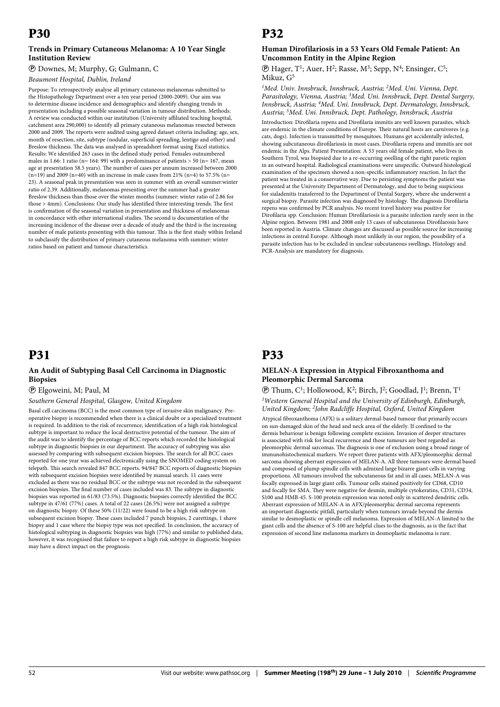#### **Trends in Primary Cutaneous Melanoma: A 10 Year Single Institution Review**

#### P Downes, M; Murphy, G; Gulmann, C

*Beaumont Hospital, Dublin, Ireland*

Purpose: To retrospectively analyse all primary cutaneous melanomas submitted to the Histopathology Department over a ten year period (2000-2009). Our aim was to determine disease incidence and demographics and identify changing trends in presentation including a possible seasonal variation in tumour distribution. Methods: A review was conducted within our institution (University affiliated teaching hospital, catchment area 290,000) to identify all primary cutaneous melanomas resected between 2000 and 2009. The reports were audited using agreed dataset criteria including: age, sex, month of resection, site, subtype (nodular, superficial spreading, lentigo and other) and Breslow thickness. The data was analysed in spreadsheet format using Excel statistics. Results: We identified 263 cases in the defined study period. Females outnumbered males in 1.66: 1 ratio (n= 164: 99) with a predominance of patients > 50 (n= 167, mean age at presentation 58.5 years). The number of cases per annum increased between 2000  $(n=19)$  and 2009 (n=40) with an increase in male cases from 21% (n=4) to 57.5% (n= 23). A seasonal peak in presentation was seen in summer with an overall summer:winter ratio of 2.39. Additionally, melanomas presenting over the summer had a greater Breslow thickness than those over the winter months (summer: winter ratio of 2.86 for those > 4mm). Conclusions: Our study has identified three interesting trends. The first is confirmation of the seasonal variation in presentation and thickness of melanomas in concordance with other international studies. The second is documentation of the increasing incidence of the disease over a decade of study and the third is the increasing number of male patients presenting with this tumour. This is the first study within Ireland to subclassify the distribution of primary cutaneous melanoma with summer: winter ratios based on patient and tumour characteristics.

# **P32**

#### **Human Dirofilariosis in a 53 Years Old Female Patient: An Uncommon Entity in the Alpine Region**

 $\Theta$  Hager, T<sup>1</sup>; Auer, H<sup>2</sup>; Rasse, M<sup>3</sup>; Sepp, N<sup>4</sup>; Ensinger, C<sup>5</sup>; Mikuz, G<sup>5</sup>

*1Med. Univ. Innsbruck, Innsbruck, Austria; 2Med. Uni. Vienna, Dept. Parasitology, Vienna, Austria; 3Med. Uni. Innsbruck, Dept. Dental Surgery, Innsbruck, Austria; 4Med. Uni. Innsbruck, Dept. Dermatology, Innsbruck, Austria; 5Med. Uni. Innsbruck, Dept. Pathology, Innsbruck, Austria*

Introduction: Dirofilaria repens and Dirofilaria immitis are well known parasites, which are endemic in the climate conditions of Europe. Their natural hosts are carnivores (e.g. cats, dogs). Infection is transmitted by mosquitoes. Humans get accidentally infected, showing subcutaneous dirofilariosis in most cases. Dirofilaria repens and immitis are not endemic in the Alps. Patient Presentation: A 53 years old female patient, who lives in Southern Tyrol, was biopsied due to a re-occurring swelling of the right parotic region in an outward hospital. Radiological examinations were unspecific. Outward histological examination of the specimen showed a non-specific inflammatory reaction. In fact the patient was treated in a conservative way. Due to persisting symptoms the patient was presented at the University Department of Dermatology, and due to being suspicious for sialadenitis transferred to the Department of Dental Surgery, where she underwent a surgical biopsy. Parasite infection was diagnosed by histology. The diagnosis Dirofilaria repens was confirmed by PCR analysis. No recent travel history was positive for Dirofilaria spp. Conclusion: Human Dirofilariosis is a parasite infection rarely seen in the Alpine region. Between 1981 and 2008 only 13 cases of subcutaneous Dirofilarosis have been reported in Austria. Climate changes are discussed as possible source for increasing infections in central Europe. Although most unlikely in our region, the possibility of a parasite infection has to be excluded in unclear subcutaneous swellings. Histology and PCR-Analysis are mandatory for diagnosis.

### P31

#### **An Audit of Subtyping Basal Cell Carcinoma in Diagnostic Biopsies**

#### P Elgoweini, M; Paul, M

#### *Southern General Hospital, Glasgow, United Kingdom*

Basal cell carcinoma (BCC) is the most common type of invasive skin malignancy. Preoperative biopsy is recommended when there is a clinical doubt or a specialized treatment is required. In addition to the risk of recurrence, identification of a high risk histological subtype is important to reduce the local destructive potential of the tumour. The aim of the audit was to identify the percentage of BCC reports which recorded the histological subtype in diagnostic biopsies in our department. The accuracy of subtyping was also assessed by comparing with subsequent excision biopsies. The search for all BCC cases reported for one year was achieved electronically using the SNOMED coding system on telepath. This search revealed 847 BCC reports. 94/847 BCC reports of diagnostic biopsies with subsequent excision biopsies were identified by manual search. 11 cases were excluded as there was no residual BCC or the subtype was not recorded in the subsequent excision biopsies. The final number of cases included was 83. The subtype in diagnostic biopsies was reported in 61/83 (73.5%). Diagnostic biopsies correctly identified the BCC subtype in 47/61 (77%) cases. A total of 22 cases (26.5%) were not assigned a subtype on diagnostic biopsy. Of these 50% (11/22) were found to be a high risk subtype on subsequent excision biopsy. These cases included 7 punch biopsies, 2 curettings, 1 shave biopsy and 1 case where the biopsy type was not specified. In conclusion, the accuracy of histological subtyping in diagnostic biopsies was high (77%) and similar to published data, however, it was recognised that failure to report a high risk subtype in diagnostic biopsies may have a direct impact on the prognosis.

### P33

#### **MELAN-A Expression in Atypical Fibroxanthoma and Pleomorphic Dermal Sarcoma**

#### P Thum, C1; Hollowood, K2; Birch, J2; Goodlad, J1; Brenn, T1

*1Western General Hospital and the University of Edinburgh, Edinburgh, United Kingdom; 2John Radcliffe Hospital, Oxford, United Kingdom* Atypical fibroxanthoma (AFX) is a solitary dermal-based tumour that primarily occurs on sun-damaged skin of the head and neck area of the elderly. If confined to the dermis behaviour is benign following complete excision. Invasion of deeper structures is associated with risk for local recurrence and those tumours are best regarded as pleomorphic dermal sarcomas. The diagnosis is one of exclusion using a broad range of immunohistochemical markers. We report three patients with AFX/pleomorphic dermal sarcoma showing aberrant expression of MELAN-A. All three tumours were dermal based and composed of plump spindle cells with admixed large bizarre giant cells in varying proportions. All tumours involved the subcutaneous fat and in all cases, MELAN-A was focally expressed in large giant cells. Tumour cells stained positively for CD68, CD10 and focally for SMA. They were negative for desmin, multiple cytokeratins, CD31, CD34, S100 and HMB-45. S-100 protein expression was noted only in scattered dendritic cells. Aberrant expression of MELAN-A in AFX/pleomorphic dermal sarcoma represents an important diagnostic pitfall, particularly when tumours invade beyond the dermis similar to desmoplastic or spindle cell melanoma. Expression of MELAN-A limited to the giant cells and the absence of S-100 are helpful clues to the diagnosis, as is the fact that expression of second line melanoma markers in desmoplastic melanoma is rare.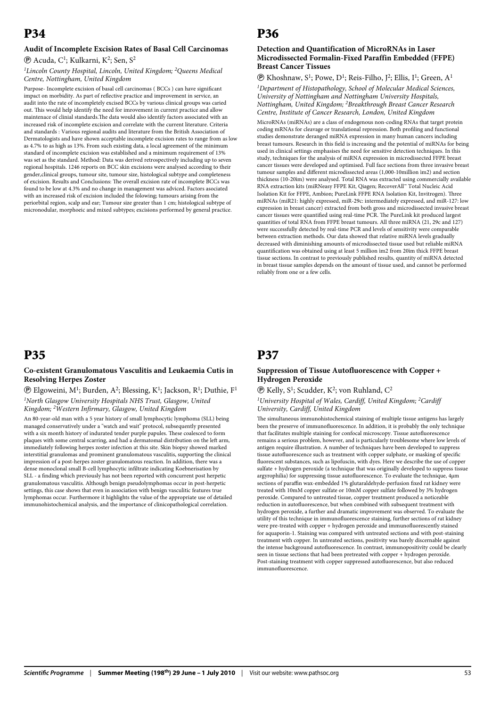#### **Audit of Incomplete Excision Rates of Basal Cell Carcinomas**

 $\textcircled{P}$  Acuda, C<sup>1</sup>; Kulkarni, K<sup>2</sup>; Sen, S<sup>2</sup>

#### *1Lincoln County Hospital, Lincoln, United Kingdom; 2Queens Medical Centre, Nottingham, United Kingdom*

Purpose- Incomplete excision of basal cell carcinomas ( BCCs ) can have significant impact on morbidity. As part of reflective practice and improvement in service, an audit into the rate of incompletely excised BCCs by various clinical groups was caried out. This would help identify the need for imrovement in current practice and allow maintenace of clinial standards.The data would also identify factors associated with an increased risk of incomplete excision and correlate with the current literature. Criteria and standards : Various regional audits and literature from the British Association of Dermatologists and have shown acceptable incomplete excision rates to range from as low as 4.7% to as high as 13%. From such existing data, a local agreement of the minimum standard of incomplete excision was established and a minimum requirement of 13% was set as the standard. Method: Data was derived retrospectively including up to seven regional hospitals. 1246 reports on BCC skin excisions were analysed according to their gender,clinical groups, tumour site, tumour size, histological subtype and completeness of excision. Results and Conclusions: The overall excision rate of incomplete BCCs was found to be low at 4.3% and no change in management was adviced. Factors asociated with an increased risk of excision included the folowing; tumours arising from the periorbital region, scalp and ear; Tumour size greater than 1 cm; histological subtype of micronodular, morphoeic and mixed subtypes; excisions performed by general practice.

# P36

#### **Detection and Quantification of MicroRNAs in Laser Microdissected Formalin-Fixed Paraffin Embedded (FFPE) Breast Cancer Tissues**

#### $\textcircled{P}$  Khoshnaw, S<sup>1</sup>; Powe, D<sup>1</sup>; Reis-Filho, J<sup>2</sup>; Ellis, I<sup>1</sup>; Green, A<sup>1</sup>

*1Department of Histopathology, School of Molecular Medical Sciences, University of Nottingham and Nottingham University Hospitals, Nottingham, United Kingdom; 2Breakthrough Breast Cancer Research Centre, Institute of Cancer Research, London, United Kingdom*

MicroRNAs (miRNAs) are a class of endogenous non-coding RNAs that target protein coding mRNAs for cleavage or translational repression. Both profiling and functional studies demonstrate deranged miRNA expression in many human cancers including breast tumours. Research in this field is increasing and the potential of miRNAs for being used in clinical settings emphasises the need for sensitive detection techniques. In this study, techniques for the analysis of miRNA expression in microdissected FFPE breast cancer tissues were developed and optimised. Full face sections from three invasive bre tumour samples and different microdissected areas (1,000-10million ìm2) and section thickness (10-20ìm) were analysed. Total RNA was extracted using commercially available RNA extraction kits (miRNeasy FFPE Kit, Qiagen; RecoverAll™ Total Nucleic Acid Isolation Kit for FFPE, Ambion; PureLink FFPE RNA Isolation Kit, Invitrogen). Three miRNAs (miR21: highly expressed, miR-29c: intermediately expressed, and miR-127: low expression in breast cancer) extracted from both gross and microdissected invasive breast cancer tissues were quantified using real-time PCR. The PureLink kit produced largest quantities of total RNA from FFPE breast tumours. All three miRNA (21, 29c and 127) were successfully detected by real-time PCR and levels of sensitivity were comparable between extraction methods. Our data showed that relative miRNA levels gradually decreased with diminishing amounts of microdissected tissue used but reliable miRNA quantification was obtained using at least 5 million ìm2 from 20ìm thick FFPE breast tissue sections. In contrast to previously published results, quantity of miRNA detected in breast tissue samples depends on the amount of tissue used, and cannot be performed reliably from one or a few cells.

### P35

#### **Co-existent Granulomatous Vasculitis and Leukaemia Cutis in Resolving Herpes Zoster**

### P Elgoweini, M1; Burden, A2; Blessing, K1; Jackson, R1; Duthie, F1

*1North Glasgow University Hospitals NHS Trust, Glasgow, United Kingdom; 2Western Infirmary, Glasgow, United Kingdom*

An 80-year-old man with a 5 year history of small lymphocytic lymphoma (SLL) being managed conservatively under a "watch and wait" protocol, subsequently presented with a six month history of indurated tender purple papules. These coalesced to form plaques with some central scarring, and had a dermatomal distribution on the left arm, immediately following herpes zoster infection at this site. Skin biopsy showed marked interstitial granulomas and prominent granulomatous vasculitis, supporting the clinical impression of a post-herpes zoster granulomatous reaction. In addition, there was a dense monoclonal small B-cell lymphocytic infiltrate indicating Koebnerisation by SLL - a finding which previously has not been reported with concurrent post herpetic granulomatous vasculitis. Although benign pseudolymphomas occur in post-herpetic settings, this case shows that even in association with benign vasculitic features true lymphomas occur. Furthermore it highlights the value of the appropriate use of detailed immunohistochemical analysis, and the importance of clinicopathological correlation.

### P37

#### **Suppression of Tissue Autofluorescence with Copper + Hydrogen Peroxide**

#### $\textcircled{P}$  Kelly, S<sup>1</sup>; Scudder, K<sup>2</sup>; von Ruhland, C<sup>2</sup>

#### *1University Hospital of Wales, Cardiff, United Kingdom; 2Cardiff University, Cardiff, United Kingdom*

The simultaneous immunohistochemical staining of multiple tissue antigens has largely been the preserve of immunofluorescence. In addition, it is probably the only technique that facilitates multiple staining for confocal microscopy. Tissue autofluorescence remains a serious problem, however, and is particularly troublesome where low levels of antigen require illustration. A number of techniques have been developed to suppress tissue autofluorescence such as treatment with copper sulphate, or masking of specific fluorescent substances, such as lipofuscin, with dyes. Here we describe the use of copper sulfate + hydrogen peroxide (a technique that was originally developed to suppress tissue argyrophilia) for suppressing tissue autofluorescence. To evaluate the technique, 4µm sections of paraffin wax-embedded 1% glutaraldehyde-perfusion fixed rat kidney were treated with 10mM copper sulfate or 10mM copper sulfate followed by 3% hydrogen peroxide. Compared to untreated tissue, copper treatment produced a noticeable reduction in autofluorescence, but when combined with subsequent treatment with hydrogen peroxide, a further and dramatic improvement was observed. To evaluate the utility of this technique in immunofluorescence staining, further sections of rat kidney were pre-treated with copper + hydrogen peroxide and immunofluorescently stained for aquaporin-1. Staining was compared with untreated sections and with post-staining treatment with copper. In untreated sections, positivity was barely discernable against the intense background autofluorescence. In contrast, immunopositivity could be clearly seen in tissue sections that had been pretreated with copper + hydrogen peroxide. Post-staining treatment with copper suppressed autofluorescence, but also reduced immunofluorescence.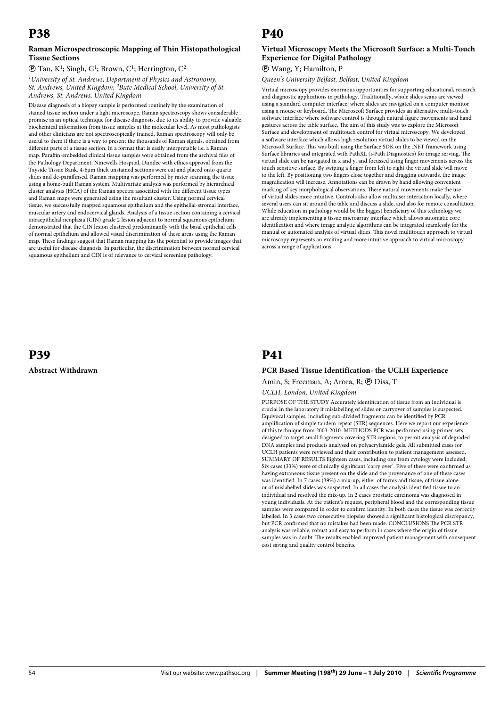#### **Raman Microspectroscopic Mapping of Thin Histopathological Tissue Sections**

#### $\overline{P}$  Tan, K<sup>1</sup>; Singh, G<sup>1</sup>; Brown, C<sup>1</sup>; Herrington, C<sup>2</sup>

*1University of St. Andrews, Department of Physics and Astronomy, St. Andrews, United Kingdom; 2Bute Medical School, University of St. Andrews, St. Andrews, United Kingdom*

Disease diagnosis of a biopsy sample is performed routinely by the examination of stained tissue section under a light microscope. Raman spectroscopy shows considerable promise as an optical technique for disease diagnosis, due to its ability to provide valuable biochemical information from tissue samples at the molecular level. As most pathologists and other clinicians are not spectroscopically trained, Raman spectroscopy will only be useful to them if there is a way to present the thousands of Raman signals, obtained from different parts of a tissue section, in a format that is easily interpretable i.e. a Raman map. Paraffin-embedded clinical tissue samples were obtained from the archival files of the Pathology Department, Ninewells Hospital, Dundee with ethics approval from the Tayside Tissue Bank. 4-6μm thick unstained sections were cut and placed onto quartz slides and de-paraffinsed. Raman mapping was performed by raster scanning the tissue using a home-built Raman system. Multivariate analysis was performed by hierarchical cluster analysis (HCA) of the Raman spectra associated with the different tissue types and Raman maps were generated using the resultant cluster. Using normal cervical tissue, we successfully mapped squamous epithelium and the epithelial-stromal interface, muscular artery and endocervical glands. Analysis of a tissue section containing a cervical intraepithelial neoplasia (CIN) grade 2 lesion adjacent to normal squamous epithelium demonstrated that the CIN lesion clustered predominantly with the basal epithelial cells of normal epithelium and allowed visual discrimination of these areas using the Raman map. These findings suggest that Raman mapping has the potential to provide images that are useful for disease diagnosis. In particular, the discrimination between normal cervical squamous epithelium and CIN is of relevance to cervical screening pathology.

# **P40**

#### **Virtual Microscopy Meets the Microsoft Surface: a Multi-Touch Experience for Digital Pathology**

#### P Wang, Y; Hamilton, P

#### *Queen's University Belfast, Belfast, United Kingdom*

Virtual microscopy provides enormous opportunities for supporting educational, research and diagnostic applications in pathology. Traditionally, whole slides scans are viewed using a standard computer interface, where slides are navigated on a computer monitor using a mouse or keyboard. The Microscoft Surface provides an alternative multi-touch software interface where software control is through natural figure movements and hand gestures across the table surface. The aim of this study was to explore the Microsoft Surface and development of multitouch control for virtual microscopy. We developed a software interface which allows high resolution virtual slides to be viewed on the Microsoft Surface. This was built using the Surface SDK on the .NET framework using Surface libraries and integrated with PathXL (i-Path Diagnostics) for image serving. The virtual slide can be navigated in x and y, and focussed using finger movements across the touch sensitive surface. By swiping a finger from left to right the virtual slide will move to the left. By positioning two fingers close together and dragging outwards, the image magnification will increase. Annotations can be drawn by hand allowing convenient marking of key morphological observations. These natural movements make the use of virtual slides more intuitive. Controls also allow multiuser interaction locally, where several users can sit around the table and discuss a slide, and also for remote consultation. While education in pathology would be the biggest beneficiary of this technology we are already implementing a tissue microarray interface which allows automatic core identification and where image analytic algorithms can be integrated seamlessly for the manual or automated analysis of virtual slides. This novel multitouch approach to virtual microscopy represents an exciting and more intuitive approach to virtual microscopy across a range of applications.

### P39 **Abstract Withdrawn**

### P41

#### **PCR Based Tissue Identification- the UCLH Experience**

Amin, S; Freeman, A; Arora, R;  $\circledR$  Diss, T

*UCLH, London, United Kingdom*

PURPOSE OF THE STUDY Accurately identification of tissue from an individual is crucial in the laboratory if mislabelling of slides or carryover of samples is suspected. Equivocal samples, including sub-divided fragments can be identified by PCR amplification of simple tandem repeat (STR) sequences. Here we report our experience of this technique from 2003-2010. METHODS PCR was performed using primer sets designed to target small fragments covering STR regions, to permit analysis of degraded DNA samples and products analysed on polyacrylamide gels. All submitted cases for UCLH patients were reviewed and their contribution to patient management assessed. SUMMARY OF RESULTS Eighteen cases, including one from cytology were included. Six cases (33%) were of clinically significant 'carry over'. Five of these were confirmed as having extraneous tissue present on the slide and the provenance of one of these cases was identified. In 7 cases (39%) a mix-up, either of forms and tissue, of tissue alone or of mislabelled slides was suspected. In all cases the analysis identified tissue to an individual and resolved the mix-up. In 2 cases prostatic carcinoma was diagnosed in young individuals. At the patient's request, peripheral blood and the corresponding tissue samples were compared in order to confirm identity. In both cases the tissue was correctly labelled. In 3 cases two consecutive biopsies showed a significant histological discrepancy, but PCR confirmed that no mistakes had been made. CONCLUSIONS The PCR STR analysis was reliable, robust and easy to perform in cases where the origin of tissue samples was in doubt. The results enabled improved patient management with consequent cost saving and quality control benefits.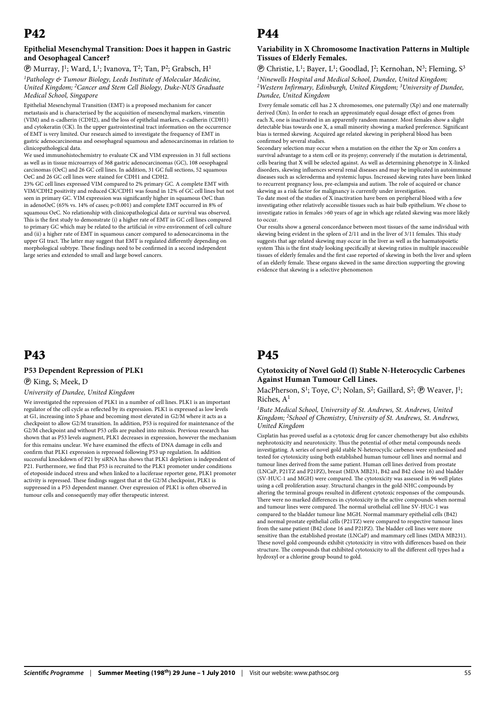#### **Epithelial Mesenchymal Transition: Does it happen in Gastric and Oesophageal Cancer?**

 $\textcircled{P}$  Murray, J<sup>1</sup>; Ward, L<sup>1</sup>; Ivanova, T<sup>2</sup>; Tan, P<sup>2</sup>; Grabsch, H<sup>1</sup>

*1Pathology & Tumour Biology, Leeds Institute of Molecular Medicine, United Kingdom; 2Cancer and Stem Cell Biology, Duke-NUS Graduate Medical School, Singapore*

Epithelial Mesenchymal Transition (EMT) is a proposed mechanism for cancer metastasis and is characterised by the acquisition of mesenchymal markers, vimentin (VIM) and n-cadherin (CDH2), and the loss of epithelial markers, e-cadherin (CDH1) and cytokeratin (CK). In the upper gastrointestinal tract information on the occurrence of EMT is very limited. Our research aimed to investigate the frequency of EMT in gastric adenocarcinomas and oesophageal squamous and adenocarcinomas in relation to clinicopathological data.

We used immunohistochemistry to evaluate CK and VIM expression in 31 full sections as well as in tissue microarrays of 368 gastric adenocarcinomas (GC), 108 oesophageal carcinomas (OeC) and 26 GC cell lines. In addition, 31 GC full sections, 52 squamous OeC and 26 GC cell lines were stained for CDH1 and CDH2.

23% GC cell lines expressed VIM compared to 2% primary GC. A complete EMT with VIM/CDH2 positivity and reduced CK/CDH1 was found in 12% of GC cell lines but not seen in primary GC. VIM expression was significantly higher in squamous OeC than in adenoOeC (65% vs. 14% of cases;  $p$ <0.001) and complete EMT occurred in 8% of squamous OeC. No relationship with clinicopathological data or survival was observed. This is the first study to demonstrate (i) a higher rate of EMT in GC cell lines compared to primary GC which may be related to the artificial *in vitro* environment of cell culture and (ii) a higher rate of EMT in squamous cancer compared to adenocarcinoma in the upper GI tract. The latter may suggest that EMT is regulated differently depending on morphological subtype. These findings need to be confirmed in a second independent large series and extended to small and large bowel cancers.

#### **Variability in X Chromosome Inactivation Patterns in Multiple Tissues of Elderly Females.**

 $\textcircled{P}$  Christie, L<sup>1</sup>; Bayer, L<sup>1</sup>; Goodlad, J<sup>2</sup>; Kernohan, N<sup>3</sup>; Fleming, S<sup>3</sup> *1Ninewells Hospital and Medical School, Dundee, United Kingdom; 2Western Infirmary, Edinburgh, United Kingdom; 3University of Dundee, Dundee, United Kingdom*

 Every female somatic cell has 2 X chromosomes, one paternally (Xp) and one maternally derived (Xm). In order to reach an approximately equal dosage effect of genes from each X, one is inactivated in an apparently random manner. Most females show a slight detectable bias towards one X, a small minority showing a marked preference. Significant bias is termed skewing. Acquired age related skewing in peripheral blood has been confirmed by several studies.

Secondary selection may occur when a mutation on the either the Xp or Xm confers a survival advantage to a stem cell or its projeny; conversely if the mutation is detrimental, cells bearing that X will be selected against. As well as determining phenotype in X-linked disorders, skewing influences several renal diseases and may be implicated in autoimmune diseases such as scleroderma and systemic lupus. Increased skewing rates have been linked to recurrent pregnancy loss, pre-eclampsia and autism. The role of acquired or chance skewing as a risk factor for malignancy is currently under investigation.

To date most of the studies of X inactivation have been on peripheral blood with a few investigating other relatively accessible tissues such as hair bulb epithelium. We chose to investigate ratios in females >60 years of age in which age related skewing was more likely to occur.

Our results show a general concordance between most tissues of the same individual with skewing being evident in the spleen of 2/11 and in the liver of 3/11 females. This study suggests that age related skewing may occur in the liver as well as the haematopoietic suspects that up chemical streams the  $\frac{1}{2}$  comes in the first study looking specifically at skewing ratios in multiple inaccessible tissues of elderly females and the first case reported of skewing in both the liver and spleen of an elderly female. These organs skewed in the same direction supporting the growing evidence that skewing is a selective phenomenon

### P43

#### **P53 Dependent Repression of PLK1**

#### P King, S; Meek, D

#### *University of Dundee, United Kingdom*

We investigated the repression of PLK1 in a number of cell lines. PLK1 is an important regulator of the cell cycle as reflected by its expression. PLK1 is expressed as low levels at G1, increasing into S phase and becoming most elevated in G2/M where it acts as a checkpoint to allow G2/M transition. In addition, P53 is required for maintenance of the G2/M checkpoint and without P53 cells are pushed into mitosis. Previous research has shown that as P53 levels augment, PLK1 decreases in expression, however the mechanism for this remains unclear. We have examined the effects of DNA damage in cells and confirm that PLK1 expression is repressed following P53 up regulation. In addition successful knockdown of P21 by siRNA has shows that PLK1 depletion is independent of P21. Furthermore, we find that P53 is recruited to the PLK1 promoter under conditions of etoposide induced stress and when linked to a luciferase reporter gene, PLK1 promoter activity is repressed. These findings suggest that at the G2/M checkpoint, PLK1 is suppressed in a P53 dependent manner. Over expression of PLK1 is often observed in tumour cells and consequently may offer therapeutic interest.

### P45

#### **Cytotoxicity of Novel Gold (I) Stable N-Heterocyclic Carbenes Against Human Tumour Cell Lines.**

MacPherson, S<sup>1</sup>; Toye, C<sup>1</sup>; Nolan, S<sup>2</sup>; Gaillard, S<sup>2</sup>;  $\textcircled{D}$  Weaver, J<sup>1</sup>; Riches, A<sup>1</sup>

#### *1Bute Medical School, University of St. Andrews, St. Andrews, United Kingdom; 2School of Chemistry, University of St. Andrews, St. Andrews, United Kingdom*

Cisplatin has proved useful as a cytotoxic drug for cancer chemotherapy but also exhibits nephrotoxicity and neurotoxicity. Thus the potential of other metal compounds needs investigating. A series of novel gold stable N-heterocyclic carbenes were synthesised and tested for cytotoxicity using both established human tumour cell lines and normal and tumour lines derived from the same patient. Human cell lines derived from prostate (LNCaP, P21TZ and P21PZ), breast (MDA MB231, B42 and B42 clone 16) and bladder (SV-HUC-1 and MGH) were compared. The cytotoxicity was assessed in 96 well plates using a cell proliferation assay. Structural changes in the gold-NHC compounds by altering the terminal groups resulted in different cytotoxic responses of the compounds. There were no marked differences in cytotoxicity in the active compounds when normal and tumour lines were compared. The normal urothelial cell line SV-HUC-1 was compared to the bladder tumour line MGH. Normal mammary epithelial cells (B42) and normal prostate epithelial cells (P21TZ) were compared to respective tumour lines from the same patient (B42 clone 16 and P21PZ). The bladder cell lines were more sensitive than the established prostate (LNCaP) and mammary cell lines (MDA MB231). These novel gold compounds exhibit cytotoxicity in vitro with differences based on their structure. The compounds that exhibited cytotoxicity to all the different cell types had a hydroxyl or a chlorine group bound to gold.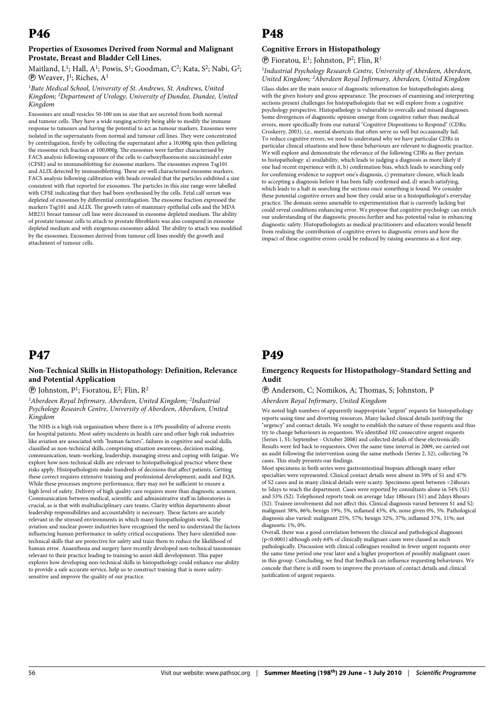# P46

#### **Properties of Exosomes Derived from Normal and Malignant Prostate, Breast and Bladder Cell Lines.**

Maitland,  $L^1$ ; Hall,  $A^1$ ; Powis,  $S^1$ ; Goodman,  $C^2$ ; Kata,  $S^2$ ; Nabi,  $G^2$ ;  $\mathcal{P}$  Weaver, J<sup>1</sup>; Riches, A<sup>1</sup>

*1Bute Medical School, University of St. Andrews, St. Andrews, United Kingdom; 2Department of Urology, University of Dundee, Dundee, United Kingdom*

Exosomes are small vesicles 50-100 nm in size that are secreted from both normal and tumour cells. They have a wide ranging activity being able to modify the immune response to tumours and having the potential to act as tumour markers. Exosomes were isolated in the supernatants from normal and tumour cell lines. They were concentrated by centrifugation, firstly by collecting the supernatant after a 10,000g spin then pelleting the exosome rich fraction at 100,000g. The exosomes were further characterised by FACS analysis following exposure of the cells to carboxyfluorescein succinimidyl ester (CFSE) and to immunoblotting for exosome markers. The exosomes express Tsg101 and ALIX detected by immunoblotting. These are well characterised exosome markers. FACS analysis following calibration with beads revealed that the particles exhibited a size consistent with that reported for exosomes. The particles in this size range were labelled with CFSE indicating that they had been synthesised by the cells. Fetal calf serum was depleted of exosomes by differential centrifugation. The exosome fraction expressed the markers Tsg101 and ALIX. The growth rates of mammary epithelial cells and the MDA MB231 breast tumour cell line were decreased in exosome depleted medium. The ability of prostate tumour cells to attach to prostate fibroblasts was also compared in exosome depleted medium and with exogenous exosomes added. The ability to attach was modified by the exosomes. Exosomes derived from tumour cell lines modify the growth and attachment of tumour cells.

### **P48**

#### **Cognitive Errors in Histopathology**

 $\overline{\mathcal{P}}$  Fioratou, E<sup>1</sup>; Johnston, P<sup>2</sup>; Flin, R<sup>1</sup>

*1Industrial Psychology Research Centre, University of Aberdeen, Aberdeen, United Kingdom; 2Aberdeen Royal Infirmary, Aberdeen, United Kingdom* Glass slides are the main source of diagnostic information for histopathologists along with the given history and gross appearance. The processes of examining and interpreting sections present challenges for histopathologists that we will explore from a cognitive psychology perspective. Histopathology is vulnerable to overcalls and missed diagnoses. Some divergences of diagnostic opinion emerge from cognitive rather than medical errors, more specifically from our natural "Cognitive Dispositions to Respond" (CDRs; Croskerry, 2003), i.e., mental shortcuts that often serve us well but occasionally fail. To reduce cognitive errors, we need to understand why we have particular CDRs in particular clinical situations and how these behaviours are relevant to diagnostic practice. We will explore and demonstrate the relevance of the following CDRs as they pertain to histopathology: a) availability, which leads to judging a diagnosis as more likely if one had recent experience with it, b) confirmation bias, which leads to searching only for confirming evidence to support one's diagnosis, c) premature closure, which leads to accepting a diagnosis before it has been fully confirmed and, d) search satisfying, which leads to a halt in searching the sections once something is found. We consider these potential cognitive errors and how they could arise in a histopathologist's everyday practice. The domain seems amenable to experimentation that is currently lacking but could reveal conditions enhancing error. We propose that cognitive psychology can enrich our understanding of the diagnostic process further and has potential value in enhancing diagnostic safety. Histopathologists as medical practitioners and educators would benefit from realising the contribution of cognitive errors to diagnostic errors and how the impact of these cognitive errors could be reduced by raising awareness as a first step.

### **P47**

#### **Non-Technical Skills in Histopathology: Definition, Relevance and Potential Application**

#### $\circledR$  Johnston, P<sup>1</sup>; Fioratou, E<sup>2</sup>; Flin, R<sup>2</sup>

*1Aberdeen Royal Infirmary, Aberdeen, United Kingdom; 2Industrial Psychology Research Centre, University of Aberdeen, Aberdeen, United Kingdom*

The NHS is a high risk organisation where there is a 10% possibility of adverse events for hospital patients. Most safety incidents in health care and other high risk industries like aviation are associated with "human factors", failures in cognitive and social skills, classified as non-technical skills, comprising situation awareness, decision making, communication, team-working, leadership, managing stress and coping with fatigue. We explore how non-technical skills are relevant to histopathological practice where these risks apply. Histopathologists make hundreds of decisions that affect patients. Getting these correct requires extensive training and professional development, audit and EQA. While these processes improve performance, they may not be sufficient to ensure a high level of safety. Delivery of high quality care requires more than diagnostic acumen. Communication between medical, scientific and administrative staff in laboratories is crucial, as is that with multidisciplinary care teams. Clarity within departments about leadership responsibilities and accountability is necessary. These factors are acutely relevant in the stressed environments in which many histopathologists work. The aviation and nuclear power industries have recognised the need to understand the factors influencing human performance in safety critical occupations. They have identified nontechnical skills that are protective for safety and train them to reduce the likelihood of human error. Anaesthesia and surgery have recently developed non-technical taxonomies relevant to their practice leading to training to assist skill development. This paper explores how developing non-technical skills in histopathology could enhance our ability to provide a safe accurate service, help us to construct training that is more safetysensitive and improve the quality of our practice.

### P49

#### **Emergency Requests for Histopathology–Standard Setting and Audit**

#### P Anderson, C; Nomikos, A; Thomas, S; Johnston, P

*Aberdeen Royal Infirmary, United Kingdom*

We noted high numbers of apparently inappropriate "urgent" requests for histopathology reports using time and diverting resources. Many lacked clinical details justifying the "urgency" and contact details. We sought to establish the nature of these requests and thus try to change behaviours in requestors. We identified 102 consecutive urgent requests (Series 1, S1; September - October 2008) and collected details of these electronically. Results were fed back to requestors. Over the same time interval in 2009, we carried out an audit following the intervention using the same methods (Series 2, S2), collecting 76 cases. This study presents our findings.

Most specimens in both series were gastrointestinal biopsies although many other specialties were represented. Clinical contact details were absent in 59% of S1 and 47% of S2 cases and in many clinical details were scanty. Specimens spent between <24hours to 5days to reach the department. Cases were reported by consultants alone in 54% (S1) and 53% (S2). Telephoned reports took on average 1day 18hours (S1) and 2days 8hours (S2). Trainee involvement did not affect this. Clinical diagnosis varied between S1 and S2: malignant 38%, 86%; benign 19%, 5%, inflamed 43%, 4%, none given 0%, 5%. Pathological diagnosis also varied: malignant 25%, 57%; benign 32%, 37%; inflamed 37%, 11%; not diagnostic 1%, 0%.

Overall, there was a good correlation between the clinical and pathological diagnoses (p<0.0001) although only 64% of clinically malignant cases were classed as such pathologically. Discussion with clinical colleagues resulted in fewer urgent requests over the same time period one year later and a higher proportion of possibly malignant cases in this group. Concluding, we find that feedback can influence requesting behaviours. We concede that there is still room to improve the provision of contact details and clinical justification of urgent requests.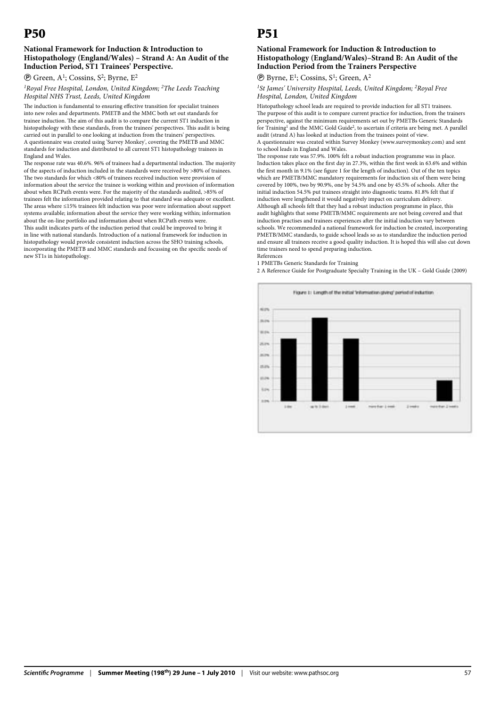# **P50**

#### **National Framework for Induction & Introduction to Histopathology (England/Wales) – Strand A: An Audit of the Induction Period, ST1 Trainees' Perspective.**

 $\Theta$  Green, A<sup>1</sup>; Cossins, S<sup>2</sup>; Byrne, E<sup>2</sup>

*1Royal Free Hospital, London, United Kingdom; 2The Leeds Teaching Hospital NHS Trust, Leeds, United Kingdom*

The induction is fundamental to ensuring effective transition for specialist trainees into new roles and departments. PMETB and the MMC both set out standards for trainee induction. The aim of this audit is to compare the current ST1 induction in histopathology with these standards, from the trainees' perspectives. This audit is being carried out in parallel to one looking at induction from the trainers' perspectives. A questionnaire was created using 'Survey Monkey', covering the PMETB and MMC standards for induction and distributed to all current ST1 histopathology trainees in England and Wales.

The response rate was 40.6%. 96% of trainees had a departmental induction. The majority of the aspects of induction included in the standards were received by >80% of trainees. The two standards for which <80% of trainees received induction were provision of information about the service the trainee is working within and provision of information about when RCPath events were. For the majority of the standards audited, >85% of trainees felt the information provided relating to that standard was adequate or excellent. The areas where ≤15% trainees felt induction was poor were information about support systems available; information about the service they were working within; information about the on-line portfolio and information about when RCPath events were. This audit indicates parts of the induction period that could be improved to bring it in line with national standards. Introduction of a national framework for induction in histopathology would provide consistent induction across the SHO training schools, incorporating the PMETB and MMC standards and focussing on the specific needs of new ST1s in histopathology.

# P51

#### **National Framework for Induction & Introduction to Histopathology (England/Wales)–Strand B: An Audit of the Induction Period from the Trainers Perspective**

 $\Theta$  Byrne, E<sup>1</sup>; Cossins, S<sup>1</sup>; Green, A<sup>2</sup>

*1St James' University Hospital, Leeds, United Kingdom; 2Royal Free Hospital, London, United Kingdom*

Histopathology school leads are required to provide induction for all ST1 trainees. The purpose of this audit is to compare current practice for induction, from the trainers perspective, against the minimum requirements set out by PMETBs Generic Standards for Training<sup>1</sup> and the MMC Gold Guide<sup>2</sup>, to ascertain if criteria are being met. A parallel audit (strand A) has looked at induction from the trainees point of view.

A questionnaire was created within Survey Monkey (www.surveymonkey.com) and sent to school leads in England and Wales.

The response rate was 57.9%. 100% felt a robust induction programme was in place. Induction takes place on the first day in 27.3%, within the first week in 63.6% and within the first month in 9.1% (see figure 1 for the length of induction). Out of the ten topics which are PMETB/MMC mandatory requirements for induction six of them were being covered by 100%, two by 90.9%, one by 54.5% and one by 45.5% of schools. After the initial induction 54.5% put trainees straight into diagnostic teams. 81.8% felt that if induction were lengthened it would negatively impact on curriculum delivery. Although all schools felt that they had a robust induction programme in place, this audit highlights that some PMETB/MMC requirements are not being covered and that induction practises and trainees experiences after the initial induction vary between schools. We recommended a national framework for induction be created, incorporating

PMETB/MMC standards, to guide school leads so as to standardize the induction period and ensure all trainees receive a good quality induction. It is hoped this will also cut down time trainers need to spend preparing induction. References

#### 1 PMETBs Generic Standards for Training

2 A Reference Guide for Postgraduate Specialty Training in the UK – Gold Guide (2009)

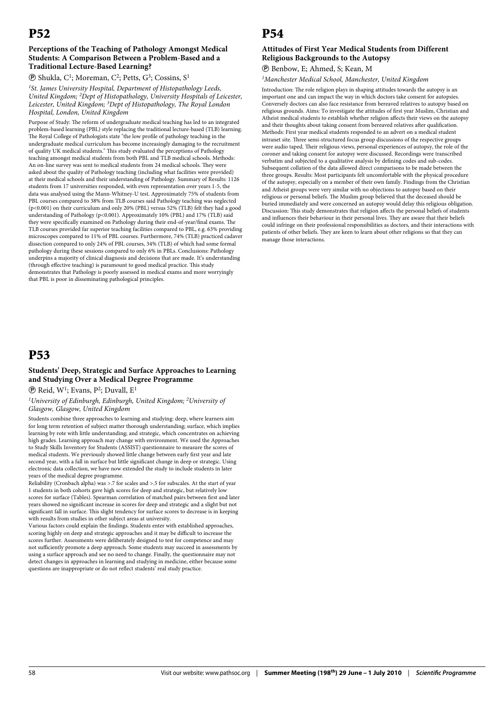#### **Perceptions of the Teaching of Pathology Amongst Medical Students: A Comparison Between a Problem-Based and a Traditional Lecture-Based Learning?**

 $\textcircled{P}$  Shukla, C<sup>1</sup>; Moreman, C<sup>2</sup>; Petts, G<sup>3</sup>; Cossins, S<sup>1</sup>

*1St. James University Hospital, Department of Histopathology Leeds, United Kingdom; 2Dept of Histopathology, University Hospitals of Leicester, Leicester, United Kingdom; 3Dept of Histopathology, The Royal London Hospital, London, United Kingdom*

Purpose of Study: The reform of undergraduate medical teaching has led to an integrated problem-based learning (PBL) style replacing the traditional lecture-based (TLB) learning. The Royal College of Pathologists state "the low profile of pathology teaching in the undergraduate medical curriculum has become increasingly damaging to the recruitment of quality UK medical students." This study evaluated the perceptions of Pathology teaching amongst medical students from both PBL and TLB medical schools. Methods: An on-line survey was sent to medical students from 24 medical schools. They were asked about the quality of Pathology teaching (including what facilities were provided) at their medical schools and their understanding of Pathology. Summary of Results: 1126 students from 17 universities responded, with even representation over years 1-5, the data was analysed using the Mann-Whitney-U test. Approximately 75% of students from PBL courses compared to 38% from TLB courses said Pathology teaching was neglected (p<0.001) on their curriculum and only 20% (PBL) versus 52% (TLB) felt they had a good understanding of Pathology (p<0.001). Approximately 10% (PBL) and 17% (TLB) said they were specifically examined on Pathology during their end-of-year/final exams. The TLB courses provided far superior teaching facilities compared to PBL, e.g. 63% providing microscopes compared to 11% of PBL courses. Furthermore, 74% (TLB) practiced cadaver dissection compared to only 24% of PBL courses, 34% (TLB) of which had some formal pathology during these sessions compared to only 6% in PBLs. Conclusions: Pathology underpins a majority of clinical diagnosis and decisions that are made. It's understanding (through effective teaching) is paramount to good medical practice. This study demonstrates that Pathology is poorly assessed in medical exams and more worryingly that PBL is poor in disseminating pathological principles.

### P53

#### **Students' Deep, Strategic and Surface Approaches to Learning and Studying Over a Medical Degree Programme**

#### P Reid, W1; Evans, P2; Duvall, E1

#### *1University of Edinburgh, Edinburgh, United Kingdom; 2University of Glasgow, Glasgow, United Kingdom*

Students combine three approaches to learning and studying: deep, where learners aim for long term retention of subject matter thorough understanding; surface, which implies learning by rote with little understanding; and strategic, which concentrates on achieving high grades. Learning approach may change with environment. We used the Approaches to Study Skills Inventory for Students (ASSIST) questionnaire to measure the scores of medical students. We previously showed little change between early first year and late second year, with a fall in surface but little significant change in deep or strategic. Using electronic data collection, we have now extended the study to include students in later years of the medical degree programme.

Reliability (Cronbach alpha) was >.7 for scales and >.5 for subscales. At the start of year 1 students in both cohorts gave high scores for deep and strategic, but relatively low scores for surface (Tables). Spearman correlation of matched pairs between first and later years showed no significant increase in scores for deep and strategic and a slight but not significant fall in surface. This slight tendency for surface scores to decrease is in keeping with results from studies in other subject areas at university.

Various factors could explain the findings. Students enter with established approaches, scoring highly on deep and strategic approaches and it may be difficult to increase the scores further. Assessments were deliberately designed to test for competence and may not sufficiently promote a deep approach. Some students may succeed in assessments by using a surface approach and see no need to change. Finally, the questionnaire may not detect changes in approaches in learning and studying in medicine, either because some questions are inappropriate or do not reflect students' real study practice.

#### **Attitudes of First Year Medical Students from Different Religious Backgrounds to the Autopsy**

#### P Benbow, E; Ahmed, S; Kean, M

#### *1Manchester Medical School, Manchester, United Kingdom*

Introduction: The role religion plays in shaping attitudes towards the autopsy is an important one and can impact the way in which doctors take consent for autopsies. Conversely doctors can also face resistance from bereaved relatives to autopsy based on religious grounds. Aims: To investigate the attitudes of first year Muslim, Christian and Atheist medical students to establish whether religion affects their views on the autopsy and their thoughts about taking consent from bereaved relatives after qualification. Methods: First year medical students responded to an advert on a medical student intranet site. Three semi-structured focus group discussions of the respective groups were audio taped. Their religious views, personal experiences of autopsy, the role of the coroner and taking consent for autopsy were discussed. Recordings were transcribed verbatim and subjected to a qualitative analysis by defining codes and sub-codes. Subsequent collation of the data allowed direct comparisons to be made between the three groups. Results: Most participants felt uncomfortable with the physical procedure of the autopsy, especially on a member of their own family. Findings from the Christian and Atheist groups were very similar with no objections to autopsy based on their religious or personal beliefs. The Muslim group believed that the deceased should be buried immediately and were concerned an autopsy would delay this religious obligation. Discussion: This study demonstrates that religion affects the personal beliefs of students and influences their behaviour in their personal lives. They are aware that their beliefs could infringe on their professional responsibilities as doctors, and their interactions with patients of other beliefs. They are keen to learn about other religions so that they can manage those interactions.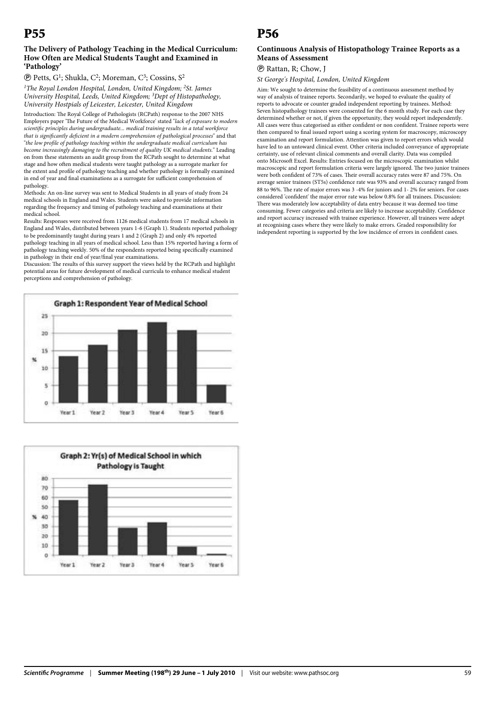#### **The Delivery of Pathology Teaching in the Medical Curriculum: How Often are Medical Students Taught and Examined in 'Pathology'**

#### $\textcircled{P}$  Petts, G<sup>1</sup>; Shukla, C<sup>2</sup>; Moreman, C<sup>3</sup>; Cossins, S<sup>2</sup>

*1The Royal London Hospital, London, United Kingdom; 2St. James University Hospital, Leeds, United Kingdom; 3Dept of Histopathology, University Hostpials of Leicester, Leicester, United Kingdom*

Introduction: The Royal College of Pathologists (RCPath) response to the 2007 NHS Employers paper 'The Future of the Medical Workforce' stated "*lack of exposure to modern scientific principles during undergraduate... medical training results in a total workforce that is significantly deficient in a modern comprehension of pathological processes*" and that "*the low profile of pathology teaching within the undergraduate medical curriculum has become increasingly damaging to the recruitment of quality UK medical students.*" Leading on from these statements an audit group from the RCPath sought to determine at what stage and how often medical students were taught pathology as a surrogate marker for the extent and profile of pathology teaching and whether pathology is formally examined in end of year and final examinations as a surrogate for sufficient comprehension of pathology.

Methods: An on-line survey was sent to Medical Students in all years of study from 24 medical schools in England and Wales. Students were asked to provide information regarding the frequency and timing of pathology teaching and examinations at their medical school.

Results: Responses were received from 1126 medical students from 17 medical schools in England and Wales, distributed between years 1-6 (Graph 1). Students reported pathology to be predominantly taught during years 1 and 2 (Graph 2) and only 4% reported pathology teaching in all years of medical school. Less than 15% reported having a form of pathology teaching weekly. 50% of the respondents reported being specifically examined in pathology in their end of year/final year examinations.

Discussion: The results of this survey support the views held by the RCPath and highlight potential areas for future development of medical curricula to enhance medical student perceptions and comprehension of pathology.





# **P56**

#### **Continuous Analysis of Histopathology Trainee Reports as a Means of Assessment**

#### P Rattan, R; Chow, J

#### *St George's Hospital, London, United Kingdom*

Aim: We sought to determine the feasibility of a continuous assessment method by way of analysis of trainee reports. Secondarily, we hoped to evaluate the quality of reports to advocate or counter graded independent reporting by trainees. Method: Seven histopathology trainees were consented for the  $\overline{6}$  month study. For each case they determined whether or not, if given the opportunity, they would report independently. All cases were thus categorised as either confident or non confident. Trainee reports were then compared to final issued report using a scoring system for macroscopy, microscopy examination and report formulation. Attention was given to report errors which would have led to an untoward clinical event. Other criteria included conveyance of appropriate certainty, use of relevant clinical comments and overall clarity. Data was compiled onto Microsoft Excel. Results: Entries focused on the microscopic examination whilst macroscopic and report formulation criteria were largely ignored. The two junior trainees were both confident of 73% of cases. Their overall accuracy rates were 87 and 75%. On average senior trainees (ST5s) confidence rate was 93% and overall accuracy ranged from 88 to 96%. The rate of major errors was 3 -4% for juniors and 1- 2% for seniors. For cases considered 'confident' the major error rate was below 0.8% for all trainees. Discussion: There was moderately low acceptability of data entry because it was deemed too time consuming. Fewer categories and criteria are likely to increase acceptability. Confidence and report accuracy increased with trainee experience. However, all trainees were adept at recognising cases where they were likely to make errors. Graded responsibility for independent reporting is supported by the low incidence of errors in confident cases.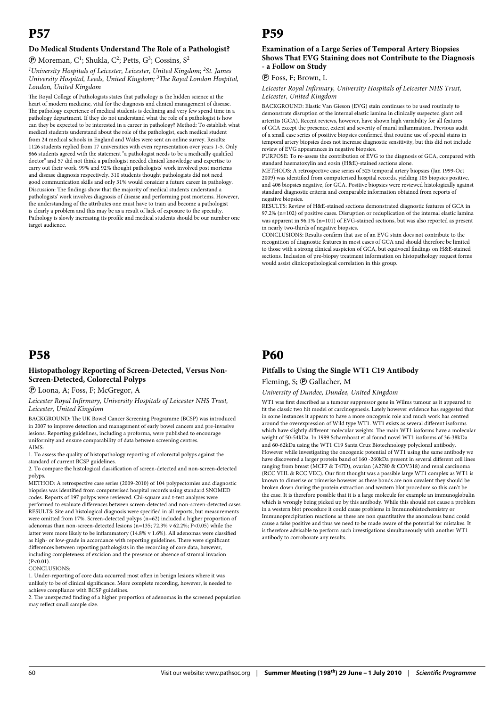#### **Do Medical Students Understand The Role of a Pathologist?**

 $\textcircled{P}$  Moreman, C<sup>1</sup>; Shukla, C<sup>2</sup>; Petts, G<sup>3</sup>; Cossins, S<sup>2</sup>

#### *1University Hospitals of Leicester, Leicester, United Kingdom; 2St. James University Hospital, Leeds, United Kingdom; 3The Royal London Hospital, London, United Kingdom*

The Royal College of Pathologists states that pathology is the hidden science at the heart of modern medicine, vital for the diagnosis and clinical management of disease. The pathology experience of medical students is declining and very few spend time in a pathology department. If they do not understand what the role of a pathologist is how can they be expected to be interested in a career in pathology? Method: To establish what medical students understand about the role of the pathologist, each medical student from 24 medical schools in England and Wales were sent an online survey. Results: 1126 students replied from 17 universities with even representation over years 1-5. Only 866 students agreed with the statement "a pathologist needs to be a medically qualified doctor" and 57 did not think a pathologist needed clinical knowledge and expertise to carry out their work. 99% and 92% thought pathologists' work involved post mortems and disease diagnosis respectively. 310 students thought pathologists did not need good communication skills and only 31% would consider a future career in pathology. Discussion: The findings show that the majority of medical students understand a pathologists' work involves diagnosis of disease and performing post mortems. However, the understanding of the attributes one must have to train and become a pathologist is clearly a problem and this may be as a result of lack of exposure to the specialty. Pathology is slowly increasing its profile and medical students should be our number one target audience.

# **P59**

#### **Examination of a Large Series of Temporal Artery Biopsies Shows That EVG Staining does not Contribute to the Diagnosis - a Follow on Study**

P Foss, F; Brown, L

*Leicester Royal Infirmary, University Hospitals of Leicester NHS Trust, Leicester, United Kingdom*

BACKGROUND: Elastic Van Gieson (EVG) stain continues to be used routinely to demonstrate disruption of the internal elastic lamina in clinically suspected giant cell arteritis (GCA). Recent reviews, however, have shown high variability for all features of GCA except the presence, extent and severity of mural inflammation. Previous audit of a small case series of positive biopsies confirmed that routine use of special stains in temporal artery biopsies does not increase diagnostic sensitivity, but this did not include review of EVG appearances in negative biopsies.

PURPOSE: To re-assess the contribution of EVG to the diagnosis of GCA, compared with standard haematoxylin and eosin (H&E)-stained sections alone.

METHODS: A retrospective case series of 525 temporal artery biopsies (Jan 1999-Oct 2009) was identified from computerised hospital records, yielding 105 biopsies positive, and 406 biopsies negative, for GCA. Positive biopsies were reviewed histologically against standard diagnostic criteria and comparable information obtained from reports of negative biopsies.

RESULTS: Review of H&E-stained sections demonstrated diagnostic features of GCA in 97.2% (n=102) of positive cases. Disruption or reduplication of the internal elastic lamina was apparent in 96.1% (n=101) of EVG-stained sections, but was also reported as present in nearly two-thirds of negative biopsies.

CONCLUSIONS: Results confirm that use of an EVG stain does not contribute to the recognition of diagnostic features in most cases of GCA and should therefore be limited to those with a strong clinical suspicion of GCA, but equivocal findings on H&E-stained sections. Inclusion of pre-biopsy treatment information on histopathology request forms would assist clinicopathological correlation in this group.

### P58

#### **Histopathology Reporting of Screen-Detected, Versus Non-Screen-Detected, Colorectal Polyps**

#### P Loona, A; Foss, F; McGregor, A

#### *Leicester Royal Infirmary, University Hospitals of Leicester NHS Trust, Leicester, United Kingdom*

BACKGROUND: The UK Bowel Cancer Screening Programme (BCSP) was introduced in 2007 to improve detection and management of early bowel cancers and pre-invasive lesions. Reporting guidelines, including a proforma, were published to encourage uniformity and ensure comparability of data between screening centres. AIMS:

1. To assess the quality of histopathology reporting of colorectal polyps against the standard of current BCSP guidelines.

2. To compare the histological classification of screen-detected and non-screen-detected polyps.

METHOD: A retrospective case series (2009-2010) of 104 polypectomies and diagnostic biopsies was identified from computerised hospital records using standard SNOMED codes. Reports of 197 polyps were reviewed. Chi-square and t-test analyses were performed to evaluate differences between screen-detected and non-screen-detected cases. RESULTS: Site and histological diagnosis were specified in all reports, but measurements were omitted from 17%. Screen-detected polyps (n=62) included a higher proportion of adenomas than non-screen-detected lesions (n=135; 72.3% v 62.2%;  $\overline{P}$ <0.05) while the latter were more likely to be inflammatory (14.8% v 1.6%). All adenomas were classified as high- or low-grade in accordance with reporting guidelines. There were significant differences between reporting pathologists in the recording of core data, however, including completeness of excision and the presence or absence of stromal invasion  $(P<0.01)$ .

CONCLUSIONS:

1. Under-reporting of core data occurred most often in benign lesions where it was unlikely to be of clinical significance. More complete recording, however, is needed to achieve compliance with BCSP guidelines.

2. The unexpected finding of a higher proportion of adenomas in the screened population may reflect small sample size.

### **P60**

#### **Pitfalls to Using the Single WT1 C19 Antibody**

Fleming, S;  $\overline{P}$  Gallacher, M

#### *University of Dundee, Dundee, United Kingdom*

WT1 was first described as a tumour suppressor gene in Wilms tumour as it appeared to fit the classic two hit model of carcinogenesis. Lately however evidence has suggested that in some instances it appears to have a more oncogenic role and much work has centred around the overexpression of Wild type WT1. WT1 exists as several different isoforms which have slightly different molecular weights. The main WT1 isoforms have a molecular weight of 50-54kDa. In 1999 Scharnhorst et al found novel WT1 isoforms of 36-38kDa and 60-62kDa using the WT1 C19 Santa Cruz Biotechnology polyclonal antibody. However while investigating the oncogenic potential of WT1 using the same antibody we have discovered a larger protein band of 160 -260kDa present in several different cell lines ranging from breast (MCF7 & T47D), ovarian (A2780 & COV318) and renal carcinoma (RCC VHL & RCC VEC). Our first thought was a possible large WT1 complex as WT1 is known to dimerise or trimerise however as these bonds are non covalent they should be broken down during the protein extraction and western blot procedure so this can't be the case. It is therefore possible that it is a large molecule for example an immunoglobulin which is wrongly being picked up by this antibody. While this should not cause a problem in a western blot procedure it could cause problems in Immunohistochemistry or Immunoprecipitation reactions as these are non quantitative the anomalous band could cause a false positive and thus we need to be made aware of the potential for mistakes. It is therefore advisable to perform such investigations simultaneously with another WT1 antibody to corroborate any results.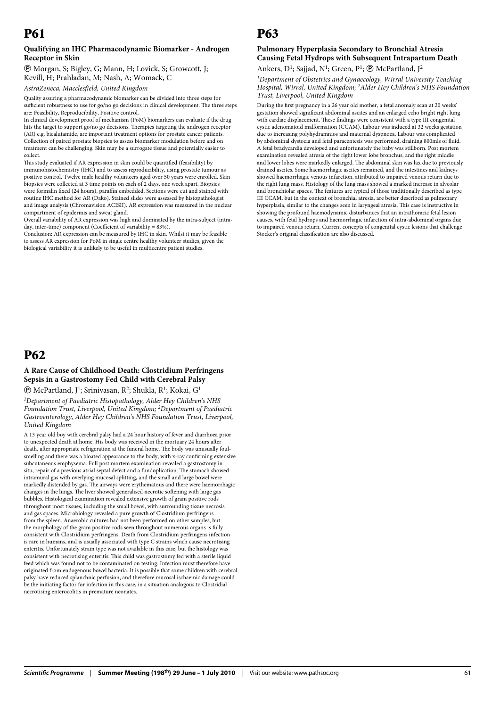# **P63**

#### **Qualifying an IHC Pharmacodynamic Biomarker - Androgen Receptor in Skin**

P Morgan, S; Bigley, G; Mann, H; Lovick, S; Growcott, J; Kevill, H; Prahladan, M; Nash, A; Womack, C

*AstraZeneca, Macclesfield, United Kingdom*

Quality assuring a pharmacodynamic biomarker can be divided into three steps for sufficient robustness to use for go/no go decisions in clinical development. The three steps are: Feasibility, Reproducibility, Positive control.

In clinical development proof of mechanism (PoM) biomarkers can evaluate if the drug hits the target to support go/no go decisions. Therapies targeting the androgen receptor (AR) e.g. bicalutamide, are important treatment options for prostate cancer patients. Collection of paired prostate biopsies to assess biomarker modulation before and on treatment can be challenging. Skin may be a surrogate tissue and potentially easier to collect.

This study evaluated if AR expression in skin could be quantified (feasibility) by immunohistochemistry (IHC) and to assess reproducibility, using prostate tumour as positive control. Twelve male healthy volunteers aged over 50 years were enrolled. Skin biopsies were collected at 3 time points on each of 2 days, one week apart. Biopsies were formalin fixed (24 hours), paraffin embedded. Sections were cut and stained with routine IHC method for AR (Dako). Stained slides were assessed by histopathologist and image analysis (Chromavision ACISII). AR expression was measured in the nuclear compartment of epidermis and sweat gland.

Overall variability of AR expression was high and dominated by the intra-subject (intraday, inter-time) component (Coefficient of variability =  $83\%$ ).

Conclusion: AR expression can be measured by IHC in skin. Whilst it may be feasible to assess AR expression for PoM in single centre healthy volunteer studies, given the biological variability it is unlikely to be useful in multicentre patient studies.

#### **Pulmonary Hyperplasia Secondary to Bronchial Atresia Causing Fetal Hydrops with Subsequent Intrapartum Death**

Ankers,  $D^1$ ; Sajjad, N<sup>1</sup>; Green, P<sup>1</sup>;  $\textcircled{P}$  McPartland, J<sup>2</sup>

*1Department of Obstetrics and Gynaecology, Wirral University Teaching Hospital, Wirral, United Kingdom; 2Alder Hey Children's NHS Foundation Trust, Liverpool, United Kingdom*

During the first pregnancy in a 26 year old mother, a fetal anomaly scan at 20 weeks' gestation showed significant abdominal ascites and an enlarged echo bright right lung with cardiac displacement. These findings were consistent with a type III congenital cystic adenomatoid malformation (CCAM). Labour was induced at 32 weeks gestation due to increasing polyhydramnios and maternal dyspnoea. Labour was complicated by abdominal dystocia and fetal paracentesis was performed, draining 800mls of fluid. A fetal bradycardia developed and unfortunately the baby was stillborn. Post mortem examination revealed atresia of the right lower lobe bronchus, and the right middle and lower lobes were markedly enlarged. The abdominal skin was lax due to previously drained ascites. Some haemorrhagic ascites remained, and the intestines and kidneys showed haemorrhagic venous infarction, attributed to impaired venous return due to the right lung mass. Histology of the lung mass showed a marked increase in alveolar and bronchiolar spaces. The features are typical of those traditionally described as type III CCAM, but in the context of bronchial atresia, are better described as pulmonary hyperplasia, similar to the changes seen in laryngeal atresia. This case is instructive in showing the profound haemodynamic disturbances that an intrathoracic fetal lesion causes, with fetal hydrops and haemorrhagic infarction of intra-abdominal organs due to impaired venous return. Current concepts of congenital cystic lesions that challenge Stocker's original classification are also discussed.

### P62

#### **A Rare Cause of Childhood Death: Clostridium Perfringens Sepsis in a Gastrostomy Fed Child with Cerebral Palsy**

#### P McPartland, J1; Srinivasan, R2; Shukla, R1; Kokai, G1

*1Department of Paediatric Histopathology, Alder Hey Children's NHS Foundation Trust, Liverpool, United Kingdom; 2Department of Paediatric Gastroenterology, Alder Hey Children's NHS Foundation Trust, Liverpool, United Kingdom*

A 13 year old boy with cerebral palsy had a 24 hour history of fever and diarrhoea prior to unexpected death at home. His body was received in the mortuary 24 hours after death, after appropriate refrigeration at the funeral home. The body was unusually foulsmelling and there was a bloated appearance to the body, with x-ray confirming extensive subcutaneous emphysema. Full post mortem examination revealed a gastrostomy in situ, repair of a previous atrial septal defect and a fundoplication. The stomach showed intramural gas with overlying mucosal splitting, and the small and large bowel were markedly distended by gas. The airways were erythematous and there were haemorrhagic changes in the lungs. The liver showed generalised necrotic softening with large gas bubbles. Histological examination revealed extensive growth of gram positive rods throughout most tissues, including the small bowel, with surrounding tissue necrosis and gas spaces. Microbiology revealed a pure growth of Clostridium perfringens from the spleen. Anaerobic cultures had not been performed on other samples, but the morphology of the gram positive rods seen throughout numerous organs is fully consistent with Clostridium perfringens. Death from Clostridium perfringens infection is rare in humans, and is usually associated with type C strains which cause necrotising enteritis. Unfortunately strain type was not available in this case, but the histology was consistent with necrotising enteritis. This child was gastrostomy fed with a sterile liquid feed which was found not to be contaminated on testing. Infection must therefore have originated from endogenous bowel bacteria. It is possible that some children with cerebral palsy have reduced splanchnic perfusion, and therefore mucosal ischaemic damage could be the initiating factor for infection in this case, in a situation analogous to Clostridial necrotising enterocolitis in premature neonates.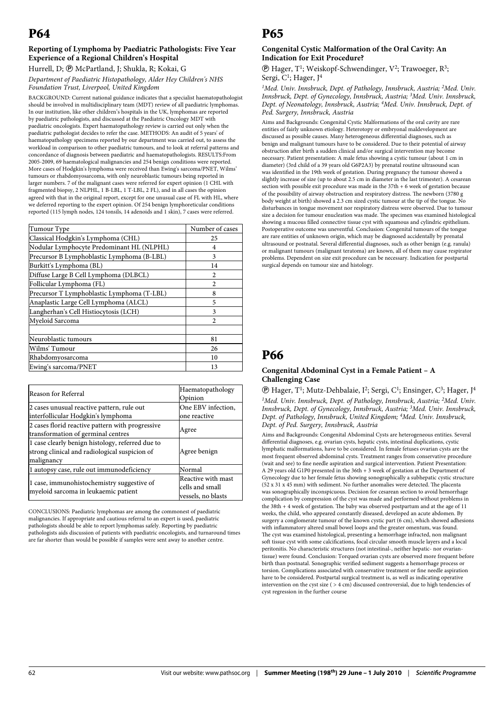#### **Reporting of Lymphoma by Paediatric Pathologists: Five Year Experience of a Regional Children's Hospital**

Hurrell, D;  $\circledR$  McPartland, J; Shukla, R; Kokai, G

*Department of Paediatric Histopathology, Alder Hey Children's NHS Foundation Trust, Liverpool, United Kingdom*

BACKGROUND: Current national guidance indicates that a specialist haematopathologist should be involved in multidisciplinary team (MDT) review of all paediatric lymphomas. In our institution, like other children's hospitals in the UK, lymphomas are reported by paediatric pathologists, and discussed at the Paediatric Oncology MDT with paediatric oncologists. Expert haematopathology review is carried out only when the paediatric pathologist decides to refer the case. METHODS: An audit of 5 years' of haematopathology specimens reported by our department was carried out, to assess the naematopathology specifiens reported by our department was carried out, to assess the<br>workload in comparison to other paediatric tumours, and to look at referral patterns and concordance of diagnosis between paediatric and haematopathologists. RESULTS:From 2005-2009, 69 haematological malignancies and 254 benign conditions were reported. More cases of Hodgkin's lymphoma were received than Ewing's sarcoma/PNET, Wilms' 1584596 **/** P64 tumours or rhabdomyosarcoma, with only neuroblastic tumours being reported in larger numbers. 7 of the malignant cases were referred for expert opinion (1 CHL with fragmented biopsy, 2 NLPHL, 1 B-LBL, 1 T-LBL, 2 FL), and in all cases the opinion agreed with that in the original report, except for one unusual case of FL with HL, where we deferred reporting to the expert opinion. Of 254 benign lymphoreticular conditions reported (115 lymph nodes, 124 tonsils, 14 adenoids and 1 skin), 7 cases were referred. Classical Hodgkin's Lymphoma (CHL) 25 (CHL) 25 (CHL) 25 (CHL) 25 (CHL) 25 (CHL) 25 (CHL) 25 (CHL) 25 (CHL) 25 (CHL) 25 (CHL) 25 (CHL) 25 (CHL) 25 (CHL) 25 (CHL) 25 (CHL) 25 (CHL) 25 (CHL) 25 (CHL) 25 (CHL) 25 (CHL) 25 (CHL

| Tumour Type                                | Number of cases |
|--------------------------------------------|-----------------|
| Classical Hodgkin's Lymphoma (CHL)         | 25              |
| Nodular Lymphocyte Predominant HL (NLPHL)  | $\overline{4}$  |
| Precursor B Lymphoblastic Lymphoma (B-LBL) | 3               |
| Burkitt's Lymphoma (BL)                    | 14              |
| Diffuse Large B Cell Lymphoma (DLBCL)      | 2               |
| Follicular Lymphoma (FL)                   | $\overline{2}$  |
| Precursor T Lymphoblastic Lymphoma (T-LBL) | 8               |
| Anaplastic Large Cell Lymphoma (ALCL)      | 5               |
| Langherhan's Cell Histiocytosis (LCH)      | 3               |
| Myeloid Sarcoma                            | $\mathfrak{D}$  |
|                                            |                 |
| Neuroblastic tumours                       | 81              |
| Wilms' Tumour                              | 26              |
| Rhabdomyosarcoma                           | 10              |
| Ewing's sarcoma/PNET                       | 13              |

| Reason for Referral                                                                                             | Haematopathology<br>Opinion                                 |  |
|-----------------------------------------------------------------------------------------------------------------|-------------------------------------------------------------|--|
| 2 cases unusual reactive pattern, rule out<br>interfollicular Hodgkin's lymphoma                                | One EBV infection,<br>one reactive                          |  |
| 2 cases florid reactive pattern with progressive<br>transformation of germinal centres                          | Agree                                                       |  |
| 1 case clearly benign histology, referred due to<br>strong clinical and radiological suspicion of<br>malignancy | Agree benign                                                |  |
| 1 autopsy case, rule out immunodeficiency                                                                       | Normal                                                      |  |
| 1 case, immunohistochemistry suggestive of<br>myeloid sarcoma in leukaemic patient                              | Reactive with mast<br>cells and small<br>vessels, no blasts |  |

CONCLUSIONS: Paediatric lymphomas are among the commonest of paediatric malignancies. If appropriate and cautious referral to an expert is used, paediatric pathologists should be able to report lymphomas safely. Reporting by paediatric pathologists aids discussion of patients with paediatric oncologists, and turnaround times are far shorter than would be possible if samples were sent away to another centre.

# **P65**

#### **Congenital Cystic Malformation of the Oral Cavity: An Indication for Exit Procedure?**

 $\textcircled{P}$  Hager, T<sup>1</sup>; Weiskopf-Schwendinger, V<sup>2</sup>; Trawoeger, R<sup>3</sup>; Sergi,  $C^1$ ; Hager,  $J^4$ 

*1Med. Univ. Innsbruck, Dept. of Pathology, Innsbruck, Austria; 2Med. Univ. Innsbruck, Dept. of Gynecology, Innsbruck, Austria; 3Med. Univ. Innsbruck, Dept. of Neonatology, Innsbruck, Austria; 4Med. Univ. Innsbruck, Dept. of Ped. Surgery, Innsbruck, Austria*

Aims and Backgrounds: Congenital Cystic Malformations of the oral cavity are rare entities of fairly unknown etiology. Heterotopy or embryonal maldevelopment are discussed as possible causes. Many heterogeneous differential diagnoses, such as benign and malignant tumours have to be considered. Due to their potential of airway obstruction after birth a sudden clinical and/or surgical intervention may become necessary. Patient presentation: A male fetus showing a cystic tumour (about 1 cm in diameter) (3rd child of a 39 years old G6P2A3) by prenatal routine ultrasound scan was identified in the 19th week of gestation. During pregnancy the tumour showed a slightly increase of size (up to about 2.5 cm in diameter in the last trimester). A cesarean section with possible exit procedure was made in the 37th + 6 week of gestation because of the possibility of airway obstruction and respiratory distress. The newborn (3780 g body weight at birth) showed a 2.3 cm sized cystic tumour at the tip of the tongue. No disturbances in tongue movement nor respiratory distress were observed. Due to tumour size a decision for tumour enucleation was made. The specimen was examined histological showing a mucous filled connective tissue cyst with squamous and cylindric epithelium. Postoperative outcome was uneventful. Conclusion: Congenital tumours of the tongue are rare entities of unknown origin, which may be diagnosed accidentally by prenatal ultrasound or postnatal. Several differential diagnoses, such as other benign (e.g. ranula) or malignant tumours (malignant teratoma) are known, all of them may cause respirator problems. Dependent on size exit procedure can be necessary. Indication for postpartal surgical depends on tumour size and histology.

### **P66**

#### **Congenital Abdominal Cyst in a Female Patient – A Challenging Case**

P Hager, T1; Mutz-Dehbalaie, I2; Sergi, C1; Ensinger, C3; Hager, J4 <sup>1</sup>Med. Univ. Innsbruck, Dept. of Pathology, Innsbruck, Austria; <sup>2</sup>Med. Univ. *Innsbruck, Dept. of Gynecology, Innsbruck, Austria; 3Med. Univ. Innsbruck, Dept. of Pathology, Innsbruck, United Kingdom; 4Med. Univ. Innsbruck, Dept. of Ped. Surgery, Innsbruck, Austria*

Aims and Backgrounds: Congenital Abdominal Cysts are heterogeneous entities. Several differential diagnoses, e.g. ovarian cysts, hepatic cysts, intestinal duplications, cystic lymphatic malformations, have to be considered. In female fetuses ovarian cysts are the most frequent observed abdominal cysts. Treatment ranges from conservative procedure (wait and see) to fine needle aspiration and surgical intervention. Patient Presentation: A 29 years old G1P0 presented in the 36th + 3 week of gestation at the Department of Gynecology due to her female fetus showing sonographically a subhepatic cystic structure (52 x 31 x 45 mm) with sediment. No further anomalies were detected. The placenta was sonographically inconspicuous. Decision for cesarean section to avoid hemorrhage complication by compression of the cyst was made and performed without problems in the 38th + 4 week of gestation. The baby was observed postpartum and at the age of 11 weeks, the child, who appeared constantly diseased, developed an acute abdomen. By surgery a conglomerate tumour of the known cystic part ( $6 \text{ cm}$ ), which showed adhesions with inflammatory altered small bowel loops and the greater omentum, was found. The cyst was examined histological, presenting a hemorrhage infracted, non malignant soft tissue cyst with some calcifications, focal circular smooth muscle layers and a local peritonitis. No characteristic structures (not intestinal-, neither hepatic- nor ovariantissue) were found. Conclusion: Torqued ovarian cysts are observed more frequent before birth than postnatal. Sonographic verified sediment suggests a hemorrhage process or torsion. Complications associated with conservative treatment or fine needle aspiration have to be considered. Postpartal surgical treatment is, as well as indicating operative intervention on the cyst size ( $> 4$  cm) discussed controversial, due to high tendencies of cyst regression in the further course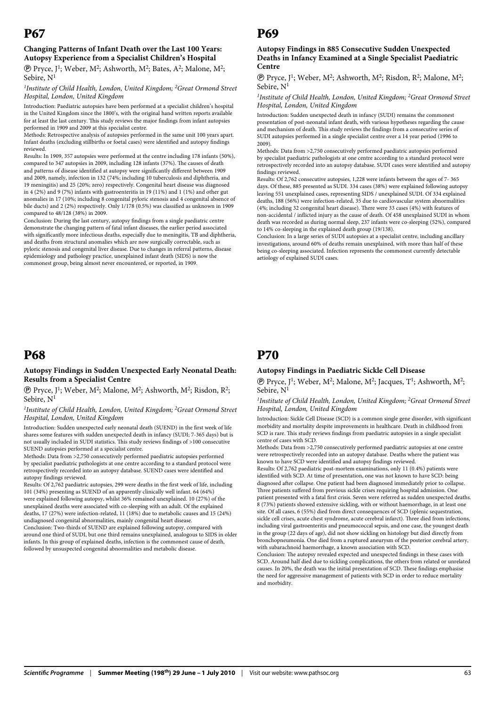#### **Changing Patterns of Infant Death over the Last 100 Years: Autopsy Experience from a Specialist Children's Hospital**

 $\textcircled{P}$  Pryce, J<sup>1</sup>; Weber, M<sup>2</sup>; Ashworth, M<sup>2</sup>; Bates, A<sup>2</sup>; Malone, M<sup>2</sup>; Sebire, N<sup>1</sup>

#### *1Institute of Child Health, London, United Kingdom; 2Great Ormond Street Hospital, London, United Kingdom*

Introduction: Paediatric autopsies have been performed at a specialist children's hospital in the United Kingdom since the 1800's, with the original hand written reports available for at least the last century. This study reviews the major findings from infant autopsies performed in 1909 and 2009 at this specialist centre.

Methods: Retrospective analysis of autopsies performed in the same unit 100 years apart. Infant deaths (excluding stillbirths or foetal cases) were identified and autopsy findings reviewed.

Results: In 1909, 357 autopsies were performed at the centre including 178 infants (50%), compared to 347 autopsies in 2009, including 128 infants (37%). The causes of death and patterns of disease identified at autopsy were significantly different between 1909 and 2009, namely, infection in 132 (74%; including 10 tuberculosis and diphtheria, and 19 meningitis) and 25 (20%; zero) respectively. Congenital heart disease was diagnosed in 4 (2%) and 9 (7%) infants with gastroenteritis in 19 (11%) and 1 (1%) and other gut anomalies in 17 (10%; including 8 congenital pyloric stenosis and 4 congenital absence of bile ducts) and 2 (2%) respectively. Only 1/178 (0.5%) was classified as unknown in 1909 compared to 48/128 (38%) in 2009.

Conclusion: During the last century, autopsy findings from a single paediatric centre demonstrate the changing pattern of fatal infant diseases, the earlier period associated with significantly more infectious deaths, especially due to meningitis, TB and diphtheria, and deaths from structural anomalies which are now surgically correctable, such as pyloric stenosis and congenital liver disease. Due to changes in referral patterns, disease epidemiology and pathology practice, unexplained infant death (SIDS) is now the commonest group, being almost never encountered, or reported, in 1909.

### P68

#### **Autopsy Findings in Sudden Unexpected Early Neonatal Death: Results from a Specialist Centre**

P Pryce, J1; Weber, M2; Malone, M2; Ashworth, M2; Risdon, R2; Sebire, N<sup>1</sup>

#### *1Institute of Child Health, London, United Kingdom; 2Great Ormond Street Hospital, London, United Kingdom*

Introduction: Sudden unexpected early neonatal death (SUEND) in the first week of life shares some features with sudden unexpected death in infancy (SUDI; 7-365 days) but is not usually included in SUDI statistics. This study reviews findings of >100 consecutive SUEND autopsies performed at a specialist centre.

Methods: Data from >2,750 consecutively performed paediatric autopsies performed by specialist paediatric pathologists at one centre according to a standard protocol were retrospectively recorded into an autopsy database. SUEND cases were identified and autopsy findings reviewed.

Results: Of 2,762 paediatric autopsies, 299 were deaths in the first week of life, including 101 (34%) presenting as SUEND of an apparently clinically well infant. 64 (64%) were explained following autopsy, whilst 36% remained unexplained. 10 (27%) of the unexplained deaths were associated with co-sleeping with an adult. Of the explained deaths, 17 (27%) were infection-related, 11 (18%) due to metabolic causes and 15 (24%) undiagnosed congenital abnormalities, mainly congenital heart disease.

Conclusion: Two-thirds of SUEND are explained following autopsy, compared with around one third of SUDI, but one third remains unexplained, analogous to SIDS in older infants. In this group of explained deaths, infection is the commonest cause of death, followed by unsuspected congenital abnormalities and metabolic disease.

# P69

#### **Autopsy Findings in 885 Consecutive Sudden Unexpected Deaths in Infancy Examined at a Single Specialist Paediatric Centre**

 $\textcircled{P}$  Pryce, J<sup>1</sup>; Weber, M<sup>2</sup>; Ashworth, M<sup>2</sup>; Risdon, R<sup>2</sup>; Malone, M<sup>2</sup>; Sebire, N<sup>1</sup>

*1Institute of Child Health, London, United Kingdom; 2Great Ormond Street Hospital, London, United Kingdom*

Introduction: Sudden unexpected death in infancy (SUDI) remains the commonest presentation of post-neonatal infant death, with various hypotheses regarding the cause and mechanism of death. This study reviews the findings from a consecutive series of SUDI autopsies performed in a single specialist centre over a 14 year period (1996 to 2009).

Methods: Data from >2,750 consecutively performed paediatric autopsies performed by specialist paediatric pathologists at one centre according to a standard protocol were retrospectively recorded into an autopsy database. SUDI cases were identified and autopsy findings reviewed.

Results: Of 2,762 consecutive autopsies, 1,228 were infants between the ages of 7- 365 days. Of these, 885 presented as SUDI. 334 cases (38%) were explained following autopsy leaving 551 unexplained cases, representing SIDS / unexplained SUDI. Of 334 explained deaths, 188 (56%) were infection-related, 35 due to cardiovascular system abnormalities (4%; including 32 congenital heart disease). There were 33 cases (4%) with features of non-accidental / inflicted injury as the cause of death. Of 458 unexplained SUDI in whom death was recorded as during normal sleep, 237 infants were co-sleeping (52%), compared to 14% co-sleeping in the explained death group (19/138).

Conclusion: In a large series of SUDI autopsies at a specialist centre, including ancillary investigations, around 60% of deaths remain unexplained, with more than half of these being co-sleeping associated. Infection represents the commonest currently detectable aetiology of explained SUDI cases.

### **P70**

#### **Autopsy Findings in Paediatric Sickle Cell Disease**

 $\textcircled{P}$  Pryce, J<sup>1</sup>; Weber, M<sup>2</sup>; Malone, M<sup>2</sup>; Jacques, T<sup>1</sup>; Ashworth, M<sup>2</sup>; Sebire, N<sup>1</sup>

#### *1Institute of Child Health, London, United Kingdom; 2Great Ormond Street Hospital, London, United Kingdom*

Introduction: Sickle Cell Disease (SCD) is a common single gene disorder, with significant morbidity and mortality despite improvements in healthcare. Death in childhood from SCD is rare. This study reviews findings from paediatric autopsies in a single specialist centre of cases with SCD.

Methods: Data from >2,750 consecutively performed paediatric autopsies at one centre were retrospectively recorded into an autopsy database. Deaths where the patient was known to have SCD were identified and autopsy findings reviewed.

Results: Of 2,762 paediatric post-mortem examinations, only 11 (0.4%) patients were identified with SCD. At time of presentation, one was not known to have SCD: being diagnosed after collapse. One patient had been diagnosed immediately prior to collapse. Three patients suffered from previous sickle crises requiring hospital admission. One patient presented with a fatal first crisis. Seven were referred as sudden unexpected deaths.  $8(73%)$  patients showed extensive sickling, with or without haemorrhage, in at least one site. Of all cases, 6 (55%) died from direct consequences of SCD (splenic sequestration, sickle cell crises, acute chest syndrome, acute cerebral infarct). Three died from infections, including viral gastroenteritis and pneumococcal sepsis, and one case, the youngest death in the group (22 days of age), did not show sickling on histology but died directly from bronchopneumonia. One died from a ruptured aneurysm of the posterior cerebral artery, with subarachnoid haemorrhage, a known association with SCD.

Conclusion: The autopsy revealed expected and unexpected findings in these cases with SCD. Around half died due to sickling complications, the others from related or unrelated causes. In 20%, the death was the initial presentation of SCD. These findings emphasise the need for aggressive management of patients with SCD in order to reduce mortality and morbidity.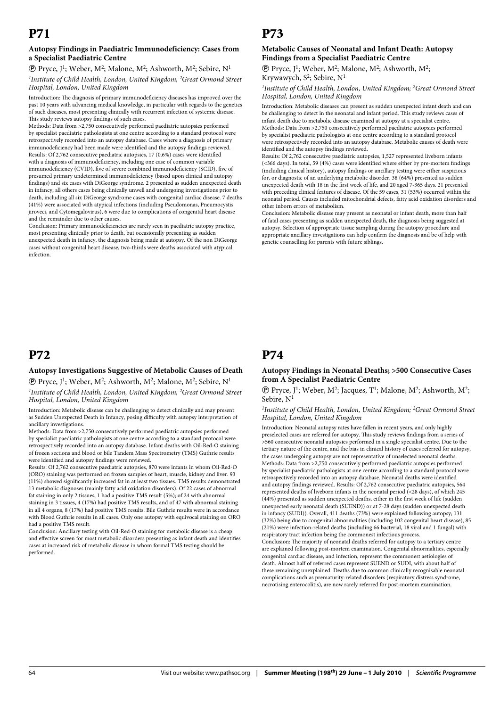#### **Autopsy Findings in Paediatric Immunodeficiency: Cases from a Specialist Paediatric Centre**

 $\textcircled{P}$  Pryce, J<sup>1</sup>; Weber, M<sup>2</sup>; Malone, M<sup>2</sup>; Ashworth, M<sup>2</sup>; Sebire, N<sup>1</sup> *1Institute of Child Health, London, United Kingdom; 2Great Ormond Street Hospital, London, United Kingdom*

Introduction: The diagnosis of primary immunodeficiency diseases has improved over the past 10 years with advancing medical knowledge, in particular with regards to the genetics of such diseases, most presenting clinically with recurrent infection of systemic disease. This study reviews autopsy findings of such cases.

Methods: Data from >2,750 consecutively performed paediatric autopsies performed by specialist paediatric pathologists at one centre according to a standard protocol were retrospectively recorded into an autopsy database. Cases where a diagnosis of primary immunodeficiency had been made were identified and the autopsy findings reviewed. Results: Of 2,762 consecutive paediatric autopsies, 17 (0.6%) cases were identified with a diagnosis of immunodeficiency, including one case of common variable immunodeficiency (CVID), five of severe combined immunodeficiency (SCID), five of presumed primary undetermined immunodeficiency (based upon clinical and autopsy findings) and six cases with DiGeorge syndrome. 2 presented as sudden unexpected death in infancy, all others cases being clinically unwell and undergoing investigations prior to death, including all six DiGeorge syndrome cases with congenital cardiac disease. 7 deaths (41%) were associated with atypical infections (including Pseudomonas, Pneumocystis jiroveci, and Cytomegalovirus), 6 were due to complications of congenital heart disease and the remainder due to other causes.

Conclusion: Primary immunodeficiencies are rarely seen in paediatric autopsy practice, most presenting clinically prior to death, but occasionally presenting as sudden unexpected death in infancy, the diagnosis being made at autopsy. Of the non DiGeorge cases without congenital heart disease, two-thirds were deaths associated with atypical infection.

# P73

#### **Metabolic Causes of Neonatal and Infant Death: Autopsy Findings from a Specialist Paediatric Centre**

 $\textcircled{P}$  Pryce, J<sup>1</sup>; Weber, M<sup>2</sup>; Malone, M<sup>2</sup>; Ashworth, M<sup>2</sup>; Krywawych, S<sup>2</sup>; Sebire, N<sup>1</sup>

*1Institute of Child Health, London, United Kingdom; 2Great Ormond Street Hospital, London, United Kingdom*

Introduction: Metabolic diseases can present as sudden unexpected infant death and can be challenging to detect in the neonatal and infant period. This study reviews cases of infant death due to metabolic disease examined at autopsy at a specialist centre. Methods: Data from >2,750 consecutively performed paediatric autopsies performed by specialist paediatric pathologists at one centre according to a standard protocol were retrospectively recorded into an autopsy database. Metabolic causes of death were identified and the autopsy findings reviewed.

Results: Of 2,762 consecutive paediatric autopsies, 1,527 represented liveborn infants (<366 days). In total, 59 (4%) cases were identified where either by pre-mortem findings (including clinical history), autopsy findings or ancillary testing were either suspicious for, or diagnostic of an underlying metabolic disorder. 38 (64%) presented as sudden unexpected death with 18 in the first week of life, and 20 aged 7-365 days. 21 presented with preceding clinical features of disease. Of the 59 cases, 31 (53%) occurred within the neonatal period. Causes included mitochondrial defects, fatty acid oxidation disorders and other inborn errors of metabolism.

Conclusion: Metabolic disease may present as neonatal or infant death, more than half of fatal cases presenting as sudden unexpected death, the diagnosis being suggested at autopsy. Selection of appropriate tissue sampling during the autopsy procedure and appropriate ancillary investigations can help confirm the diagnosis and be of help with genetic counselling for parents with future siblings.

# P72

#### **Autopsy Investigations Suggestive of Metabolic Causes of Death**

 $\textcircled{P}$  Pryce, J<sup>1</sup>; Weber, M<sup>2</sup>; Ashworth, M<sup>2</sup>; Malone, M<sup>2</sup>; Sebire, N<sup>1</sup>

*1Institute of Child Health, London, United Kingdom; 2Great Ormond Street Hospital, London, United Kingdom*

Introduction: Metabolic disease can be challenging to detect clinically and may present as Sudden Unexpected Death in Infancy, posing difficulty with autopsy interpretation of ancillary investigations.

Methods: Data from >2,750 consecutively performed paediatric autopsies performed by specialist paediatric pathologists at one centre according to a standard protocol were retrospectively recorded into an autopsy database. Infant deaths with Oil-Red-O staining of frozen sections and blood or bile Tandem Mass Spectrometry (TMS) Guthrie results were identified and autopsy findings were reviewed.

Results: Of 2,762 consecutive paediatric autopsies, 870 were infants in whom Oil-Red-O (ORO) staining was performed on frozen samples of heart, muscle, kidney and liver. 93 (11%) showed significantly increased fat in at least two tissues. TMS results demonstrated 13 metabolic diagnoses (mainly fatty acid oxidation disorders). Of 22 cases of abnormal fat staining in only 2 tissues, 1 had a positive TMS result (5%); of 24 with abnormal staining in 3 tissues, 4 (17%) had positive TMS results, and of 47 with abnormal staining in all 4 organs, 8 (17%) had positive TMS results. Bile Guthrie results were in accordance with Blood Guthrie results in all cases. Only one autopsy with equivocal staining on ORO had a positive TMS result.

Conclusion: Ancillary testing with Oil-Red-O staining for metabolic disease is a cheap and effective screen for most metabolic disorders presenting as infant death and identifies cases at increased risk of metabolic disease in whom formal TMS testing should be performed.

# P74

#### **Autopsy Findings in Neonatal Deaths; >500 Consecutive Cases from A Specialist Paediatric Centre**

#### P Pryce, J1; Weber, M2; Jacques, T1; Malone, M2; Ashworth, M2; Sebire, N<sup>1</sup>

#### *1Institute of Child Health, London, United Kingdom; 2Great Ormond Street Hospital, London, United Kingdom*

Introduction: Neonatal autopsy rates have fallen in recent years, and only highly preselected cases are referred for autopsy. This study reviews findings from a series of >560 consecutive neonatal autopsies performed in a single specialist centre. Due to the tertiary nature of the centre, and the bias in clinical history of cases referred for autopsy, the cases undergoing autopsy are not representative of unselected neonatal deaths. Methods: Data from >2,750 consecutively performed paediatric autopsies performed by specialist paediatric pathologists at one centre according to a standard protocol were retrospectively recorded into an autopsy database. Neonatal deaths were identified and autopsy findings reviewed. Results: Of 2,762 consecutive paediatric autopsies, 564 represented deaths of liveborn infants in the neonatal period (<28 days), of which 245 (44%) presented as sudden unexpected deaths, either in the first week of life (sudden unexpected early neonatal death (SUEND)) or at 7-28 days (sudden unexpected death in infancy (SUDI)). Overall, 411 deaths (73%) were explained following autopsy; 131 (32%) being due to congenital abnormalities (including 102 congenital heart disease), 85 (21%) were infection-related deaths (including 66 bacterial, 18 viral and 1 fungal) with respiratory tract infection being the commonest infectious process. Conclusion: The majority of neonatal deaths referred for autopsy to a tertiary centre are explained following post-mortem examination. Congenital abnormalities, especially congenital cardiac disease, and infection, represent the commonest aetiologies of death. Almost half of referred cases represent SUEND or SUDI, with about half of these remaining unexplained. Deaths due to common clinically recognisable neonatal complications such as prematurity-related disorders (respiratory distress syndrome, necrotising enterocolitis), are now rarely referred for post-mortem examination.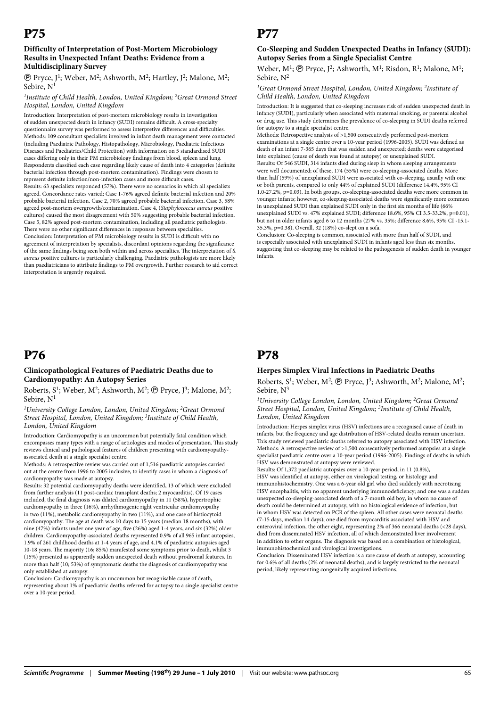#### **Difficulty of Interpretation of Post-Mortem Microbiology Results in Unexpected Infant Deaths: Evidence from a Multidisciplinary Survey**

 $\textcircled{P}$  Pryce, J<sup>1</sup>; Weber, M<sup>2</sup>; Ashworth, M<sup>2</sup>; Hartley, J<sup>2</sup>; Malone, M<sup>2</sup>; Sebire, N<sup>1</sup>

*1Institute of Child Health, London, United Kingdom; 2Great Ormond Street Hospital, London, United Kingdom*

Introduction: Interpretation of post-mortem microbiology results in investigation of sudden unexpected death in infancy (SUDI) remains difficult. A cross-specialty questionnaire survey was performed to assess interpretive differences and difficulties. Methods: 109 consultant specialists involved in infant death management were contacted (including Paediatric Pathology, Histopathology, Microbiology, Paediatric Infectious Diseases and Paediatrics/Child Protection) with information on 5 standardised SUDI cases differing only in their PM microbiology findings from blood, spleen and lung. Respondents classified each case regarding likely cause of death into 4 categories (definite bacterial infection through post-mortem contamination). Findings were chosen to represent definite infection/non-infection cases and more difficult cases. Results: 63 specialists responded (57%). There were no scenarios in which all specialists agreed. Concordance rates varied; Case 1-76% agreed definite bacterial infection and 20% probable bacterial infection. Case 2, 70% agreed probable bacterial infection. Case 3, 58% agreed post-mortem overgrowth/contamination. Case 4, (*Staphylococcus aureus* positive cultures) caused the most disagreement with 50% suggesting probable bacterial infection. Case 5, 82% agreed post-mortem contamination, including all paediatric pathologists. There were no other significant differences in responses between specialties. Conclusion: Interpretation of PM microbiology results in SUDI is difficult with no agreement of interpretation by specialists, discordant opinions regarding the significance of the same findings being seen both within and across specialties. The interpretation of *S. aureus* positive cultures is particularly challenging. Paediatric pathologists are more likely than paediatricians to attribute findings to PM overgrowth. Further research to aid correct interpretation is urgently required.

### P76

#### **Clinicopathological Features of Paediatric Deaths due to Cardiomyopathy: An Autopsy Series**

Roberts, S<sup>1</sup>; Weber, M<sup>2</sup>; Ashworth, M<sup>2</sup>; <sup>®</sup> Pryce, J<sup>3</sup>; Malone, M<sup>2</sup>; Sebire, N<sup>1</sup>

*1University College London, London, United Kingdom; 2Great Ormond Street Hospital, London, United Kingdom; 3Institute of Child Health, London, United Kingdom*

Introduction: Cardiomyopathy is an uncommon but potentially fatal condition which encompasses many types with a range of aetiologies and modes of presentation. This study reviews clinical and pathological features of children presenting with cardiomyopathyassociated death at a single specialist centre.

Methods: A retrospective review was carried out of 1,516 paediatric autopsies carried out at the centre from 1996 to 2005 inclusive, to identify cases in whom a diagnosis of cardiomyopathy was made at autopsy.

Results: 32 potential cardiomyopathy deaths were identified, 13 of which were excluded from further analysis (11 post-cardiac transplant deaths; 2 myocarditis). Of 19 cases included, the final diagnosis was dilated cardiomyopathy in 11 (58%), hypertrophic cardiomyopathy in three (16%), arrhythmogenic right ventricular cardiomyopathy in two  $(11\%)$ , metabolic cardiomyopathy in two  $(11\%)$ , and one case of histiocytoid cardiomyopathy. The age at death was 10 days to 15 years (median 18 months), with nine (47%) infants under one year of age, five (26%) aged 1-4 years, and six (32%) older children. Cardiomyopathy-associated deaths represented 0.9% of all 965 infant autopsies, 1.9% of 261 childhood deaths at 1-4 years of age, and 4.1% of paediatric autopsies aged 10-18 years. The majority (16; 85%) manifested some symptoms prior to death, whilst 3 (15%) presented as apparently sudden unexpected death without prodromal features. In more than half (10; 53%) of symptomatic deaths the diagnosis of cardiomyopathy was only established at autopsy.

Conclusion: Cardiomyopathy is an uncommon but recognisable cause of death, representing about 1% of paediatric deaths referred for autopsy to a single specialist centre over a 10-year period.

# **P77**

#### **Co-Sleeping and Sudden Unexpected Deaths in Infancy (SUDI): Autopsy Series from a Single Specialist Centre**

Weber,  $M^1$ ;  $\textcircled{P}$  Pryce, J<sup>2</sup>; Ashworth, M<sup>1</sup>; Risdon, R<sup>1</sup>; Malone, M<sup>1</sup>; Sebire, N<sup>2</sup>

*1Great Ormond Street Hospital, London, United Kingdom; 2Institute of Child Health, London, United Kingdom*

Introduction: It is suggested that co-sleeping increases risk of sudden unexpected death in infancy (SUDI), particularly when associated with maternal smoking, or parental alcohol or drug use. This study determines the prevalence of co-sleeping in SUDI deaths referred for autopsy to a single specialist centre.

Methods: Retrospective analysis of >1,500 consecutively performed post-mortem examinations at a single centre over a 10-year period (1996-2005). SUDI was defined as death of an infant 7-365 days that was sudden and unexpected; deaths were categorised into explained (cause of death was found at autopsy) or unexplained SUDI.

Results: Of 546 SUDI, 314 infants died during sleep in whom sleeping arrangements were well documented; of these, 174 (55%) were co-sleeping-associated deaths. More than half (59%) of unexplained SUDI were associated with co-sleeping, usually with one or both parents, compared to only 44% of explained SUDI (difference 14.4%, 95% CI 1.0-27.2%, p=0.03). In both groups, co-sleeping-associated deaths were more common in younger infants; however, co-sleeping-associated deaths were significantly more common in unexplained SUDI than explained SUDI only in the first six months of life (66% unexplained SUDI vs. 47% explained SUDI; difference 18.6%, 95% CI 3.5-33.2%, p=0.01), but not in older infants aged 6 to 12 months (27% vs. 35%; difference 8.6%, 95% CI -15.1- 35.3%, p=0.38). Overall, 32 (18%) co-slept on a sofa.

Conclusion: Co-sleeping is common, associated with more than half of SUDI, and is especially associated with unexplained SUDI in infants aged less than six months, suggesting that co-sleeping may be related to the pathogenesis of sudden death in younger infants.

### P78

#### **Herpes Simplex Viral Infections in Paediatric Deaths**

Roberts, S<sup>1</sup>; Weber, M<sup>2</sup>; <sup>(</sup>) Pryce, J<sup>3</sup>; Ashworth, M<sup>2</sup>; Malone, M<sup>2</sup>; Sebire, N<sup>3</sup>

*1University College London, London, United Kingdom; 2Great Ormond Street Hospital, London, United Kingdom; 3Institute of Child Health, London, United Kingdom*

Introduction: Herpes simplex virus (HSV) infections are a recognised cause of death in infants, but the frequency and age distribution of HSV-related deaths remain uncertain. This study reviewed paediatric deaths referred to autopsy associated with HSV infection. Methods: A retrospective review of >1,500 consecutively performed autopsies at a single specialist paediatric centre over a 10-year period (1996-2005). Findings of deaths in which HSV was demonstrated at autopsy were reviewed.

Results: Of 1,372 paediatric autopsies over a 10-year period, in 11 (0.8%), HSV was identified at autopsy, either on virological testing, or histology and immunohistochemistry. One was a 6-year old girl who died suddenly with necrotising HSV encephalitis, with no apparent underlying immunodeficiency; and one was a sudden unexpected co-sleeping-associated death of a 7-month old boy, in whom no cause of death could be determined at autopsy, with no histological evidence of infection, but in whom HSV was detected on PCR of the spleen. All other cases were neonatal deaths (7-15 days, median 14 days); one died from myocarditis associated with HSV and enteroviral infection, the other eight, representing 2% of 366 neonatal deaths (<28 days), died from disseminated HSV infection, all of which demonstrated liver involvement in addition to other organs. The diagnosis was based on a combination of histological, immunohistochemical and virological investigations.

Conclusion: Disseminated HSV infection is a rare cause of death at autopsy, accounting for 0.6% of all deaths (2% of neonatal deaths), and is largely restricted to the neonatal period, likely representing congenitally acquired infections.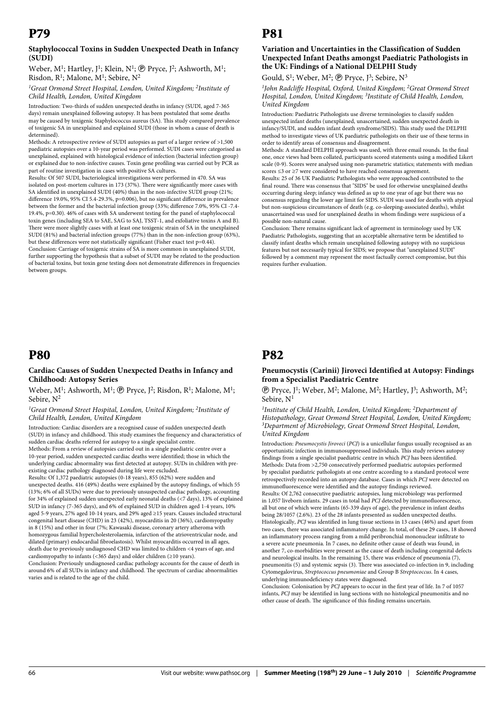# P81

#### **Staphylococcal Toxins in Sudden Unexpected Death in Infancy (SUDI)**

Weber,  $M^1$ ; Hartley, J<sup>1</sup>; Klein, N<sup>1</sup>;  $\bigcirc$  Pryce, J<sup>2</sup>; Ashworth, M<sup>1</sup>; Risdon, R<sup>1</sup>; Malone, M<sup>1</sup>; Sebire, N<sup>2</sup>

*1Great Ormond Street Hospital, London, United Kingdom; 2Institute of Child Health, London, United Kingdom*

Introduction: Two-thirds of sudden unexpected deaths in infancy (SUDI, aged 7-365 days) remain unexplained following autopsy. It has been postulated that some deaths may be caused by toxigenic Staphylococcus aureus (SA). This study compared prevalence of toxigenic SA in unexplained and explained SUDI (those in whom a cause of death is determined).

Methods: A retrospective review of SUDI autopsies as part of a larger review of >1,500 paediatric autopsies over a 10-year period was performed. SUDI cases were categorised as unexplained, explained with histological evidence of infection (bacterial infection group) or explained due to non-infective causes. Toxin gene profiling was carried out by PCR as part of routine investigation in cases with positive SA cultures.

Results: Of 507 SUDI, bacteriological investigations were performed in 470. SA was isolated on post-mortem cultures in 173 (37%). There were significantly more cases with SA identified in unexplained SUDI (40%) than in the non-infective SUDI group (21%; difference 19.0%, 95% CI 5.4-29.3%, p=0.006), but no significant difference in prevalence between the former and the bacterial infection group (33%; difference 7.0%, 95% CI -7.4- 19.4%, p=0.30). 46% of cases with SA underwent testing for the panel of staphylococcal toxin genes (including SEA to SAE, SAG to SAJ, TSST-1, and exfoliative toxins A and B). There were more slightly cases with at least one toxigenic strain of SA in the unexplained SUDI (81%) and bacterial infection groups (77%) than in the non-infection group (63%), but these differences were not statistically significant (Fisher exact test p=0.44). Conclusion: Carriage of toxigenic strains of SA is more common in unexplained SUDI,

further supporting the hypothesis that a subset of SUDI may be related to the production of bacterial toxins, but toxin gene testing does not demonstrate differences in frequencies between groups.

### **P80**

#### **Cardiac Causes of Sudden Unexpected Deaths in Infancy and Childhood: Autopsy Series**

#### Weber, M<sup>1</sup>; Ashworth, M<sup>1</sup>; <sup>®</sup> Pryce, J<sup>2</sup>; Risdon, R<sup>1</sup>; Malone, M<sup>1</sup>; Sebire, N<sup>2</sup>

#### *1Great Ormond Street Hospital, London, United Kingdom; 2Institute of Child Health, London, United Kingdom*

Introduction: Cardiac disorders are a recognised cause of sudden unexpected death (SUD) in infancy and childhood. This study examines the frequency and characteristics of sudden cardiac deaths referred for autopsy to a single specialist centre. Methods: From a review of autopsies carried out in a single paediatric centre over a 10-year period, sudden unexpected cardiac deaths were identified; those in which the underlying cardiac abnormality was first detected at autopsy. SUDs in children with preexisting cardiac pathology diagnosed during life were excluded. Results: Of 1,372 paediatric autopsies (0-18 years), 855 (62%) were sudden and unexpected deaths. 416 (49%) deaths were explained by the autopsy findings, of which 55 (13%; 6% of all SUDs) were due to previously unsuspected cardiac pathology, accounting for 34% of explained sudden unexpected early neonatal deaths (<7 days), 13% of explained SUD in infancy (7-365 days), and 6% of explained SUD in children aged 1-4 years, 10% aged 5-9 years, 27% aged 10-14 years, and 29% aged ≥15 years. Causes included structural congenital heart disease (CHD) in 23 (42%), myocarditis in 20 (36%), cardiomyopathy in 8 (15%) and other in four (7%; Kawasaki disease, coronary artery atheroma with homozygous familial hypercholesterolaemia, infarction of the atrioventricular node, and dilated (primary) endocardial fibroelastosis). Whilst myocarditis occurred in all ages, death due to previously undiagnosed CHD was limited to children <4 years of age, and cardiomyopathy to infants (<365 days) and older children (≥10 years). Conclusion: Previously undiagnosed cardiac pathology accounts for the cause of death in around 6% of all SUDs in infancy and childhood. The spectrum of cardiac abnormalities varies and is related to the age of the child.

#### **Variation and Uncertainties in the Classification of Sudden Unexpected Infant Deaths amongst Paediatric Pathologists in the UK: Findings of a National DELPHI Study**

Gould,  $S^1$ ; Weber,  $M^2$ ;  $\textcircled{P}$  Pryce,  $J^3$ ; Sebire,  $N^3$ 

*1John Radcliffe Hospital, Oxford, United Kingdom; 2Great Ormond Street Hospital, London, United Kingdom; 3Institute of Child Health, London, United Kingdom*

Introduction: Paediatric Pathologists use diverse terminologies to classify sudden unexpected infant deaths (unexplained, unascertained, sudden unexpected death in infancy/SUDI, and sudden infant death syndrome/SIDS). This study used the DELPHI method to investigate views of UK paediatric pathologists on their use of these terms in order to identify areas of consensus and disagreement.

Methods: A standard DELPHI approach was used, with three email rounds. In the final one, once views had been collated, participants scored statements using a modified Likert scale (0-9). Scores were analysed using non-parametric statistics; statements with median scores ≤3 or ≥7 were considered to have reached consensus agreement.

Results: 25 of 36 UK Paediatric Pathologists who were approached contributed to the final round. There was consensus that "SIDS" be used for otherwise unexplained deaths occurring during sleep; infancy was defined as up to one year of age but there was no consensus regarding the lower age limit for SIDS. SUDI was used for deaths with atypical but non-suspicious circumstances of death (e.g. co-sleeping-associated deaths), whils unascertained was used for unexplained deaths in whom findings were suspicious of a possible non-natural cause.

Conclusion: There remains significant lack of agreement in terminology used by UK Paediatric Pathologists, suggesting that an acceptable alternative term be identified to classify infant deaths which remain unexplained following autopsy with no suspicious features but not necessarily typical for SIDS; we propose that "unexplained SUDI" followed by a comment may represent the most factually correct compromise, but this requires further evaluation.

### **P82**

#### **Pneumocystis (Carinii) Jiroveci Identified at Autopsy: Findings from a Specialist Paediatric Centre**

#### P Pryce, J1; Weber, M2; Malone, M2; Hartley, J3; Ashworth, M2; Sebire,  $N<sup>1</sup>$

#### *1Institute of Child Health, London, United Kingdom; 2Department of Histopathology, Great Ormond Street Hospital, London, United Kingdom; 3Department of Microbiology, Great Ormond Street Hospital, London, United Kingdom*

Introduction: *Pneumocystis Jiroveci* (*PCJ*) is a unicellular fungus usually recognised as an opportunistic infection in immunosuppressed individuals. This study reviews autopsy findings from a single specialist paediatric centre in which *PCJ* has been identified. Methods: Data from >2,750 consecutively performed paediatric autopsies performed by specialist paediatric pathologists at one centre according to a standard protocol were retrospectively recorded into an autopsy database. Cases in which *PCJ* were detected on immunofluorescence were identified and the autopsy findings reviewed.

Results: Of 2,762 consecutive paediatric autopsies, lung microbiology was performed in 1,057 liveborn infants. 29 cases in total had *PCJ* detected by immunofluorescence, all but one of which were infants (65-339 days of age), the prevalence in infant deaths being 28/1057 (2.6%). 23 of the 28 infants presented as sudden unexpected deaths. Histologically, *PCJ* was identified in lung tissue sections in 13 cases (46%) and apart from two cases, there was associated inflammatory change. In total, of these 29 cases, 18 showed an inflammatory process ranging from a mild peribronchial mononuclear infiltrate to a severe acute pneumonia. In 7 cases, no definite other cause of death was found, in another 7, co-morbidities were present as the cause of death including congenital defects and neurological insults. In the remaining 15, there was evidence of pneumonia (7), pneumonitis (5) and systemic sepsis (3). There was associated co-infection in 9, including Cytomegalovirus, *Streptococcus pneumoniae* and Group B *Streptococcus*. In 4 cases, underlying immunodeficiency states were diagnosed.

Conclusion: Colonisation by *PCJ* appears to occur in the first year of life. In 7 of 1057 infants, *PCJ* may be identified in lung sections with no histological pneumonitis and no other cause of death. The significance of this finding remains uncertain.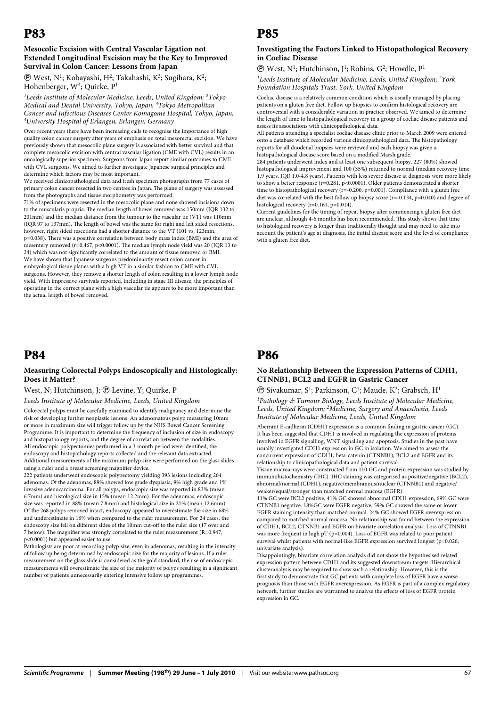#### **Mesocolic Excision with Central Vascular Ligation not Extended Longitudinal Excision may be the Key to Improved Survival in Colon Cancer: Lessons from Japan**

 $\mathcal{P}$  West, N<sup>1</sup>; Kobayashi, H<sup>2</sup>; Takahashi, K<sup>3</sup>; Sugihara, K<sup>2</sup>; Hohenberger,  $W^4$ ; Quirke,  $P^1$ 

*1Leeds Institute of Molecular Medicine, Leeds, United Kingdom; 2Tokyo Medical and Dental University, Tokyo, Japan; 3Tokyo Metropolitan Cancer and Infectious Diseases Center Komagome Hospital, Tokyo, Japan; 4University Hospital of Erlangen, Erlangen, Germany*

Over recent years there have been increasing calls to recognise the importance of high quality colon cancer surgery after years of emphasis on total mesorectal excision. We have previously shown that mesocolic plane surgery is associated with better survival and that complete mesocolic excision with central vascular ligation (CME with CVL) results in an oncologically superior specimen. Surgeons from Japan report similar outcomes to CME with CVL surgeons. We aimed to further investigate Japanese surgical principles and determine which factors may be most important.

We received clinicopathological data and fresh specimen photographs from 77 cases of primary colon cancer resected in two centres in Japan. The plane of surgery was assessed from the photographs and tissue morphometry was performed.

71% of specimens were resected in the mesocolic plane and none showed incisions down to the muscularis propria. The median length of bowel removed was 150mm (IQR 132 to 201mm) and the median distance from the tumour to the vascular tie (VT) was 110mm (IQR 97 to 137mm). The length of bowel was the same for right and left sided resections, however, right sided resections had a shorter distance to the VT (101 vs. 123mm, p=0.038). There was a positive correlation between body mass index (BMI) and the area of mesentery removed (r=0.467, p<0.0001). The median lymph node yield was 20 (IQR 13 to 24) which was not significantly correlated to the amount of tissue removed or BMI. We have shown that Japanese surgeons predominantly resect colon cancer in embryological tissue planes with a high VT in a similar fashion to CME with CVL surgeons. However, they remove a shorter length of colon resulting in a lower lymph node

yield. With impressive survivals reported, including in stage III disease, the principles of operating in the correct plane with a high vascular tie appears to be more important than the actual length of bowel removed.

### P84

#### **Measuring Colorectal Polyps Endoscopically and Histologically: Does it Matter?**

#### West, N; Hutchinson, J;  $\circledR$  Levine, Y; Quirke, P

#### *Leeds Institute of Molecular Medicine, Leeds, United Kingdom*

Colorectal polyps must be carefully examined to identify malignancy and determine the risk of developing further neoplastic lesions. An adenomatous polyp measuring 10mm or more in maximum size will trigger follow up by the NHS Bowel Cancer Screening Programme. It is important to determine the frequency of inclusion of size in endoscopy and histopathology reports, and the degree of correlation between the modalities. All endoscopic polypectomies performed in a 3 month period were identified, the endoscopy and histopathology reports collected and the relevant data extracted. Additional measurements of the maximum polyp size were performed on the glass slides using a ruler and a breast screening magnifier device.

222 patients underwent endoscopic polypectomy yielding 393 lesions including 264 adenomas. Of the adenomas, 89% showed low grade dysplasia, 9% high grade and 1% invasive adenocarcinoma. For all polyps, endoscopic size was reported in 83% (mean 6.7mm) and histological size in 15% (mean 12.2mm). For the adenomas, endoscopic size was reported in 88% (mean 7.8mm) and histological size in 21% (mean 12.6mm). Of the 268 polyps removed intact, endoscopy appeared to overestimate the size in 68% and underestimate in 16% when compared to the ruler measurement. For 24 cases, the endoscopy size fell on different sides of the 10mm cut-off to the ruler size (17 over and 7 below). The magnifier was strongly correlated to the ruler measurement (R=0.947, p<0.0001) but appeared easier to use.

Pathologists are poor at recording polyp size, even in adenomas, resulting in the intensity of follow up being determined by endoscopic size for the majority of lesions. If a ruler measurement on the glass slide is considered as the gold standard, the use of endoscopi measurements will overestimate the size of the majority of polyps resulting in a significant number of patients unnecessarily entering intensive follow up programmes.

### P85

#### **Investigating the Factors Linked to Histopathological Recovery in Coeliac Disease**

#### $\textcircled{P}$  West, N<sup>1</sup>; Hutchinson, J<sup>1</sup>; Robins, G<sup>2</sup>; Howdle, P<sup>1</sup>

*1Leeds Institute of Molecular Medicine, Leeds, United Kingdom; 2York Foundation Hospitals Trust, York, United Kingdom*

Coeliac disease is a relatively common condition which is usually managed by placing patients on a gluten free diet. Follow up biopsies to confirm histological recovery are controversial with a considerable variation in practice observed. We aimed to determine the length of time to histopathological recovery in a group of coeliac disease patients and assess its associations with clinicopathological data.

All patients attending a specialist coeliac disease clinic prior to March 2009 were entered onto a database which recorded various clinicopathological data. The histopathology reports for all duodenal biopsies were reviewed and each biopsy was given a histopathological disease score based on a modified Marsh grade.

284 patients underwent index and at least one subsequent biopsy. 227 (80%) showed histopathological improvement and 100 (35%) returned to normal (median recovery time 1.9 years, IQR 1.0-4.8 years). Patients with less severe disease at diagnosis were more likely to show a better response (r=0.281, p<0.0001). Older patients demonstrated a shorter time to histopathological recovery  $(r=-0.200, p=0.001)$ . Compliance with a gluten free diet was correlated with the best follow up biopsy score (r=-0.134, p=0.040) and degree of histological recovery (r=0.161, p=0.014).

Current guidelines for the timing of repeat biopsy after commencing a gluten free diet are unclear, although 4-6 months has been recommended. This study shows that time to histological recovery is longer than traditionally thought and may need to take into account the patient's age at diagnosis, the initial disease score and the level of compliance with a gluten free diet.

### P86

#### **No Relationship Between the Expression Patterns of CDH1, CTNNB1, BCL2 and EGFR in Gastric Cancer**

#### P Sivakumar, S1; Parkinson, C1; Maude, K2; Grabsch, H1

*1Pathology & Tumour Biology, Leeds Institute of Molecular Medicine, Leeds, United Kingdom; 2Medicine, Surgery and Anaesthesia, Leeds Institute of Molecular Medicine, Leeds, United Kingdom*

Aberrant E-cadherin (CDH1) expression is a common finding in gastric cancer (GC). It has been suggested that CDH1 is involved in regulating the expression of proteins involved in EGFR signalling, WNT signalling and apoptosis. Studies in the past have usually investigated CDH1 expression in GC in isolation. We aimed to assess the concurrent expression of CDH1, beta-catenin (CTNNB1), BCL2 and EGFR and its relationship to clinicopathological data and patient survival.

Tissue microarrays were constructed from 110 GC and protein expression was studied by immunohistochemistry (IHC). IHC staining was categorised as positive/negative (BCL2), abnormal/normal (CDH1), negative/membranous/nuclear (CTNNB1) and negative/ weaker/equal/stronger than matched normal mucosa (EGFR).

11% GC were BCL2 positive, 41% GC showed abnormal CDH1 expression, 69% GC were CTNNB1 negative. 18%GC were EGFR negative, 59% GC showed the same or lower EGFR staining intensity than matched normal. 24% GC showed EGFR overexpression compared to matched normal mucosa. No relationship was found between the expression of CDH1, BCL2, CTNNB1 and EGFR on bivariate correlation analysis. Loss of CTNNB1 was more frequent in high pT (p=0.004). Loss of EGFR was related to poor patient survival whilst patients with normal-like EGFR expression survived longest (p=0.026, univariate analysis).

Disappointingly, bivariate correlation analysis did not show the hypothesised related expression pattern between CDH1 and its suggested downstream targets. Hierarchical clusteranalysis may be required to show such a relationship. However, this is the first study to demonstrate that GC patients with complete loss of EGFR have a worse prognosis than those with EGFR overexpression. As EGFR is part of a complex regulatory network, further studies are warranted to analyse the effects of loss of EGFR protein expression in GC.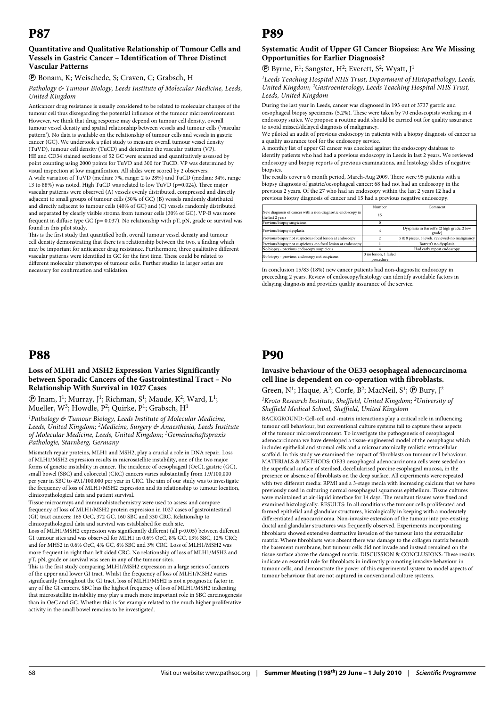#### **Quantitative and Qualitative Relationship of Tumour Cells and Vessels in Gastric Cancer – Identification of Three Distinct Vascular Patterns**

P Bonam, K; Weischede, S; Craven, C; Grabsch, H

*Pathology & Tumour Biology, Leeds Institute of Molecular Medicine, Leeds, United Kingdom*

Anticancer drug resistance is usually considered to be related to molecular changes of the tumour cell thus disregarding the potential influence of the tumour microenvironment. However, we think that drug response may depend on tumour cell density, overall tumour vessel density and spatial relationship between vessels and tumour cells ('vascular pattern'). No data is available on the relationship of tumour cells and vessels in gastric cancer (GC). We undertook a pilot study to measure overall tumour vessel density (TuVD), tumour cell density (TuCD) and determine the vascular pattern (VP). HE and CD34 stained sections of 52 GC were scanned and quantitatively assessed by point counting using 2000 points for TuVD and 300 for TuCD. VP was determined by visual inspection at low magnification. All slides were scored by 2 observers. A wide variation of TuVD (median: 7%, range: 2 to 28%) and TuCD (median: 34%, range 13 to 88%) was noted. High TuCD was related to low TuVD (p=0.024). Three major vascular patterns were observed (A) vessels evenly distributed, compressed and directly adjacent to small groups of tumour cells (30% of GC) (B) vessels randomly distributed and directly adjacent to tumour cells (40% of GC) and (C) vessels randomly distributed and separated by clearly visible stroma from tumour cells (30% of GC). VP-B was more frequent in diffuse type GC (p= 0.037). No relationship with pT, pN, grade or survival was found in this pilot study.

This is the first study that quantified both, overall tumour vessel density and tumour cell density demonstrating that there is a relationship between the two, a finding which may be important for anticancer drug resistance. Furthermore, three qualitative different vascular patterns were identified in GC for the first time. These could be related to different molecular phenotypes of tumour cells. Further studies in larger series are necessary for confirmation and validation.

# **P89**

#### **Systematic Audit of Upper GI Cancer Biopsies: Are We Missing Opportunities for Earlier Diagnosis?**

 $\textcircled{P}$  Byrne, E<sup>1</sup>; Sangster, H<sup>2</sup>; Everett, S<sup>2</sup>; Wyatt, J<sup>1</sup>

*1Leeds Teaching Hospital NHS Trust, Department of Histopathology, Leeds, United Kingdom; 2Gastroenterology, Leeds Teaching Hospital NHS Trust, Leeds, United Kingdom*

During the last year in Leeds, cancer was diagnosed in 193 out of 3737 gastric and oesophageal biopsy specimens (5.2%). These were taken by 70 endoscopists working in 4 endoscopy suites. We propose a routine audit should be carried out for quality assurance to avoid missed/delayed diagnosis of malignancy.

We piloted an audit of previous endoscopy in patients with a biopsy diagnosis of cancer as a quality assurance tool for the endoscopy service.

A monthly list of upper GI cancer was checked against the endoscopy database to identify patients who had had a previous endoscopy in Leeds in last 2 years. We reviewed endoscopy and biopsy reports of previous examinations, and histology slides of negative biopsies. 1582566 **/** P89

The results cover a 6 month period, March-Aug 2009. There were 95 patients with a biopsy diagnosis of gastric/oesophageal cancer; 68 had not had an endoscopy in the previous 2 years. Of the 27 who had an endoscopy within the last 2 years 12 had a previous biopsy diagnosis of cancer and 15 had a previous negative endoscopy.

|                                                                                | Number                             | Comment                                               |
|--------------------------------------------------------------------------------|------------------------------------|-------------------------------------------------------|
| New diagnosis of cancer with a non diagnostic endoscopy in<br>the last 2 years | 15                                 |                                                       |
| Previous biopsy suspicious                                                     |                                    |                                                       |
| Previous biopsy dysplasia                                                      | 4                                  | Dysplasia in Barrett's (2 high grade, 2 low<br>grade) |
| Previous biopsy not suspicious-focal lesion at endoscopy                       |                                    | 5 & 8 pieces, 3 levels, reviewed-no malignancy        |
| Previous biopsy not suspicious -no focal lesion at endoscopy                   |                                    | Barrett's no dysplasia                                |
| No biopsy - previous endoscopy suspicious                                      |                                    | Had early repeat endoscopy                            |
| No biopsy - previous endoscopy not suspicous                                   | 3 no lesion, 1 failed<br>procedure |                                                       |

In conclusion 15/83 (18%) new cancer patients had non-diagnostic endoscopy in preceeding 2 years. Review of endoscopy/histology can identify avoidable factors in delaying diagnosis and provides quality assurance of the service.

### P88

#### **Loss of MLH1 and MSH2 Expression Varies Significantly between Sporadic Cancers of the Gastrointestinal Tract – No Relationship With Survival in 1027 Cases**

 $\textcircled{P}$  Inam, I<sup>1</sup>; Murray, J<sup>1</sup>; Richman, S<sup>1</sup>; Maude, K<sup>2</sup>; Ward, L<sup>1</sup>; Mueller, W<sup>3</sup>; Howdle, P<sup>2</sup>; Quirke, P<sup>1</sup>; Grabsch, H<sup>1</sup>

*1Pathology & Tumour Biology, Leeds Institute of Molecular Medicine, Leeds, United Kingdom; 2Medicine, Surgery & Anaesthesia, Leeds Institute of Molecular Medicine, Leeds, United Kingdom; 3Gemeinschaftspraxis Pathologie, Starnberg, Germany*

Mismatch repair proteins, MLH1 and MSH2, play a crucial a role in DNA repair. Loss of MLH1/MSH2 expression results in microsatellite instability, one of the two major forms of genetic instability in cancer. The incidence of oesophageal (OeC), gastric (GC), small bowel (SBC) and colorectal (CRC) cancers varies substantially from 1.9/100,000 per year in SBC to 49.1/100,000 per year in CRC. The aim of our study was to investigate the frequency of loss of MLH1/MSH2 expression and its relationship to tumour location, clinicopathological data and patient survival.

Tissue microarrays and immunohistochemistry were used to assess and compare frequency of loss of MLH1/MSH2 protein expression in 1027 cases of gastrointestinal (GI) tract cancers: 165 OeC, 372 GC, 160 SBC and 330 CRC. Relationship to clinicopathological data and survival was established for each site.

Loss of MLH1/MSH2 expression was significantly different (all p<0.05) between different GI tumour sites and was observed for MLH1 in 0.6% OeC, 8% GC, 13% SBC, 12% CRC; and for MHS2 in 0.6% OeC, 4% GC, 8% SBC and 3% CRC. Loss of MLH1/MSH2 was more frequent in right than left sided CRC. No relationship of loss of MLH1/MSH2 and pT, pN, grade or survival was seen in any of the tumour sites.

This is the first study comparing MLH1/MSH2 expression in a large series of cancers of the upper and lower GI tract. Whilst the frequency of loss of MLH1/MSH2 varies significantly throughout the GI tract, loss of MLH1/MSH2 is not a prognostic factor in any of the GI cancers. SBC has the highest frequency of loss of MLH1/MSH2 indicating that microsatellite instability may play a much more important role in SBC carcinogenesis than in OeC and GC. Whether this is for example related to the much higher proliferative activity in the small bowel remains to be investigated.

# **P90**

#### **Invasive behaviour of the OE33 oesophageal adenocarcinoma cell line is dependent on co-operation with fibroblasts.**

#### Green, N<sup>1</sup>; Haque, A<sup>2</sup>; Corfe, B<sup>2</sup>; MacNeil, S<sup>1</sup>; <sup>®</sup> Bury, J<sup>2</sup>

*1Kroto Research Institute, Sheffield, United Kingdom; 2University of Sheffield Medical School, Sheffield, United Kingdom*

BACKGROUND: Cell-cell and -matrix interactions play a critical role in influencing tumour cell behaviour, but conventional culture systems fail to capture these aspects of the tumour microenvironment. To investigate the pathogenesis of oesophageal adenocarcinoma we have developed a tissue-engineered model of the oesophagus which includes epithelial and stromal cells and a microanatomically realistic extracellular scaffold. In this study we examined the impact of fibroblasts on tumour cell behaviour. MATERIALS & METHODS: OE33 oesophageal adenocarcinoma cells were seeded on the superficial surface of sterilsed, decellularised porcine esophageal mucosa, in the presence or absence of fibroblasts on the deep surface. All experiments were repeated with two different media: RPMI and a 3-stage media with increasing calcium that we have previously used in culturing normal oesophageal squamous epithelium. Tissue cultures were maintained at air-liquid interface for 14 days. The resultant tissues were fixed and examined histologically. RESULTS: In all conditions the tumour cells proliferated and formed epithelial and glandular structures, histologically in keeping with a moderately differentiated adenocarcinoma. Non-invasive extension of the tumour into pre-existing ductal and glandular structures was frequently observed. Experiments incorporating fibroblasts showed extensive destructive invasion of the tumour into the extracellular matrix. Where fibroblasts were absent there was damage to the collagen matrix beneath the basement membrane, but tumour cells did not invade and instead remained on the tissue surface above the damaged matrix. DISCUSSION & CONCLUSIONS: These results indicate an essential role for fibroblasts in indirectly promoting invasive behaviour in tumour cells, and demonstrate the power of this experimental system to model aspects of tumour behaviour that are not captured in conventional culture systems.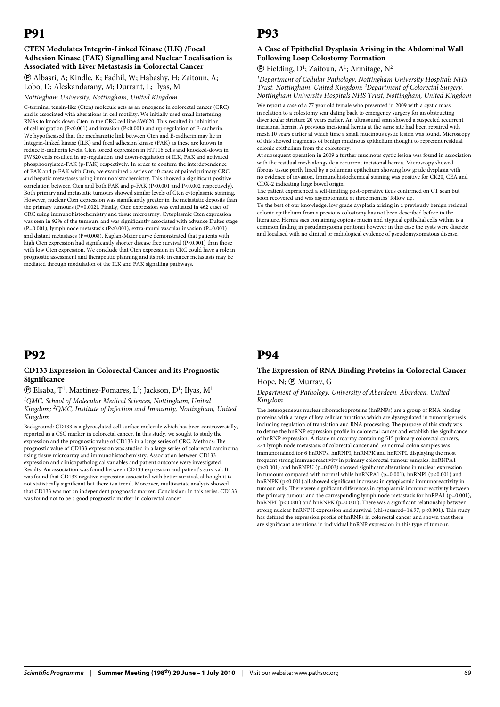#### **CTEN Modulates Integrin-Linked Kinase (ILK) /Focal Adhesion Kinase (FAK) Signalling and Nuclear Localisation is Associated with Liver Metastasis in Colorectal Cancer**

P Albasri, A; Kindle, K; Fadhil, W; Habashy, H; Zaitoun, A; Lobo, D; Aleskandarany, M; Durrant, L; Ilyas, M

*Nottingham University, Nottingham, United Kingdom*

C-terminal tensin-like (Cten) molecule acts as an oncogene in colorectal cancer (CRC) and is associated with alterations in cell motility. We initially used small interfering RNAs to knock down Cten in the CRC cell line SW620. This resulted in inhibition of cell migration (P<0.001) and invasion (P<0.001) and up-regulation of E-cadherin. We hypothesised that the mechanistic link between Cten and E-cadherin may lie in Integrin-linked kinase (ILK) and focal adhesion kinase (FAK) as these are known to reduce E-cadherin levels. Cten forced expression in HT116 cells and knocked-down in SW620 cells resulted in up-regulation and down-regulation of ILK, FAK and activated phosphoorylated-FAK (p-FAK) respectively. In order to confirm the interdependence of FAK and p-FAK with Cten, we examined a series of 40 cases of paired primary CRC and hepatic metastases using immunohistochemistry. This showed a significant positive correlation between Cten and both FAK and p-FAK (P<0.001 and P<0.002 respectively). Both primary and metastatic tumours showed similar levels of Cten cytoplasmic staining. However, nuclear Cten expression was significantly greater in the metastatic deposits than the primary tumours (P=0.002). Finally, Cten expression was evaluated in 462 cases of CRC using immunohistochemistry and tissue microarray. Cytoplasmic Cten expression was seen in 92% of the tumours and was significantly associated with advance Dukes stage (P=0.001), lymph node metastasis (P<0.001), extra-mural vascular invasion (P=0.001) and distant metastases (P=0.008). Kaplan-Meier curve demonstrated that patients with high Cten expression had significantly shorter disease free survival (P<0.001) than those with low Cten expression. We conclude that Cten expression in CRC could have a role in prognostic assessment and therapeutic planning and its role in cancer metastasis may be mediated through modulation of the ILK and FAK signalling pathways.

### P92

#### **CD133 Expression in Colorectal Cancer and its Prognostic Significance**

#### P Elsaba, T1; Martinez-Pomares, L2; Jackson, D1; Ilyas, M1

*1QMC, School of Molecular Medical Sciences, Nottingham, United Kingdom; 2QMC, Institute of Infection and Immunity, Nottingham, United Kingdom*

Background: CD133 is a glycosylated cell surface molecule which has been controversially, reported as a CSC marker in colorectal cancer. In this study, we sought to study the expression and the prognostic value of CD133 in a large series of CRC. Methods: The prognostic value of CD133 expression was studied in a large series of colorectal carcinoma using tissue microarray and immunohistochemistry. Association between CD133 expression and clinicopathological variables and patient outcome were investigated. Results: An association was found between CD133 expression and patient's survival. It was found that CD133 negative expression associated with better survival, although it is not statistically significant but there is a trend. Moreover, multivariate analysis showed that CD133 was not an independent prognostic marker. Conclusion: In this series, CD133 was found not to be a good prognostic marker in colorectal cancer

### P93

#### **A Case of Epithelial Dysplasia Arising in the Abdominal Wall Following Loop Colostomy Formation**

 $\textcircled{P}$  Fielding, D<sup>1</sup>; Zaitoun, A<sup>1</sup>; Armitage, N<sup>2</sup>

*1Department of Cellular Pathology, Nottingham University Hospitals NHS Trust, Nottingham, United Kingdom; 2Department of Colorectal Surgery, Nottingham University Hospitals NHS Trust, Nottingham, United Kingdom*

We report a case of a 77 year old female who presented in 2009 with a cystic mass in relation to a colostomy scar dating back to emergency surgery for an obstructing diverticular stricture 20 years earlier. An ultrasound scan showed a suspected recurrent incisional hernia. A previous incisional hernia at the same site had been repaired with mesh 10 years earlier at which time a small mucinous cystic lesion was found. Microscopy of this showed fragments of benign mucinous epithelium thought to represent residual colonic epithelium from the colostomy.

At subsequent operation in 2009 a further mucinous cystic lesion was found in association with the residual mesh alongside a recurrent incisional hernia. Microscopy showed fibrous tissue partly lined by a columnar epithelium showing low grade dysplasia with no evidence of invasion. Immunohistochemical staining was positive for CK20, CEA and CDX-2 indicating large bowel origin.

The patient experienced a self-limiting post-operative ileus confirmed on CT scan but soon recovered and was asymptomatic at three months' follow up.

To the best of our knowledge, low grade dysplasia arising in a previously benign residual colonic epithelium from a previous colostomy has not been described before in the literature. Hernia sacs containing copious mucin and atypical epithelial cells within is a common finding in pseudomyxoma peritonei however in this case the cysts were discrete and localised with no clinical or radiological evidence of pseudomyxomatous disease.

### P94

### **The Expression of RNA Binding Proteins in Colorectal Cancer**

Hope, N;  $\mathcal{D}$  Murray, G

#### *Department of Pathology, University of Aberdeen, Aberdeen, United Kingdom*

The heterogeneous nuclear ribonucleoproteins (hnRNPs) are a group of RNA binding proteins with a range of key cellular functions which are dysregulated in tumourigenesis including regulation of translation and RNA processing. The purpose of this study was to define the hnRNP expression profile in colorectal cancer and establish the significance of hnRNP expression. A tissue microarray containing 515 primary colorectal cancers, 224 lymph node metastasis of colorectal cancer and 50 normal colon samples was immunostained for 6 hnRNPs. hnRNPI, hnRNPK and hnRNPL displaying the most frequent strong immunoreactivity in primary colorectal tumour samples. hnRNPA1  $(p<0.001)$  and hnRNPU (p=0.003) showed significant alterations in nuclear expression in tumours compared with normal while hnRNPA1 (p=0.001), hnRNPI (p<0.001) and hnRNPK (p<0.001) all showed significant increases in cytoplasmic immunoreactivity in tumour cells. There were significant differences in cytoplasmic immunoreactivity between the primary tumour and the corresponding lymph node metastasis for  $h n RPA1 (p=0.001)$ , hnRNPI (p<0.001) and hnRNPK (p=0.001). There was a significant relationship between strong nuclear hnRNPH expression and survival (chi-squared=14.97, p<0.001). This study has defined the expression profile of hnRNPs in colorectal cancer and shown that there are significant alterations in individual hnRNP expression in this type of tumour.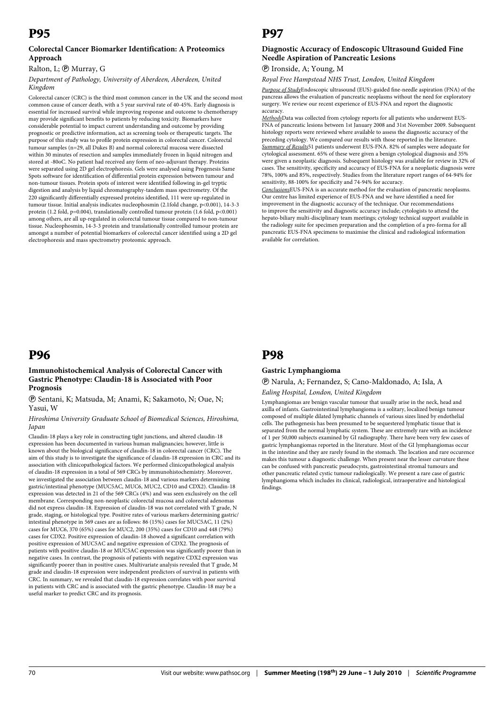#### **Colorectal Cancer Biomarker Identification: A Proteomics Approach**

#### Ralton, L;  $\overline{\mathcal{P}}$  Murray, G

#### *Department of Pathology, University of Aberdeen, Aberdeen, United Kingdom*

Colorectal cancer (CRC) is the third most common cancer in the UK and the second most common cause of cancer death, with a 5 year survival rate of 40-45%. Early diagnosis is essential for increased survival while improving response and outcome to chemotherapy may provide significant benefits to patients by reducing toxicity. Biomarkers have considerable potential to impact current understanding and outcome by providing prognostic or predictive information, act as screening tools or therapeutic targets. The purpose of this study was to profile protein expression in colorectal cancer. Colorectal tumour samples (n=29, all Dukes B) and normal colorectal mucosa were dissected within 30 minutes of resection and samples immediately frozen in liquid nitrogen and stored at -80oC. No patient had received any form of neo-adjuvant therapy. Proteins were separated using 2D gel electrophoresis. Gels were analysed using Progenesis Same Spots software for identification of differential protein expression between tumour and non-tumour tissues. Protein spots of interest were identified following in-gel tryptic digestion and analysis by liquid chromatography-tandem mass spectrometry. Of the 220 significantly differentially expressed proteins identified, 111 were up-regulated in tumour tissue. Initial analysis indicates nucleophosmin (2.1fold change, p<0.001), 14-3-3 protein (1.2 fold, p=0.004), translationally controlled tumour protein (1.6 fold, p<0.001) among others, are all up-regulated in colorectal tumour tissue compared to non-tumour tissue. Nucleophosmin, 14-3-3 protein and translationally controlled tumour protein are amongst a number of potential biomarkers of colorectal cancer identified using a 2D gel electrophoresis and mass spectrometry proteomic approach.

# **P97**

#### **Diagnostic Accuracy of Endoscopic Ultrasound Guided Fine Needle Aspiration of Pancreatic Lesions**

#### P Ironside, A; Young, M

*Royal Free Hampstead NHS Trust, London, United Kingdom*

*Purpose of Study*Endoscopic ultrasound (EUS)-guided fine-needle aspiration (FNA) of the pancreas allows the evaluation of pancreatic neoplasms without the need for exploratory surgery. We review our recent experience of EUS-FNA and report the diagnostic accuracy.

*Methods*Data was collected from cytology reports for all patients who underwent EUS-FNA of pancreatic lesions between 1st January 2008 and 31st November 2009. Subsequent histology reports were reviewed where available to assess the diagnostic accuracy of the preceding cytology. We compared our results with those reported in the literature. *Summary of Results*51 patients underwent EUS-FNA. 82% of samples were adequate for cytological assessment. 65% of these were given a benign cytological diagnosis and 35% were given a neoplastic diagnosis. Subsequent histology was available for review in 32% of cases. The sensitivity, specificity and accuracy of EUS-FNA for a neoplastic diagnosis were 78%, 100% and 85%, respectively. Studies from the literature report ranges of 64-94% for sensitivity, 88-100% for specificity and 74-94% for accuracy.

*Conclusions*EUS-FNA is an accurate method for the evaluation of pancreatic neoplasms. Our centre has limited experience of EUS-FNA and we have identified a need for improvement in the diagnostic accuracy of the technique. Our recommendations to improve the sensitivity and diagnostic accuracy include; cytologists to attend the hepato-biliary multi-disciplinary team meetings; cytology technical support available in the radiology suite for specimen preparation and the completion of a pro-forma for all pancreatic EUS-FNA specimens to maximise the clinical and radiological information available for correlation.

### P96

#### **Immunohistochemical Analysis of Colorectal Cancer with Gastric Phenotype: Claudin-18 is Associated with Poor Prognosis**

#### P Sentani, K; Matsuda, M; Anami, K; Sakamoto, N; Oue, N; Yasui, W

#### *Hiroshima University Graduate School of Biomedical Sciences, Hiroshima, Japan*

Claudin-18 plays a key role in constructing tight junctions, and altered claudin-18 expression has been documented in various human malignancies; however, little is known about the biological significance of claudin-18 in colorectal cancer (CRC). The aim of this study is to investigate the significance of claudin-18 expression in CRC and its association with clinicopathological factors. We performed clinicopathological analysis of claudin-18 expression in a total of 569 CRCs by immunohistochemistry. Moreover, we investigated the association between claudin-18 and various markers determining gastric/intestinal phenotype (MUC5AC, MUC6, MUC2, CD10 and CDX2). Claudin-18 expression was detected in 21 of the 569 CRCs (4%) and was seen exclusively on the cell membrane. Corresponding non-neoplastic colorectal mucosa and colorectal adenomas did not express claudin-18. Expression of claudin-18 was not correlated with T grade, N grade, staging, or histological type. Positive rates of various markers determining gastric/ intestinal phenotype in 569 cases are as follows: 86 (15%) cases for MUC5AC, 11 (2%) cases for MUC6, 370 (65%) cases for MUC2, 200 (35%) cases for CD10 and 448 (79%) cases for CDX2. Positive expression of claudin-18 showed a significant correlation with positive expression of MUC5AC and negative expression of CDX2. The prognosis of patients with positive claudin-18 or MUC5AC expression was significantly poorer than in negative cases. In contrast, the prognosis of patients with negative CDX2 expression was significantly poorer than in positive cases. Multivariate analysis revealed that T grade, M grade and claudin-18 expression were independent predictors of survival in patients with CRC. In summary, we revealed that claudin-18 expression correlates with poor survival in patients with CRC and is associated with the gastric phenotype. Claudin-18 may be a useful marker to predict CRC and its prognosis.

### P98

#### **Gastric Lymphangioma**

#### P Narula, A; Fernandez, S; Cano-Maldonado, A; Isla, A

#### *Ealing Hospital, London, United Kingdom*

Lymphangiomas are benign vascular tumour that usually arise in the neck, head and axilla of infants. Gastrointestinal lymphangioma is a solitary, localized benign tumour composed of multiple dilated lymphatic channels of various sizes lined by endothelial cells. The pathogenesis has been presumed to be sequestered lymphatic tissue that is separated from the normal lymphatic system. These are extremely rare with an incidence of 1 per 50,000 subjects examined by GI radiography. There have been very few cases of gastric lymphangiomas reported in the literature. Most of the GI lymphangiomas occur in the intestine and they are rarely found in the stomach. The location and rare occurence makes this tumour a diagnostic challenge. When present near the lesser curvature these can be confused with pancreatic pseudocysts, gastrointestinal stromal tumours and other pancreatic related cystic tumour radiologically. We present a rare case of gastric lymphangioma which includes its clinical, radiological, intraoperative and histological findings.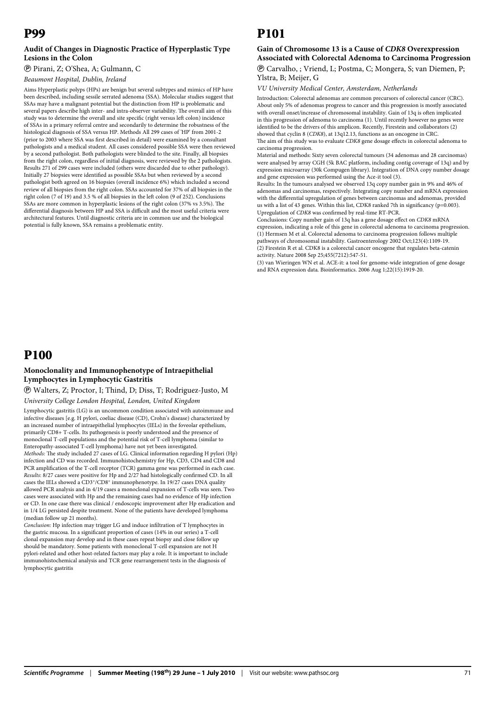#### **Audit of Changes in Diagnostic Practice of Hyperplastic Type Lesions in the Colon**

#### P Pirani, Z; O'Shea, A; Gulmann, C

#### *Beaumont Hospital, Dublin, Ireland*

Aims Hyperplastic polyps (HPs) are benign but several subtypes and mimics of HP have been described, including sessile serrated adenoma (SSA). Molecular studies suggest that SSAs may have a malignant potential but the distinction from HP is problematic and several papers describe high inter- and intra-observer variability. The overall aim of this study was to determine the overall and site specific (right versus left colon) incidence of SSAs in a primary referral centre and secondarily to determine the robustness of the histological diagnosis of SSA versus HP. Methods All 299 cases of 'HP' from 2001-2 (prior to 2003 where SSA was first described in detail) were examined by a consultant pathologists and a medical student. All cases considered possible SSA were then reviewed by a second pathologist. Both pathologists were blinded to the site. Finally, all biopsies from the right colon, regardless of initial diagnosis, were reviewed by the 2 pathologists. Results 271 of 299 cases were included (others were discarded due to other pathology). Initially 27 biopsies were identified as possible SSAs but when reviewed by a second pathologist both agreed on 16 biopsies (overall incidence 6%) which included a second review of all biopsies from the right colon. SSAs accounted for 37% of all biopsies in the right colon (7 of 19) and 3.5 % of all biopsies in the left colon (9 of 252). Conclusions SSAs are more common in hyperplastic lesions of the right colon (37% vs 3.5%). The differential diagnosis between HP and SSA is difficult and the most useful criteria were architectural features. Until diagnostic criteria are in common use and the biological potential is fully known, SSA remains a problematic entity.

# P101

#### **Gain of Chromosome 13 is a Cause of** *CDK8* **Overexpression Associated with Colorectal Adenoma to Carcinoma Progression**

P Carvalho, ; Vriend, L; Postma, C; Mongera, S; van Diemen, P; Ylstra, B; Meijer, G

*VU University Medical Center, Amsterdam, Netherlands*

Introduction: Colorectal adenomas are common precursors of colorectal cancer (CRC). About only 5% of adenomas progress to cancer and this progression is mostly associated with overall onset/increase of chromosomal instability. Gain of 13q is often implicated in this progression of adenoma to carcinoma (1). Until recently however no genes were identified to be the drivers of this amplicon. Recently, Firestein and collaborators (2) showed that cyclin 8 (*CDK8*), at 13q12.13, functions as an oncogene in CRC. The aim of this study was to evaluate *CDK8* gene dosage effects in colorectal adenoma to

carcinoma progression. Material and methods: Sixty seven colorectal tumours (34 adenomas and 28 carcinomas) were analysed by array CGH (5k BAC platform, including contig coverage of 13q) and by expression microarray (30k Compugen library). Integration of DNA copy number dosage and gene expression was performed using the Ace-it tool (3).

Results: In the tumours analysed we observed 13q copy number gain in 9% and 46% of adenomas and carcinomas, respectively. Integrating copy number and mRNA expression with the differential upregulation of genes between carcinomas and adenomas, provided us with a list of 43 genes. Within this list, CDK8 ranked 7th in significancy ( $p=0.003$ ). Upregulation of *CDK8* was confirmed by real-time RT-PCR.

Conclusions: Copy number gain of 13q has a gene dosage effect on *CDK8* mRNA expression, indicating a role of this gene in colorectal adenoma to carcinoma progression. (1) Hermsen M et al. Colorectal adenoma to carcinoma progression follows multiple pathways of chromosomal instability. Gastroenterology 2002 Oct;123(4):1109-19. (2) Firestein R et al. CDK8 is a colorectal cancer oncogene that regulates beta-catenin activity. Nature 2008 Sep 25;455(7212):547-51.

(3) van Wieringen WN et al. ACE-it: a tool for genome-wide integration of gene dosage and RNA expression data. Bioinformatics. 2006 Aug 1;22(15):1919-20.

### P100

#### **Monoclonality and Immunophenotype of Intraepithelial Lymphocytes in Lymphocytic Gastritis**

#### P Walters, Z; Proctor, I; Thind, D; Diss, T; Rodriguez-Justo, M

#### *University College London Hospital, London, United Kingdom*

Lymphocytic gastritis (LG) is an uncommon condition associated with autoimmune and infective diseases [e.g. H pylori, coeliac disease (CD), Crohn's disease) characterized by an increased number of intraepithelial lymphocytes (IELs) in the foveolar epithelium, primarily CD8+ T-cells. Its pathogenesis is poorly understood and the presence of monoclonal T-cell populations and the potential risk of T-cell lymphoma (similar to Enteropathy-associated T-cell lymphoma) have not yet been investigated. *Methods:* The study included 27 cases of LG. Clinical information regarding H pylori (Hp) infection and CD was recorded. Immunohistochemistry for Hp, CD3, CD4 and CD8 and PCR amplification of the T-cell receptor (TCR) gamma gene was performed in each case. *Results*: 8/27 cases were positive for Hp and 2/27 had histologically confirmed CD. In all cases the IELs showed a CD3+/CD8+ immunophenotype. In 19/27 cases DNA quality allowed PCR analysis and in 4/19 cases a monoclonal expansion of T-cells was seen. Two cases were associated with Hp and the remaining cases had no evidence of Hp infection or CD. In one case there was clinical / endoscopic improvement after Hp eradication and in 1/4 LG persisted despite treatment. None of the patients have developed lymphoma (median follow up 21 months).

*Conclusion:* Hp infection may trigger LG and induce infiltration of T lymphocytes in the gastric mucosa. In a significant proportion of cases (14% in our series) a T-cell clonal expansion may develop and in these cases repeat biopsy and close follow up should be mandatory. Some patients with monoclonal T-cell expansion are not H pylori-related and other host-related factors may play a role. It is important to include immunohistochemical analysis and TCR gene rearrangement tests in the diagnosis of lymphocytic gastritis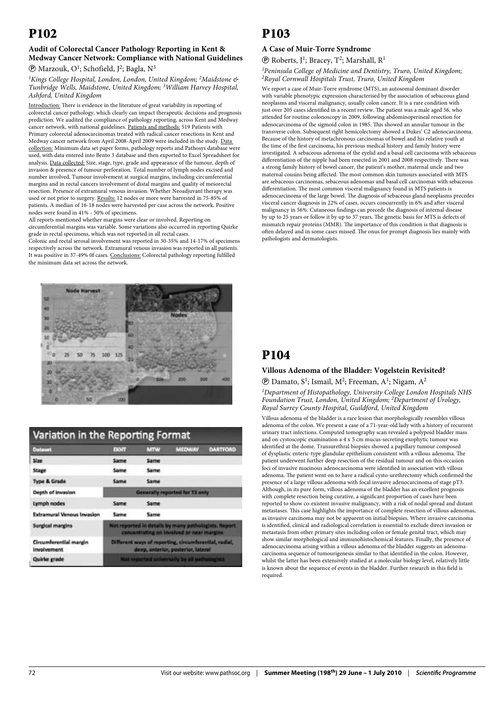# P102

### **Audit of Colorectal Cancer Pathology Reporting in Kent & Medway Cancer Network: Compliance with National Guidelines**

 $\textcircled{P}$  Marzouk, O<sup>1</sup>; Schofield, J<sup>2</sup>; Bagla, N<sup>3</sup>

*1Kings College Hospital, London, London, United Kingdom; 2Maidstone & Tunbridge Wells, Maidstone, United Kingdom; 3William Harvey Hospital, Ashford, United Kingdom*

Introduction: There is evidence in the literature of great variability in reporting of colorectal cancer pathology, which clearly can impact therapeutic decisions and prognosis prediction. We audited the compliance of pathology reporting, across Kent and Medway cancer network, with national guidelines. Patients and methods: 519 Patients with Primary colorectal adenocarcinomas treated with radical cancer resections in Kent and Medway cancer network from April 2008-April 2009 were included in the study. Data collection: Minimum data set paper forms, pathology reports and Pathosys database were used, with data entered into Bento 3 database and then exported to Excel Spreadsheet for analysis. Data collected: Size, stage, type, grade and appearance of the tumour, depth of invasion & presence of tumour perforation. Total number of lymph nodes excised and number involved. Tumour involvement at surgical margins, including circumferential margins and in rectal cancers involvement of distal margins and quality of mesorectal resection. Presence of extramural venous invasion. Whether Neoadjuvant therapy was used or not prior to surgery. Results: 12 nodes or more were harvested in 75-85% of patients. A median of 16-18 nodes were harvested per case across the network. Positive nodes were found in 41% - 50% of specimens.

All reports mentioned whether margins were clear or involved. Reporting on circumferential margins was variable. Some variations also occurred in reporting Quirke grade in rectal specimens, which was not reported in all rectal cases.

Colonic and rectal serosal involvement was reported in 30-35% and 14-17% of specimens respectively across the network. Extramural venous invasion was reported in all patients. It was positive in 37-49% 0f cases. Conclusions: Colorectal pathology reporting fulfilled the minimum data set across the network.



# Variation in the Reporting Format

| <b>Dataset</b>                               | <b>DOM</b>                                                                                         | <b>MTW</b> | <b>MEDWAY</b> | DARTFORD |
|----------------------------------------------|----------------------------------------------------------------------------------------------------|------------|---------------|----------|
| Size                                         | Same                                                                                               | Same       |               |          |
| Stage                                        | Same                                                                                               | Same.      |               |          |
| <b>Type &amp; Grade</b>                      | Same                                                                                               | Same       |               |          |
| Depth of Invasion                            | Generally reported for T2 only                                                                     |            |               |          |
| Lymph nodes                                  | Same                                                                                               | Same       |               |          |
| <b>Extramural Venous Invasion</b>            | Same                                                                                               | Same       |               |          |
| Surgical margins                             | Not reported in details by many pathologists. Report<br>concentrating on involved or near margins. |            |               |          |
| Circumferential margin<br><b>Involvement</b> | Different ways of reporting, circumferential, radial,<br>deep, anterior, posterior, lateral        |            |               |          |
| Quirke grade                                 | hat inperted sciversity by all patteringies.                                                       |            |               |          |

# P103

#### **A Case of Muir-Torre Syndrome**

 $\textcircled{P}$  Roberts, J<sup>1</sup>; Bracey, T<sup>2</sup>; Marshall, R<sup>1</sup>

*1Peninsula College of Medicine and Dentistry, Truro, United Kingdom; 2Royal Cornwall Hospitals Trust, Truro, United Kingdom*

We report a case of Muir-Torre syndrome (MTS), an autosomal dominant disorder with variable phenotypic expression characterised by the association of sebaceous gland neoplasms and visceral malignancy, usually colon cancer. It is a rare condition with just over 205 cases identified in a recent review. The patient was a male aged 56, who attended for routine colonoscopy in 2009, following abdominoperineal resection for adenocarcinoma of the sigmoid colon in 1985. This showed an annular tumour in the transverse colon. Subsequent right hemicolectomy showed a Dukes' C2 adenocarcinoma. Because of the history of metachronous carcinomas of bowel and his relative youth at the time of the first carcinoma, his previous medical history and family history were investigated. A sebaceous adenoma of the eyelid and a basal cell carcinoma with sebaceous differentiation of the nipple had been resected in 2001 and 2008 respectively. There was a strong family history of bowel cancer, the patient's mother, maternal uncle and two maternal cousins being affected. The most common skin tumours associated with MTS are sebaceous carcinomas, sebaceous adenomas and basal cell carcinomas with sebaceous differentiation. The most common visceral malignancy found in MTS patients is adenocarcinoma of the large bowel. The diagnosis of sebaceous gland neoplasms precedes visceral cancer diagnosis in 22% of cases, occurs concurrently in 6% and after visceral malignancy in 56%. Cutaneous findings can precede the diagnosis of internal disease by up to 25 years or follow it by up to 37 years. The genetic basis for MTS is defects of mismatch repair proteins (MMR). The importance of this condition is that diagnosis is often delayed and in some cases missed. The onus for prompt diagnosis lies mainly with pathologists and dermatologists.

# P104

#### **Villous Adenoma of the Bladder: Vogelstein Revisited?**

 $\textcircled{P}$  Damato, S<sup>1</sup>; Ismail, M<sup>2</sup>; Freeman, A<sup>1</sup>; Nigam, A<sup>2</sup>

*1Department of Histopathology, University College London Hospitals NHS Foundation Trust, London, United Kingdom; 2Department of Urology, Royal Surrey County Hospital, Guildford, United Kingdom* Villous adenoma of the bladder is a rare lesion that morphologically resembles villous adenoma of the colon. We present a case of a 71-year-old lady with a history of recurrent urinary tract infections. Computed tomography scan revealed a polypoid bladder mass and on cystoscopic examination a 4 x 5 cm mucus-secreting exophytic tumour was identified at the dome. Transurethral biopsies showed a papillary tumour composed of dysplastic enteric-type glandular epithelium consistent with a villous adenoma. The patient underwent further deep resection of the residual tumour and on this occasion foci of invasive mucinous adenocarcinoma were identified in association with villous adenoma. The patient went on to have a radical cysto-urethrectomy which confirmed the presence of a large villous adenoma with focal invasive adenocarcinoma of stage pT3. Although, in its pure form, villous adenoma of the bladder has an excellent prognosis with complete resection being curative, a significant proportion of cases have been reported to show co-existent invasive malignancy, with a risk of nodal spread and distant metastases. This case highlights the importance of complete resection of villous adenomas, as invasive carcinoma may not be apparent on initial biopsies. Where invasive carcinoma is identified, clinical and radiological correlation is essential to exclude direct invasion or metastasis from other primary sites including colon or female genital tract, which may show similar morphological and immunohistochemical features. Finally, the presence of adenocarcinoma arising within a villous adenoma of the bladder suggests an adenomacarcinoma sequence of tumourigenesis similar to that identified in the colon. However, whilst the latter has been extensively studied at a molecular biology level, relatively little is known about the sequence of events in the bladder. Further research in this field is required.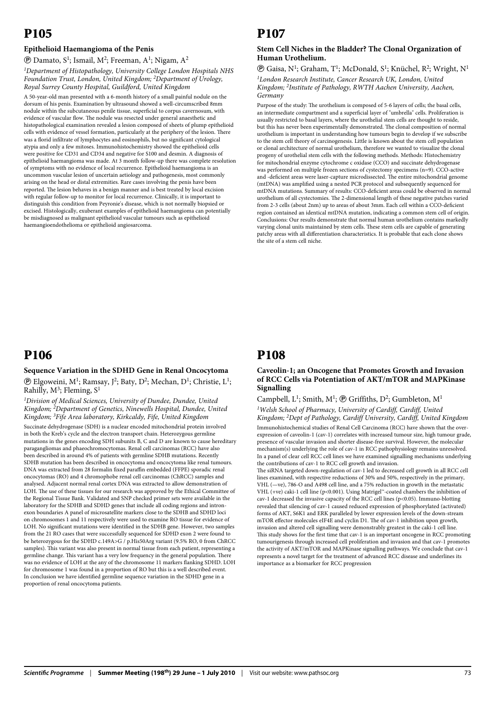## P105

#### **Epithelioid Haemangioma of the Penis**

 $\textcircled{P}$  Damato, S<sup>1</sup>; Ismail, M<sup>2</sup>; Freeman, A<sup>1</sup>; Nigam, A<sup>2</sup> *1Department of Histopathology, University College London Hospitals NHS Foundation Trust, London, United Kingdom; 2Department of Urology, Royal Surrey County Hospital, Guildford, United Kingdom*

A 50-year-old man presented with a 6-month history of a small painful nodule on the dorsum of his penis. Examination by ultrasound showed a well-circumscribed 8mm nodule within the subcutaneous penile tissue, superficial to corpus cavernosum, with evidence of vascular flow. The nodule was resected under general anaesthetic and histopathological examination revealed a lesion composed of sheets of plump epithelioid cells with evidence of vessel formation, particularly at the periphery of the lesion. There was a florid infiltrate of lymphocytes and eosinophils, but no significant cytological atypia and only a few mitoses. Immunohistochemistry showed the epithelioid cells were positive for CD31 and CD34 and negative for S100 and desmin. A diagnosis of epithelioid haemangioma was made. At 3 month follow-up there was complete resolution of symptoms with no evidence of local recurrence. Epithelioid haemangioma is an uncommon vascular lesion of uncertain aetiology and pathogenesis, most commonly arising on the head or distal extremities. Rare cases involving the penis have been reported. The lesion behaves in a benign manner and is best treated by local excision with regular follow-up to monitor for local recurrence. Clinically, it is important to distinguish this condition from Peyronie's disease, which is not normally biopsied or excised. Histologically, exuberant examples of epithelioid haemangioma can potentially be misdiagnosed as malignant epithelioid vascular tumours such as epithelioid haemangioendothelioma or epithelioid angiosarcoma.

# P107

#### **Stem Cell Niches in the Bladder? The Clonal Organization of Human Urothelium.**

 $\textcircled{P}$  Gaisa, N<sup>1</sup>; Graham, T<sup>1</sup>; McDonald, S<sup>1</sup>; Knüchel, R<sup>2</sup>; Wright, N<sup>1</sup> *1London Research Institute, Cancer Research UK, London, United Kingdom; 2Institute of Pathology, RWTH Aachen University, Aachen, Germany*

Purpose of the study: The urothelium is composed of 5-6 layers of cells; the basal cells, an intermediate compartment and a superficial layer of "umbrella" cells. Proliferation is usually restricted to basal layers, where the urothelial stem cells are thought to reside, but this has never been experimentally demonstrated. The clonal composition of normal urothelium is important in understanding how tumours begin to develop if we subscribe to the stem cell theory of carcinogenesis. Little is known about the stem cell population or clonal architecture of normal urothelium, therefore we wanted to visualize the clonal progeny of urothelial stem cells with the following methods. Methods: Histochemistry for mitochondrial enzyme cytochrome c oxidase (CCO) and succinate dehydrogenase was performed on multiple frozen sections of cystectomy specimens (n=9). CCO-active and -deficient areas were laser-capture microdissected. The entire mitochondrial genome (mtDNA) was amplified using a nested PCR protocol and subsequently sequenced for mtDNA mutations. Summary of results: CCO-deficient areas could be observed in normal urothelium of all cystectomies. The 2-dimensional length of these negative patches varied from 2-3 cells (about 2nm) up to areas of about 3mm. Each cell within a CCO-deficient region contained an identical mtDNA mutation, indicating a common stem cell of origin. Conclusions: Our results demonstrate that normal human urothelium contains markedly varying clonal units maintained by stem cells. These stem cells are capable of generating patchy areas with all differentiation characteristics. It is probable that each clone shows the site of a stem cell niche.

## P106

#### **Sequence Variation in the SDHD Gene in Renal Oncocytoma**

 $\textcircled{P}$  Elgoweini, M<sup>1</sup>; Ramsay, J<sup>2</sup>; Baty, D<sup>2</sup>; Mechan, D<sup>1</sup>; Christie, L<sup>1</sup>; Rahilly,  $M^3$ ; Fleming,  $S^1$ 

*1Division of Medical Sciences, University of Dundee, Dundee, United Kingdom; 2Department of Genetics, Ninewells Hospital, Dundee, United Kingdom; 3Fife Area laboratory, Kirkcaldy, Fife, United Kingdom*

Succinate dehydrogenase (SDH) is a nuclear encoded mitochondrial protein involved in both the Kreb's cycle and the electron transport chain. Heterozygous germline mutations in the genes encoding SDH subunits B, C and D are known to cause hereditary paragangliomas and phaeochromocytomas. Renal cell carcinomas (RCC) have also been described in around 4% of patients with germline SDHB mutations. Recently SDHB mutation has been described in oncocytoma and oncocytoma like renal tumours. DNA was extracted from 28 formalin fixed paraffin embedded (FFPE) sporadic renal oncocytomas (RO) and 4 chromophobe renal cell carcinomas (ChRCC) samples and analysed. Adjacent normal renal cortex DNA was extracted to allow demonstration of LOH. The use of these tissues for our research was approved by the Ethical Committee of the Regional Tissue Bank. Validated and SNP checked primer sets were available in the laboratory for the SDHB and SDHD genes that include all coding regions and intronexon boundaries A panel of microsatellite markers close to the SDHB and SDHD loci on chromosomes 1 and 11 respectively were used to examine RO tissue for evidence of LOH. No significant mutations were identified in the SDHB gene. However, two samples from the 21 RO cases that were successfully sequenced for SDHD exon 2 were found to be heterozygous for the SDHD c.149A>G / p.His50Arg variant (9.5% RO, 0 from ChRCC samples). This variant was also present in normal tissue from each patient, representing a germline change. This variant has a very low frequency in the general population. There was no evidence of LOH at the any of the chromosome 11 markers flanking SDHD. LOH for chromosome 1 was found in a proportion of RO but this is a well described event. In conclusion we have identified germline sequence variation in the SDHD gene in a proportion of renal oncocytoma patients.

## P108

#### **Caveolin-1; an Oncogene that Promotes Growth and Invasion of RCC Cells via Potentiation of AKT/mTOR and MAPKinase Signalling**

### Campbell,  $L^1$ ; Smith,  $M^1$ ;  $\bigcirc$  Griffiths,  $D^2$ ; Gumbleton,  $M^1$

*1Welsh School of Pharmacy, University of Cardiff, Cardiff, United Kingdom; 2Dept of Pathology, Cardiff University, Cardiff, United Kingdom* Immunohistochemical studies of Renal Cell Carcinoma (RCC) have shown that the overexpression of caveolin-1 (cav-1) correlates with increased tumour size, high tumour grade, presence of vascular invasion and shorter disease-free survival. However, the molecular mechanism(s) underlying the role of cav-1 in RCC pathophysiology remains unresolved. In a panel of clear cell RCC cell lines we have examined signalling mechanisms underlying the contributions of cav-1 to RCC cell growth and invasion.

The siRNA targeted down-regulation of cav-1 led to decreased cell growth in all RCC cell lines examined, with respective reductions of 30% and 50%, respectively in the primary, VHL (—ve), 786-O and A498 cell line, and a 75% reduction in growth in the metastatic VHL (+ve) caki-1 cell line (p<0.001). Using Matrigel™-coated chambers the inhibition of cav-1 decreased the invasive capacity of the RCC cell lines (p<0.05). Immuno-blotting revealed that silencing of cav-1 caused reduced expression of phosphorylated (activated) forms of AKT, S6K1 and ERK paralleled by lower expression levels of the down-stream mTOR effector molecules eIF4E and cyclin D1. The of cav-1 inhibition upon growth, invasion and altered cell signalling were demonstrably greatest in the caki-1 cell line. This study shows for the first time that cav-1 is an important oncogene in RCC promoting tumourigenesis through increased cell proliferation and invasion and that cav-1 promotes the activity of AKT/mTOR and MAPKinase signalling pathways. We conclude that cav-1 represents a novel target for the treatment of advanced RCC disease and underlines its importance as a biomarker for RCC progression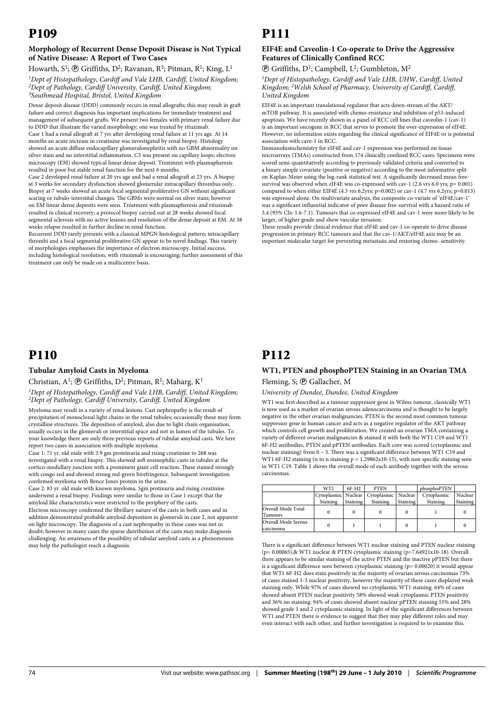### **Morphology of Recurrent Dense Deposit Disease is Not Typical of Native Disease: A Report of Two Cases**

Howarth,  $S^1$ ;  $\textcircled{P}$  Griffiths,  $D^2$ ; Ravanan,  $R^3$ ; Pitman,  $R^1$ ; King, L<sup>1</sup> *1Dept of Histopathology, Cardiff and Vale LHB, Cardiff, United Kingdom; 2Dept of Pathology, Cardiff University, Cardiff, United Kingdom; 3Southmead Hospital, Bristol, United Kingdom*

Dense deposit disease (DDD) commonly recurs in renal allografts; this may result in graft failure and correct diagnosis has important implications for immediate treatment and management of subsequent grafts. We present two females with primary renal failure due to DDD that illustrate the varied morphology; one was treated by rituximab. Case 1 had a renal allograft at 7 yrs after developing renal failure at 11 yrs age. At 14 months an acute increase in creatinine was investigated by renal biopsy. Histology showed an acute diffuse endocapillary glomerulonephritis with no GBM abnormality on silver stain and no interstitial inflammation. C3 was present on capillary loops; electron microscopy (EM) showed typical linear dense deposit. Treatment with plasmapheresis resulted in poor but stable renal function for the next 6 months.

Case 2 developed renal failure at 20 yrs age and had a renal allograft at 23 yrs. A biopsy at 3 weeks for secondary dysfunction showed glomerular intracapillary thrombus only. Biopsy at 7 weeks showed an acute focal segmental proliferative GN without significant scaring or tubulo-interstital changes. The GBMs were normal on silver stain; however on EM linear dense deposits were seen. Treatment with plasmapheresis and rituximab resulted in clinical recovery; a protocol biopsy carried out at 28 weeks showed focal segmental sclerosis with no active lesions and resolution of the dense deposit at EM. At 38 weeks relapse resulted in further decline in renal function.

Recurrent DDD rarely presents with a classical MPGN histological pattern; intracapillary thrombi and a focal segmental proliferative GN appear to be novel findings. This variety of morphologies emphasises the importance of electron microscopy. Initial success, including histological resolution, with rituximab is encouraging; further assessment of this treatment can only be made on a multicentre basis.

# P111

### **EIF4E and Caveolin-1 Co-operate to Drive the Aggressive Features of Clinically Confined RCC**

 $\mathcal{P}$  Griffiths, D<sup>1</sup>; Campbell, L<sup>2</sup>; Gumbleton, M<sup>2</sup>

*1Dept of Histopathology, Cardiff and Vale LHB, UHW, Cardiff, United Kingdom; 2Welsh School of Pharmacy, University of Cardiff, Cardiff, United Kingdom*

 $\rm{EIF4E}$  is an important translational regulator that acts down-stream of the  $\rm{AKT}/$ mTOR pathway. It is associated with chemo-resistance and inhibition of p53-induced apoptosis. We have recently shown in a panel of RCC cell lines that caveolin-1 (cav-1) is an important oncogene in RCC that serves to promote the over-expression of eIF4E. However, no information exists regarding the clinical significance of EIF4E or is potential association with cave-1 in RCC.

Immunohistochemistry for eIF4E and cav-1 expression was performed on tissue microarrays (TMAs) constructed from 174 clinically confined RCC cases. Specimens were scored semi-quantitatively according to previously validated criteria and converted to a binary simple covariate (positive or negative) according to the most informative split on Kaplan-Meier using the log-rank statistical test. A significantly decreased mean freesurvival was observed when eIF4E was co-expressed with cav-1 (2.6 vrs 6.0 yrs; p= 0.001) compared to when either EIF4E (4.3 vrs 6.2yrs; p=0.002) or cav-1 (4.7 vrs 6.2yrs; p=0.013) was expressed alone. On multivariate analysis, the composite co-variate of 'eIF4E/cav-1' was a significant influential indicator of poor disease free-survival with a hazard ratio of 3.4 (95% CIs: 1.6-7.1). Tumours that co-expressed eIF4E and cav-1 were more likely to be larger, of higher grade and show vascular invasion.

These results provide clinical evidence that eIF4E and cav-1 co-operate to drive disease progression in primary RCC tumours and that the cav-1/AKT/eIF4E axis may be an important molecular target for preventing metastasis and restoring chemo.-sensitivity.

## P110

### **Tubular Amyloid Casts in Myeloma**

may help the pathologist reach a diagnosis.

#### Christian,  $A^1$ ;  $\textcircled{P}$  Griffiths,  $D^2$ ; Pitman,  $R^1$ ; Maharg,  $K^1$

*1Dept of Histopathology, Cardiff and Vale LHB, Cardiff, United Kingdom; 2Dept of Pathology, Cardiff University, Cardiff, United Kingdom*

Myeloma may result in a variety of renal lesions. Cast nephropathy is the result of precipitation of monoclonal light chains in the renal tubules; occasionally these may form crystalline structures. The deposition of amyloid, also due to light chain organisation, usually occurs in the glomeruli or interstitial space and not in lumen of the tubules. To your knowledge there are only three previous reports of tubular amyloid casts. We here report two cases in association with multiple myeloma.

Case 1: 71 yr. old male with 3.9 gm proteinuria and rising creatinine to 268 was investigated with a renal biopsy. This showed soft eosinophilic casts in tubules at the cortico-medullary junction with a prominent giant cell reaction. These stained strongly with congo red and showed strong red-green birefringence. Subsequent investigation confirmed myeloma with Bence Jones protein in the urine.

Case 2: 83 yr. old male with known myeloma, 5gm protinuria and rising creatinine underwent a renal biopsy. Findings were similar to those in Case 1 except that the amyloid like characteristics were restricted to the periphery of the casts. Electron microscopy confirmed the fibrillary nature of the casts in both cases and in addition demonstrated probable amyloid deposition in glomeruli in case 2, not apparent on light microscopy. The diagnosis of a cast nephropathy in these cases was not in doubt; however in many cases the sparse distribution of the casts may make diagnosis challenging. An awareness of the possibility of tubular amyloid casts as a phenomenon

## P112

### **WT1, PTEN and phosphoPTEN Staining in an Ovarian TMA**

Fleming, S;  $\overline{\mathcal{P}}$  Gallacher, M

#### *University of Dundee, Dundee, United Kingdom*

WT1 was first described as a tumour suppressor gene in Wilms tumour, classically WT1 is now used as a marker of ovarian serous adenocarcinoma and is thought to be largely negative in the other ovarian malignancies. PTEN is the second most common tumour suppressor gene in human cancer and acts as a negative regulator of the AKT pathway which controls cell growth and proliferation. We created an ovarian TMA containing a variety of different ovarian malignancies & stained it with both the WT1 C19 and WT1 6F-H2 antibodies, PTEN and pPTEN antibodies. Each core was scored (cytoplasmic and nuclear staining) from  $0 - 3$ . There was a significant difference between WT1 C19 and WT1 6F-H2 staining (n to n staining  $p = 1.29862x10-15$ ), with non specific staining seen in WT1 C19. Table 1 shows the overall mode of each antibody together with the serous carcinomas.

|                                  | WT1                 | $6F-H2$  | <b>PTEN</b>         |          | phosphoPTEN |          |
|----------------------------------|---------------------|----------|---------------------|----------|-------------|----------|
|                                  | Cytoplasmic Nuclear |          | Cytoplasmic Nuclear |          | Cytoplasmic | Nuclear  |
|                                  | Staining            | Staining | Staining            | Staining | Staining    | Staining |
| Overall Mode Total<br>Tumours    |                     | 0        |                     |          |             |          |
| Overall Mode Serous<br>carcinoma |                     |          |                     | $\Omega$ |             |          |

There is a significant difference between WT1 nuclear staining and PTEN nuclear staining (p= 0.00065),& WT1 nuclear & PTEN cytoplasmic staining (p=7.64921x10-18). Overall there appears to be similar staining of the active PTEN and the inactive pPTEN but there is a significant difference seen between cytoplasmic staining (p= 0.00020) it would appear that WT1 6F-H2 does stain positively in the majority of ovarian serous carcinomas 73% of cases stained 1-3 nuclear positivity, however the majority of these cases displayed weak staining only. While 97% of cases showed no cytoplasmic WT1 staining. 64% of cases showed absent PTEN nuclear positivity 58% showed weak cytoplasmic PTEN positivity and 36% no staining. 94% of cases showed absent nuclear pPTEN staining 55% and 28% showed grade 1 and 2 cytoplasmic staining. In light of the significant differences between WT1 and PTEN there is evidence to suggest that they may play different roles and may even interact with each other, and further investigation is required to to examine this.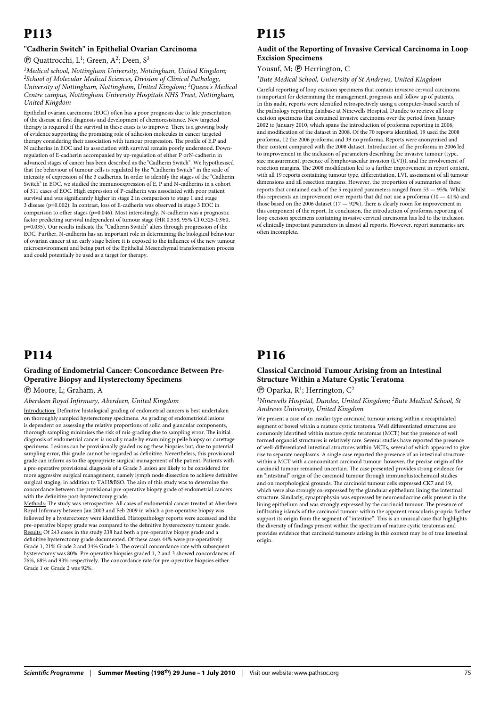## P113

#### **"Cadherin Switch" in Epithelial Ovarian Carcinoma**

 $\Theta$  Quattrocchi, L<sup>1</sup>; Green, A<sup>2</sup>; Deen, S<sup>3</sup>

*1Medical school, Nottingham University, Nottingham, United Kingdom; 2School of Molecular Medical Sciences, Division of Clinical Pathology, University of Nottingham, Nottingham, United Kingdom; 3Queen's Medical Centre campus, Nottingham University Hospitals NHS Trust, Nottingham, United Kingdom*

Epithelial ovarian carcinoma (EOC) often has a poor prognosis due to late presentation of the disease at first diagnosis and development of chemoresistance. New targeted therapy is required if the survival in these cases is to improve. There is a growing body of evidence supporting the promising role of adhesion molecules in cancer targeted therapy considering their association with tumour progression. The profile of E,P and N cadherins in EOC and its association with survival remain poorly understood. Downregulation of E-cadherin accompanied by up-regulation of either P orN-cadherin in advanced stages of cancer has been described as the "Cadherin Switch". We hypothesised that the behaviour of tumour cells is regulated by the "Cadherin Switch" in the scale of intensity of expression of the 3 cadherins. In order to identify the stages of the "Cadherin Switch" in EOC, we studied the immunoexpression of E, P and N-cadherins in a cohort of 311 cases of EOC. High expression of P-cadherin was associated with poor patient survival and was significantly higher in stage 2 in comparison to stage 1 and stage 3 disease (p=0.002). In contrast, loss of E-cadherin was observed in stage 3 EOC in comparison to other stages (p=0.046). Most interestingly, N-cadherin was a prognostic factor predicting survival independent of tumour stage (HR 0.558, 95% CI 0.325-0.960, p=0.035). Our results indicate the "Cadherin Switch" alters through progression of the EOC. Further, N-cadherin has an important role in determining the biological behaviour of ovarian cancer at an early stage before it is exposed to the influence of the new tumour microenvironment and being part of the Epithelial Mesenchymal transformation process and could potentially be used as a target for therapy.

## P114

#### **Grading of Endometrial Cancer: Concordance Between Pre-Operative Biopsy and Hysterectomy Specimens**

P Moore, L; Graham, A

#### *Aberdeen Royal Infirmary, Aberdeen, United Kingdom*

Introduction: Definitive histological grading of endometrial cancers is best undertaken on thoroughly sampled hysterectomy specimens. As grading of endometrioid lesions is dependent on assessing the relative proportions of solid and glandular components, thorough sampling minimises the risk of mis-grading due to sampling error. The initial diagnosis of endometrial cancer is usually made by examining pipelle biopsy or curettage specimens. Lesions can be provisionally graded using these biopsies but, due to potential sampling error, this grade cannot be regarded as definitive. Nevertheless, this provisional grade can inform as to the appropriate surgical management of the patient. Patients with a pre-operative provisional diagnosis of a Grade 3 lesion are likely to be considered for more aggressive surgical management, namely lymph node dissection to achieve definitive surgical staging, in addition to TAH&BSO. The aim of this study was to determine the concordance between the provisional pre-operative biopsy grade of endometrial cancers with the definitive post-hysterectomy grade.

Methods: The study was retrospective. All cases of endometrial cancer treated at Aberdeen Royal Infirmary between Jan 2003 and Feb 2009 in which a pre-operative biopsy was followed by a hysterectomy were identified. Histopathology reports were accessed and the pre-operative biopsy grade was compared to the definitive hysterectomy tumour grade. Results: Of 243 cases in the study 238 had both a pre-operative biopsy grade and a definitive hysterectomy grade documented. Of these cases 44% were pre-operatively Grade 1, 21% Grade 2 and 34% Grade 3. The overall concordance rate with subsequent hysterectomy was 80%. Pre-operative biopsies graded 1, 2 and 3 showed concordances of 76%, 68% and 93% respectively. The concordance rate for pre-operative biopsies either Grade 1 or Grade 2 was 92%.

# P115

#### **Audit of the Reporting of Invasive Cervical Carcinoma in Loop Excision Specimens**

### Yousuf, M;  $\Theta$  Herrington, C

*1Bute Medical School, University of St Andrews, United Kingdom* Careful reporting of loop excision specimens that contain invasive cervical carcinoma is important for determining the management, prognosis and follow up of patients. In this audit, reports were identified retrospectively using a computer-based search of the pathology reporting database at Ninewells Hospital, Dundee to retrieve all loop excision specimens that contained invasive carcinoma over the period from January 2002 to January 2010, which spans the introduction of proforma reporting in 2006, and modification of the dataset in 2008. Of the 70 reports identified, 19 used the 2008 proforma, 12 the 2006 proforma and 39 no proforma. Reports were anonymised and their content compared with the 2008 dataset. Introduction of the proforma in 2006 led to improvement in the inclusion of parameters describing the invasive tumour (type, size measurement, presence of lymphovascular invasion (LVI)), and the involvement of resection margins. The 2008 modification led to a further improvement in report content, with all 19 reports containing tumour type, differentiation, LVI, assessment of all tumour dimensions and all resection margins. However, the proportion of summaries of these reports that contained each of the 5 required parameters ranged from 53 — 95%. Whilst this represents an improvement over reports that did not use a proforma (10 — 41%) and those based on the 2006 dataset  $(17 - 92%)$ , there is clearly room for improvement in this component of the report. In conclusion, the introduction of proforma reporting of loop excision specimens containing invasive cervical carcinoma has led to the inclusion of clinically important parameters in almost all reports. However, report summaries are often incomplete.

## P116

#### **Classical Carcinoid Tumour Arising from an Intestinal Structure Within a Mature Cystic Teratoma**

### $\Theta$  Oparka, R<sup>1</sup>; Herrington, C<sup>2</sup>

#### *1Ninewells Hospital, Dundee, United Kingdom; 2Bute Medical School, St Andrews University, United Kingdom*

We present a case of an insular type carcinoid tumour arising within a recapitulated segment of bowel within a mature cystic teratoma. Well differentiated structures are commonly identified within mature cystic teratomas (MCT) but the presence of well formed organoid structures is relatively rare. Several studies have reported the presence of well-differentiated intestinal structures within MCTs, several of which appeared to give rise to separate neoplasms. A single case reported the presence of an intestinal structure within a MCT with a concomitant carcinoid tumour: however, the precise origin of the carcinoid tumour remained uncertain. The case presented provides strong evidence for an "intestinal" origin of the carcinoid tumour through immunohistochemical studies and on morphological grounds. The carcinoid tumour cells expressed CK7 and 19, which were also strongly co-expressed by the glandular epithelium lining the intestinal structure. Similarly, synaptophysin was expressed by neuroendocrine cells present in the lining epithelium and was strongly expressed by the carcinoid tumour. The presence of infiltrating islands of the carcinoid tumour within the apparent muscularis propria further support its origin from the segment of "intestine". This is an unusual case that highlights the diversity of findings present within the spectrum of mature cystic teratomas and provides evidence that carcinoid tumours arising in this context may be of true intestinal origin.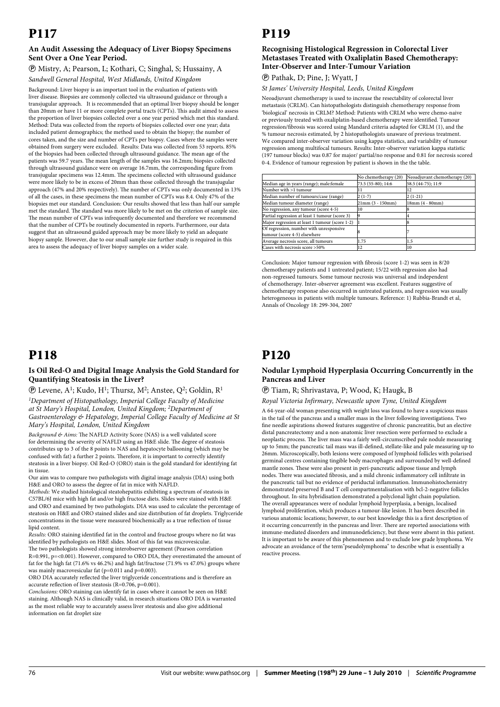### **An Audit Assessing the Adequacy of Liver Biopsy Specimens Sent Over a One Year Period.**

### P Mistry, A; Pearson, L; Kothari, C; Singhal, S; Hussainy, A

*Sandwell General Hospital, West Midlands, United Kingdom*

Background: Liver biopsy is an important tool in the evaluation of patients with liver disease. Biopsies are commonly collected via ultrasound guidance or through a transjugular approach. It is recommended that an optimal liver biopsy should be longer than 20mm or have 11 or more complete portal tracts (CPTs). This audit aimed to assess the proportion of liver biopsies collected over a one year period which met this standard. Method: Data was collected from the reports of biopsies collected over one year; data included patient demographics; the method used to obtain the biopsy; the number of cores taken, and the size and number of CPTs per biopsy. Cases where the samples were obtained from surgery were excluded. Results: Data was collected from 53 reports. 85% of the biopsies had been collected through ultrasound guidance. The mean age of the patients was 59.7 years. The mean length of the samples was 16.2mm; biopsies collected through ultrasound guidance were on average 16.7mm, the corresponding figure from transjugular specimens was 12.4mm. The specimens collected with ultrasound guidance were more likely to be in excess of 20mm than those collected through the transjugular approach (47% and 20% respectively). The number of CPTs was only documented in 13% of all the cases, in these specimens the mean number of CPTs was 8.4. Only 47% of the biopsies met our standard. Conclusion: Our results showed that less than half our sample met the standard. The standard was more likely to be met on the criterion of sample size. The mean number of CPTs was infrequently documented and therefore we recommend that the number of CPTs be routinely documented in reports. Furthermore, our data suggest that an ultrasound guided approach may be more likely to yield an adequate biopsy sample. However, due to our small sample size further study is required in this area to assess the adequacy of liver biopsy samples on a wider scale.

## P118

#### **Is Oil Red-O and Digital Image Analysis the Gold Standard for Quantifying Steatosis in the Liver?**

#### $\textcircled{P}$  Levene, A<sup>1</sup>; Kudo, H<sup>1</sup>; Thursz, M<sup>2</sup>; Anstee, Q<sup>2</sup>; Goldin, R<sup>1</sup>

*1Department of Histopathology, Imperial College Faculty of Medicine at St Mary's Hospital, London, United Kingdom; 2Department of Gastroenterology & Hepatology, Imperial College Faculty of Medicine at St Mary's Hospital, London, United Kingdom*

*Background & Aims:* The NAFLD Activity Score (NAS) is a well validated score for determining the severity of NAFLD using an H&E slide. The degree of steatosis contributes up to 3 of the 8 points to NAS and hepatocyte ballooning (which may be confused with fat) a further 2 points. Therefore, it is important to correctly identify steatosis in a liver biopsy. Oil Red-O (ORO) stain is the gold standard for identifying fat in tissue.

Our aim was to compare two pathologists with digital image analysis (DIA) using both H&E and ORO to assess the degree of fat in mice with NAFLD.

*Methods:* We studied histological steatohepatitis exhibiting a spectrum of steatosis in C57BL/6J mice with high fat and/or high fructose diets. Slides were stained with H&E and ORO and examined by two pathologists. DIA was used to calculate the percentage of steatosis on H&E and ORO stained slides and size distribution of fat droplets. Triglyceride concentrations in the tissue were measured biochemically as a true reflection of tissue lipid content.

*Results:* ORO staining identified fat in the control and fructose groups where no fat was identified by pathologists on H&E slides. Most of this fat was microvesicular. The two pathologists showed strong interobserver agreement (Pearson correlation R=0.991, p=<0.001). However, compared to ORO DIA, they overestimated the amount of fat for the high fat (71.6% vs 46.2%) and high fat/fructose (71.9% vs 47.0%) groups where was mainly macrovesicular fat (p=0.011 and p=0.003).

ORO DIA accurately reflected the liver triglyceride concentrations and is therefore an accurate reflection of liver steatosis (R=0.706, p=0.001).

*Conclusions:* ORO staining can identify fat in cases where it cannot be seen on H&E staining. Although NAS is clinically valid, in research situations ORO DIA is warranted as the most reliable way to accurately assess liver steatosis and also give additional information on fat droplet size

# P119

#### **Recognising Histological Regression in Colorectal Liver Metastases Treated with Oxaliplatin Based Chemotherapy: Inter-Observer and Inter-Tumour Variation**

#### P Pathak, D; Pine, J; Wyatt, J

*St James' University Hospital, Leeds, United Kingdom*

Neoadjuvant chemotherapy is used to increase the resectability of colorectal liver metastasis (CRLM). Can histopathologists distinguish chemotherapy response from 'biological' necrosis in CRLM? Method: Patients with CRLM who were chemo-naive or previously treated with oxaliplatin-based chemotherapy were identified. Tumour regression/fibrosis was scored using Mandard criteria adapted for CRLM (1), and the % tumour necrosis estimated, by 2 histopathologists unaware of previous treatment. We compared inter-observer variation using kappa statistics, and variability of tumour variability of tumour parts. regression among multifocal tumours. Results: Inter-observer variation kappa statistic (197 tumour blocks) was 0.87 for major/ partial/no response and 0.81 for necrosis scored 0-4. Evidence of tumour regression by patient is shown in the the table.

|                                                                         | No chemotherapy (20) | Neoadjuvant chemotherapy (20) |
|-------------------------------------------------------------------------|----------------------|-------------------------------|
| Median age in years (range); male:female                                | 73.5 (55-80); 14:6   | 58.5 (44-75); 11:9            |
| Number with >1 tumour                                                   |                      |                               |
| Median number of tumours/case (range)                                   | $2(1-7)$             | $2(1-21)$                     |
| Median tumour diameter (range)                                          | 21mm (3 - 150mm)     | 18mm (4 - 80mm)               |
| No regression, any tumour (score 4-5)                                   | 10                   |                               |
| Partial regression at least 1 tumour (score 3)                          |                      |                               |
| Major regression at least 1 tumour (score 1-2)                          |                      |                               |
| Of regression, number with unresponsive<br>tumour (score 4-5) elsewhere |                      |                               |
| Average necrosis score, all tumours                                     | 1.75                 | 1.5                           |
| Cases with necrosis score >50%                                          | 12                   | 10                            |

Conclusion: Major tumour regression with fibrosis (score 1-2) was seen in 8/20 chemotherapy patients and 1 untreated patient; 15/22 with regression also had non-regressed tumours. Some tumour necrosis was universal and independent of chemotherapy. Inter-observer agreement was excellent. Features suggestive of chemotherapy response also occurred in untreated patients, and regression was usually heterogeneous in patients with multiple tumours. Reference: 1) Rubbia-Brandt et al, Annals of Oncology 18: 299-304, 2007

# P120

#### **Nodular Lymphoid Hyperplasia Occurring Concurrently in the Pancreas and Liver**

#### P Tiam, R; Shrivastava, P; Wood, K; Haugk, B

#### *Royal Victoria Infirmary, Newcastle upon Tyne, United Kingdom*

A 64-year-old woman presenting with weight loss was found to have a suspicious mass in the tail of the pancreas and a smaller mass in the liver following investigations. Two fine needle aspirations showed features suggestive of chronic pancreatitis, but an elective distal pancreatectomy and a non-anatomic liver resection were performed to exclude a neoplastic process. The liver mass was a fairly well-circumscribed pale nodule measuring up to 5mm; the pancreatic tail mass was ill-defined, stellate-like and pale measuring up to 26mm. Microscopically, both lesions were composed of lymphoid follicles with polarised germinal centres containing tingible body macrophages and surrounded by well-defined mantle zones. These were also present in peri-pancreatic adipose tissue and lymph nodes. There was associated fibrosis, and a mild chronic inflammatory cell infiltrate in the pancreatic tail but no evidence of periductal inflammation. Immunohistochemistry demonstrated preserved B and T cell compartmentalisation with bcl-2-negative follicles throughout. In-situ hybridisation demonstrated a polyclonal light chain population. The overall appearances were of nodular lymphoid hyperplasia, a benign, localised lymphoid proliferation, which produces a tumour-like lesion. It has been described in various anatomic locations; however, to our best knowledge this is a first description of it occurring concurrently in the pancreas and liver. There are reported associations with immune-mediated disorders and immunodeficiency, but these were absent in this patient. It is important to be aware of this phenomenon and to exclude low grade lymphoma. We advocate an avoidance of the term"pseudolymphoma" to describe what is essentially a reactive process.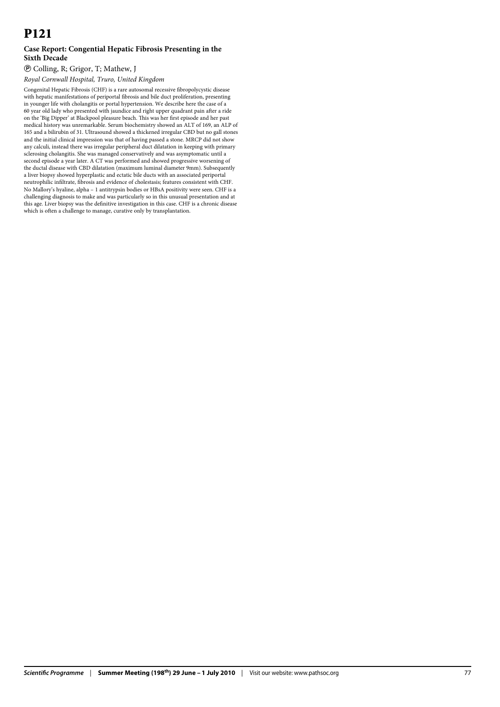### **Case Report: Congential Hepatic Fibrosis Presenting in the Sixth Decade**

### P Colling, R; Grigor, T; Mathew, J

*Royal Cornwall Hospital, Truro, United Kingdom*

Congenital Hepatic Fibrosis (CHF) is a rare autosomal recessive fibropolycystic disease with hepatic manifestations of periportal fibrosis and bile duct proliferation, presenting in younger life with cholangitis or portal hypertension. We describe here the case of a 60 year old lady who presented with jaundice and right upper quadrant pain after a ride on the 'Big Dipper' at Blackpool pleasure beach. This was her first episode and her past medical history was unremarkable. Serum biochemistry showed an ALT of 169, an ALP of 165 and a bilirubin of 31. Ultrasound showed a thickened irregular CBD but no gall stones and the initial clinical impression was that of having passed a stone. MRCP did not show any calculi, instead there was irregular peripheral duct dilatation in keeping with primary sclerosing cholangitis. She was managed conservatively and was asymptomatic until a second episode a year later. A CT was performed and showed progressive worsening of the ductal disease with CBD dilatation (maximum luminal diameter 9mm). Subsequently a liver biopsy showed hyperplastic and ectatic bile ducts with an associated periportal neutrophilic infiltrate, fibrosis and evidence of cholestasis; features consistent with CHF. No Mallory's hyaline, alpha – 1 antitrypsin bodies or HBsA positivity were seen. CHF is a challenging diagnosis to make and was particularly so in this unusual presentation and at this age. Liver biopsy was the definitive investigation in this case. CHF is a chronic disease which is often a challenge to manage, curative only by transplantation.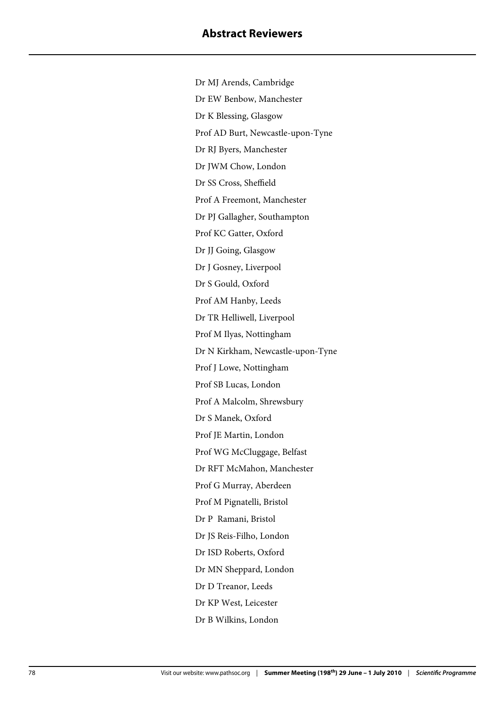Dr MJ Arends, Cambridge Dr EW Benbow, Manchester Dr K Blessing, Glasgow Prof AD Burt, Newcastle-upon-Tyne Dr RJ Byers, Manchester Dr JWM Chow, London Dr SS Cross, Sheffield Prof A Freemont, Manchester Dr PJ Gallagher, Southampton Prof KC Gatter, Oxford Dr JJ Going, Glasgow Dr J Gosney, Liverpool Dr S Gould, Oxford Prof AM Hanby, Leeds Dr TR Helliwell, Liverpool Prof M Ilyas, Nottingham Dr N Kirkham, Newcastle-upon-Tyne Prof J Lowe, Nottingham Prof SB Lucas, London Prof A Malcolm, Shrewsbury Dr S Manek, Oxford Prof JE Martin, London Prof WG McCluggage, Belfast Dr RFT McMahon, Manchester Prof G Murray, Aberdeen Prof M Pignatelli, Bristol Dr P Ramani, Bristol Dr JS Reis-Filho, London Dr ISD Roberts, Oxford Dr MN Sheppard, London Dr D Treanor, Leeds Dr KP West, Leicester Dr B Wilkins, London